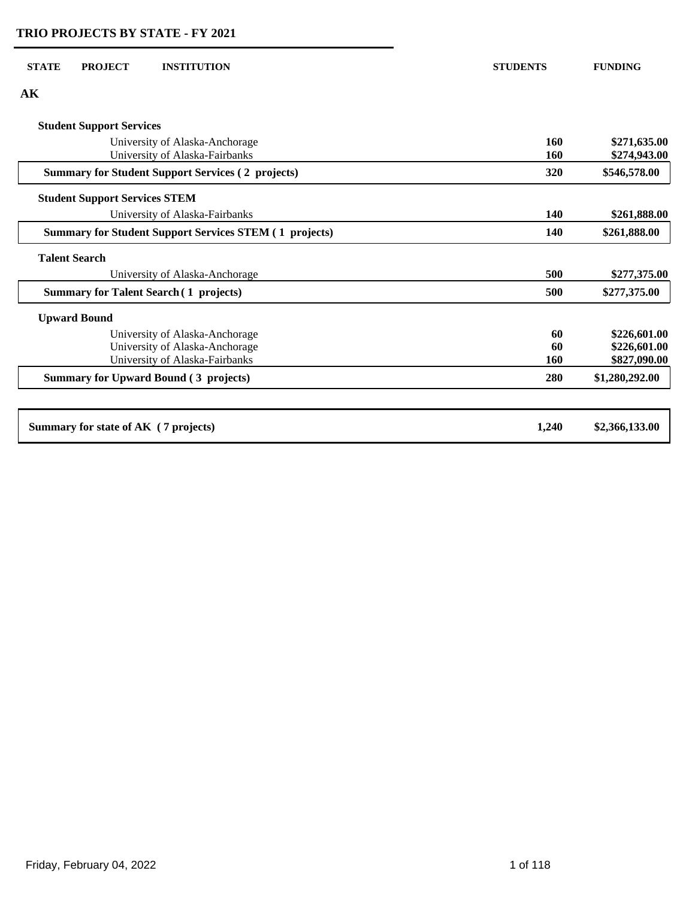| <b>STATE</b><br><b>PROJECT</b><br><b>INSTITUTION</b>          | <b>STUDENTS</b> | <b>FUNDING</b> |
|---------------------------------------------------------------|-----------------|----------------|
| AK                                                            |                 |                |
| <b>Student Support Services</b>                               |                 |                |
| University of Alaska-Anchorage                                | 160             | \$271,635.00   |
| University of Alaska-Fairbanks                                | 160             | \$274,943.00   |
| <b>Summary for Student Support Services (2 projects)</b>      | 320             | \$546,578.00   |
| <b>Student Support Services STEM</b>                          |                 |                |
| University of Alaska-Fairbanks                                | 140             | \$261,888.00   |
| <b>Summary for Student Support Services STEM (1 projects)</b> | 140             | \$261,888.00   |
| <b>Talent Search</b>                                          |                 |                |
| University of Alaska-Anchorage                                | 500             | \$277,375.00   |
| <b>Summary for Talent Search (1 projects)</b>                 | 500             | \$277,375.00   |
| <b>Upward Bound</b>                                           |                 |                |
| University of Alaska-Anchorage                                | 60              | \$226,601.00   |
| University of Alaska-Anchorage                                | 60              | \$226,601.00   |
| University of Alaska-Fairbanks                                | 160             | \$827,090.00   |
| <b>Summary for Upward Bound (3 projects)</b>                  | 280             | \$1,280,292.00 |
| Summary for state of AK (7 projects)                          | 1,240           | \$2,366,133.00 |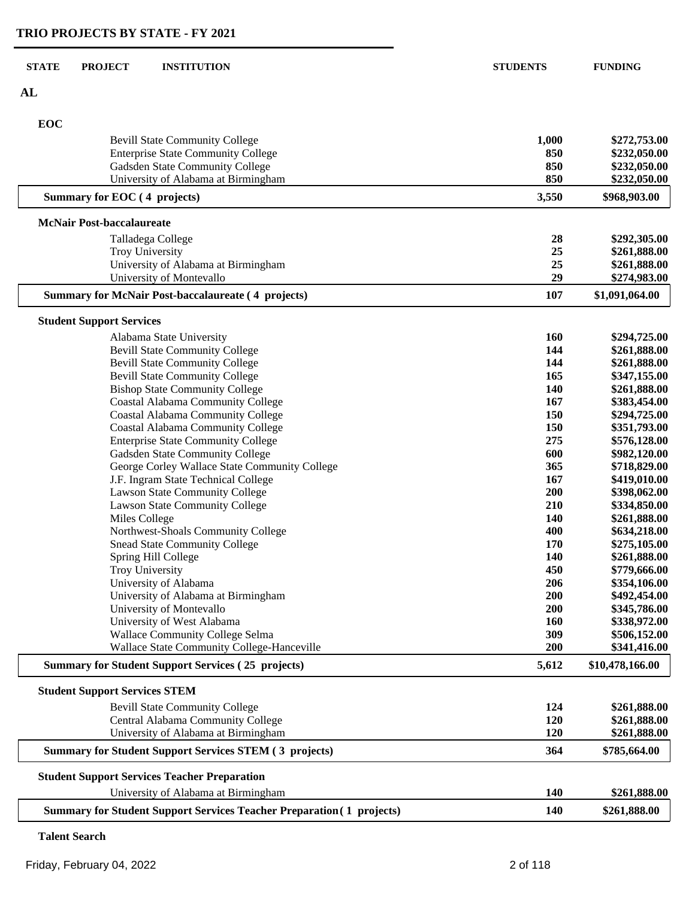| <b>STATE</b> | <b>PROJECT</b>                       | <b>INSTITUTION</b>                                                           | <b>STUDENTS</b> | <b>FUNDING</b>               |
|--------------|--------------------------------------|------------------------------------------------------------------------------|-----------------|------------------------------|
| AL           |                                      |                                                                              |                 |                              |
| <b>EOC</b>   |                                      |                                                                              |                 |                              |
|              |                                      | <b>Bevill State Community College</b>                                        | 1,000           | \$272,753.00                 |
|              |                                      | <b>Enterprise State Community College</b>                                    | 850             | \$232,050.00                 |
|              |                                      | Gadsden State Community College                                              | 850             | \$232,050.00                 |
|              |                                      | University of Alabama at Birmingham                                          | 850             | \$232,050.00                 |
|              | Summary for EOC (4 projects)         |                                                                              | 3,550           | \$968,903.00                 |
|              | <b>McNair Post-baccalaureate</b>     |                                                                              |                 |                              |
|              |                                      | Talladega College                                                            | 28              | \$292,305.00                 |
|              |                                      | Troy University                                                              | 25              | \$261,888.00                 |
|              |                                      | University of Alabama at Birmingham                                          | 25              | \$261,888.00                 |
|              |                                      | University of Montevallo                                                     | 29              | \$274,983.00                 |
|              |                                      | <b>Summary for McNair Post-baccalaureate (4 projects)</b>                    | 107             | \$1,091,064.00               |
|              | <b>Student Support Services</b>      |                                                                              |                 |                              |
|              |                                      | Alabama State University                                                     | 160             | \$294,725.00                 |
|              |                                      | <b>Bevill State Community College</b>                                        | 144             | \$261,888.00                 |
|              |                                      | <b>Bevill State Community College</b>                                        | 144             | \$261,888.00                 |
|              |                                      | <b>Bevill State Community College</b>                                        | 165             | \$347,155.00                 |
|              |                                      | <b>Bishop State Community College</b>                                        | 140             | \$261,888.00                 |
|              |                                      | <b>Coastal Alabama Community College</b>                                     | 167             | \$383,454.00                 |
|              |                                      | <b>Coastal Alabama Community College</b>                                     | 150             | \$294,725.00                 |
|              |                                      | Coastal Alabama Community College                                            | 150             | \$351,793.00                 |
|              |                                      | <b>Enterprise State Community College</b>                                    | 275             | \$576,128.00                 |
|              |                                      | Gadsden State Community College                                              | 600             | \$982,120.00                 |
|              |                                      | George Corley Wallace State Community College                                | 365             | \$718,829.00                 |
|              |                                      | J.F. Ingram State Technical College                                          | 167             | \$419,010.00                 |
|              |                                      | Lawson State Community College                                               | 200             | \$398,062.00                 |
|              |                                      | Lawson State Community College                                               | 210<br>140      | \$334,850.00                 |
|              | Miles College                        | Northwest-Shoals Community College                                           | 400             | \$261,888.00                 |
|              |                                      | <b>Snead State Community College</b>                                         | 170             | \$634,218.00                 |
|              |                                      |                                                                              | 140             | \$275,105.00                 |
|              |                                      | Spring Hill College<br>Troy University                                       | 450             | \$261,888.00<br>\$779,666.00 |
|              |                                      | University of Alabama                                                        | 206             | \$354,106.00                 |
|              |                                      | University of Alabama at Birmingham                                          | 200             | \$492,454.00                 |
|              |                                      | University of Montevallo                                                     | 200             | \$345,786.00                 |
|              |                                      | University of West Alabama                                                   | 160             | \$338,972.00                 |
|              |                                      | <b>Wallace Community College Selma</b>                                       | 309             | \$506,152.00                 |
|              |                                      | Wallace State Community College-Hanceville                                   | 200             | \$341,416.00                 |
|              |                                      | <b>Summary for Student Support Services (25 projects)</b>                    | 5,612           | \$10,478,166.00              |
|              | <b>Student Support Services STEM</b> |                                                                              |                 |                              |
|              |                                      | <b>Bevill State Community College</b>                                        | 124             | \$261,888.00                 |
|              |                                      | Central Alabama Community College                                            | 120             | \$261,888.00                 |
|              |                                      | University of Alabama at Birmingham                                          | 120             | \$261,888.00                 |
|              |                                      | <b>Summary for Student Support Services STEM (3 projects)</b>                | 364             | \$785,664.00                 |
|              |                                      | <b>Student Support Services Teacher Preparation</b>                          |                 |                              |
|              |                                      | University of Alabama at Birmingham                                          | 140             | \$261,888.00                 |
|              |                                      | <b>Summary for Student Support Services Teacher Preparation (1 projects)</b> | 140             | \$261,888.00                 |
|              |                                      |                                                                              |                 |                              |

**Talent Search**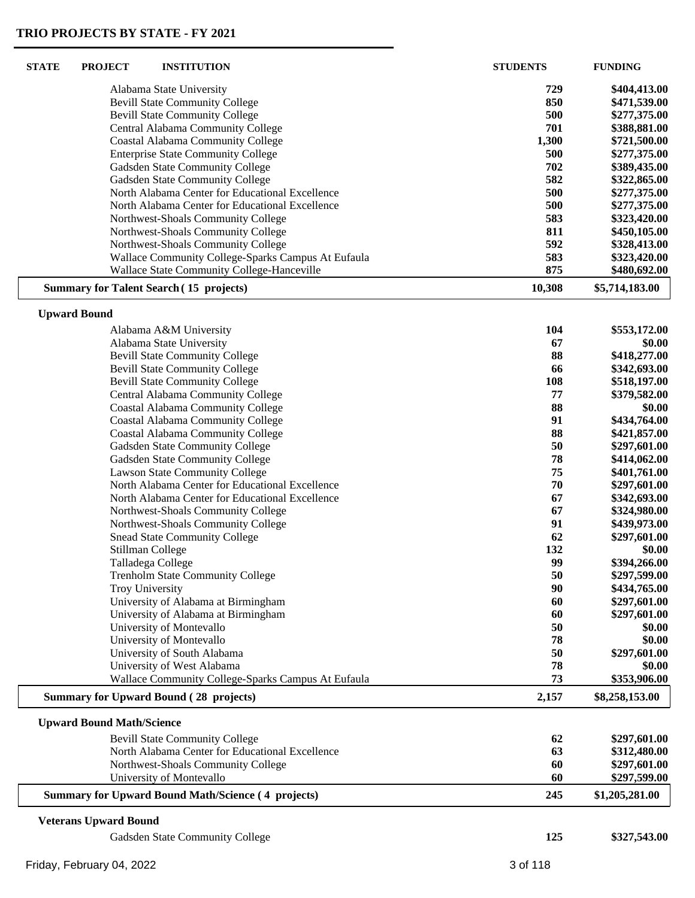L

 $\mathsf L$ 

| <b>STATE</b> | <b>PROJECT</b>                   | <b>INSTITUTION</b>                                        | <b>STUDENTS</b> | <b>FUNDING</b> |
|--------------|----------------------------------|-----------------------------------------------------------|-----------------|----------------|
|              |                                  | Alabama State University                                  | 729             | \$404,413.00   |
|              |                                  | <b>Bevill State Community College</b>                     | 850             | \$471,539.00   |
|              |                                  | <b>Bevill State Community College</b>                     | 500             | \$277,375.00   |
|              |                                  | Central Alabama Community College                         | 701             | \$388,881.00   |
|              |                                  | <b>Coastal Alabama Community College</b>                  | 1,300           | \$721,500.00   |
|              |                                  | <b>Enterprise State Community College</b>                 | 500             | \$277,375.00   |
|              |                                  | Gadsden State Community College                           | 702             | \$389,435.00   |
|              |                                  | Gadsden State Community College                           | 582             | \$322,865.00   |
|              |                                  | North Alabama Center for Educational Excellence           | 500             | \$277,375.00   |
|              |                                  | North Alabama Center for Educational Excellence           | 500             | \$277,375.00   |
|              |                                  | Northwest-Shoals Community College                        | 583             | \$323,420.00   |
|              |                                  | Northwest-Shoals Community College                        | 811             | \$450,105.00   |
|              |                                  | Northwest-Shoals Community College                        | 592             | \$328,413.00   |
|              |                                  | Wallace Community College-Sparks Campus At Eufaula        | 583             | \$323,420.00   |
|              |                                  | Wallace State Community College-Hanceville                | 875             | \$480,692.00   |
|              |                                  | <b>Summary for Talent Search (15 projects)</b>            | 10,308          | \$5,714,183.00 |
|              | <b>Upward Bound</b>              |                                                           |                 |                |
|              |                                  | Alabama A&M University                                    | 104             | \$553,172.00   |
|              |                                  | Alabama State University                                  | 67              | \$0.00         |
|              |                                  | <b>Bevill State Community College</b>                     | 88              | \$418,277.00   |
|              |                                  | <b>Bevill State Community College</b>                     | 66              | \$342,693.00   |
|              |                                  | <b>Bevill State Community College</b>                     | 108             | \$518,197.00   |
|              |                                  | Central Alabama Community College                         | 77              | \$379,582.00   |
|              |                                  | <b>Coastal Alabama Community College</b>                  | 88              | \$0.00         |
|              |                                  | Coastal Alabama Community College                         | 91              | \$434,764.00   |
|              |                                  | Coastal Alabama Community College                         | 88              | \$421,857.00   |
|              |                                  | Gadsden State Community College                           | 50              | \$297,601.00   |
|              |                                  | Gadsden State Community College                           | 78              | \$414,062.00   |
|              |                                  | Lawson State Community College                            | 75              | \$401,761.00   |
|              |                                  | North Alabama Center for Educational Excellence           | 70              | \$297,601.00   |
|              |                                  | North Alabama Center for Educational Excellence           | 67              | \$342,693.00   |
|              |                                  | Northwest-Shoals Community College                        | 67              | \$324,980.00   |
|              |                                  | Northwest-Shoals Community College                        | 91              | \$439,973.00   |
|              |                                  | <b>Snead State Community College</b>                      | 62              | \$297,601.00   |
|              |                                  | Stillman College                                          | 132             | \$0.00         |
|              |                                  | Talladega College                                         | 99              | \$394,266.00   |
|              |                                  | <b>Trenholm State Community College</b>                   | 50              | \$297,599.00   |
|              |                                  | Troy University                                           | 90              | \$434,765.00   |
|              |                                  | University of Alabama at Birmingham                       | 60              | \$297,601.00   |
|              |                                  | University of Alabama at Birmingham                       | 60              | \$297,601.00   |
|              |                                  | University of Montevallo                                  | 50              | \$0.00         |
|              |                                  | University of Montevallo                                  | 78              | \$0.00         |
|              |                                  | University of South Alabama                               | 50              | \$297,601.00   |
|              |                                  | University of West Alabama                                | 78              | \$0.00         |
|              |                                  | Wallace Community College-Sparks Campus At Eufaula        | 73              | \$353,906.00   |
|              |                                  | <b>Summary for Upward Bound (28 projects)</b>             | 2,157           | \$8,258,153.00 |
|              | <b>Upward Bound Math/Science</b> |                                                           |                 |                |
|              |                                  | <b>Bevill State Community College</b>                     | 62              | \$297,601.00   |
|              |                                  | North Alabama Center for Educational Excellence           | 63              | \$312,480.00   |
|              |                                  | Northwest-Shoals Community College                        | 60              | \$297,601.00   |
|              |                                  | University of Montevallo                                  | 60              | \$297,599.00   |
|              |                                  | <b>Summary for Upward Bound Math/Science (4 projects)</b> | 245             | \$1,205,281.00 |
|              |                                  |                                                           |                 |                |
|              | <b>Veterans Upward Bound</b>     |                                                           |                 |                |
|              |                                  | Gadsden State Community College                           | 125             | \$327,543.00   |
|              | Friday, February 04, 2022        |                                                           | 3 of 118        |                |
|              |                                  |                                                           |                 |                |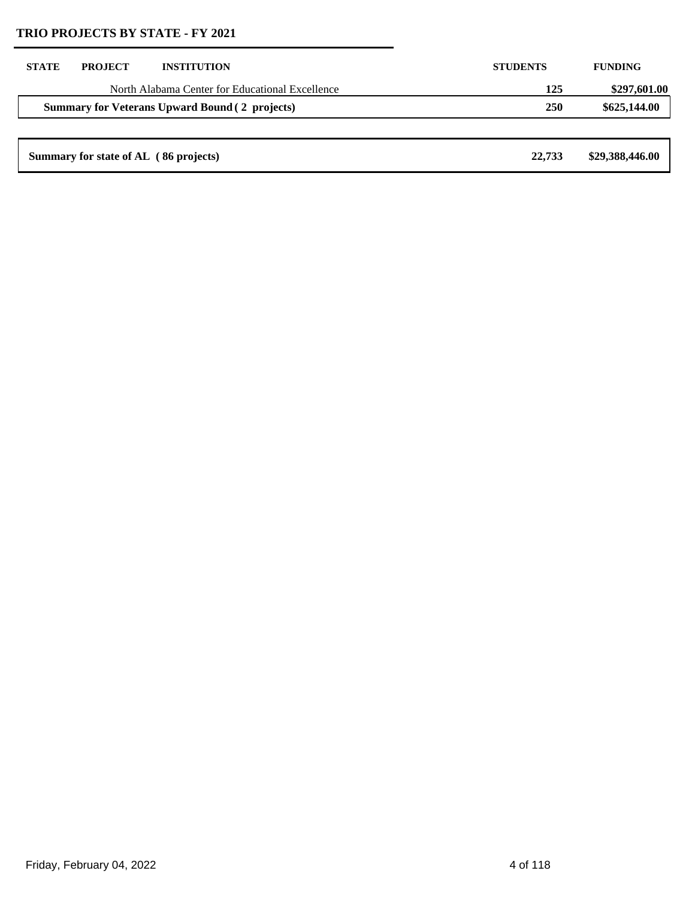| <b>STATE</b>                                          | <b>PROJECT</b>                        | <b>INSTITUTION</b>                              | <b>STUDENTS</b> | <b>FUNDING</b>  |
|-------------------------------------------------------|---------------------------------------|-------------------------------------------------|-----------------|-----------------|
|                                                       |                                       | North Alabama Center for Educational Excellence | 125             | \$297,601.00    |
| <b>Summary for Veterans Upward Bound (2 projects)</b> |                                       | <b>250</b>                                      | \$625,144.00    |                 |
|                                                       |                                       |                                                 |                 |                 |
|                                                       | Summary for state of AL (86 projects) |                                                 | 22,733          | \$29,388,446.00 |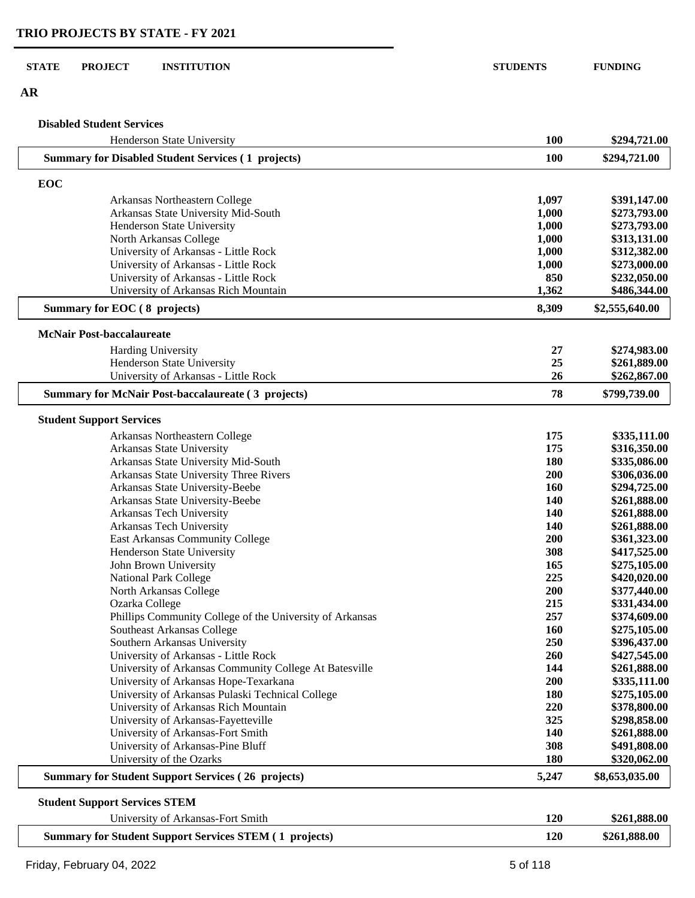**AR**

#### **Disabled Student Services**

| Henderson State University                                               | 100               | \$294,721.00                 |
|--------------------------------------------------------------------------|-------------------|------------------------------|
| <b>Summary for Disabled Student Services (1 projects)</b>                | 100               | \$294,721.00                 |
| EOC                                                                      |                   |                              |
| Arkansas Northeastern College                                            | 1,097             | \$391,147.00                 |
| Arkansas State University Mid-South                                      | 1,000             | \$273,793.00                 |
| Henderson State University                                               | 1,000             | \$273,793.00                 |
| North Arkansas College                                                   | 1,000             | \$313,131.00                 |
| University of Arkansas - Little Rock                                     | 1,000             | \$312,382.00                 |
| University of Arkansas - Little Rock                                     | 1,000             | \$273,000.00                 |
| University of Arkansas - Little Rock                                     | 850               | \$232,050.00                 |
| University of Arkansas Rich Mountain                                     | 1,362             | \$486,344.00                 |
| Summary for EOC (8 projects)                                             | 8,309             | \$2,555,640.00               |
| <b>McNair Post-baccalaureate</b>                                         |                   |                              |
| Harding University                                                       | 27                | \$274,983.00                 |
| Henderson State University                                               | 25                | \$261,889.00                 |
| University of Arkansas - Little Rock                                     | 26                | \$262,867.00                 |
| <b>Summary for McNair Post-baccalaureate (3 projects)</b>                | 78                | \$799,739.00                 |
| <b>Student Support Services</b>                                          |                   |                              |
| Arkansas Northeastern College                                            | 175               | \$335,111.00                 |
| Arkansas State University                                                | 175               | \$316,350.00                 |
| Arkansas State University Mid-South                                      | 180               | \$335,086.00                 |
| Arkansas State University Three Rivers                                   | 200               | \$306,036.00                 |
| Arkansas State University-Beebe                                          | <b>160</b>        | \$294,725.00                 |
| Arkansas State University-Beebe                                          | 140               | \$261,888.00                 |
| Arkansas Tech University                                                 | 140               | \$261,888.00                 |
| Arkansas Tech University                                                 | 140               | \$261,888.00                 |
| East Arkansas Community College                                          | 200               | \$361,323.00                 |
| Henderson State University                                               | 308               | \$417,525.00                 |
| John Brown University                                                    | 165               | \$275,105.00                 |
| National Park College                                                    | 225               | \$420,020.00                 |
| North Arkansas College                                                   | 200               | \$377,440.00                 |
| Ozarka College                                                           | 215               | \$331,434.00                 |
| Phillips Community College of the University of Arkansas                 | 257               | \$374,609.00                 |
| Southeast Arkansas College                                               | 160               | \$275,105.00                 |
| Southern Arkansas University                                             | 250               | \$396,437.00                 |
| University of Arkansas - Little Rock                                     | 260               | \$427,545.00                 |
| University of Arkansas Community College At Batesville                   | 144               | \$261,888.00                 |
| University of Arkansas Hope-Texarkana                                    | 200               | \$335,111.00                 |
| University of Arkansas Pulaski Technical College                         | 180               | \$275,105.00                 |
| University of Arkansas Rich Mountain                                     | 220               | \$378,800.00                 |
| University of Arkansas-Fayetteville<br>University of Arkansas-Fort Smith | 325               | \$298,858.00                 |
| University of Arkansas-Pine Bluff                                        | <b>140</b><br>308 | \$261,888.00<br>\$491,808.00 |
| University of the Ozarks                                                 | 180               | \$320,062.00                 |
| <b>Summary for Student Support Services (26 projects)</b>                | 5,247             | \$8,653,035.00               |
|                                                                          |                   |                              |
| <b>Student Support Services STEM</b>                                     | 120               | \$261,888.00                 |
| University of Arkansas-Fort Smith                                        |                   |                              |
| <b>Summary for Student Support Services STEM (1 projects)</b>            | 120               | \$261,888.00                 |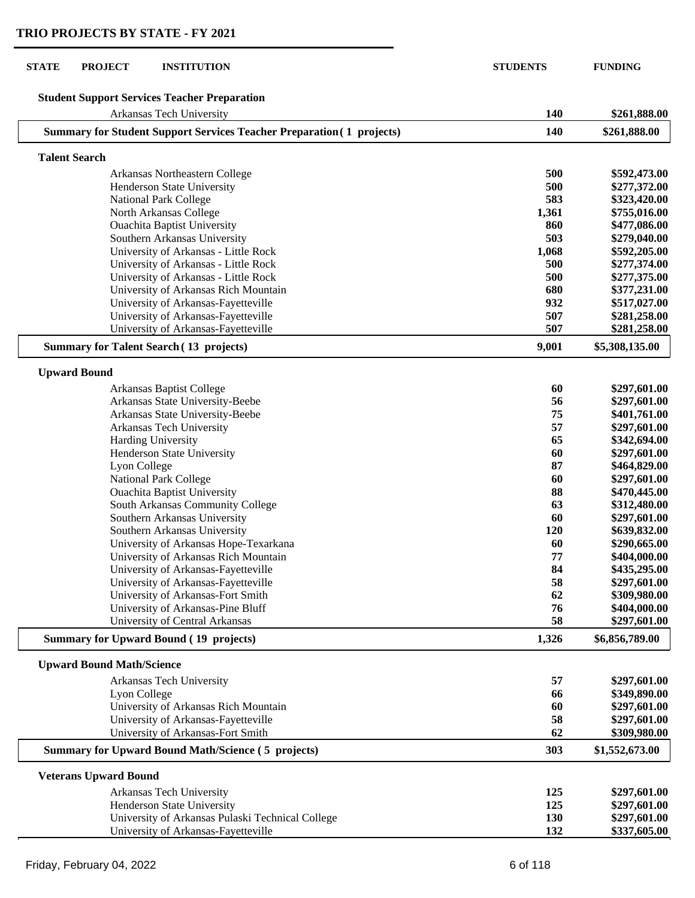| <b>STATE</b> | <b>PROJECT</b><br><b>INSTITUTION</b>                                            | <b>STUDENTS</b> | <b>FUNDING</b>               |
|--------------|---------------------------------------------------------------------------------|-----------------|------------------------------|
|              |                                                                                 |                 |                              |
|              | <b>Student Support Services Teacher Preparation</b><br>Arkansas Tech University | 140             | \$261,888.00                 |
|              | <b>Summary for Student Support Services Teacher Preparation (1 projects)</b>    | 140             | \$261,888.00                 |
|              | <b>Talent Search</b>                                                            |                 |                              |
|              |                                                                                 |                 |                              |
|              | Arkansas Northeastern College                                                   | 500             | \$592,473.00                 |
|              | Henderson State University                                                      | 500             | \$277,372.00                 |
|              | <b>National Park College</b>                                                    | 583             | \$323,420.00                 |
|              | North Arkansas College                                                          | 1,361           | \$755,016.00                 |
|              | <b>Ouachita Baptist University</b>                                              | 860             | \$477,086.00                 |
|              | Southern Arkansas University                                                    | 503             | \$279,040.00                 |
|              | University of Arkansas - Little Rock                                            | 1,068           | \$592,205.00                 |
|              | University of Arkansas - Little Rock                                            | 500             | \$277,374.00                 |
|              | University of Arkansas - Little Rock                                            | 500             | \$277,375.00                 |
|              | University of Arkansas Rich Mountain                                            | 680             | \$377,231.00                 |
|              | University of Arkansas-Fayetteville                                             | 932             | \$517,027.00                 |
|              | University of Arkansas-Fayetteville                                             | 507             | \$281,258.00                 |
|              | University of Arkansas-Fayetteville                                             | 507             | \$281,258.00                 |
|              | <b>Summary for Talent Search (13 projects)</b>                                  | 9,001           | \$5,308,135.00               |
|              | <b>Upward Bound</b>                                                             |                 |                              |
|              | Arkansas Baptist College                                                        | 60              | \$297,601.00                 |
|              | Arkansas State University-Beebe                                                 | 56              | \$297,601.00                 |
|              | Arkansas State University-Beebe                                                 | 75              | \$401,761.00                 |
|              | Arkansas Tech University                                                        | 57              | \$297,601.00                 |
|              | Harding University                                                              | 65              | \$342,694.00                 |
|              | Henderson State University                                                      | 60              | \$297,601.00                 |
|              | Lyon College                                                                    | 87              | \$464,829.00                 |
|              | <b>National Park College</b>                                                    | 60              | \$297,601.00                 |
|              | <b>Ouachita Baptist University</b>                                              | 88              | \$470,445.00                 |
|              | South Arkansas Community College                                                | 63              | \$312,480.00                 |
|              | Southern Arkansas University                                                    | 60              | \$297,601.00                 |
|              | Southern Arkansas University                                                    | 120             | \$639,832.00                 |
|              | University of Arkansas Hope-Texarkana                                           | 60              | \$290,665.00                 |
|              | University of Arkansas Rich Mountain                                            | 77              | \$404,000.00                 |
|              | University of Arkansas-Fayetteville                                             | 84              |                              |
|              | University of Arkansas-Fayetteville                                             | 58              | \$435,295.00<br>\$297,601.00 |
|              | University of Arkansas-Fort Smith                                               | 62              | \$309,980.00                 |
|              | University of Arkansas-Pine Bluff                                               | 76              | \$404,000.00                 |
|              | University of Central Arkansas                                                  | 58              | \$297,601.00                 |
|              | <b>Summary for Upward Bound (19 projects)</b>                                   | 1,326           | \$6,856,789.00               |
|              |                                                                                 |                 |                              |
|              | <b>Upward Bound Math/Science</b>                                                |                 |                              |
|              | Arkansas Tech University                                                        | 57              | \$297,601.00                 |
|              | Lyon College                                                                    | 66              | \$349,890.00                 |
|              | University of Arkansas Rich Mountain                                            | 60              | \$297,601.00                 |
|              | University of Arkansas-Fayetteville                                             | 58              | \$297,601.00                 |
|              | University of Arkansas-Fort Smith                                               | 62              | \$309,980.00                 |
|              | <b>Summary for Upward Bound Math/Science (5 projects)</b>                       | 303             | \$1,552,673.00               |
|              | <b>Veterans Upward Bound</b>                                                    |                 |                              |
|              | Arkansas Tech University                                                        | 125             | \$297,601.00                 |
|              | Henderson State University                                                      | 125             | \$297,601.00                 |
|              | University of Arkansas Pulaski Technical College                                | 130             | \$297,601.00                 |
|              | University of Arkansas-Fayetteville                                             | 132             | \$337,605.00                 |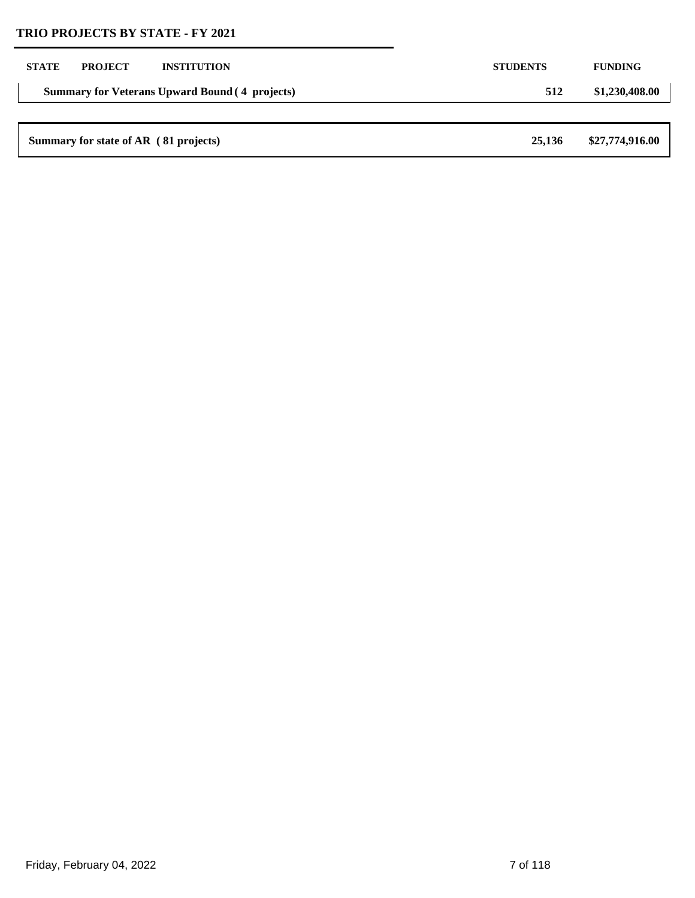| <b>STATE</b> | <b>PROJECT</b>                        | <b>INSTITUTION</b>                                    | <b>STUDENTS</b> | <b>FUNDING</b>  |
|--------------|---------------------------------------|-------------------------------------------------------|-----------------|-----------------|
|              |                                       | <b>Summary for Veterans Upward Bound (4 projects)</b> | 512             | \$1,230,408.00  |
|              |                                       |                                                       |                 |                 |
|              | Summary for state of AR (81 projects) |                                                       | 25,136          | \$27,774,916.00 |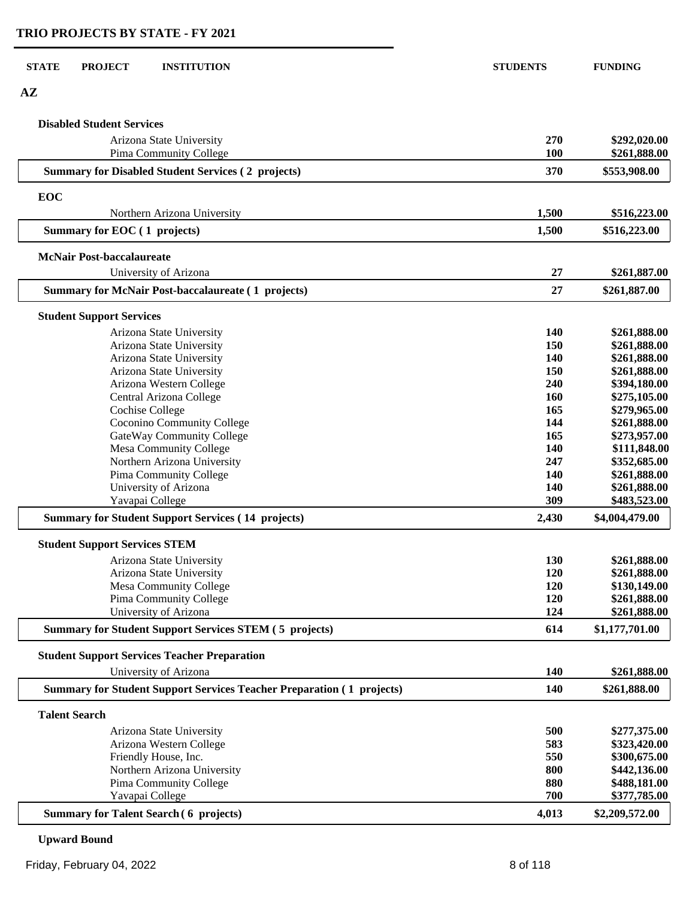| <b>STATE</b>         | <b>PROJECT</b><br><b>INSTITUTION</b>                                                   | <b>STUDENTS</b> | <b>FUNDING</b>                 |
|----------------------|----------------------------------------------------------------------------------------|-----------------|--------------------------------|
| $A\mathbf{Z}$        |                                                                                        |                 |                                |
|                      | <b>Disabled Student Services</b>                                                       |                 |                                |
|                      | Arizona State University<br>Pima Community College                                     | 270<br>100      | \$292,020.00<br>\$261,888.00   |
|                      | <b>Summary for Disabled Student Services (2 projects)</b>                              | 370             | \$553,908.00                   |
| EOC                  |                                                                                        |                 |                                |
|                      | Northern Arizona University                                                            | 1,500           | \$516,223.00                   |
|                      | Summary for EOC (1 projects)                                                           | 1,500           | \$516,223.00                   |
|                      | <b>McNair Post-baccalaureate</b>                                                       |                 |                                |
|                      | University of Arizona                                                                  | 27              | \$261,887.00                   |
|                      | <b>Summary for McNair Post-baccalaureate (1 projects)</b>                              | 27              | \$261,887.00                   |
|                      | <b>Student Support Services</b>                                                        |                 |                                |
|                      | Arizona State University                                                               | <b>140</b>      | \$261,888.00                   |
|                      | Arizona State University                                                               | 150             | \$261,888.00                   |
|                      | Arizona State University                                                               | 140             | \$261,888.00                   |
|                      | Arizona State University                                                               | 150             | \$261,888.00                   |
|                      | Arizona Western College                                                                | 240<br>160      | \$394,180.00<br>\$275,105.00   |
|                      | Central Arizona College<br><b>Cochise College</b>                                      | 165             | \$279,965.00                   |
|                      | Coconino Community College                                                             | 144             | \$261,888.00                   |
|                      | GateWay Community College                                                              | 165             | \$273,957.00                   |
|                      | Mesa Community College                                                                 | 140             | \$111,848.00                   |
|                      | Northern Arizona University                                                            | 247             | \$352,685.00                   |
|                      | Pima Community College                                                                 | 140             | \$261,888.00                   |
|                      | University of Arizona                                                                  | 140             | \$261,888.00                   |
|                      | Yavapai College                                                                        | 309             | \$483,523.00                   |
|                      | <b>Summary for Student Support Services (14 projects)</b>                              | 2,430           | \$4,004,479.00                 |
|                      | <b>Student Support Services STEM</b>                                                   |                 |                                |
|                      | Arizona State University                                                               | 130             | \$261,888.00                   |
|                      | Arizona State University                                                               | <b>120</b>      | \$261,888.00                   |
|                      | Mesa Community College                                                                 | <b>120</b>      | \$130,149.00                   |
|                      | Pima Community College                                                                 | 120             | \$261,888.00                   |
|                      | University of Arizona<br><b>Summary for Student Support Services STEM (5 projects)</b> | 124<br>614      | \$261,888.00<br>\$1,177,701.00 |
|                      |                                                                                        |                 |                                |
|                      | <b>Student Support Services Teacher Preparation</b><br>University of Arizona           | 140             | \$261,888.00                   |
|                      | <b>Summary for Student Support Services Teacher Preparation (1 projects)</b>           | 140             | \$261,888.00                   |
| <b>Talent Search</b> |                                                                                        |                 |                                |
|                      |                                                                                        |                 |                                |
|                      | Arizona State University<br>Arizona Western College                                    | 500<br>583      | \$277,375.00<br>\$323,420.00   |
|                      | Friendly House, Inc.                                                                   | 550             | \$300,675.00                   |
|                      | Northern Arizona University                                                            | 800             | \$442,136.00                   |
|                      | Pima Community College                                                                 | 880             | \$488,181.00                   |
|                      | Yavapai College                                                                        | 700             | \$377,785.00                   |
|                      | <b>Summary for Talent Search (6 projects)</b>                                          | 4,013           | \$2,209,572.00                 |

**Upward Bound**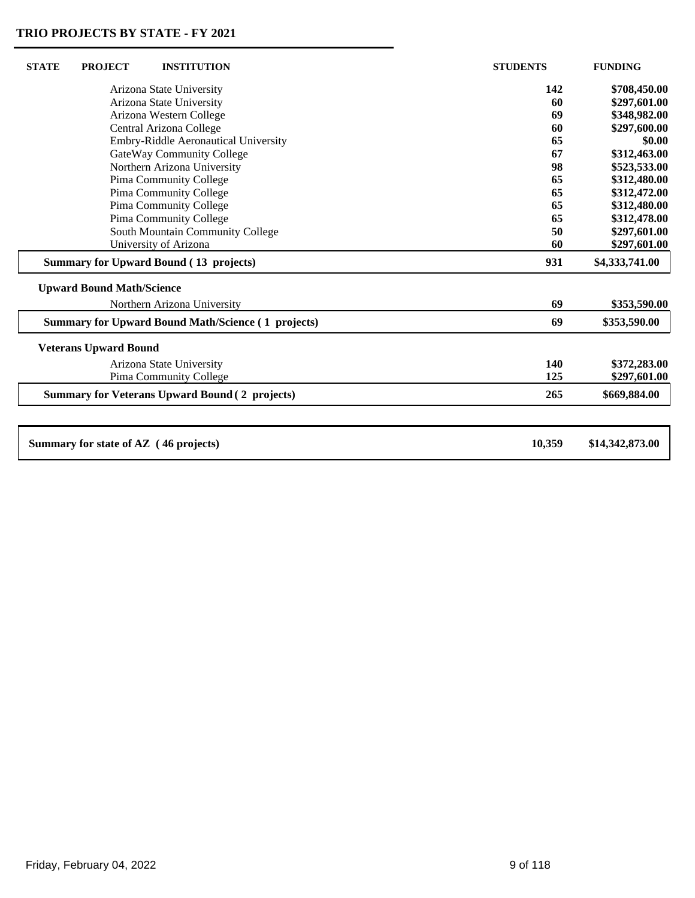| <b>STATE</b><br><b>PROJECT</b><br><b>INSTITUTION</b>      | <b>STUDENTS</b> | <b>FUNDING</b>  |
|-----------------------------------------------------------|-----------------|-----------------|
| Arizona State University                                  | 142             | \$708,450.00    |
| Arizona State University                                  | 60              | \$297,601.00    |
| Arizona Western College                                   | 69              | \$348,982.00    |
| Central Arizona College                                   | 60              | \$297,600.00    |
| Embry-Riddle Aeronautical University                      | 65              | \$0.00          |
| GateWay Community College                                 | 67              | \$312,463.00    |
| Northern Arizona University                               | 98              | \$523,533.00    |
| Pima Community College                                    | 65              | \$312,480.00    |
| Pima Community College                                    | 65              | \$312,472.00    |
| Pima Community College                                    | 65              | \$312,480.00    |
| Pima Community College                                    | 65              | \$312,478.00    |
| South Mountain Community College                          | 50              | \$297,601.00    |
| University of Arizona                                     | 60              | \$297,601.00    |
| <b>Summary for Upward Bound (13 projects)</b>             | 931             | \$4,333,741.00  |
| <b>Upward Bound Math/Science</b>                          |                 |                 |
| Northern Arizona University                               | 69              | \$353,590.00    |
| <b>Summary for Upward Bound Math/Science (1 projects)</b> | 69              | \$353,590.00    |
| <b>Veterans Upward Bound</b>                              |                 |                 |
| Arizona State University                                  | 140             | \$372,283.00    |
| Pima Community College                                    | 125             | \$297,601.00    |
| <b>Summary for Veterans Upward Bound (2 projects)</b>     | 265             | \$669,884.00    |
|                                                           |                 |                 |
| Summary for state of AZ (46 projects)                     | 10,359          | \$14,342,873.00 |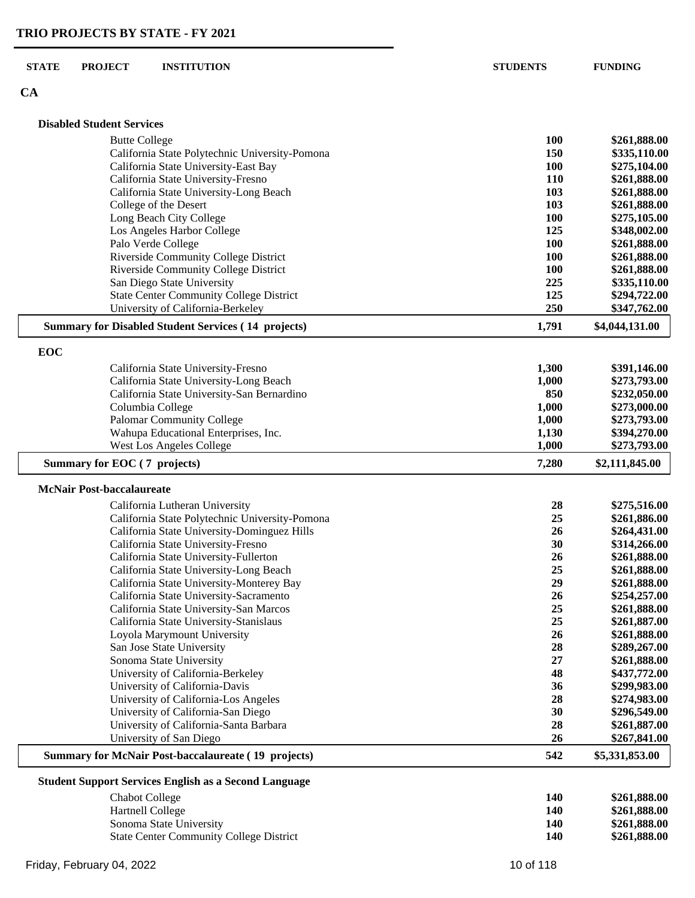## **CA**

|     | <b>Disabled Student Services</b>                                                |                |                              |
|-----|---------------------------------------------------------------------------------|----------------|------------------------------|
|     |                                                                                 |                |                              |
|     | <b>Butte College</b>                                                            | 100            | \$261,888.00                 |
|     | California State Polytechnic University-Pomona                                  | 150            | \$335,110.00                 |
|     | California State University-East Bay                                            | 100            | \$275,104.00                 |
|     | California State University-Fresno                                              | 110            | \$261,888.00                 |
|     | California State University-Long Beach                                          | 103            | \$261,888.00                 |
|     | College of the Desert                                                           | 103            | \$261,888.00                 |
|     | Long Beach City College<br>Los Angeles Harbor College                           | 100<br>125     | \$275,105.00<br>\$348,002.00 |
|     | Palo Verde College                                                              | 100            | \$261,888.00                 |
|     | Riverside Community College District                                            | 100            | \$261,888.00                 |
|     | Riverside Community College District                                            | 100            | \$261,888.00                 |
|     | San Diego State University                                                      | 225            | \$335,110.00                 |
|     | <b>State Center Community College District</b>                                  | 125            | \$294,722.00                 |
|     | University of California-Berkeley                                               | 250            | \$347,762.00                 |
|     | <b>Summary for Disabled Student Services (14 projects)</b>                      | 1,791          | \$4,044,131.00               |
|     |                                                                                 |                |                              |
| EOC |                                                                                 |                |                              |
|     | California State University-Fresno                                              | 1,300          | \$391,146.00                 |
|     | California State University-Long Beach                                          | 1,000          | \$273,793.00                 |
|     | California State University-San Bernardino                                      | 850            | \$232,050.00                 |
|     | Columbia College                                                                | 1,000          | \$273,000.00                 |
|     | <b>Palomar Community College</b><br>Wahupa Educational Enterprises, Inc.        | 1,000<br>1,130 | \$273,793.00<br>\$394,270.00 |
|     | <b>West Los Angeles College</b>                                                 | 1,000          | \$273,793.00                 |
|     | Summary for EOC (7 projects)                                                    | 7,280          | \$2,111,845.00               |
|     |                                                                                 |                |                              |
|     | <b>McNair Post-baccalaureate</b>                                                |                |                              |
|     | California Lutheran University                                                  | 28             | \$275,516.00                 |
|     | California State Polytechnic University-Pomona                                  | 25             | \$261,886.00                 |
|     | California State University-Dominguez Hills                                     | 26             | \$264,431.00                 |
|     | California State University-Fresno                                              | 30             | \$314,266.00                 |
|     | California State University-Fullerton<br>California State University-Long Beach | 26<br>25       | \$261,888.00<br>\$261,888.00 |
|     | California State University-Monterey Bay                                        | 29             | \$261,888.00                 |
|     | California State University-Sacramento                                          | 26             | \$254,257.00                 |
|     | California State University-San Marcos                                          | 25             | \$261,888.00                 |
|     | California State University-Stanislaus                                          | 25             | \$261,887.00                 |
|     | Loyola Marymount University                                                     | 26             | \$261,888.00                 |
|     | San Jose State University                                                       | 28             | \$289,267.00                 |
|     | Sonoma State University                                                         | 27             | \$261,888.00                 |
|     | University of California-Berkeley                                               | 48             | \$437,772.00                 |
|     | University of California-Davis                                                  | 36             | \$299,983.00                 |
|     | University of California-Los Angeles                                            | 28             | \$274,983.00                 |
|     | University of California-San Diego                                              | 30             | \$296,549.00                 |
|     | University of California-Santa Barbara                                          | 28             | \$261,887.00                 |
|     | University of San Diego                                                         | 26             | \$267,841.00                 |
|     | <b>Summary for McNair Post-baccalaureate (19 projects)</b>                      | 542            | \$5,331,853.00               |
|     | <b>Student Support Services English as a Second Language</b>                    |                |                              |
|     | <b>Chabot College</b>                                                           | 140            | \$261,888.00                 |
|     | Hartnell College                                                                | 140            | \$261,888.00                 |
|     | Sonoma State University                                                         | 140            | \$261,888.00                 |
|     | <b>State Center Community College District</b>                                  | 140            | \$261,888.00                 |

State Center Community College District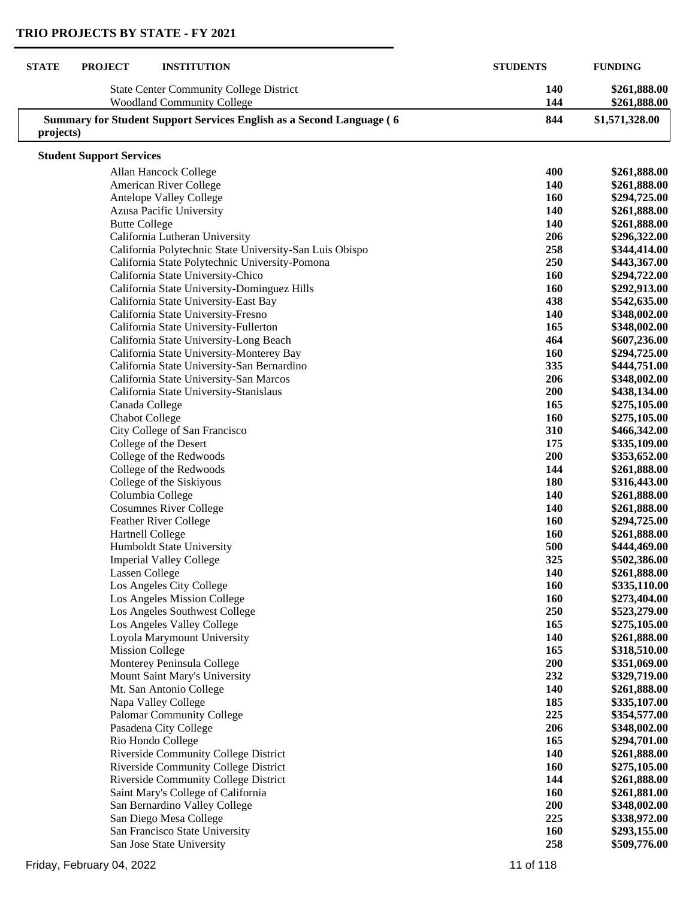| <b>STATE</b> | <b>PROJECT</b><br><b>INSTITUTION</b>                                                | <b>STUDENTS</b>   | <b>FUNDING</b>               |
|--------------|-------------------------------------------------------------------------------------|-------------------|------------------------------|
|              | <b>State Center Community College District</b><br><b>Woodland Community College</b> | <b>140</b><br>144 | \$261,888.00<br>\$261,888.00 |
| projects)    | <b>Summary for Student Support Services English as a Second Language (6)</b>        | 844               | \$1,571,328.00               |
|              | <b>Student Support Services</b>                                                     |                   |                              |
|              | Allan Hancock College                                                               | 400               | \$261,888.00                 |
|              | American River College                                                              | <b>140</b>        | \$261,888.00                 |
|              | Antelope Valley College                                                             | 160               | \$294,725.00                 |
|              | <b>Azusa Pacific University</b>                                                     | 140               | \$261,888.00                 |
|              | <b>Butte College</b>                                                                | 140               | \$261,888.00                 |
|              | California Lutheran University                                                      | 206               | \$296,322.00                 |
|              | California Polytechnic State University-San Luis Obispo                             | 258               | \$344,414.00                 |
|              | California State Polytechnic University-Pomona                                      | 250               | \$443,367.00                 |
|              | California State University-Chico                                                   | 160               | \$294,722.00                 |
|              | California State University-Dominguez Hills                                         | 160               | \$292,913.00                 |
|              | California State University-East Bay                                                | 438               | \$542,635.00                 |
|              | California State University-Fresno                                                  | 140               | \$348,002.00                 |
|              | California State University-Fullerton                                               | 165               | \$348,002.00                 |
|              | California State University-Long Beach                                              | 464               | \$607,236.00                 |
|              | California State University-Monterey Bay                                            | 160               | \$294,725.00                 |
|              | California State University-San Bernardino                                          | 335               | \$444,751.00                 |
|              | California State University-San Marcos                                              | 206               | \$348,002.00                 |
|              | California State University-Stanislaus                                              | 200               | \$438,134.00                 |
|              | Canada College                                                                      | 165               | \$275,105.00                 |
|              | <b>Chabot College</b>                                                               | 160               | \$275,105.00                 |
|              | City College of San Francisco                                                       | 310               | \$466,342.00                 |
|              | College of the Desert                                                               | 175               | \$335,109.00                 |
|              | College of the Redwoods                                                             | 200               | \$353,652.00                 |
|              | College of the Redwoods                                                             | 144               | \$261,888.00                 |
|              | College of the Siskiyous                                                            | 180               | \$316,443.00                 |
|              | Columbia College                                                                    | 140               | \$261,888.00                 |
|              | <b>Cosumnes River College</b>                                                       | 140               | \$261,888.00                 |
|              | Feather River College                                                               | 160               | \$294,725.00                 |
|              | Hartnell College                                                                    | 160               | \$261,888.00                 |
|              | Humboldt State University                                                           | 500               | \$444,469.00                 |
|              | <b>Imperial Valley College</b>                                                      | 325               | \$502,386.00                 |
|              | Lassen College                                                                      | 140               | \$261,888.00                 |
|              | Los Angeles City College                                                            | 160               | \$335,110.00                 |
|              | Los Angeles Mission College                                                         | 160               | \$273,404.00                 |
|              | Los Angeles Southwest College                                                       | 250               | \$523,279.00                 |
|              | Los Angeles Valley College                                                          | 165               | \$275,105.00                 |
|              | Loyola Marymount University                                                         | 140               | \$261,888.00                 |
|              | <b>Mission College</b>                                                              | 165               | \$318,510.00                 |
|              | Monterey Peninsula College                                                          | 200               | \$351,069.00                 |
|              | Mount Saint Mary's University                                                       | 232               | \$329,719.00                 |
|              | Mt. San Antonio College                                                             | 140               | \$261,888.00                 |
|              | Napa Valley College                                                                 | 185               | \$335,107.00                 |
|              | <b>Palomar Community College</b>                                                    | 225               | \$354,577.00                 |
|              | Pasadena City College                                                               | 206               | \$348,002.00                 |
|              | Rio Hondo College                                                                   | 165               | \$294,701.00                 |
|              | Riverside Community College District                                                | 140               | \$261,888.00                 |
|              | Riverside Community College District                                                | 160               | \$275,105.00                 |
|              | Riverside Community College District                                                | 144               | \$261,888.00                 |
|              | Saint Mary's College of California                                                  | <b>160</b>        | \$261,881.00                 |
|              | San Bernardino Valley College                                                       | 200               | \$348,002.00                 |
|              | San Diego Mesa College                                                              | 225               | \$338,972.00                 |
|              | San Francisco State University                                                      | <b>160</b>        | \$293,155.00                 |
|              | San Jose State University                                                           | 258               | \$509,776.00                 |
|              |                                                                                     |                   |                              |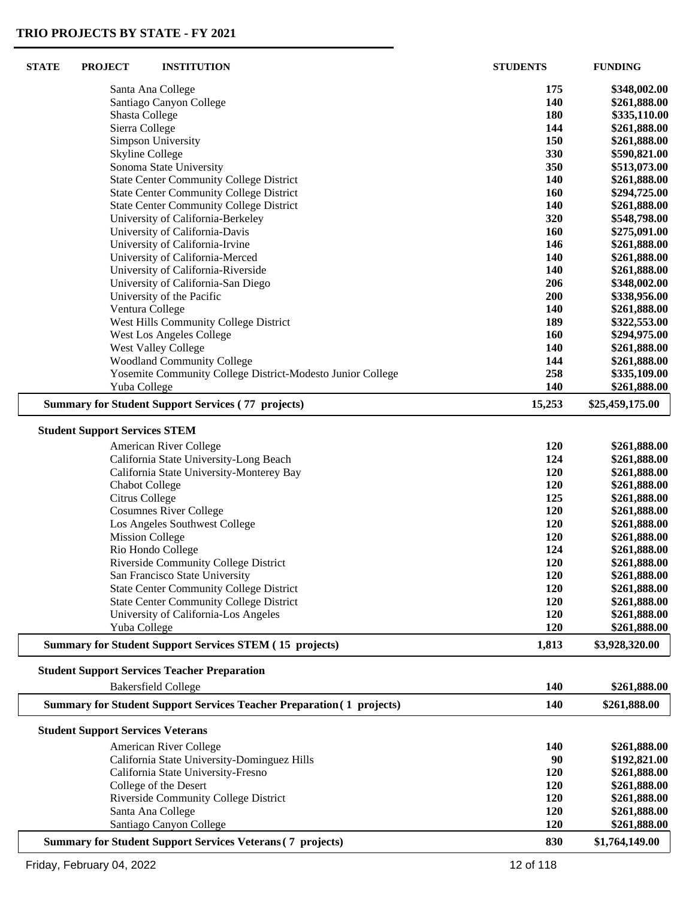| <b>STATE</b> | <b>PROJECT</b>                           | <b>INSTITUTION</b>                                                           | <b>STUDENTS</b> | <b>FUNDING</b>  |
|--------------|------------------------------------------|------------------------------------------------------------------------------|-----------------|-----------------|
|              |                                          | Santa Ana College                                                            | 175             | \$348,002.00    |
|              |                                          | Santiago Canyon College                                                      | 140             | \$261,888.00    |
|              | Shasta College                           |                                                                              | 180             | \$335,110.00    |
|              | Sierra College                           |                                                                              | 144             | \$261,888.00    |
|              |                                          | <b>Simpson University</b>                                                    | 150             | \$261,888.00    |
|              | <b>Skyline College</b>                   |                                                                              | 330             | \$590,821.00    |
|              |                                          | Sonoma State University                                                      | 350             | \$513,073.00    |
|              |                                          | <b>State Center Community College District</b>                               | 140             | \$261,888.00    |
|              |                                          | <b>State Center Community College District</b>                               | 160             | \$294,725.00    |
|              |                                          | <b>State Center Community College District</b>                               | 140             | \$261,888.00    |
|              |                                          | University of California-Berkeley                                            | 320             | \$548,798.00    |
|              |                                          | University of California-Davis                                               | 160             | \$275,091.00    |
|              |                                          | University of California-Irvine                                              | 146             | \$261,888.00    |
|              |                                          | University of California-Merced                                              | 140             | \$261,888.00    |
|              |                                          | University of California-Riverside                                           | 140             | \$261,888.00    |
|              |                                          | University of California-San Diego                                           | 206             | \$348,002.00    |
|              |                                          | University of the Pacific                                                    | 200             | \$338,956.00    |
|              |                                          | Ventura College                                                              | 140             | \$261,888.00    |
|              |                                          | West Hills Community College District                                        | 189             | \$322,553.00    |
|              |                                          | <b>West Los Angeles College</b>                                              | 160             | \$294,975.00    |
|              |                                          | West Valley College                                                          | 140             | \$261,888.00    |
|              |                                          | <b>Woodland Community College</b>                                            | 144             | \$261,888.00    |
|              |                                          | Yosemite Community College District-Modesto Junior College                   | 258             | \$335,109.00    |
|              | Yuba College                             |                                                                              | 140             | \$261,888.00    |
|              |                                          | <b>Summary for Student Support Services (77 projects)</b>                    | 15,253          | \$25,459,175.00 |
|              | <b>Student Support Services STEM</b>     |                                                                              |                 |                 |
|              |                                          | American River College                                                       | 120             | \$261,888.00    |
|              |                                          | California State University-Long Beach                                       | 124             | \$261,888.00    |
|              |                                          | California State University-Monterey Bay                                     | 120             | \$261,888.00    |
|              | <b>Chabot College</b>                    |                                                                              | 120             | \$261,888.00    |
|              | Citrus College                           |                                                                              | 125             | \$261,888.00    |
|              |                                          | <b>Cosumnes River College</b>                                                | 120             | \$261,888.00    |
|              |                                          | Los Angeles Southwest College                                                | 120             | \$261,888.00    |
|              | <b>Mission College</b>                   |                                                                              | 120             | \$261,888.00    |
|              |                                          | Rio Hondo College                                                            | 124             | \$261,888.00    |
|              |                                          | <b>Riverside Community College District</b>                                  | 120             | \$261,888.00    |
|              |                                          | San Francisco State University                                               | 120             | \$261,888.00    |
|              |                                          | <b>State Center Community College District</b>                               | 120             | \$261,888.00    |
|              |                                          | <b>State Center Community College District</b>                               | 120             | \$261,888.00    |
|              |                                          | University of California-Los Angeles                                         | 120             | \$261,888.00    |
|              | Yuba College                             |                                                                              | 120             | \$261,888.00    |
|              |                                          | <b>Summary for Student Support Services STEM (15 projects)</b>               | 1,813           | \$3,928,320.00  |
|              |                                          | <b>Student Support Services Teacher Preparation</b>                          |                 |                 |
|              |                                          | <b>Bakersfield College</b>                                                   | <b>140</b>      | \$261,888.00    |
|              |                                          | <b>Summary for Student Support Services Teacher Preparation (1 projects)</b> | 140             | \$261,888.00    |
|              | <b>Student Support Services Veterans</b> |                                                                              |                 |                 |
|              |                                          | American River College                                                       | <b>140</b>      | \$261,888.00    |
|              |                                          | California State University-Dominguez Hills                                  | 90              | \$192,821.00    |
|              |                                          | California State University-Fresno                                           | 120             | \$261,888.00    |
|              |                                          | College of the Desert                                                        | 120             | \$261,888.00    |
|              |                                          | Riverside Community College District                                         | 120             | \$261,888.00    |
|              |                                          | Santa Ana College                                                            | 120             | \$261,888.00    |
|              |                                          | Santiago Canyon College                                                      | 120             | \$261,888.00    |
|              |                                          | <b>Summary for Student Support Services Veterans (7 projects)</b>            | 830             | \$1,764,149.00  |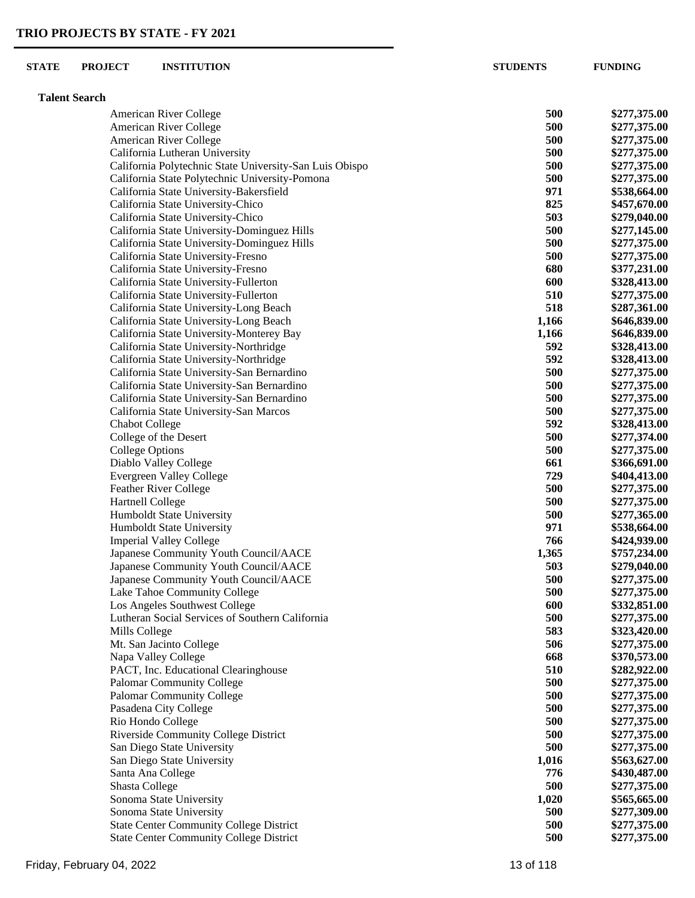| <b>STATE</b> | <b>PROJECT</b>       | <b>INSTITUTION</b>                                       | <b>STUDENTS</b> | <b>FUNDING</b>               |
|--------------|----------------------|----------------------------------------------------------|-----------------|------------------------------|
|              | <b>Talent Search</b> |                                                          |                 |                              |
|              |                      | American River College                                   | 500             | \$277,375.00                 |
|              |                      | American River College                                   | 500             | \$277,375.00                 |
|              |                      | American River College                                   | 500             | \$277,375.00                 |
|              |                      | California Lutheran University                           | 500             | \$277,375.00                 |
|              |                      | California Polytechnic State University-San Luis Obispo  | 500             | \$277,375.00                 |
|              |                      | California State Polytechnic University-Pomona           | 500             | \$277,375.00                 |
|              |                      | California State University-Bakersfield                  | 971             | \$538,664.00                 |
|              |                      | California State University-Chico                        | 825             | \$457,670.00                 |
|              |                      | California State University-Chico                        | 503             | \$279,040.00                 |
|              |                      | California State University-Dominguez Hills              | 500             | \$277,145.00                 |
|              |                      | California State University-Dominguez Hills              | 500             | \$277,375.00                 |
|              |                      | California State University-Fresno                       | 500             | \$277,375.00                 |
|              |                      | California State University-Fresno                       | 680             | \$377,231.00                 |
|              |                      | California State University-Fullerton                    | 600             | \$328,413.00                 |
|              |                      | California State University-Fullerton                    | 510             | \$277,375.00                 |
|              |                      | California State University-Long Beach                   | 518             | \$287,361.00                 |
|              |                      | California State University-Long Beach                   | 1,166           | \$646,839.00                 |
|              |                      | California State University-Monterey Bay                 | 1,166           | \$646,839.00                 |
|              |                      | California State University-Northridge                   | 592             | \$328,413.00                 |
|              |                      | California State University-Northridge                   | 592             | \$328,413.00                 |
|              |                      | California State University-San Bernardino               | 500             | \$277,375.00                 |
|              |                      | California State University-San Bernardino               | 500             | \$277,375.00                 |
|              |                      | California State University-San Bernardino               | 500             | \$277,375.00                 |
|              |                      | California State University-San Marcos                   | 500             | \$277,375.00                 |
|              |                      | <b>Chabot College</b>                                    | 592             | \$328,413.00                 |
|              |                      | College of the Desert                                    | 500             | \$277,374.00                 |
|              |                      | <b>College Options</b>                                   | 500             | \$277,375.00                 |
|              |                      | Diablo Valley College<br><b>Evergreen Valley College</b> | 661<br>729      | \$366,691.00<br>\$404,413.00 |
|              |                      | <b>Feather River College</b>                             | 500             | \$277,375.00                 |
|              |                      | <b>Hartnell College</b>                                  | 500             | \$277,375.00                 |
|              |                      | Humboldt State University                                | 500             | \$277,365.00                 |
|              |                      | Humboldt State University                                | 971             | \$538,664.00                 |
|              |                      | <b>Imperial Valley College</b>                           | 766             | \$424,939.00                 |
|              |                      | Japanese Community Youth Council/AACE                    | 1,365           | \$757,234.00                 |
|              |                      | Japanese Community Youth Council/AACE                    | 503             | \$279,040.00                 |
|              |                      | Japanese Community Youth Council/AACE                    | 500             | \$277,375.00                 |
|              |                      | Lake Tahoe Community College                             | 500             | \$277,375.00                 |
|              |                      | Los Angeles Southwest College                            | 600             | \$332,851.00                 |
|              |                      | Lutheran Social Services of Southern California          | 500             | \$277,375.00                 |
|              | Mills College        |                                                          | 583             | \$323,420.00                 |
|              |                      | Mt. San Jacinto College                                  | 506             | \$277,375.00                 |
|              |                      | Napa Valley College                                      | 668             | \$370,573.00                 |
|              |                      | PACT, Inc. Educational Clearinghouse                     | 510             | \$282,922.00                 |
|              |                      | <b>Palomar Community College</b>                         | 500             | \$277,375.00                 |
|              |                      | <b>Palomar Community College</b>                         | 500             | \$277,375.00                 |
|              |                      | Pasadena City College                                    | 500             | \$277,375.00                 |
|              |                      | Rio Hondo College                                        | 500             | \$277,375.00                 |
|              |                      | Riverside Community College District                     | 500             | \$277,375.00                 |
|              |                      | San Diego State University                               | 500             | \$277,375.00                 |
|              |                      | San Diego State University                               | 1,016           | \$563,627.00                 |
|              |                      | Santa Ana College                                        | 776             | \$430,487.00                 |
|              | Shasta College       |                                                          | 500             | \$277,375.00                 |
|              |                      | Sonoma State University                                  | 1,020           | \$565,665.00                 |
|              |                      | Sonoma State University                                  | 500             | \$277,309.00                 |
|              |                      | <b>State Center Community College District</b>           | 500             | \$277,375.00                 |
|              |                      | <b>State Center Community College District</b>           | 500             | \$277,375.00                 |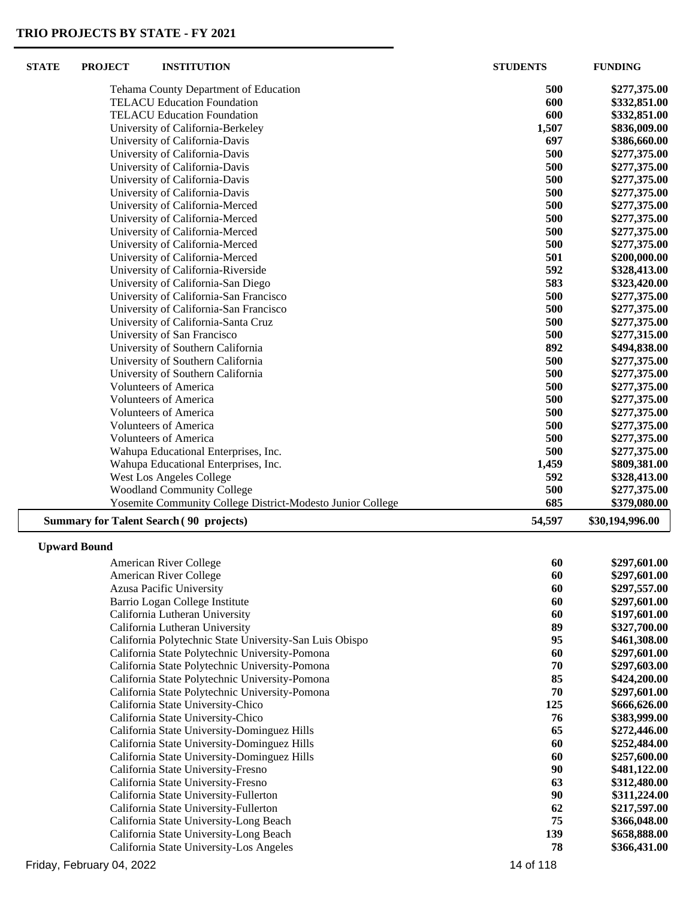| <b>STATE</b> | <b>PROJECT</b>      | <b>INSTITUTION</b>                                                                  | <b>STUDENTS</b> | <b>FUNDING</b>               |
|--------------|---------------------|-------------------------------------------------------------------------------------|-----------------|------------------------------|
|              |                     | Tehama County Department of Education                                               | 500             | \$277,375.00                 |
|              |                     | <b>TELACU Education Foundation</b>                                                  | 600             | \$332,851.00                 |
|              |                     | <b>TELACU Education Foundation</b>                                                  | 600             | \$332,851.00                 |
|              |                     | University of California-Berkeley                                                   | 1,507           | \$836,009.00                 |
|              |                     | University of California-Davis                                                      | 697             | \$386,660.00                 |
|              |                     | University of California-Davis                                                      | 500             | \$277,375.00                 |
|              |                     | University of California-Davis                                                      | 500             | \$277,375.00                 |
|              |                     | University of California-Davis                                                      | 500             | \$277,375.00                 |
|              |                     | University of California-Davis                                                      | 500             | \$277,375.00                 |
|              |                     | University of California-Merced                                                     | 500             | \$277,375.00                 |
|              |                     | University of California-Merced                                                     | 500             | \$277,375.00                 |
|              |                     | University of California-Merced                                                     | 500             | \$277,375.00                 |
|              |                     | University of California-Merced                                                     | 500             | \$277,375.00                 |
|              |                     | University of California-Merced                                                     | 501             | \$200,000.00                 |
|              |                     | University of California-Riverside                                                  | 592             | \$328,413.00                 |
|              |                     | University of California-San Diego<br>University of California-San Francisco        | 583<br>500      | \$323,420.00                 |
|              |                     | University of California-San Francisco                                              | 500             | \$277,375.00                 |
|              |                     | University of California-Santa Cruz                                                 | 500             | \$277,375.00<br>\$277,375.00 |
|              |                     | University of San Francisco                                                         | 500             | \$277,315.00                 |
|              |                     | University of Southern California                                                   | 892             | \$494,838.00                 |
|              |                     | University of Southern California                                                   | 500             | \$277,375.00                 |
|              |                     | University of Southern California                                                   | 500             | \$277,375.00                 |
|              |                     | <b>Volunteers of America</b>                                                        | 500             | \$277,375.00                 |
|              |                     | <b>Volunteers of America</b>                                                        | 500             | \$277,375.00                 |
|              |                     | <b>Volunteers of America</b>                                                        | 500             | \$277,375.00                 |
|              |                     | <b>Volunteers of America</b>                                                        | 500             | \$277,375.00                 |
|              |                     | <b>Volunteers of America</b>                                                        | 500             | \$277,375.00                 |
|              |                     | Wahupa Educational Enterprises, Inc.                                                | 500             | \$277,375.00                 |
|              |                     | Wahupa Educational Enterprises, Inc.                                                | 1,459           | \$809,381.00                 |
|              |                     | <b>West Los Angeles College</b>                                                     | 592             | \$328,413.00                 |
|              |                     | <b>Woodland Community College</b>                                                   | 500             | \$277,375.00                 |
|              |                     | Yosemite Community College District-Modesto Junior College                          | 685             | \$379,080.00                 |
|              |                     | <b>Summary for Talent Search (90 projects)</b>                                      | 54,597          | \$30,194,996.00              |
|              | <b>Upward Bound</b> |                                                                                     |                 |                              |
|              |                     | American River College                                                              | 60              | \$297,601.00                 |
|              |                     | American River College                                                              | 60              | \$297,601.00                 |
|              |                     | Azusa Pacific University                                                            | 60              | \$297,557.00                 |
|              |                     | Barrio Logan College Institute                                                      | 60              | \$297,601.00                 |
|              |                     | California Lutheran University                                                      | 60              | \$197,601.00                 |
|              |                     | California Lutheran University                                                      | 89              | \$327,700.00                 |
|              |                     | California Polytechnic State University-San Luis Obispo                             | 95              | \$461,308.00                 |
|              |                     | California State Polytechnic University-Pomona                                      | 60              | \$297,601.00                 |
|              |                     | California State Polytechnic University-Pomona                                      | 70              | \$297,603.00                 |
|              |                     | California State Polytechnic University-Pomona                                      | 85<br>70        | \$424,200.00                 |
|              |                     | California State Polytechnic University-Pomona<br>California State University-Chico | 125             | \$297,601.00<br>\$666,626.00 |
|              |                     | California State University-Chico                                                   | 76              | \$383,999.00                 |
|              |                     | California State University-Dominguez Hills                                         | 65              | \$272,446.00                 |
|              |                     | California State University-Dominguez Hills                                         | 60              | \$252,484.00                 |
|              |                     | California State University-Dominguez Hills                                         | 60              | \$257,600.00                 |
|              |                     | California State University-Fresno                                                  | 90              | \$481,122.00                 |
|              |                     | California State University-Fresno                                                  | 63              | \$312,480.00                 |
|              |                     | California State University-Fullerton                                               | 90              | \$311,224.00                 |
|              |                     | California State University-Fullerton                                               | 62              | \$217,597.00                 |
|              |                     | California State University-Long Beach                                              | 75              | \$366,048.00                 |

California State University-Long Beach **75 \$366,048.00**<br>California State University-Long Beach **75 \$366,048.00**<br>**139 \$658,888.00** 

 California State University-Long Beach **139 \$658,888.00** California State University-Los Angeles **78 \$366,431.00**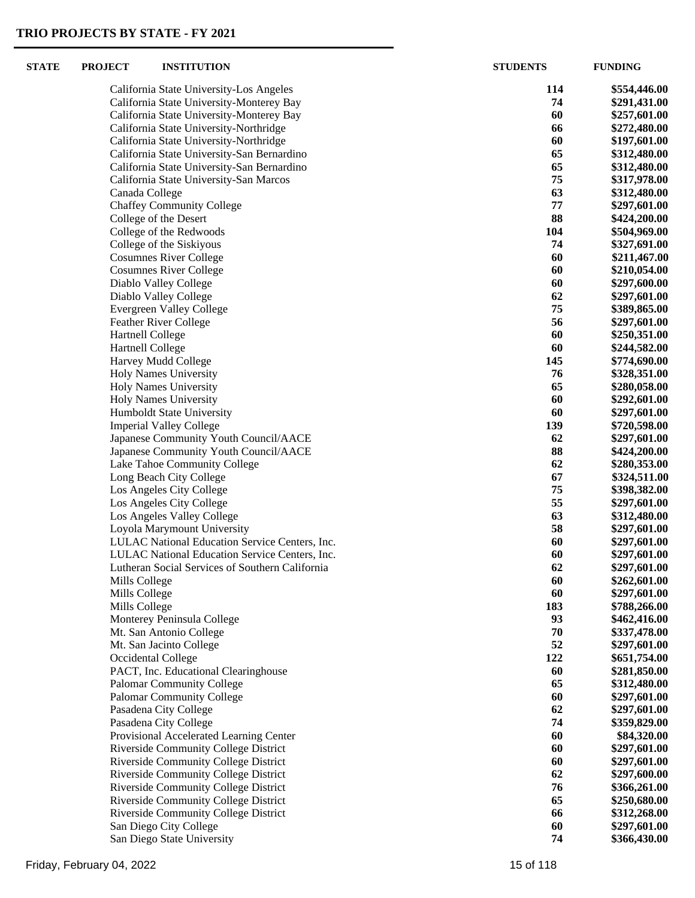| <b>STATE</b> | <b>PROJECT</b>                                     | <b>INSTITUTION</b>                                   | <b>STUDENTS</b> | <b>FUNDING</b>               |
|--------------|----------------------------------------------------|------------------------------------------------------|-----------------|------------------------------|
|              |                                                    | California State University-Los Angeles              | 114             | \$554,446.00                 |
|              |                                                    | California State University-Monterey Bay             | 74              | \$291,431.00                 |
|              |                                                    | California State University-Monterey Bay             | 60              | \$257,601.00                 |
|              |                                                    | California State University-Northridge               | 66              | \$272,480.00                 |
|              |                                                    | California State University-Northridge               | 60              | \$197,601.00                 |
|              |                                                    | California State University-San Bernardino           | 65              | \$312,480.00                 |
|              |                                                    | California State University-San Bernardino           | 65              | \$312,480.00                 |
|              |                                                    | California State University-San Marcos               | 75              | \$317,978.00                 |
|              | Canada College                                     |                                                      | 63              | \$312,480.00                 |
|              |                                                    | <b>Chaffey Community College</b>                     | 77              | \$297,601.00                 |
|              |                                                    | College of the Desert                                | 88              | \$424,200.00                 |
|              |                                                    | College of the Redwoods                              | 104             | \$504,969.00                 |
|              |                                                    | College of the Siskiyous                             | 74              | \$327,691.00                 |
|              |                                                    | <b>Cosumnes River College</b>                        | 60              | \$211,467.00                 |
|              |                                                    | <b>Cosumnes River College</b>                        | 60              | \$210,054.00                 |
|              |                                                    | Diablo Valley College                                | 60<br>62        | \$297,600.00                 |
|              |                                                    | Diablo Valley College                                | 75              | \$297,601.00                 |
|              |                                                    | <b>Evergreen Valley College</b>                      | 56              | \$389,865.00                 |
|              |                                                    | Feather River College                                | 60              | \$297,601.00                 |
|              | <b>Hartnell College</b><br><b>Hartnell College</b> |                                                      | 60              | \$250,351.00<br>\$244,582.00 |
|              |                                                    | Harvey Mudd College                                  | 145             | \$774,690.00                 |
|              |                                                    | <b>Holy Names University</b>                         | 76              | \$328,351.00                 |
|              |                                                    | Holy Names University                                | 65              | \$280,058.00                 |
|              |                                                    | <b>Holy Names University</b>                         | 60              | \$292,601.00                 |
|              |                                                    | Humboldt State University                            | 60              | \$297,601.00                 |
|              |                                                    | <b>Imperial Valley College</b>                       | 139             | \$720,598.00                 |
|              |                                                    | Japanese Community Youth Council/AACE                | 62              | \$297,601.00                 |
|              |                                                    | Japanese Community Youth Council/AACE                | 88              | \$424,200.00                 |
|              |                                                    | Lake Tahoe Community College                         | 62              | \$280,353.00                 |
|              |                                                    | Long Beach City College                              | 67              | \$324,511.00                 |
|              |                                                    | Los Angeles City College                             | 75              | \$398,382.00                 |
|              |                                                    | Los Angeles City College                             | 55              | \$297,601.00                 |
|              |                                                    | Los Angeles Valley College                           | 63              | \$312,480.00                 |
|              |                                                    | Loyola Marymount University                          | 58              | \$297,601.00                 |
|              |                                                    | LULAC National Education Service Centers, Inc.       | 60              | \$297,601.00                 |
|              |                                                    | LULAC National Education Service Centers, Inc.       | 60              | \$297,601.00                 |
|              |                                                    | Lutheran Social Services of Southern California      | 62              | \$297,601.00                 |
|              | Mills College                                      |                                                      | 60              | \$262,601.00                 |
|              | Mills College                                      |                                                      | 60              | \$297,601.00                 |
|              | Mills College                                      |                                                      | 183             | \$788,266.00                 |
|              |                                                    | Monterey Peninsula College                           | 93              | \$462,416.00                 |
|              |                                                    | Mt. San Antonio College                              | 70              | \$337,478.00                 |
|              |                                                    | Mt. San Jacinto College                              | 52              | \$297,601.00                 |
|              |                                                    | Occidental College                                   | 122             | \$651,754.00                 |
|              |                                                    | PACT, Inc. Educational Clearinghouse                 | 60              | \$281,850.00                 |
|              |                                                    | <b>Palomar Community College</b>                     | 65              | \$312,480.00                 |
|              |                                                    | <b>Palomar Community College</b>                     | 60              | \$297,601.00                 |
|              |                                                    | Pasadena City College                                | 62              | \$297,601.00                 |
|              |                                                    | Pasadena City College                                | 74              | \$359,829.00                 |
|              |                                                    | Provisional Accelerated Learning Center              | 60              | \$84,320.00                  |
|              |                                                    | Riverside Community College District                 | 60              | \$297,601.00                 |
|              |                                                    | Riverside Community College District                 | 60              | \$297,601.00                 |
|              |                                                    | Riverside Community College District                 | 62              | \$297,600.00                 |
|              |                                                    | Riverside Community College District                 | 76              | \$366,261.00                 |
|              |                                                    | Riverside Community College District                 | 65              | \$250,680.00                 |
|              |                                                    | Riverside Community College District                 | 66              | \$312,268.00                 |
|              |                                                    | San Diego City College<br>San Diego State University | 60<br>74        | \$297,601.00                 |
|              |                                                    |                                                      |                 | \$366,430.00                 |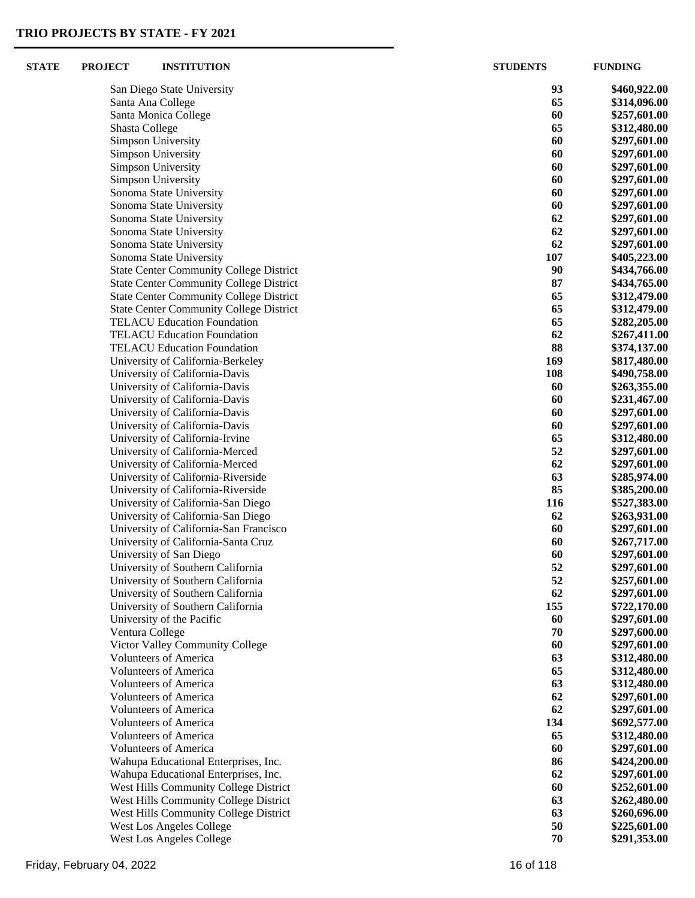| <b>STATE</b> | <b>PROJECT</b> | <b>INSTITUTION</b>                                               | <b>STUDENTS</b> | <b>FUNDING</b>               |
|--------------|----------------|------------------------------------------------------------------|-----------------|------------------------------|
|              |                | San Diego State University                                       | 93              | \$460,922.00                 |
|              |                | Santa Ana College                                                | 65              | \$314,096.00                 |
|              |                | Santa Monica College                                             | 60              | \$257,601.00                 |
|              | Shasta College |                                                                  | 65              | \$312,480.00                 |
|              |                | Simpson University                                               | 60              | \$297,601.00                 |
|              |                | Simpson University                                               | 60              | \$297,601.00                 |
|              |                | Simpson University                                               | 60              | \$297,601.00                 |
|              |                | Simpson University                                               | 60              | \$297,601.00                 |
|              |                | Sonoma State University                                          | 60              | \$297,601.00                 |
|              |                | Sonoma State University                                          | 60              | \$297,601.00                 |
|              |                | Sonoma State University                                          | 62              | \$297,601.00                 |
|              |                | Sonoma State University                                          | 62              | \$297,601.00                 |
|              |                | Sonoma State University                                          | 62              | \$297,601.00                 |
|              |                | Sonoma State University                                          | 107             | \$405,223.00                 |
|              |                | <b>State Center Community College District</b>                   | 90              | \$434,766.00                 |
|              |                | <b>State Center Community College District</b>                   | 87              | \$434,765.00                 |
|              |                | <b>State Center Community College District</b>                   | 65              | \$312,479.00                 |
|              |                | <b>State Center Community College District</b>                   | 65              | \$312,479.00                 |
|              |                | <b>TELACU Education Foundation</b>                               | 65              | \$282,205.00                 |
|              |                | <b>TELACU Education Foundation</b>                               | 62              | \$267,411.00                 |
|              |                | <b>TELACU Education Foundation</b>                               | 88              | \$374,137.00                 |
|              |                | University of California-Berkeley                                | 169             | \$817,480.00                 |
|              |                | University of California-Davis                                   | 108             | \$490,758.00                 |
|              |                | University of California-Davis                                   | 60              | \$263,355.00                 |
|              |                | University of California-Davis                                   | 60<br>60        | \$231,467.00                 |
|              |                | University of California-Davis<br>University of California-Davis | 60              | \$297,601.00<br>\$297,601.00 |
|              |                | University of California-Irvine                                  | 65              | \$312,480.00                 |
|              |                | University of California-Merced                                  | 52              | \$297,601.00                 |
|              |                | University of California-Merced                                  | 62              | \$297,601.00                 |
|              |                | University of California-Riverside                               | 63              | \$285,974.00                 |
|              |                | University of California-Riverside                               | 85              | \$385,200.00                 |
|              |                | University of California-San Diego                               | 116             | \$527,383.00                 |
|              |                | University of California-San Diego                               | 62              | \$263,931.00                 |
|              |                | University of California-San Francisco                           | 60              | \$297,601.00                 |
|              |                | University of California-Santa Cruz                              | 60              | \$267,717.00                 |
|              |                | University of San Diego                                          | 60              | \$297,601.00                 |
|              |                | University of Southern California                                | 52              | \$297,601.00                 |
|              |                | University of Southern California                                | 52              | \$257,601.00                 |
|              |                | University of Southern California                                | 62              | \$297,601.00                 |
|              |                | University of Southern California                                | 155             | \$722,170.00                 |
|              |                | University of the Pacific                                        | 60              | \$297,601.00                 |
|              |                | Ventura College                                                  | 70              | \$297,600.00                 |
|              |                | Victor Valley Community College                                  | 60              | \$297,601.00                 |
|              |                | <b>Volunteers of America</b>                                     | 63              | \$312,480.00                 |
|              |                | <b>Volunteers of America</b>                                     | 65              | \$312,480.00                 |
|              |                | <b>Volunteers of America</b>                                     | 63              | \$312,480.00                 |
|              |                | <b>Volunteers of America</b>                                     | 62              | \$297,601.00                 |
|              |                | <b>Volunteers of America</b>                                     | 62              | \$297,601.00                 |
|              |                | <b>Volunteers of America</b>                                     | 134             | \$692,577.00                 |
|              |                | <b>Volunteers of America</b><br><b>Volunteers of America</b>     | 65<br>60        | \$312,480.00<br>\$297,601.00 |
|              |                | Wahupa Educational Enterprises, Inc.                             | 86              | \$424,200.00                 |
|              |                | Wahupa Educational Enterprises, Inc.                             | 62              | \$297,601.00                 |
|              |                | West Hills Community College District                            | 60              | \$252,601.00                 |
|              |                | West Hills Community College District                            | 63              | \$262,480.00                 |
|              |                | West Hills Community College District                            | 63              | \$260,696.00                 |
|              |                | West Los Angeles College                                         | 50              | \$225,601.00                 |
|              |                | West Los Angeles College                                         | 70              | \$291,353.00                 |
|              |                |                                                                  |                 |                              |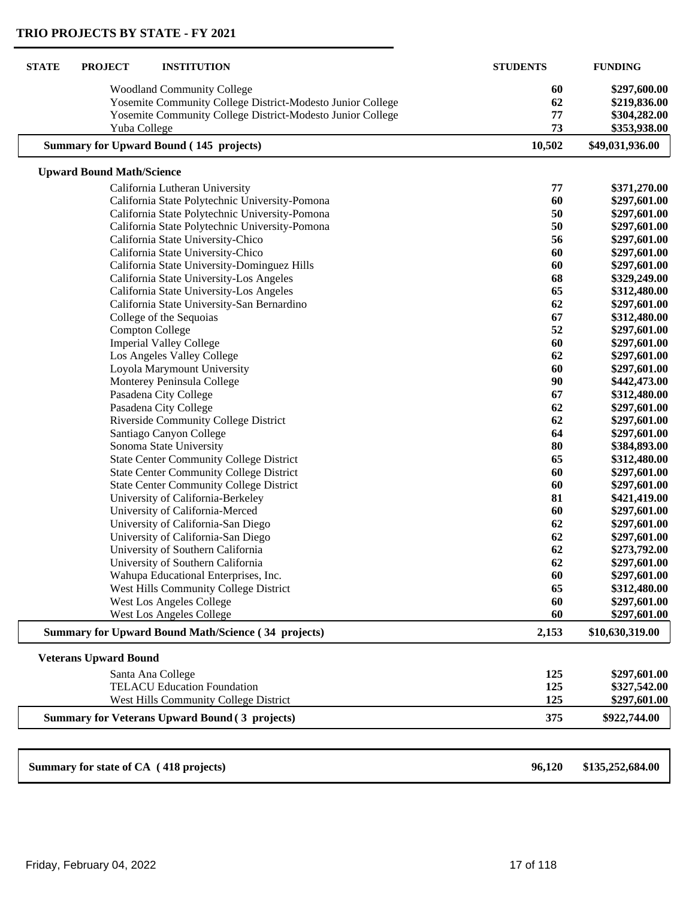| <b>STATE</b> | <b>PROJECT</b><br><b>INSTITUTION</b>                       | <b>STUDENTS</b> | <b>FUNDING</b>   |
|--------------|------------------------------------------------------------|-----------------|------------------|
|              | <b>Woodland Community College</b>                          | 60              | \$297,600.00     |
|              | Yosemite Community College District-Modesto Junior College | 62              | \$219,836.00     |
|              | Yosemite Community College District-Modesto Junior College | 77              | \$304,282.00     |
|              | Yuba College                                               | 73              | \$353,938.00     |
|              | <b>Summary for Upward Bound (145 projects)</b>             | 10,502          | \$49,031,936.00  |
|              | <b>Upward Bound Math/Science</b>                           |                 |                  |
|              | California Lutheran University                             | 77              | \$371,270.00     |
|              | California State Polytechnic University-Pomona             | 60              | \$297,601.00     |
|              | California State Polytechnic University-Pomona             | 50              | \$297,601.00     |
|              | California State Polytechnic University-Pomona             | 50              | \$297,601.00     |
|              | California State University-Chico                          | 56              | \$297,601.00     |
|              | California State University-Chico                          | 60              | \$297,601.00     |
|              | California State University-Dominguez Hills                | 60              | \$297,601.00     |
|              | California State University-Los Angeles                    | 68              | \$329,249.00     |
|              | California State University-Los Angeles                    | 65              | \$312,480.00     |
|              | California State University-San Bernardino                 | 62              | \$297,601.00     |
|              | College of the Sequoias                                    | 67              | \$312,480.00     |
|              | <b>Compton College</b>                                     | 52              | \$297,601.00     |
|              | <b>Imperial Valley College</b>                             | 60              | \$297,601.00     |
|              | Los Angeles Valley College                                 | 62              | \$297,601.00     |
|              | Loyola Marymount University                                | 60              | \$297,601.00     |
|              | Monterey Peninsula College                                 | 90              | \$442,473.00     |
|              | Pasadena City College                                      | 67              | \$312,480.00     |
|              | Pasadena City College                                      | 62              | \$297,601.00     |
|              | Riverside Community College District                       | 62              | \$297,601.00     |
|              | Santiago Canyon College                                    | 64              | \$297,601.00     |
|              | Sonoma State University                                    | 80              | \$384,893.00     |
|              | <b>State Center Community College District</b>             | 65              | \$312,480.00     |
|              | <b>State Center Community College District</b>             | 60              | \$297,601.00     |
|              | <b>State Center Community College District</b>             | 60              | \$297,601.00     |
|              | University of California-Berkeley                          | 81              | \$421,419.00     |
|              | University of California-Merced                            | 60              | \$297,601.00     |
|              | University of California-San Diego                         | 62              | \$297,601.00     |
|              | University of California-San Diego                         | 62              | \$297,601.00     |
|              | University of Southern California                          | 62              | \$273,792.00     |
|              | University of Southern California                          | 62              | \$297,601.00     |
|              | Wahupa Educational Enterprises, Inc.                       | 60              | \$297,601.00     |
|              | West Hills Community College District                      | 65              | \$312,480.00     |
|              | <b>West Los Angeles College</b>                            | 60              | \$297,601.00     |
|              | West Los Angeles College                                   | 60              | \$297,601.00     |
|              | <b>Summary for Upward Bound Math/Science (34 projects)</b> | 2,153           | \$10,630,319.00  |
|              | <b>Veterans Upward Bound</b>                               |                 |                  |
|              | Santa Ana College                                          | 125             | \$297,601.00     |
|              | <b>TELACU Education Foundation</b>                         | 125             | \$327,542.00     |
|              | West Hills Community College District                      | 125             | \$297,601.00     |
|              | <b>Summary for Veterans Upward Bound (3 projects)</b>      | 375             | \$922,744.00     |
|              |                                                            |                 |                  |
|              | Summary for state of CA (418 projects)                     | 96,120          | \$135,252,684.00 |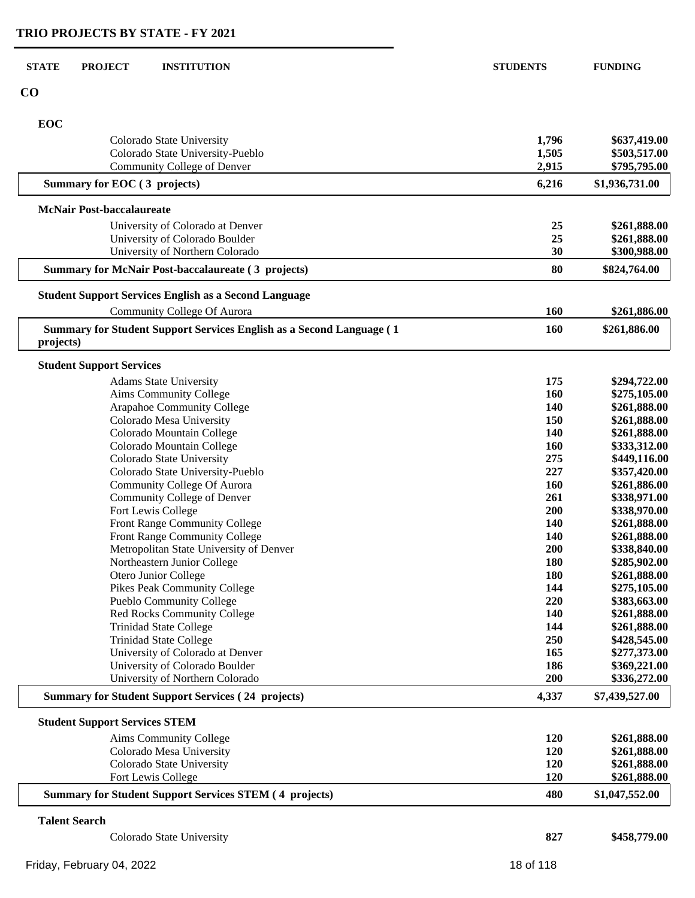| <b>STATE</b> | <b>PROJECT</b>                       | <b>INSTITUTION</b>                                                     | <b>STUDENTS</b> | <b>FUNDING</b>               |
|--------------|--------------------------------------|------------------------------------------------------------------------|-----------------|------------------------------|
| CO           |                                      |                                                                        |                 |                              |
|              |                                      |                                                                        |                 |                              |
| EOC          |                                      |                                                                        |                 |                              |
|              |                                      | Colorado State University                                              | 1,796           | \$637,419.00                 |
|              |                                      | Colorado State University-Pueblo                                       | 1,505           | \$503,517.00                 |
|              |                                      | Community College of Denver                                            | 2,915           | \$795,795.00                 |
|              | Summary for EOC (3 projects)         |                                                                        | 6,216           | \$1,936,731.00               |
|              | <b>McNair Post-baccalaureate</b>     |                                                                        |                 |                              |
|              |                                      | University of Colorado at Denver                                       | 25              | \$261,888.00                 |
|              |                                      | University of Colorado Boulder                                         | 25              | \$261,888.00                 |
|              |                                      | University of Northern Colorado                                        | 30              | \$300,988.00                 |
|              |                                      | <b>Summary for McNair Post-baccalaureate (3 projects)</b>              | 80              | \$824,764.00                 |
|              |                                      | <b>Student Support Services English as a Second Language</b>           |                 |                              |
|              |                                      | <b>Community College Of Aurora</b>                                     | 160             | \$261,886.00                 |
|              |                                      | Summary for Student Support Services English as a Second Language (1   | 160             | \$261,886.00                 |
| projects)    |                                      |                                                                        |                 |                              |
|              | <b>Student Support Services</b>      |                                                                        |                 |                              |
|              |                                      | <b>Adams State University</b>                                          | 175             | \$294,722.00                 |
|              |                                      | Aims Community College                                                 | 160             | \$275,105.00                 |
|              |                                      | Arapahoe Community College                                             | 140             | \$261,888.00                 |
|              |                                      | Colorado Mesa University                                               | 150             | \$261,888.00                 |
|              |                                      | Colorado Mountain College                                              | 140             | \$261,888.00                 |
|              |                                      | Colorado Mountain College                                              | 160             | \$333,312.00                 |
|              |                                      | Colorado State University                                              | 275             | \$449,116.00                 |
|              |                                      | Colorado State University-Pueblo                                       | 227             | \$357,420.00                 |
|              |                                      | <b>Community College Of Aurora</b>                                     | 160             | \$261,886.00                 |
|              |                                      | Community College of Denver                                            | 261             | \$338,971.00                 |
|              |                                      | Fort Lewis College                                                     | 200             | \$338,970.00                 |
|              |                                      | Front Range Community College                                          | 140             | \$261,888.00                 |
|              |                                      | <b>Front Range Community College</b>                                   | 140             | \$261,888.00                 |
|              |                                      | Metropolitan State University of Denver<br>Northeastern Junior College | 200<br>180      | \$338,840.00<br>\$285,902.00 |
|              |                                      | Otero Junior College                                                   | 180             | \$261,888.00                 |
|              |                                      | Pikes Peak Community College                                           | 144             | \$275,105.00                 |
|              |                                      | Pueblo Community College                                               | 220             | \$383,663.00                 |
|              |                                      | Red Rocks Community College                                            | 140             | \$261,888.00                 |
|              |                                      | <b>Trinidad State College</b>                                          | 144             | \$261,888.00                 |
|              |                                      | <b>Trinidad State College</b>                                          | 250             | \$428,545.00                 |
|              |                                      | University of Colorado at Denver                                       | 165             | \$277,373.00                 |
|              |                                      | University of Colorado Boulder                                         | 186             | \$369,221.00                 |
|              |                                      | University of Northern Colorado                                        | 200             | \$336,272.00                 |
|              |                                      | <b>Summary for Student Support Services (24 projects)</b>              | 4,337           | \$7,439,527.00               |
|              | <b>Student Support Services STEM</b> |                                                                        |                 |                              |
|              |                                      | Aims Community College                                                 | 120             | \$261,888.00                 |
|              |                                      | Colorado Mesa University                                               | 120             | \$261,888.00                 |
|              |                                      | Colorado State University                                              | 120             | \$261,888.00                 |
|              |                                      | Fort Lewis College                                                     | 120             | \$261,888.00                 |
|              |                                      | <b>Summary for Student Support Services STEM (4 projects)</b>          | 480             | \$1,047,552.00               |
|              | <b>Talent Search</b>                 |                                                                        |                 |                              |
|              |                                      | Colorado State University                                              | 827             | \$458,779.00                 |
|              |                                      |                                                                        |                 |                              |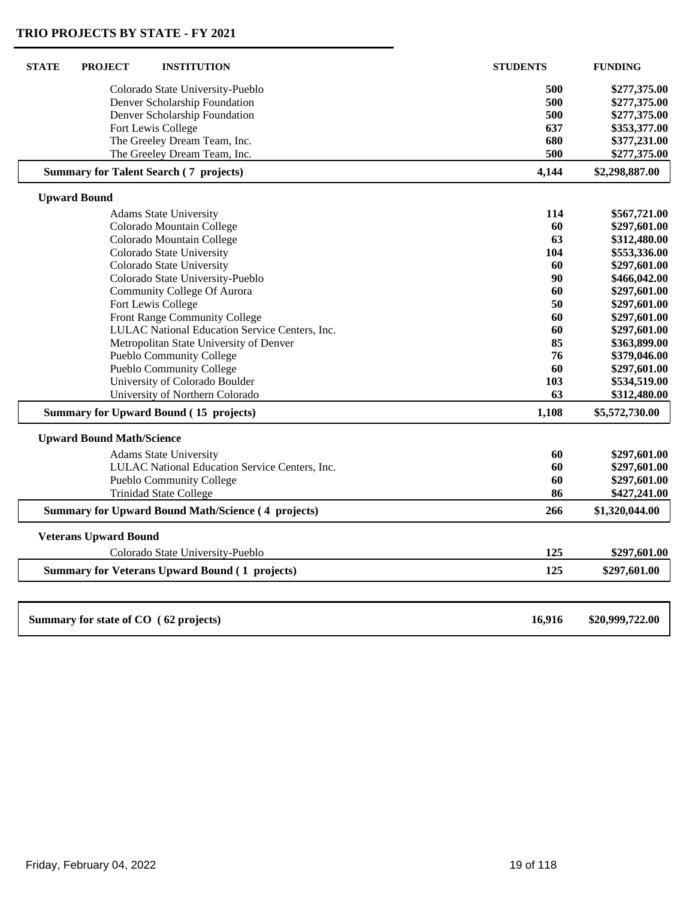| <b>STATE</b><br><b>INSTITUTION</b><br><b>PROJECT</b>        | <b>STUDENTS</b> | <b>FUNDING</b>               |
|-------------------------------------------------------------|-----------------|------------------------------|
| Colorado State University-Pueblo                            | 500             | \$277,375.00                 |
| Denver Scholarship Foundation                               | 500             | \$277,375.00                 |
| Denver Scholarship Foundation                               | 500             | \$277,375.00                 |
| Fort Lewis College                                          | 637             | \$353,377.00                 |
| The Greeley Dream Team, Inc.                                | 680             | \$377,231.00                 |
| The Greeley Dream Team, Inc.                                | 500             | \$277,375.00                 |
| <b>Summary for Talent Search (7 projects)</b>               | 4,144           | \$2,298,887.00               |
| <b>Upward Bound</b>                                         |                 |                              |
| <b>Adams State University</b>                               | 114             | \$567,721.00                 |
| Colorado Mountain College                                   | 60              | \$297,601.00                 |
| Colorado Mountain College                                   | 63              | \$312,480.00                 |
| Colorado State University                                   | 104             | \$553,336.00                 |
| Colorado State University                                   | 60              | \$297,601.00                 |
| Colorado State University-Pueblo                            | 90              | \$466,042.00                 |
| <b>Community College Of Aurora</b>                          | 60              | \$297,601.00                 |
| Fort Lewis College                                          | 50              | \$297,601.00                 |
| Front Range Community College                               | 60              | \$297,601.00                 |
| LULAC National Education Service Centers, Inc.              | 60              | \$297,601.00                 |
| Metropolitan State University of Denver                     | 85              | \$363,899.00                 |
| Pueblo Community College<br><b>Pueblo Community College</b> | 76<br>60        | \$379,046.00<br>\$297,601.00 |
| University of Colorado Boulder                              | 103             | \$534,519.00                 |
| University of Northern Colorado                             | 63              | \$312,480.00                 |
| <b>Summary for Upward Bound (15 projects)</b>               | 1,108           | \$5,572,730.00               |
| <b>Upward Bound Math/Science</b>                            |                 |                              |
| <b>Adams State University</b>                               | 60              | \$297,601.00                 |
| LULAC National Education Service Centers, Inc.              | 60              | \$297,601.00                 |
| <b>Pueblo Community College</b>                             | 60              | \$297,601.00                 |
| <b>Trinidad State College</b>                               | 86              | \$427,241.00                 |
| <b>Summary for Upward Bound Math/Science (4 projects)</b>   | 266             | \$1,320,044.00               |
| <b>Veterans Upward Bound</b>                                |                 |                              |
| Colorado State University-Pueblo                            | 125             | \$297,601.00                 |
| <b>Summary for Veterans Upward Bound (1 projects)</b>       | 125             | \$297,601.00                 |
| Summary for state of CO (62 projects)                       | 16,916          | \$20,999,722.00              |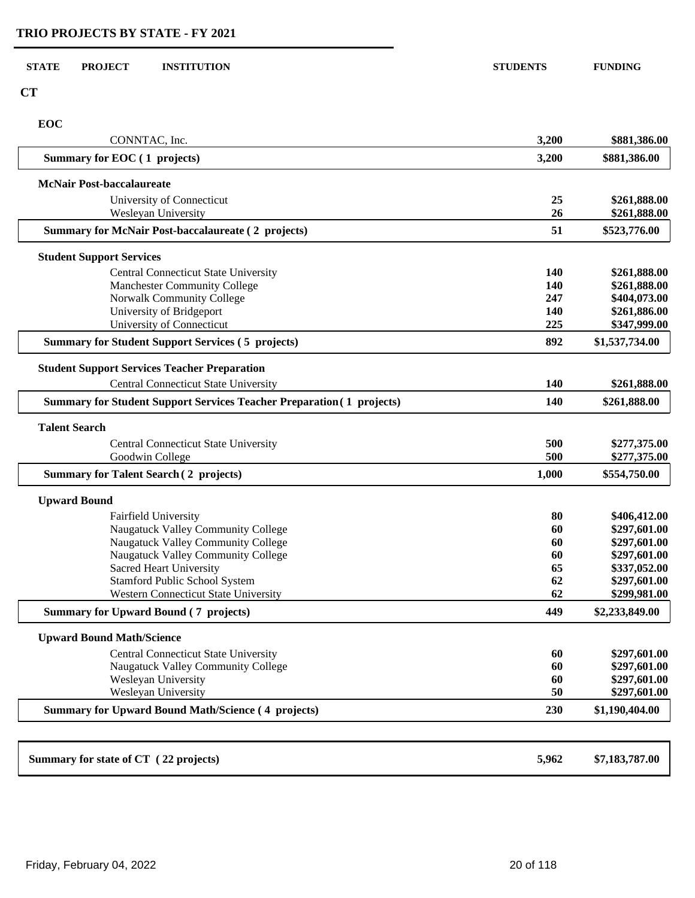**CT**

**EOC**

| EOC<br>CONNTAC, Inc.                                                         | 3,200      | \$881,386.00                 |
|------------------------------------------------------------------------------|------------|------------------------------|
| Summary for EOC (1 projects)                                                 | 3,200      | \$881,386.00                 |
| <b>McNair Post-baccalaureate</b>                                             |            |                              |
| University of Connecticut                                                    | 25         | \$261,888.00                 |
| Wesleyan University                                                          | 26         | \$261,888.00                 |
| <b>Summary for McNair Post-baccalaureate (2 projects)</b>                    | 51         | \$523,776.00                 |
| <b>Student Support Services</b>                                              |            |                              |
| <b>Central Connecticut State University</b>                                  | 140        | \$261,888.00                 |
| <b>Manchester Community College</b>                                          | 140        | \$261,888.00                 |
| Norwalk Community College                                                    | 247        | \$404,073.00                 |
| University of Bridgeport<br>University of Connecticut                        | 140<br>225 | \$261,886.00<br>\$347,999.00 |
| <b>Summary for Student Support Services (5 projects)</b>                     | 892        | \$1,537,734.00               |
| <b>Student Support Services Teacher Preparation</b>                          |            |                              |
| <b>Central Connecticut State University</b>                                  | 140        | \$261,888.00                 |
| <b>Summary for Student Support Services Teacher Preparation (1 projects)</b> | 140        | \$261,888.00                 |
| <b>Talent Search</b>                                                         |            |                              |
| <b>Central Connecticut State University</b>                                  | 500        | \$277,375.00                 |
| Goodwin College                                                              | 500        | \$277,375.00                 |
| <b>Summary for Talent Search (2 projects)</b>                                | 1,000      | \$554,750.00                 |
| <b>Upward Bound</b>                                                          |            |                              |
| Fairfield University                                                         | 80         | \$406,412.00                 |
| Naugatuck Valley Community College                                           | 60         | \$297,601.00                 |
| Naugatuck Valley Community College                                           | 60         | \$297,601.00                 |
| Naugatuck Valley Community College<br><b>Sacred Heart University</b>         | 60<br>65   | \$297,601.00<br>\$337,052.00 |
| Stamford Public School System                                                | 62         | \$297,601.00                 |
| <b>Western Connecticut State University</b>                                  | 62         | \$299,981.00                 |
| <b>Summary for Upward Bound (7 projects)</b>                                 | 449        | \$2,233,849.00               |
| <b>Upward Bound Math/Science</b>                                             |            |                              |
| <b>Central Connecticut State University</b>                                  | 60         | \$297,601.00                 |
| Naugatuck Valley Community College                                           | 60         | \$297,601.00                 |
| Wesleyan University                                                          | 60         | \$297,601.00                 |
| Wesleyan University                                                          | 50         | \$297,601.00                 |
| <b>Summary for Upward Bound Math/Science (4 projects)</b>                    | 230        | \$1,190,404.00               |
|                                                                              |            |                              |
| Summary for state of CT (22 projects)                                        | 5,962      | \$7,183,787.00               |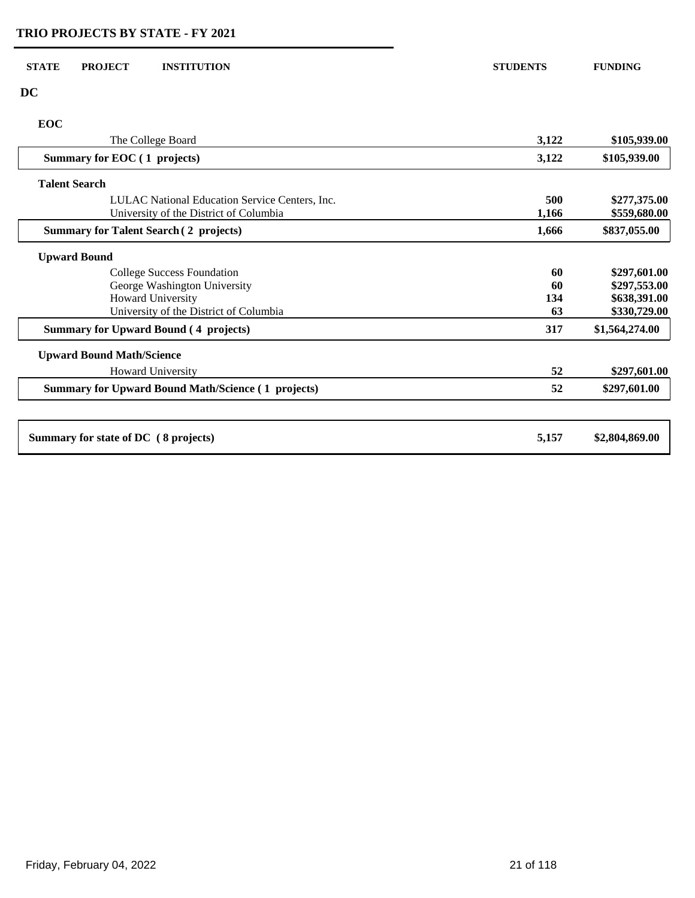| <b>STATE</b> | <b>PROJECT</b><br><b>INSTITUTION</b>                                                     | <b>STUDENTS</b> | <b>FUNDING</b>               |
|--------------|------------------------------------------------------------------------------------------|-----------------|------------------------------|
| <b>DC</b>    |                                                                                          |                 |                              |
| <b>EOC</b>   |                                                                                          |                 |                              |
|              | The College Board                                                                        | 3,122           | \$105,939.00                 |
|              | Summary for EOC (1 projects)                                                             | 3,122           | \$105,939.00                 |
|              | <b>Talent Search</b>                                                                     |                 |                              |
|              | LULAC National Education Service Centers, Inc.<br>University of the District of Columbia | 500<br>1.166    | \$277,375.00<br>\$559,680.00 |
|              | <b>Summary for Talent Search (2 projects)</b>                                            | 1,666           | \$837,055.00                 |
|              | <b>Upward Bound</b>                                                                      |                 |                              |
|              | <b>College Success Foundation</b>                                                        | 60              | \$297,601.00                 |
|              | George Washington University                                                             | 60              | \$297,553.00                 |
|              | Howard University                                                                        | 134             | \$638,391.00                 |
|              | University of the District of Columbia                                                   | 63              | \$330,729.00                 |
|              | <b>Summary for Upward Bound (4 projects)</b>                                             | 317             | \$1,564,274.00               |
|              | <b>Upward Bound Math/Science</b>                                                         |                 |                              |
|              | <b>Howard University</b>                                                                 | 52              | \$297,601.00                 |
|              | <b>Summary for Upward Bound Math/Science (1 projects)</b>                                | 52              | \$297,601.00                 |
|              |                                                                                          |                 |                              |
|              | Summary for state of DC (8 projects)                                                     | 5,157           | \$2,804,869.00               |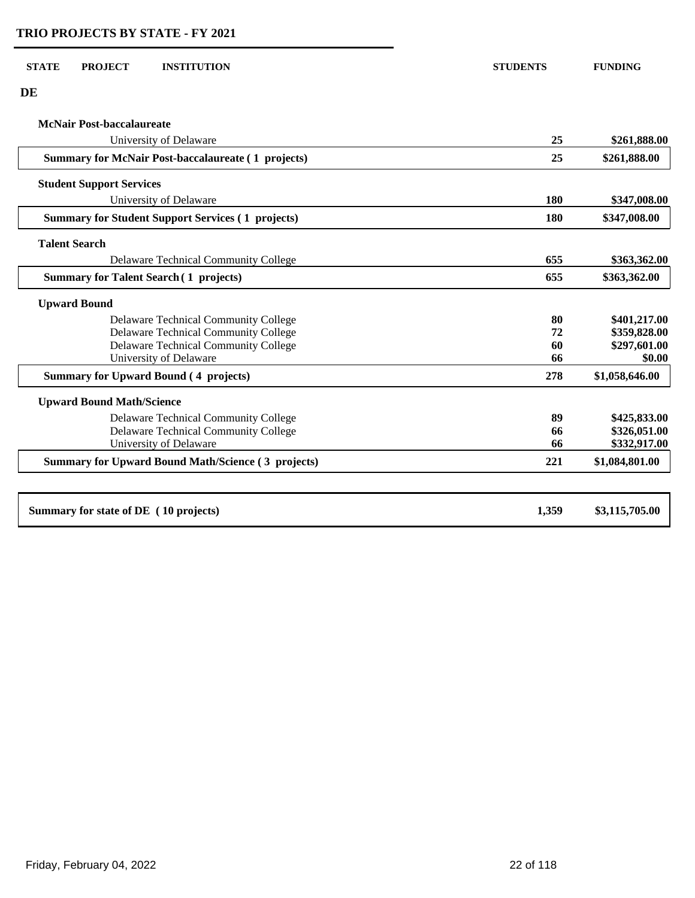**D** 

| McNair Post-baccalaureate                                 |       |                |
|-----------------------------------------------------------|-------|----------------|
| University of Delaware                                    | 25    | \$261,888.00   |
| <b>Summary for McNair Post-baccalaureate (1 projects)</b> | 25    | \$261,888.00   |
| <b>Student Support Services</b>                           |       |                |
| University of Delaware                                    | 180   | \$347,008.00   |
| <b>Summary for Student Support Services (1 projects)</b>  | 180   | \$347,008.00   |
| <b>Talent Search</b>                                      |       |                |
| <b>Delaware Technical Community College</b>               | 655   | \$363,362.00   |
| <b>Summary for Talent Search (1 projects)</b>             | 655   | \$363,362.00   |
| <b>Upward Bound</b>                                       |       |                |
| Delaware Technical Community College                      | 80    | \$401,217.00   |
| Delaware Technical Community College                      | 72    | \$359,828.00   |
| <b>Delaware Technical Community College</b>               | 60    | \$297,601.00   |
| University of Delaware                                    | 66    | \$0.00         |
| <b>Summary for Upward Bound (4 projects)</b>              | 278   | \$1,058,646.00 |
| <b>Upward Bound Math/Science</b>                          |       |                |
| Delaware Technical Community College                      | 89    | \$425,833.00   |
| Delaware Technical Community College                      | 66    | \$326,051.00   |
| University of Delaware                                    | 66    | \$332,917.00   |
| <b>Summary for Upward Bound Math/Science (3 projects)</b> | 221   | \$1,084,801.00 |
| Summary for state of DE (10 projects)                     | 1,359 | \$3,115,705.00 |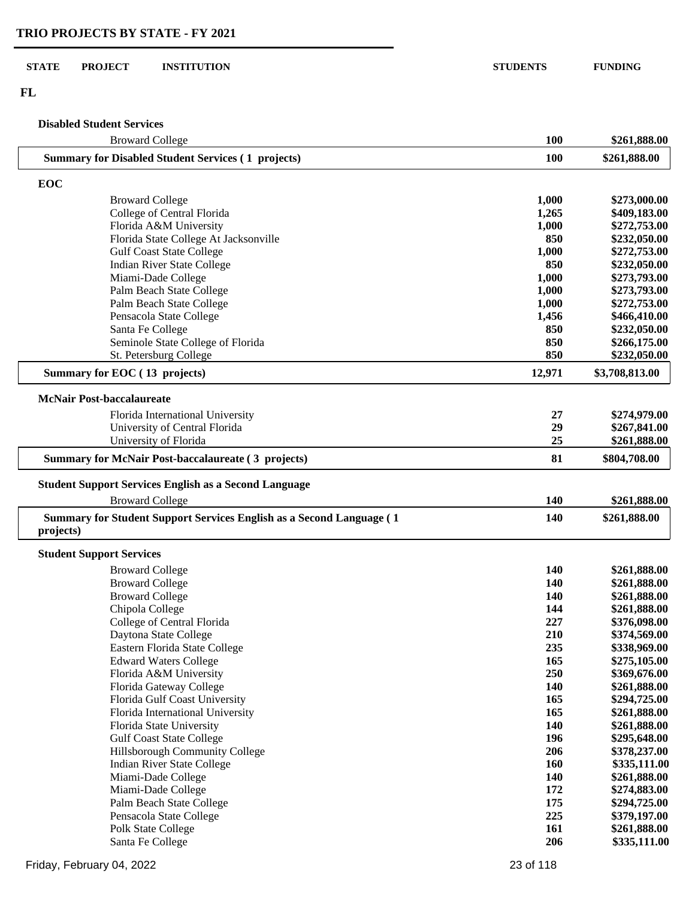#### **STATE PROJECT INSTITUTION STUDENTS FUNDING**

**FL**

L

## **Disabled Student Services**

| <b>Broward College</b>                                               | 100        | \$261,888.00                 |
|----------------------------------------------------------------------|------------|------------------------------|
| <b>Summary for Disabled Student Services (1 projects)</b>            | 100        | \$261,888.00                 |
| EOC                                                                  |            |                              |
| <b>Broward College</b>                                               | 1,000      | \$273,000.00                 |
| College of Central Florida                                           | 1,265      | \$409,183.00                 |
| Florida A&M University                                               | 1,000      | \$272,753.00                 |
| Florida State College At Jacksonville                                | 850        | \$232,050.00                 |
| <b>Gulf Coast State College</b>                                      | 1,000      | \$272,753.00                 |
| <b>Indian River State College</b>                                    | 850        | \$232,050.00                 |
| Miami-Dade College                                                   | 1,000      | \$273,793.00                 |
| Palm Beach State College                                             | 1,000      | \$273,793.00                 |
| Palm Beach State College                                             | 1,000      | \$272,753.00                 |
| Pensacola State College                                              | 1,456      | \$466,410.00                 |
| Santa Fe College                                                     | 850        | \$232,050.00                 |
| Seminole State College of Florida                                    | 850        | \$266,175.00                 |
| St. Petersburg College                                               | 850        | \$232,050.00                 |
| Summary for EOC (13 projects)                                        | 12,971     | \$3,708,813.00               |
| <b>McNair Post-baccalaureate</b>                                     |            |                              |
| Florida International University                                     | 27         | \$274,979.00                 |
| University of Central Florida                                        | 29         | \$267,841.00                 |
| University of Florida                                                | 25         | \$261,888.00                 |
| <b>Summary for McNair Post-baccalaureate (3 projects)</b>            | 81         | \$804,708.00                 |
| <b>Student Support Services English as a Second Language</b>         |            |                              |
| <b>Broward College</b>                                               | 140        | \$261,888.00                 |
| Summary for Student Support Services English as a Second Language (1 | 140        | \$261,888.00                 |
| projects)                                                            |            |                              |
| <b>Student Support Services</b>                                      |            |                              |
| <b>Broward College</b>                                               | 140        | \$261,888.00                 |
| <b>Broward College</b>                                               | 140        | \$261,888.00                 |
| <b>Broward College</b>                                               | 140        | \$261,888.00                 |
| Chipola College                                                      | 144        | \$261,888.00                 |
| College of Central Florida                                           | 227        | \$376,098.00                 |
| Daytona State College                                                | 210        | \$374,569.00                 |
| Eastern Florida State College                                        | 235        | \$338,969.00                 |
| <b>Edward Waters College</b>                                         | 165        | \$275,105.00                 |
| Florida A&M University                                               | 250        | \$369,676.00                 |
| Florida Gateway College                                              | 140        | \$261,888.00                 |
| Florida Gulf Coast University                                        | 165        | \$294,725.00                 |
| Florida International University                                     | 165        | \$261,888.00                 |
| Florida State University                                             | 140        | \$261,888.00                 |
| <b>Gulf Coast State College</b>                                      | 196        | \$295,648.00                 |
| Hillsborough Community College                                       | 206<br>160 | \$378,237.00<br>\$335,111.00 |
| <b>Indian River State College</b><br>Miami-Dade College              | 140        | \$261,888.00                 |
| Miami-Dade College                                                   | 172        | \$274,883.00                 |
| Palm Beach State College                                             | 175        | \$294,725.00                 |
| Pensacola State College                                              | 225        | \$379,197.00                 |
| Polk State College                                                   | 161        | \$261,888.00                 |
| Santa Fe College                                                     | 206        | \$335,111.00                 |
|                                                                      |            |                              |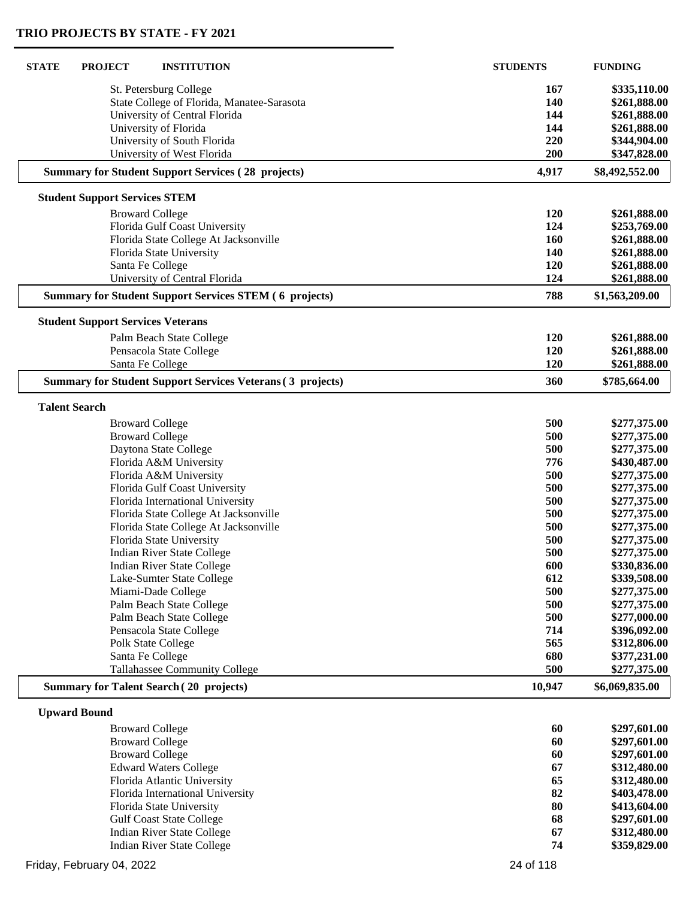| <b>STATE</b> | <b>INSTITUTION</b><br><b>PROJECT</b>                              | <b>STUDENTS</b> | <b>FUNDING</b>               |
|--------------|-------------------------------------------------------------------|-----------------|------------------------------|
|              | St. Petersburg College                                            | 167             | \$335,110.00                 |
|              | State College of Florida, Manatee-Sarasota                        | 140             | \$261,888.00                 |
|              | University of Central Florida                                     | 144             | \$261,888.00                 |
|              | University of Florida                                             | 144             | \$261,888.00                 |
|              | University of South Florida                                       | 220             | \$344,904.00                 |
|              | University of West Florida                                        | 200             | \$347,828.00                 |
|              | <b>Summary for Student Support Services (28 projects)</b>         | 4,917           | \$8,492,552.00               |
|              | <b>Student Support Services STEM</b>                              |                 |                              |
|              | <b>Broward College</b>                                            | 120             | \$261,888.00                 |
|              | Florida Gulf Coast University                                     | 124             | \$253,769.00                 |
|              | Florida State College At Jacksonville                             | 160             | \$261,888.00                 |
|              | Florida State University                                          | 140             | \$261,888.00                 |
|              | Santa Fe College                                                  | 120             | \$261,888.00                 |
|              | University of Central Florida                                     | 124             | \$261,888.00                 |
|              | <b>Summary for Student Support Services STEM (6 projects)</b>     | 788             | \$1,563,209.00               |
|              | <b>Student Support Services Veterans</b>                          |                 |                              |
|              | Palm Beach State College                                          | 120             | \$261,888.00                 |
|              | Pensacola State College                                           | 120             | \$261,888.00                 |
|              | Santa Fe College                                                  | 120             | \$261,888.00                 |
|              | <b>Summary for Student Support Services Veterans (3 projects)</b> | 360             | \$785,664.00                 |
|              | <b>Talent Search</b>                                              |                 |                              |
|              | <b>Broward College</b>                                            | 500             | \$277,375.00                 |
|              | <b>Broward College</b>                                            | 500             | \$277,375.00                 |
|              | Daytona State College                                             | 500             | \$277,375.00                 |
|              | Florida A&M University                                            | 776             | \$430,487.00                 |
|              | Florida A&M University                                            | 500             | \$277,375.00                 |
|              | Florida Gulf Coast University                                     | 500             | \$277,375.00                 |
|              | Florida International University                                  | 500             | \$277,375.00                 |
|              | Florida State College At Jacksonville                             | 500             | \$277,375.00                 |
|              | Florida State College At Jacksonville                             | 500             | \$277,375.00                 |
|              | Florida State University                                          | 500             | \$277,375.00                 |
|              | <b>Indian River State College</b>                                 | 500             | \$277,375.00                 |
|              | <b>Indian River State College</b>                                 | 600             | \$330,836.00                 |
|              | Lake-Sumter State College                                         | 612<br>500      | \$339,508.00                 |
|              | Miami-Dade College<br>Palm Beach State College                    | 500             | \$277,375.00<br>\$277,375.00 |
|              | Palm Beach State College                                          | 500             | \$277,000.00                 |
|              | Pensacola State College                                           | 714             | \$396,092.00                 |
|              | Polk State College                                                | 565             | \$312,806.00                 |
|              | Santa Fe College                                                  | 680             | \$377,231.00                 |
|              | <b>Tallahassee Community College</b>                              | 500             | \$277,375.00                 |
|              | <b>Summary for Talent Search (20 projects)</b>                    | 10,947          | \$6,069,835.00               |
|              | <b>Upward Bound</b>                                               |                 |                              |
|              | <b>Broward College</b>                                            | 60              | \$297,601.00                 |
|              | <b>Broward College</b>                                            | 60              | \$297,601.00                 |
|              | <b>Broward College</b>                                            | 60              | \$297,601.00                 |
|              | <b>Edward Waters College</b>                                      | 67              | \$312,480.00                 |
|              | Florida Atlantic University                                       | 65              | \$312,480.00                 |
|              | Florida International University                                  | 82              | \$403,478.00                 |
|              | Florida State University                                          | 80              | \$413,604.00                 |
|              | <b>Gulf Coast State College</b>                                   | 68              | \$297,601.00                 |
|              | <b>Indian River State College</b>                                 | 67              | \$312,480.00                 |
|              | <b>Indian River State College</b>                                 | 74              | \$359,829.00                 |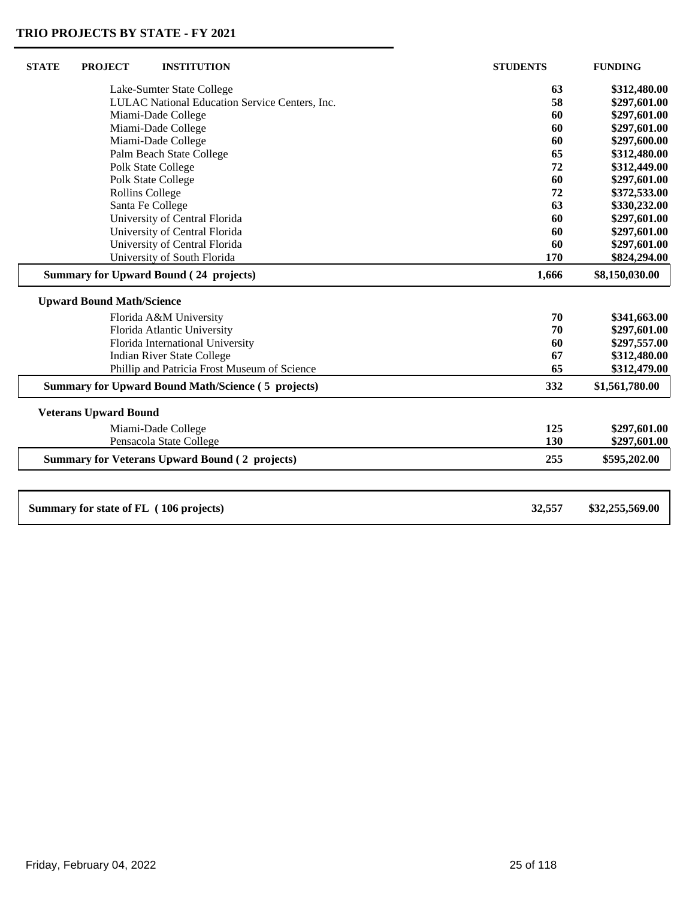| <b>STATE</b> | <b>PROJECT</b>                   | <b>INSTITUTION</b>                                        | <b>STUDENTS</b> | <b>FUNDING</b>  |
|--------------|----------------------------------|-----------------------------------------------------------|-----------------|-----------------|
|              |                                  | Lake-Sumter State College                                 | 63              | \$312,480.00    |
|              |                                  | LULAC National Education Service Centers, Inc.            | 58              | \$297,601.00    |
|              |                                  | Miami-Dade College                                        | 60              | \$297,601.00    |
|              |                                  | Miami-Dade College                                        | 60              | \$297,601.00    |
|              |                                  | Miami-Dade College                                        | 60              | \$297,600.00    |
|              |                                  | Palm Beach State College                                  | 65              | \$312,480.00    |
|              |                                  | <b>Polk State College</b>                                 | 72              | \$312,449.00    |
|              |                                  | Polk State College                                        | 60              | \$297,601.00    |
|              | <b>Rollins College</b>           |                                                           | 72              | \$372,533.00    |
|              |                                  | Santa Fe College                                          | 63              | \$330,232.00    |
|              |                                  | University of Central Florida                             | 60              | \$297,601.00    |
|              |                                  | University of Central Florida                             | 60              | \$297,601.00    |
|              |                                  | University of Central Florida                             | 60              | \$297,601.00    |
|              |                                  | University of South Florida                               | 170             | \$824,294.00    |
|              |                                  | <b>Summary for Upward Bound (24 projects)</b>             | 1,666           | \$8,150,030.00  |
|              | <b>Upward Bound Math/Science</b> |                                                           |                 |                 |
|              |                                  | Florida A&M University                                    | 70              | \$341,663.00    |
|              |                                  | Florida Atlantic University                               | 70              | \$297,601.00    |
|              |                                  | Florida International University                          | 60              | \$297,557.00    |
|              |                                  | <b>Indian River State College</b>                         | 67              | \$312,480.00    |
|              |                                  | Phillip and Patricia Frost Museum of Science              | 65              | \$312,479.00    |
|              |                                  | <b>Summary for Upward Bound Math/Science (5 projects)</b> | 332             | \$1,561,780.00  |
|              | <b>Veterans Upward Bound</b>     |                                                           |                 |                 |
|              |                                  | Miami-Dade College                                        | 125             | \$297,601.00    |
|              |                                  | Pensacola State College                                   | 130             | \$297,601.00    |
|              |                                  | <b>Summary for Veterans Upward Bound (2 projects)</b>     | 255             | \$595,202.00    |
|              |                                  |                                                           |                 |                 |
|              |                                  | Summary for state of FL (106 projects)                    | 32,557          | \$32,255,569.00 |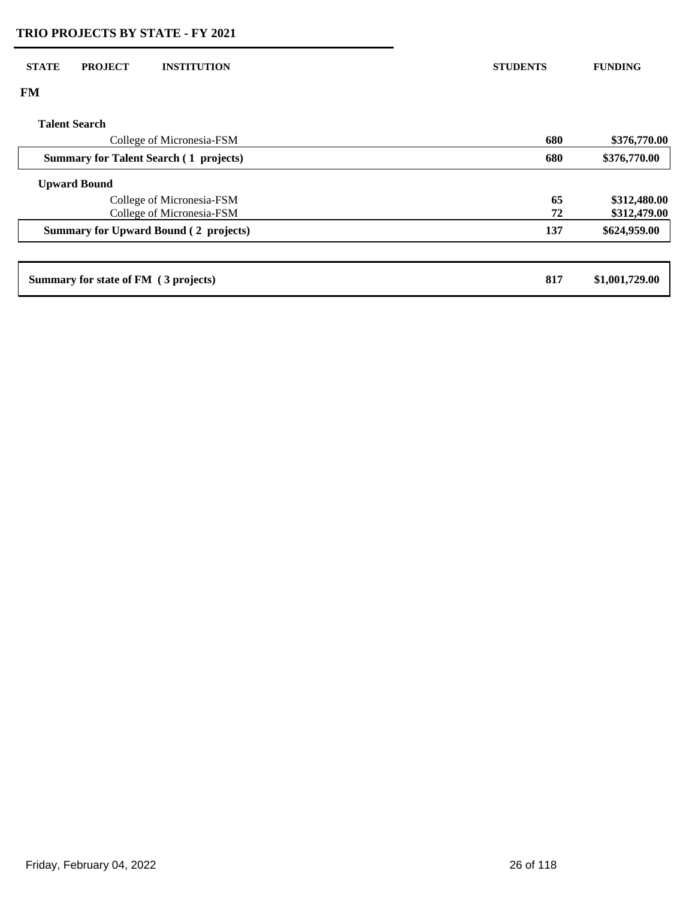# **FM Talent Search** College of Micronesia-FSM **680 \$376,770.00 Summary for Talent Search ( 1 projects) 680 \$376,770.00 Upward Bound** College of Micronesia-FSM **65 \$312,480.00**<br>College of Micronesia-FSM **65 \$312,479.00 College of Micronesia-FSM 72 STATE PROJECT INSTITUTION STUDENTS FUNDING**

| Summary for state of FM (3 projects)<br>817 | \$1,001,729.00 |
|---------------------------------------------|----------------|
|---------------------------------------------|----------------|

 **Summary for Upward Bound ( 2 projects) 137 \$624,959.00**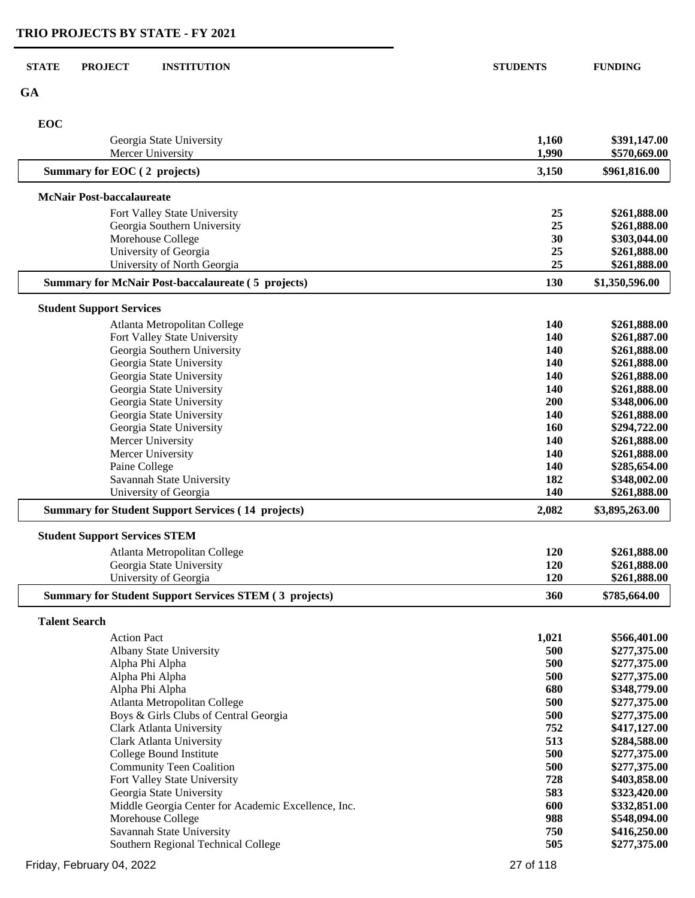| <b>STATE</b> | <b>INSTITUTION</b><br><b>PROJECT</b>                          | <b>STUDENTS</b> | <b>FUNDING</b>               |
|--------------|---------------------------------------------------------------|-----------------|------------------------------|
| <b>GA</b>    |                                                               |                 |                              |
| EOC          |                                                               |                 |                              |
|              | Georgia State University<br>Mercer University                 | 1,160<br>1,990  | \$391,147.00<br>\$570,669.00 |
|              | Summary for EOC (2 projects)                                  | 3,150           | \$961,816.00                 |
|              | <b>McNair Post-baccalaureate</b>                              |                 |                              |
|              | Fort Valley State University                                  | 25              | \$261,888.00                 |
|              | Georgia Southern University                                   | 25              | \$261,888.00                 |
|              | Morehouse College                                             | 30              | \$303,044.00                 |
|              | University of Georgia                                         | 25              | \$261,888.00                 |
|              | University of North Georgia                                   | 25              | \$261,888.00                 |
|              | <b>Summary for McNair Post-baccalaureate (5 projects)</b>     | 130             | \$1,350,596.00               |
|              | <b>Student Support Services</b>                               |                 |                              |
|              | Atlanta Metropolitan College                                  | <b>140</b>      | \$261,888.00                 |
|              | Fort Valley State University                                  | 140             | \$261,887.00                 |
|              | Georgia Southern University                                   | <b>140</b>      | \$261,888.00                 |
|              | Georgia State University                                      | 140             | \$261,888.00                 |
|              | Georgia State University                                      | 140             | \$261,888.00                 |
|              | Georgia State University                                      | 140             | \$261,888.00                 |
|              | Georgia State University                                      | 200             | \$348,006.00                 |
|              | Georgia State University                                      | 140             | \$261,888.00                 |
|              | Georgia State University                                      | 160             | \$294,722.00                 |
|              | Mercer University                                             | 140             | \$261,888.00                 |
|              | Mercer University                                             | 140             | \$261,888.00                 |
|              | Paine College                                                 | 140             | \$285,654.00                 |
|              | Savannah State University                                     | 182             | \$348,002.00                 |
|              | University of Georgia                                         | 140             | \$261,888.00                 |
|              | <b>Summary for Student Support Services (14 projects)</b>     | 2,082           | \$3,895,263.00               |
|              | <b>Student Support Services STEM</b>                          |                 |                              |
|              | Atlanta Metropolitan College                                  | <b>120</b>      | \$261,888.00                 |
|              | Georgia State University                                      | 120             | \$261,888.00                 |
|              | University of Georgia                                         | 120             | \$261,888.00                 |
|              | <b>Summary for Student Support Services STEM (3 projects)</b> | 360             | \$785,664.00                 |
|              | <b>Talent Search</b>                                          |                 |                              |
|              | <b>Action Pact</b>                                            | 1,021           | \$566,401.00                 |
|              | Albany State University                                       | 500             | \$277,375.00                 |
|              | Alpha Phi Alpha                                               | 500             | \$277,375.00                 |
|              | Alpha Phi Alpha                                               | 500             | \$277,375.00                 |
|              | Alpha Phi Alpha                                               | 680             | \$348,779.00                 |
|              | Atlanta Metropolitan College                                  | 500             | \$277,375.00                 |
|              | Boys & Girls Clubs of Central Georgia                         | 500             | \$277,375.00                 |
|              | <b>Clark Atlanta University</b>                               | 752             | \$417,127.00                 |
|              | <b>Clark Atlanta University</b>                               | 513             | \$284,588.00                 |
|              | College Bound Institute                                       | 500             | \$277,375.00                 |
|              | <b>Community Teen Coalition</b>                               | 500             | \$277,375.00                 |
|              | Fort Valley State University                                  | 728             | \$403,858.00                 |
|              | Georgia State University                                      | 583             | \$323,420.00                 |
|              | Middle Georgia Center for Academic Excellence, Inc.           | 600             | \$332,851.00                 |
|              | Morehouse College                                             | 988             | \$548,094.00                 |
|              | Savannah State University                                     | 750             | \$416,250.00                 |
|              | Southern Regional Technical College                           | 505             | \$277,375.00                 |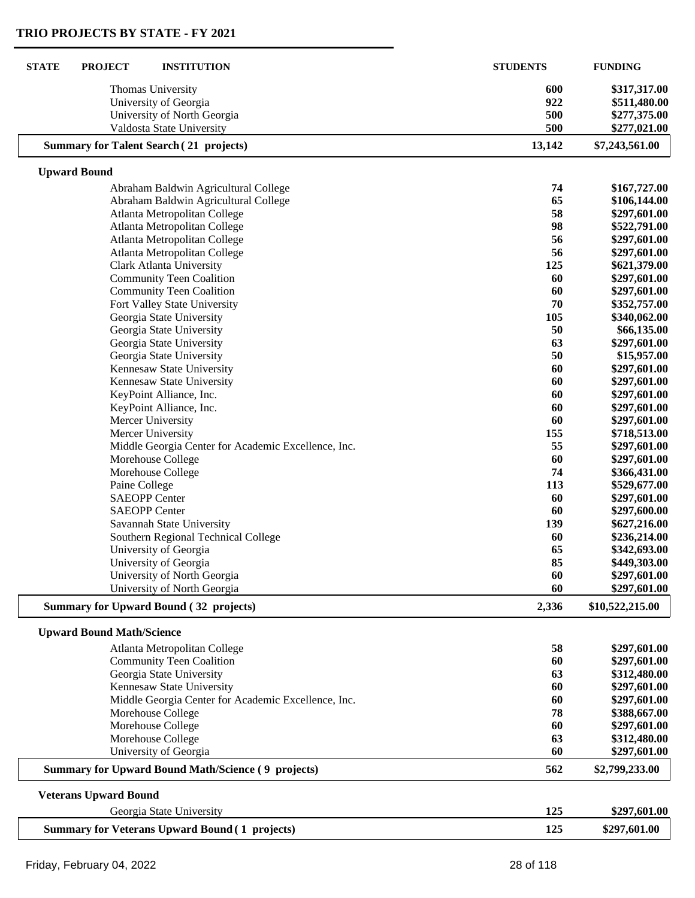| <b>STATE</b><br><b>PROJECT</b><br><b>INSTITUTION</b>      | <b>STUDENTS</b> | <b>FUNDING</b>               |
|-----------------------------------------------------------|-----------------|------------------------------|
| Thomas University                                         | 600             | \$317,317.00                 |
| University of Georgia                                     | 922             | \$511,480.00                 |
| University of North Georgia                               | 500             | \$277,375.00                 |
| Valdosta State University                                 | 500             | \$277,021.00                 |
| <b>Summary for Talent Search (21 projects)</b>            | 13,142          | \$7,243,561.00               |
| <b>Upward Bound</b>                                       |                 |                              |
| Abraham Baldwin Agricultural College                      | 74              | \$167,727.00                 |
| Abraham Baldwin Agricultural College                      | 65              | \$106,144.00                 |
| Atlanta Metropolitan College                              | 58              | \$297,601.00                 |
| Atlanta Metropolitan College                              | 98              | \$522,791.00                 |
| Atlanta Metropolitan College                              | 56              | \$297,601.00                 |
| Atlanta Metropolitan College                              | 56              | \$297,601.00                 |
| Clark Atlanta University                                  | 125             | \$621,379.00                 |
| <b>Community Teen Coalition</b>                           | 60              | \$297,601.00                 |
| <b>Community Teen Coalition</b>                           | 60              | \$297,601.00                 |
| Fort Valley State University                              | 70              | \$352,757.00                 |
| Georgia State University                                  | 105             | \$340,062.00                 |
| Georgia State University                                  | 50              | \$66,135.00                  |
| Georgia State University                                  | 63              | \$297,601.00                 |
| Georgia State University                                  | 50              | \$15,957.00                  |
| Kennesaw State University                                 | 60              | \$297,601.00                 |
| Kennesaw State University                                 | 60              | \$297,601.00                 |
| KeyPoint Alliance, Inc.                                   | 60              | \$297,601.00                 |
| KeyPoint Alliance, Inc.<br>Mercer University              | 60<br>60        | \$297,601.00                 |
| Mercer University                                         | 155             | \$297,601.00<br>\$718,513.00 |
| Middle Georgia Center for Academic Excellence, Inc.       | 55              | \$297,601.00                 |
| Morehouse College                                         | 60              | \$297,601.00                 |
| Morehouse College                                         | 74              | \$366,431.00                 |
| Paine College                                             | 113             | \$529,677.00                 |
| <b>SAEOPP Center</b>                                      | 60              | \$297,601.00                 |
| <b>SAEOPP Center</b>                                      | 60              | \$297,600.00                 |
| Savannah State University                                 | 139             | \$627,216.00                 |
| Southern Regional Technical College                       | 60              | \$236,214.00                 |
| University of Georgia                                     | 65              | \$342,693.00                 |
| University of Georgia                                     | 85              | \$449,303.00                 |
| University of North Georgia                               | 60              | \$297,601.00                 |
| University of North Georgia                               | 60              | \$297,601.00                 |
| <b>Summary for Upward Bound (32 projects)</b>             | 2,336           | \$10,522,215.00              |
| <b>Upward Bound Math/Science</b>                          |                 |                              |
| Atlanta Metropolitan College                              | 58              | \$297,601.00                 |
| <b>Community Teen Coalition</b>                           | 60              | \$297,601.00                 |
| Georgia State University                                  | 63              | \$312,480.00                 |
| Kennesaw State University                                 | 60              | \$297,601.00                 |
| Middle Georgia Center for Academic Excellence, Inc.       | 60              | \$297,601.00                 |
| Morehouse College                                         | 78              | \$388,667.00                 |
| Morehouse College                                         | 60              | \$297,601.00                 |
| Morehouse College                                         | 63              | \$312,480.00                 |
| University of Georgia                                     | 60              | \$297,601.00                 |
| <b>Summary for Upward Bound Math/Science (9 projects)</b> | 562             | \$2,799,233.00               |
| <b>Veterans Upward Bound</b>                              |                 |                              |
| Georgia State University                                  | 125             | \$297,601.00                 |
| <b>Summary for Veterans Upward Bound (1 projects)</b>     | 125             | \$297,601.00                 |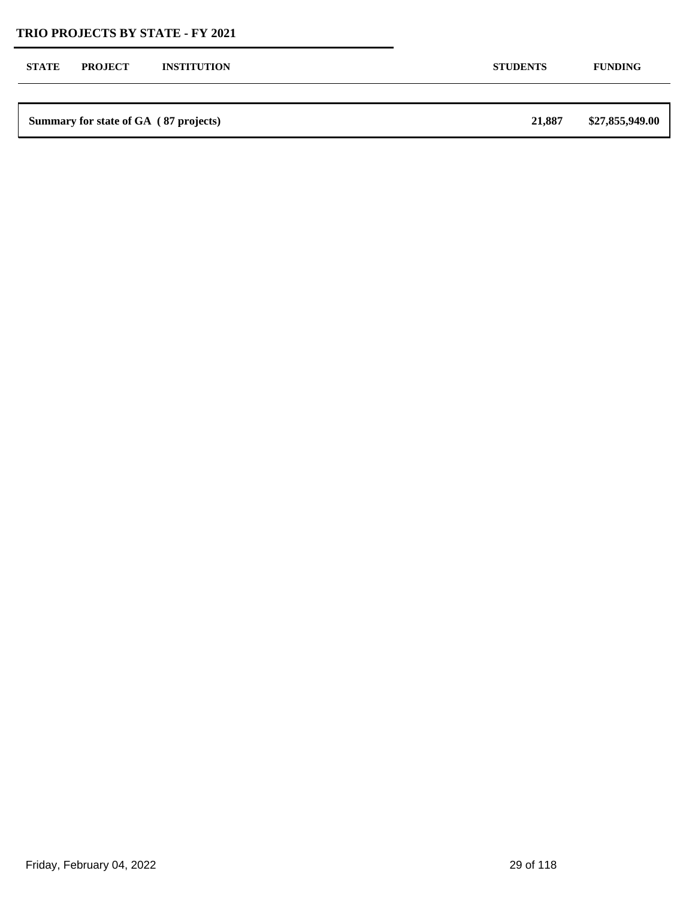| <b>STATE</b><br><b>PROJECT</b><br><b>STUDENTS</b><br><b>INSTITUTION</b><br><b>FUNDING</b> |  | Summary for state of GA (87 projects) | 21,887 | \$27,855,949.00 |
|-------------------------------------------------------------------------------------------|--|---------------------------------------|--------|-----------------|
|                                                                                           |  |                                       |        |                 |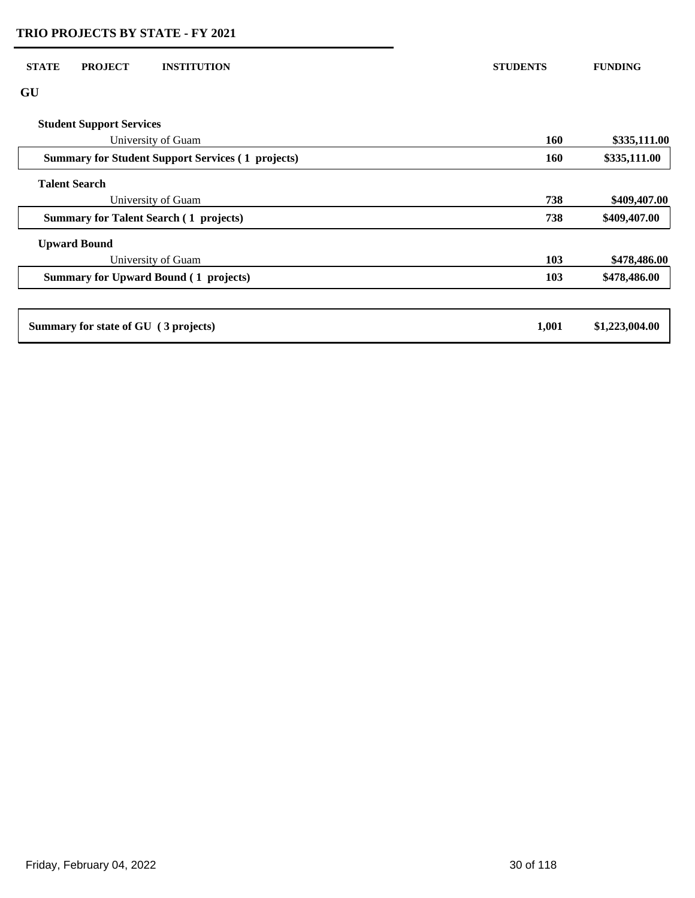| <b>STATE</b><br><b>PROJECT</b><br><b>INSTITUTION</b>     | <b>STUDENTS</b> | <b>FUNDING</b> |
|----------------------------------------------------------|-----------------|----------------|
| GU                                                       |                 |                |
| <b>Student Support Services</b>                          |                 |                |
| University of Guam                                       | <b>160</b>      | \$335,111.00   |
| <b>Summary for Student Support Services (1 projects)</b> | <b>160</b>      | \$335,111.00   |
| <b>Talent Search</b>                                     |                 |                |
| University of Guam                                       | 738             | \$409,407.00   |
| <b>Summary for Talent Search (1 projects)</b>            | 738             | \$409,407.00   |
| <b>Upward Bound</b>                                      |                 |                |
| University of Guam                                       | 103             | \$478,486.00   |
| <b>Summary for Upward Bound (1 projects)</b>             | 103             | \$478,486.00   |
|                                                          |                 |                |
| Summary for state of GU (3 projects)                     | 1,001           | \$1,223,004.00 |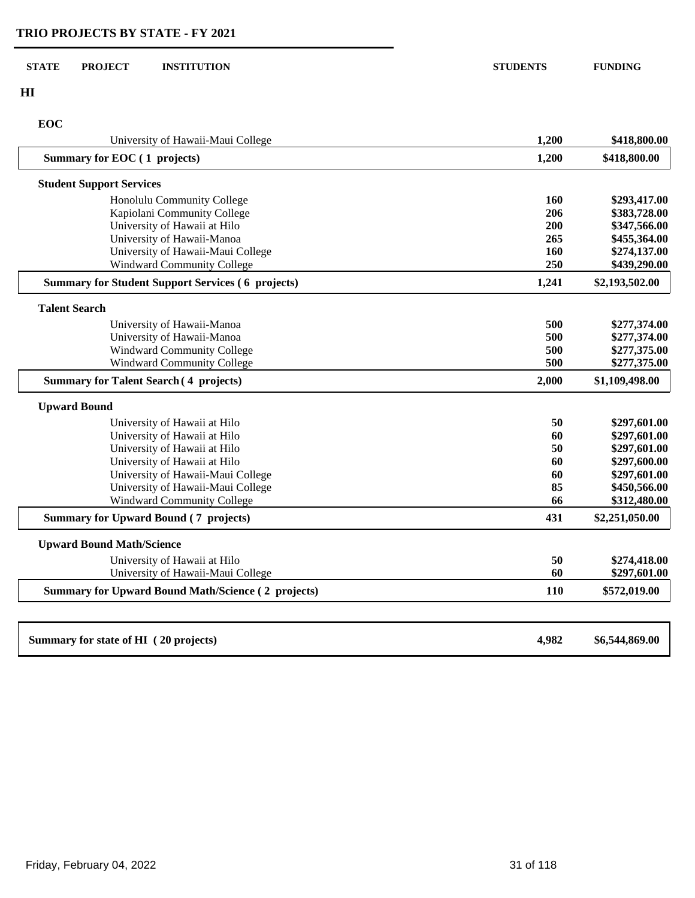#### **STATE PROJECT INSTITUTION STUDENTS FUNDING**

**HI**

# **EOC**

| University of Hawaii-Maui College                         | 1,200 | \$418,800.00   |
|-----------------------------------------------------------|-------|----------------|
| Summary for EOC (1 projects)                              | 1,200 | \$418,800.00   |
| <b>Student Support Services</b>                           |       |                |
| Honolulu Community College                                | 160   | \$293,417.00   |
| Kapiolani Community College                               | 206   | \$383,728.00   |
| University of Hawaii at Hilo                              | 200   | \$347,566.00   |
| University of Hawaii-Manoa                                | 265   | \$455,364.00   |
| University of Hawaii-Maui College                         | 160   | \$274,137.00   |
| <b>Windward Community College</b>                         | 250   | \$439,290.00   |
| <b>Summary for Student Support Services (6 projects)</b>  | 1,241 | \$2,193,502.00 |
| <b>Talent Search</b>                                      |       |                |
| University of Hawaii-Manoa                                | 500   | \$277,374.00   |
| University of Hawaii-Manoa                                | 500   | \$277,374.00   |
| <b>Windward Community College</b>                         | 500   | \$277,375.00   |
| <b>Windward Community College</b>                         | 500   | \$277,375.00   |
| <b>Summary for Talent Search (4 projects)</b>             | 2,000 | \$1,109,498.00 |
| <b>Upward Bound</b>                                       |       |                |
| University of Hawaii at Hilo                              | 50    | \$297,601.00   |
| University of Hawaii at Hilo                              | 60    | \$297,601.00   |
| University of Hawaii at Hilo                              | 50    | \$297,601.00   |
| University of Hawaii at Hilo                              | 60    | \$297,600.00   |
| University of Hawaii-Maui College                         | 60    | \$297,601.00   |
| University of Hawaii-Maui College                         | 85    | \$450,566.00   |
| <b>Windward Community College</b>                         | 66    | \$312,480.00   |
| <b>Summary for Upward Bound (7 projects)</b>              | 431   | \$2,251,050.00 |
| <b>Upward Bound Math/Science</b>                          |       |                |
| University of Hawaii at Hilo                              | 50    | \$274,418.00   |
| University of Hawaii-Maui College                         | 60    | \$297,601.00   |
| <b>Summary for Upward Bound Math/Science (2 projects)</b> | 110   | \$572,019.00   |
|                                                           |       |                |
| Summary for state of HI (20 projects)                     | 4,982 | \$6,544,869.00 |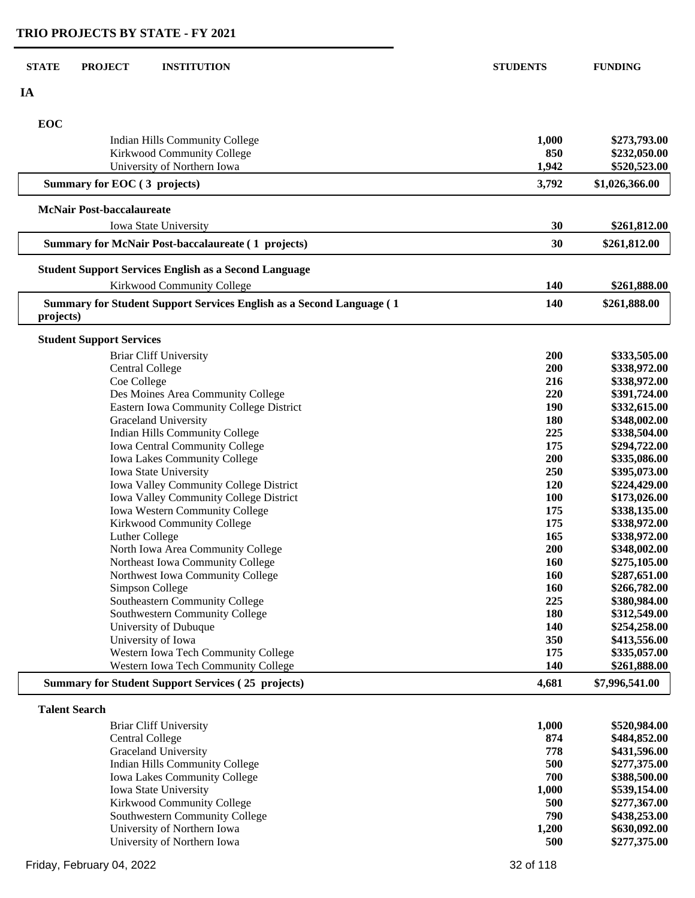| <b>STATE</b><br><b>PROJECT</b><br><b>INSTITUTION</b>                  | <b>STUDENTS</b> | <b>FUNDING</b>               |
|-----------------------------------------------------------------------|-----------------|------------------------------|
| IA                                                                    |                 |                              |
|                                                                       |                 |                              |
| EOC                                                                   |                 |                              |
| Indian Hills Community College                                        | 1,000           | \$273,793.00                 |
| Kirkwood Community College                                            | 850             | \$232,050.00                 |
| University of Northern Iowa                                           | 1,942           | \$520,523.00                 |
| Summary for EOC (3 projects)                                          | 3,792           | \$1,026,366.00               |
| <b>McNair Post-baccalaureate</b>                                      |                 |                              |
| Iowa State University                                                 | 30              | \$261,812.00                 |
| <b>Summary for McNair Post-baccalaureate (1 projects)</b>             | 30              | \$261,812.00                 |
| <b>Student Support Services English as a Second Language</b>          |                 |                              |
| Kirkwood Community College                                            | <b>140</b>      | \$261,888.00                 |
| Summary for Student Support Services English as a Second Language (1  | 140             | \$261,888.00                 |
| projects)                                                             |                 |                              |
| <b>Student Support Services</b>                                       |                 |                              |
| <b>Briar Cliff University</b>                                         | 200             | \$333,505.00                 |
| <b>Central College</b>                                                | 200             | \$338,972.00                 |
| Coe College                                                           | 216             | \$338,972.00                 |
| Des Moines Area Community College                                     | 220             | \$391,724.00                 |
| Eastern Iowa Community College District                               | 190             | \$332,615.00                 |
| Graceland University                                                  | 180             | \$348,002.00                 |
| Indian Hills Community College                                        | 225             | \$338,504.00                 |
| Iowa Central Community College                                        | 175             | \$294,722.00                 |
| Iowa Lakes Community College                                          | 200             | \$335,086.00                 |
| Iowa State University                                                 | 250             | \$395,073.00                 |
| Iowa Valley Community College District                                | 120             | \$224,429.00                 |
| Iowa Valley Community College District                                | 100             | \$173,026.00                 |
| Iowa Western Community College                                        | 175             | \$338,135.00                 |
| Kirkwood Community College                                            | 175             | \$338,972.00                 |
| Luther College                                                        | 165             | \$338,972.00                 |
| North Iowa Area Community College<br>Northeast Iowa Community College | 200<br>160      | \$348,002.00<br>\$275,105.00 |
| Northwest Iowa Community College                                      | 160             | \$287,651.00                 |
| Simpson College                                                       | 160             | \$266,782.00                 |
| Southeastern Community College                                        | 225             | \$380,984.00                 |
| Southwestern Community College                                        | 180             | \$312,549.00                 |
| University of Dubuque                                                 | 140             | \$254,258.00                 |
| University of Iowa                                                    | 350             | \$413,556.00                 |
| Western Iowa Tech Community College                                   | 175             | \$335,057.00                 |
| Western Iowa Tech Community College                                   | 140             | \$261,888.00                 |
| <b>Summary for Student Support Services (25 projects)</b>             | 4,681           | \$7,996,541.00               |
| <b>Talent Search</b>                                                  |                 |                              |
| <b>Briar Cliff University</b>                                         | 1,000           | \$520,984.00                 |
| <b>Central College</b>                                                | 874             | \$484,852.00                 |
| Graceland University                                                  | 778             | \$431,596.00                 |
| Indian Hills Community College                                        | 500             | \$277,375.00                 |

| Graceland University                | 778   | \$431,596.00 |
|-------------------------------------|-------|--------------|
| Indian Hills Community College      | 500   | \$277,375.00 |
| <b>Iowa Lakes Community College</b> | 700   | \$388,500.00 |
| <b>Iowa State University</b>        | 1.000 | \$539,154.00 |
| <b>Kirkwood Community College</b>   | 500   | \$277,367.00 |
| Southwestern Community College      | 790   | \$438,253,00 |
| University of Northern Iowa         | 1.200 | \$630,092.00 |
| University of Northern Iowa         | 500   | \$277,375.00 |
|                                     |       |              |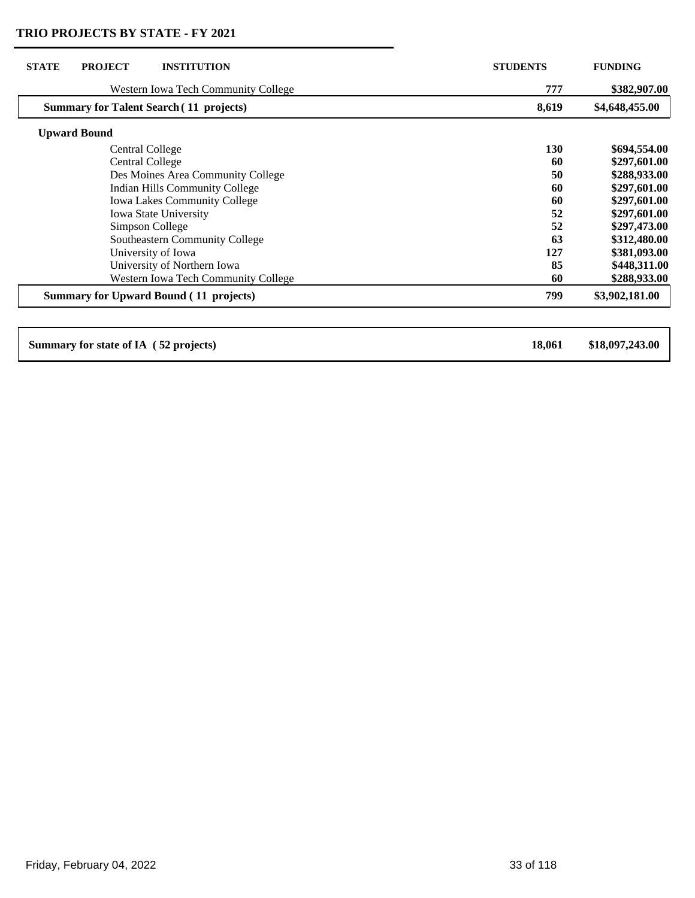| <b>STATE</b><br><b>PROJECT</b><br><b>INSTITUTION</b> | <b>STUDENTS</b> | <b>FUNDING</b>  |
|------------------------------------------------------|-----------------|-----------------|
| Western Iowa Tech Community College                  | 777             | \$382,907.00    |
| <b>Summary for Talent Search (11 projects)</b>       | 8,619           | \$4,648,455.00  |
| <b>Upward Bound</b>                                  |                 |                 |
| Central College                                      | <b>130</b>      | \$694,554.00    |
| <b>Central College</b>                               | 60              | \$297,601.00    |
| Des Moines Area Community College                    | 50              | \$288,933.00    |
| Indian Hills Community College                       | 60              | \$297,601.00    |
| <b>Iowa Lakes Community College</b>                  | 60              | \$297,601.00    |
| Iowa State University                                | 52              | \$297,601.00    |
| Simpson College                                      | 52              | \$297,473.00    |
| Southeastern Community College                       | 63              | \$312,480.00    |
| University of Iowa                                   | 127             | \$381,093.00    |
| University of Northern Iowa                          | 85              | \$448,311.00    |
| <b>Western Iowa Tech Community College</b>           | 60              | \$288,933.00    |
| <b>Summary for Upward Bound (11 projects)</b>        | 799             | \$3,902,181.00  |
|                                                      |                 |                 |
| Summary for state of IA (52 projects)                | 18,061          | \$18,097,243.00 |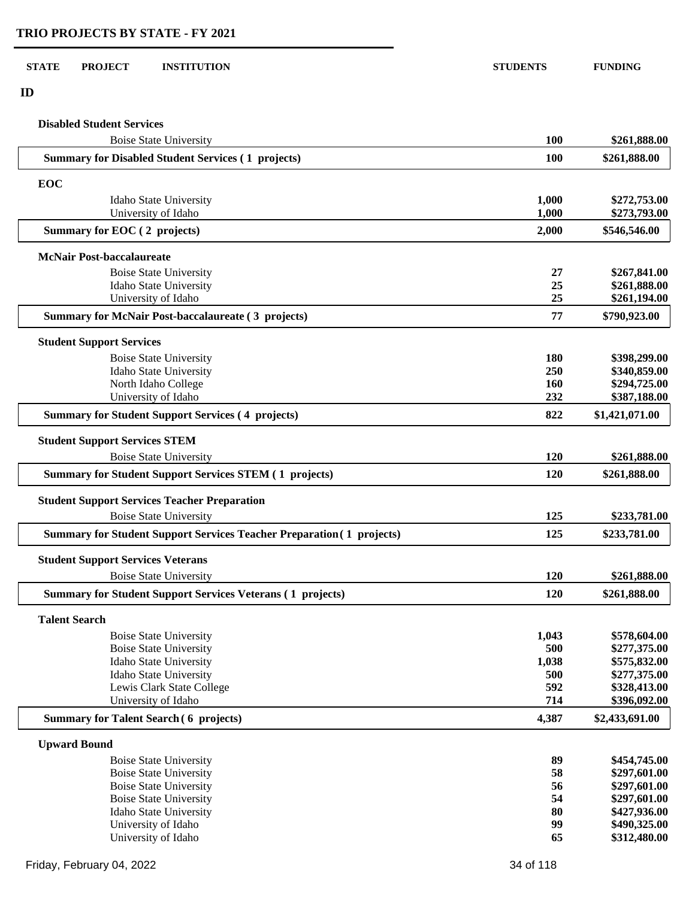| <b>Disabled Student Services</b>                                             |                   |                              |
|------------------------------------------------------------------------------|-------------------|------------------------------|
| <b>Boise State University</b>                                                | 100               | \$261,888.00                 |
| <b>Summary for Disabled Student Services (1 projects)</b>                    | 100               | \$261,888.00                 |
| <b>EOC</b>                                                                   |                   |                              |
| Idaho State University                                                       | 1,000             | \$272,753.00                 |
| University of Idaho                                                          | 1,000             | \$273,793.00                 |
| Summary for EOC (2 projects)                                                 | 2,000             | \$546,546.00                 |
| <b>McNair Post-baccalaureate</b>                                             |                   |                              |
| <b>Boise State University</b>                                                | 27                | \$267,841.00                 |
| Idaho State University                                                       | 25                | \$261,888.00                 |
| University of Idaho                                                          | 25                | \$261,194.00                 |
| <b>Summary for McNair Post-baccalaureate (3 projects)</b>                    | 77                | \$790,923.00                 |
| <b>Student Support Services</b>                                              |                   |                              |
| <b>Boise State University</b>                                                | 180               | \$398,299.00                 |
| Idaho State University                                                       | 250               | \$340,859.00                 |
| North Idaho College<br>University of Idaho                                   | <b>160</b><br>232 | \$294,725.00<br>\$387,188.00 |
| <b>Summary for Student Support Services (4 projects)</b>                     | 822               | \$1,421,071.00               |
| <b>Student Support Services STEM</b>                                         |                   |                              |
| <b>Boise State University</b>                                                | <b>120</b>        | \$261,888.00                 |
| <b>Summary for Student Support Services STEM (1 projects)</b>                | 120               | \$261,888.00                 |
|                                                                              |                   |                              |
| <b>Student Support Services Teacher Preparation</b>                          |                   |                              |
| <b>Boise State University</b>                                                | 125               | \$233,781.00                 |
| <b>Summary for Student Support Services Teacher Preparation (1 projects)</b> | 125               | \$233,781.00                 |
| <b>Student Support Services Veterans</b>                                     |                   |                              |
| <b>Boise State University</b>                                                | 120               | \$261,888.00                 |
| <b>Summary for Student Support Services Veterans (1 projects)</b>            | 120               | \$261,888.00                 |
| <b>Talent Search</b>                                                         |                   |                              |
| <b>Boise State University</b>                                                | 1,043             | \$578,604.00                 |
| <b>Boise State University</b>                                                | 500               | \$277,375.00                 |
| Idaho State University                                                       | 1,038<br>500      | \$575,832.00<br>\$277,375.00 |
| Idaho State University<br>Lewis Clark State College                          | 592               | \$328,413.00                 |
| University of Idaho                                                          | 714               | \$396,092.00                 |
| <b>Summary for Talent Search (6 projects)</b>                                | 4,387             | \$2,433,691.00               |
| <b>Upward Bound</b>                                                          |                   |                              |
| <b>Boise State University</b>                                                | 89                | \$454,745.00                 |
| <b>Boise State University</b>                                                | 58                | \$297,601.00                 |
| <b>Boise State University</b>                                                | 56                | \$297,601.00                 |
| <b>Boise State University</b>                                                | 54                | \$297,601.00                 |
| Idaho State University                                                       | 80                | \$427,936.00                 |
| University of Idaho                                                          | 99                | \$490,325.00                 |
| University of Idaho                                                          | 65                | \$312,480.00                 |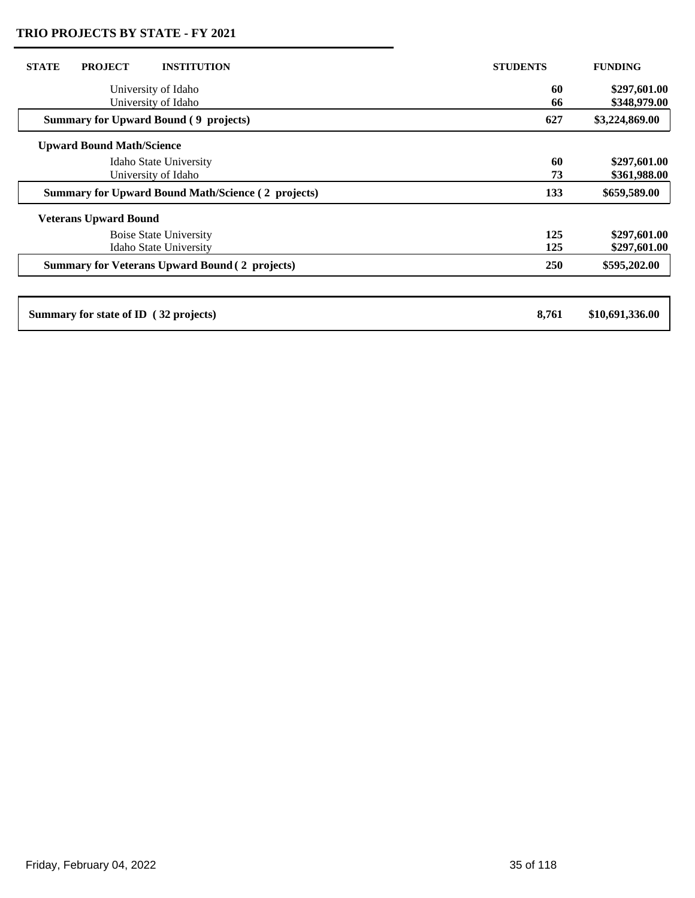| <b>STATE</b><br><b>PROJECT</b><br><b>INSTITUTION</b>           | <b>STUDENTS</b> | <b>FUNDING</b>               |
|----------------------------------------------------------------|-----------------|------------------------------|
| University of Idaho<br>University of Idaho                     | 60<br>66        | \$297,601.00<br>\$348,979.00 |
| <b>Summary for Upward Bound (9 projects)</b>                   | 627             | \$3,224,869.00               |
| <b>Upward Bound Math/Science</b>                               |                 |                              |
| Idaho State University<br>University of Idaho                  | 60<br>73        | \$297,601.00<br>\$361,988.00 |
| <b>Summary for Upward Bound Math/Science (2 projects)</b>      | 133             | \$659,589.00                 |
| <b>Veterans Upward Bound</b>                                   |                 |                              |
| <b>Boise State University</b><br><b>Idaho State University</b> | 125<br>125      | \$297,601.00<br>\$297,601.00 |
| <b>Summary for Veterans Upward Bound (2 projects)</b>          | <b>250</b>      | \$595,202.00                 |
|                                                                |                 |                              |
| Summary for state of ID (32 projects)                          | 8,761           | \$10,691,336.00              |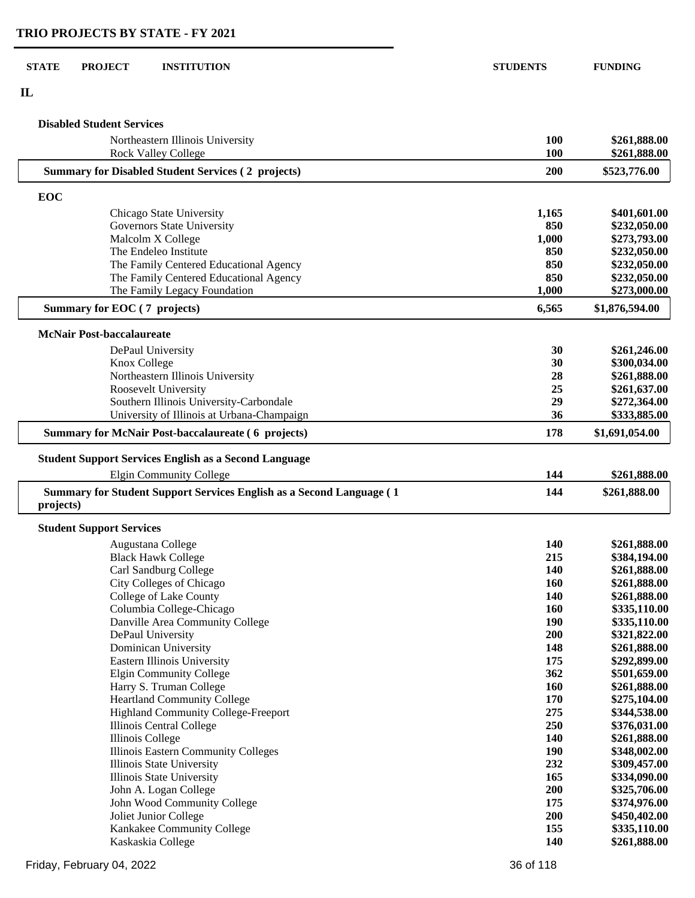| <b>STATE</b><br><b>PROJECT</b><br><b>INSTITUTION</b>                               | <b>STUDENTS</b> | <b>FUNDING</b>               |
|------------------------------------------------------------------------------------|-----------------|------------------------------|
| $\mathbf{I}$                                                                       |                 |                              |
| <b>Disabled Student Services</b>                                                   |                 |                              |
| Northeastern Illinois University<br><b>Rock Valley College</b>                     | 100<br>100      | \$261,888.00<br>\$261,888.00 |
| <b>Summary for Disabled Student Services (2 projects)</b>                          | 200             | \$523,776.00                 |
| EOC                                                                                |                 |                              |
| Chicago State University                                                           | 1,165           | \$401,601.00                 |
| Governors State University                                                         | 850             | \$232,050.00                 |
| Malcolm X College                                                                  | 1,000           | \$273,793.00                 |
| The Endeleo Institute                                                              | 850             | \$232,050.00                 |
| The Family Centered Educational Agency                                             | 850             | \$232,050.00                 |
| The Family Centered Educational Agency                                             | 850             | \$232,050.00                 |
| The Family Legacy Foundation                                                       | 1,000           | \$273,000.00                 |
| Summary for EOC (7 projects)                                                       | 6,565           | \$1,876,594.00               |
| <b>McNair Post-baccalaureate</b>                                                   |                 |                              |
| DePaul University                                                                  | 30              | \$261,246.00                 |
| Knox College                                                                       | 30              | \$300,034.00                 |
| Northeastern Illinois University                                                   | 28              | \$261,888.00                 |
| Roosevelt University                                                               | 25              | \$261,637.00                 |
| Southern Illinois University-Carbondale                                            | 29              | \$272,364.00                 |
| University of Illinois at Urbana-Champaign                                         | 36              | \$333,885.00                 |
| <b>Summary for McNair Post-baccalaureate (6 projects)</b>                          | 178             | \$1,691,054.00               |
| <b>Student Support Services English as a Second Language</b>                       |                 |                              |
| <b>Elgin Community College</b>                                                     | 144             | \$261,888.00                 |
| Summary for Student Support Services English as a Second Language (1)<br>projects) | 144             | \$261,888.00                 |
| <b>Student Support Services</b>                                                    |                 |                              |
| Augustana College                                                                  | 140             | \$261,888.00                 |
| <b>Black Hawk College</b>                                                          | 215             | \$384,194.00                 |
| Carl Sandburg College                                                              | 140             | \$261,888.00                 |
| City Colleges of Chicago                                                           | 160             | \$261,888.00                 |
| College of Lake County                                                             | 140             | \$261,888.00                 |
| Columbia College-Chicago                                                           | 160             | \$335,110.00                 |
| Danville Area Community College                                                    | <b>190</b>      | \$335,110.00                 |
| DePaul University                                                                  | 200             | \$321,822.00                 |
| Dominican University                                                               | 148             | \$261,888.00                 |
| Eastern Illinois University                                                        | 175             | \$292,899.00                 |
| <b>Elgin Community College</b>                                                     | 362             | \$501,659.00                 |
| Harry S. Truman College                                                            | 160             | \$261,888.00                 |
| <b>Heartland Community College</b>                                                 | 170             | \$275,104.00                 |
| Highland Community College-Freeport                                                | 275             | \$344,538.00                 |
| Illinois Central College                                                           | 250             | \$376,031.00                 |
| Illinois College                                                                   | 140             | \$261,888.00                 |
| Illinois Eastern Community Colleges                                                | <b>190</b>      | \$348,002.00                 |
| Illinois State University<br>Illinois State University                             | 232<br>165      | \$309,457.00<br>\$334,090.00 |
| John A. Logan College                                                              | 200             | \$325,706.00                 |
|                                                                                    |                 |                              |

 John A. Logan College **200 \$325,706.00** John Wood Community College **175 \$374,976.00**

**Kaskaskia College 140** 

 Joliet Junior College **200 \$450,402.00** Kankakee Community College **155 \$335,110.00**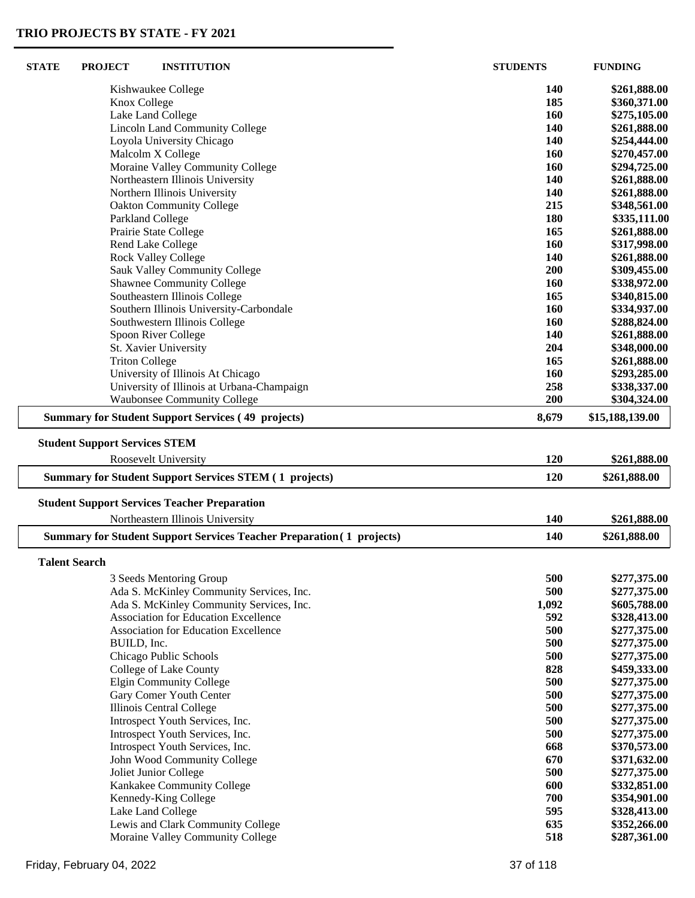| <b>STATE</b>         | <b>PROJECT</b>                       | <b>INSTITUTION</b>                                                                      | <b>STUDENTS</b> | <b>FUNDING</b>               |
|----------------------|--------------------------------------|-----------------------------------------------------------------------------------------|-----------------|------------------------------|
|                      |                                      | Kishwaukee College                                                                      | 140             | \$261,888.00                 |
|                      | Knox College                         |                                                                                         | 185             | \$360,371.00                 |
|                      |                                      | Lake Land College                                                                       | 160             | \$275,105.00                 |
|                      |                                      | <b>Lincoln Land Community College</b>                                                   | 140             | \$261,888.00                 |
|                      |                                      | Loyola University Chicago                                                               | 140             | \$254,444.00                 |
|                      |                                      | Malcolm X College                                                                       | 160             | \$270,457.00                 |
|                      |                                      | Moraine Valley Community College                                                        | 160             | \$294,725.00                 |
|                      |                                      | Northeastern Illinois University                                                        | 140             | \$261,888.00                 |
|                      |                                      | Northern Illinois University                                                            | 140             | \$261,888.00                 |
|                      |                                      | <b>Oakton Community College</b>                                                         | 215             | \$348,561.00                 |
|                      |                                      | Parkland College                                                                        | 180             | \$335,111.00                 |
|                      |                                      | Prairie State College                                                                   | 165             | \$261,888.00                 |
|                      |                                      | Rend Lake College                                                                       | 160             | \$317,998.00                 |
|                      |                                      | <b>Rock Valley College</b>                                                              | 140             | \$261,888.00                 |
|                      |                                      | Sauk Valley Community College                                                           | 200             | \$309,455.00                 |
|                      |                                      | <b>Shawnee Community College</b>                                                        | 160             | \$338,972.00                 |
|                      |                                      | Southeastern Illinois College                                                           | 165             | \$340,815.00                 |
|                      |                                      | Southern Illinois University-Carbondale                                                 | 160             | \$334,937.00                 |
|                      |                                      | Southwestern Illinois College                                                           | 160             | \$288,824.00                 |
|                      |                                      | Spoon River College<br>St. Xavier University                                            | 140<br>204      | \$261,888.00<br>\$348,000.00 |
|                      | <b>Triton College</b>                |                                                                                         | 165             | \$261,888.00                 |
|                      |                                      | University of Illinois At Chicago                                                       | 160             | \$293,285.00                 |
|                      |                                      | University of Illinois at Urbana-Champaign                                              | 258             | \$338,337.00                 |
|                      |                                      | <b>Waubonsee Community College</b>                                                      | 200             | \$304,324.00                 |
|                      |                                      | <b>Summary for Student Support Services (49 projects)</b>                               | 8,679           | \$15,188,139.00              |
|                      | <b>Student Support Services STEM</b> |                                                                                         |                 |                              |
|                      |                                      | Roosevelt University                                                                    | 120             | \$261,888.00                 |
|                      |                                      | <b>Summary for Student Support Services STEM (1 projects)</b>                           | 120             | \$261,888.00                 |
|                      |                                      |                                                                                         |                 |                              |
|                      |                                      | <b>Student Support Services Teacher Preparation</b><br>Northeastern Illinois University | 140             | \$261,888.00                 |
|                      |                                      | <b>Summary for Student Support Services Teacher Preparation (1 projects)</b>            | 140             | \$261,888.00                 |
|                      |                                      |                                                                                         |                 |                              |
| <b>Talent Search</b> |                                      |                                                                                         |                 |                              |
|                      |                                      | 3 Seeds Mentoring Group                                                                 | 500             | \$277,375.00                 |
|                      |                                      | Ada S. McKinley Community Services, Inc.                                                | 500             | \$277,375.00                 |
|                      |                                      | Ada S. McKinley Community Services, Inc.                                                | 1,092           | \$605,788.00                 |
|                      |                                      | <b>Association for Education Excellence</b>                                             | 592             | \$328,413.00                 |
|                      |                                      | Association for Education Excellence                                                    | 500             | \$277,375.00                 |
|                      | BUILD, Inc.                          |                                                                                         | 500             | \$277,375.00                 |
|                      |                                      | Chicago Public Schools                                                                  | 500             | \$277,375.00                 |
|                      |                                      | College of Lake County                                                                  | 828             | \$459,333.00                 |
|                      |                                      | <b>Elgin Community College</b><br>Gary Comer Youth Center                               | 500<br>500      | \$277,375.00                 |
|                      |                                      |                                                                                         | 500             | \$277,375.00<br>\$277,375.00 |
|                      |                                      | Illinois Central College<br>Introspect Youth Services, Inc.                             | 500             | \$277,375.00                 |
|                      |                                      | Introspect Youth Services, Inc.                                                         | 500             | \$277,375.00                 |
|                      |                                      | Introspect Youth Services, Inc.                                                         | 668             | \$370,573.00                 |
|                      |                                      | John Wood Community College                                                             | 670             | \$371,632.00                 |
|                      |                                      | Joliet Junior College                                                                   | 500             | \$277,375.00                 |
|                      |                                      | Kankakee Community College                                                              | 600             | \$332,851.00                 |
|                      |                                      | Kennedy-King College                                                                    | 700             | \$354,901.00                 |
|                      |                                      | Lake Land College                                                                       | 595             | \$328,413.00                 |
|                      |                                      | Lewis and Clark Community College                                                       | 635             | \$352,266.00                 |
|                      |                                      | Moraine Valley Community College                                                        | 518             | \$287,361.00                 |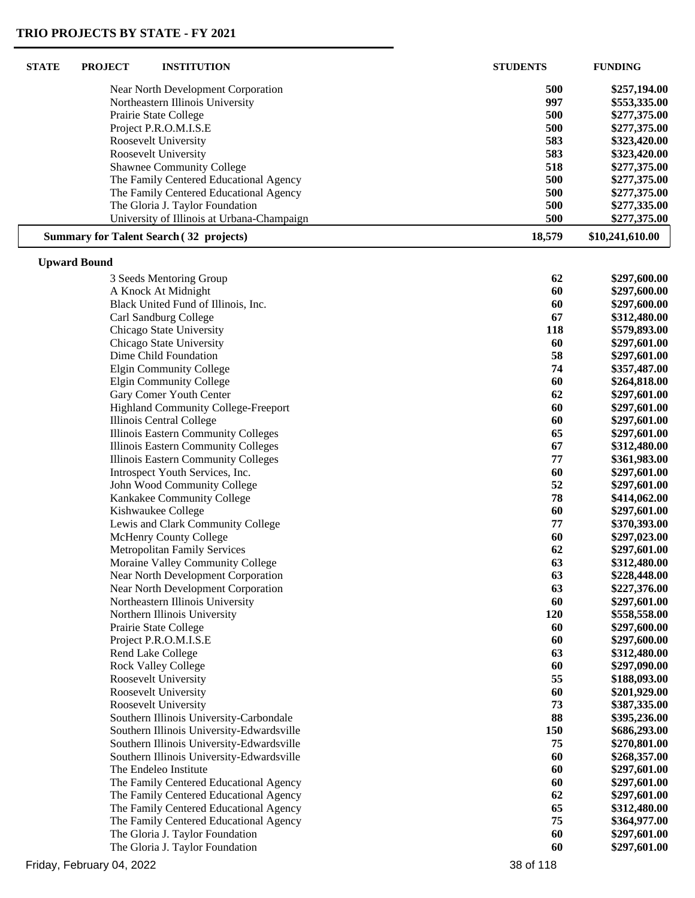| <b>STATE</b> | <b>PROJECT</b>      | <b>INSTITUTION</b>                                            | <b>STUDENTS</b> | <b>FUNDING</b>               |
|--------------|---------------------|---------------------------------------------------------------|-----------------|------------------------------|
|              |                     | Near North Development Corporation                            | 500             | \$257,194.00                 |
|              |                     | Northeastern Illinois University                              | 997             | \$553,335.00                 |
|              |                     | Prairie State College                                         | 500             | \$277,375.00                 |
|              |                     | Project P.R.O.M.I.S.E                                         | 500             | \$277,375.00                 |
|              |                     | Roosevelt University                                          | 583             | \$323,420.00                 |
|              |                     | Roosevelt University                                          | 583             | \$323,420.00                 |
|              |                     | <b>Shawnee Community College</b>                              | 518             | \$277,375.00                 |
|              |                     | The Family Centered Educational Agency                        | 500             | \$277,375.00                 |
|              |                     | The Family Centered Educational Agency                        | 500             | \$277,375.00                 |
|              |                     | The Gloria J. Taylor Foundation                               | 500             | \$277,335.00                 |
|              |                     | University of Illinois at Urbana-Champaign                    | 500             | \$277,375.00                 |
|              |                     | <b>Summary for Talent Search (32 projects)</b>                | 18,579          | \$10,241,610.00              |
|              | <b>Upward Bound</b> |                                                               |                 |                              |
|              |                     | 3 Seeds Mentoring Group                                       | 62              | \$297,600.00                 |
|              |                     | A Knock At Midnight                                           | 60              | \$297,600.00                 |
|              |                     | Black United Fund of Illinois, Inc.                           | 60              | \$297,600.00                 |
|              |                     | Carl Sandburg College                                         | 67              | \$312,480.00                 |
|              |                     | Chicago State University                                      | 118             | \$579,893.00                 |
|              |                     | Chicago State University                                      | 60              | \$297,601.00                 |
|              |                     | Dime Child Foundation                                         | 58              | \$297,601.00                 |
|              |                     | <b>Elgin Community College</b>                                | 74              | \$357,487.00                 |
|              |                     | <b>Elgin Community College</b>                                | 60              | \$264,818.00                 |
|              |                     | Gary Comer Youth Center                                       | 62              | \$297,601.00                 |
|              |                     | <b>Highland Community College-Freeport</b>                    | 60              | \$297,601.00                 |
|              |                     | Illinois Central College                                      | 60              | \$297,601.00                 |
|              |                     | Illinois Eastern Community Colleges                           | 65              | \$297,601.00                 |
|              |                     | Illinois Eastern Community Colleges                           | 67              | \$312,480.00                 |
|              |                     | <b>Illinois Eastern Community Colleges</b>                    | 77              | \$361,983.00                 |
|              |                     | Introspect Youth Services, Inc.                               | 60              | \$297,601.00                 |
|              |                     | John Wood Community College                                   | 52              | \$297,601.00                 |
|              |                     | Kankakee Community College                                    | 78              | \$414,062.00                 |
|              |                     | Kishwaukee College<br>Lewis and Clark Community College       | 60<br>77        | \$297,601.00                 |
|              |                     |                                                               | 60              | \$370,393.00<br>\$297,023.00 |
|              |                     | McHenry County College<br><b>Metropolitan Family Services</b> | 62              | \$297,601.00                 |
|              |                     | Moraine Valley Community College                              | 63              | \$312,480.00                 |
|              |                     | Near North Development Corporation                            | 63              | \$228,448.00                 |
|              |                     | Near North Development Corporation                            | 63              | \$227,376.00                 |
|              |                     | Northeastern Illinois University                              | 60              | \$297,601.00                 |
|              |                     | Northern Illinois University                                  | 120             | \$558,558.00                 |
|              |                     | Prairie State College                                         | 60              | \$297,600.00                 |
|              |                     | Project P.R.O.M.I.S.E                                         | 60              | \$297,600.00                 |
|              |                     | Rend Lake College                                             | 63              | \$312,480.00                 |
|              |                     | <b>Rock Valley College</b>                                    | 60              | \$297,090.00                 |
|              |                     | Roosevelt University                                          | 55              | \$188,093.00                 |
|              |                     | Roosevelt University                                          | 60              | \$201,929.00                 |
|              |                     | Roosevelt University                                          | 73              | \$387,335.00                 |
|              |                     | Southern Illinois University-Carbondale                       | 88              | \$395,236.00                 |
|              |                     | Southern Illinois University-Edwardsville                     | 150             | \$686,293.00                 |
|              |                     | Southern Illinois University-Edwardsville                     | 75              | \$270,801.00                 |
|              |                     | Southern Illinois University-Edwardsville                     | 60              | \$268,357.00                 |
|              |                     | The Endeleo Institute                                         | 60              | \$297,601.00                 |
|              |                     | The Family Centered Educational Agency                        | 60              | \$297,601.00                 |
|              |                     | The Family Centered Educational Agency                        | 62              | \$297,601.00                 |
|              |                     | The Family Centered Educational Agency                        | 65              | \$312,480.00                 |
|              |                     | The Family Centered Educational Agency                        | 75              | \$364,977.00                 |
|              |                     | The Gloria J. Taylor Foundation                               | 60              | \$297,601.00                 |
|              |                     | The Gloria J. Taylor Foundation                               | 60              | \$297,601.00                 |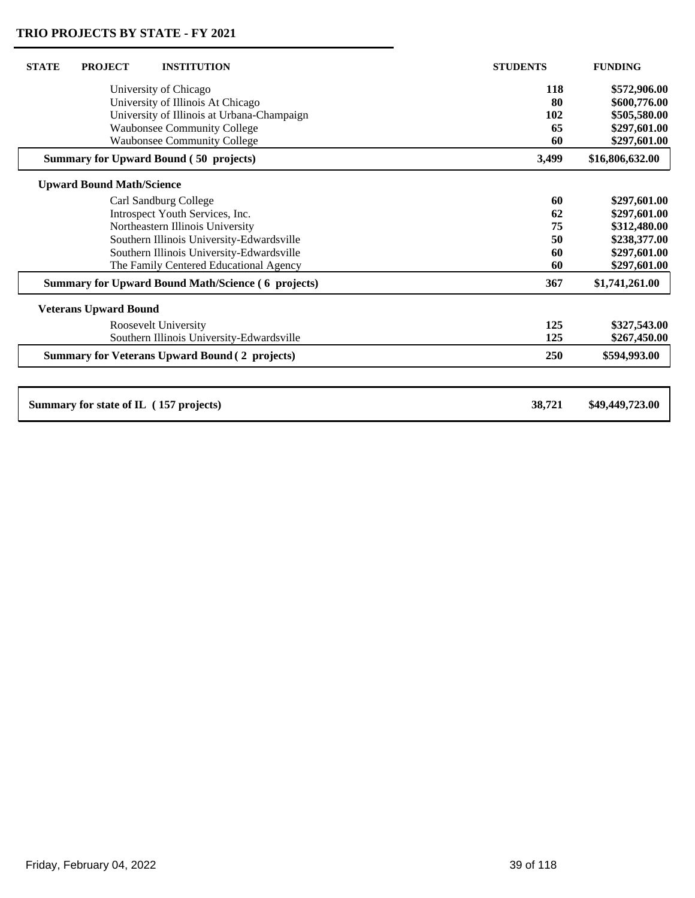| <b>STATE</b><br><b>PROJECT</b><br><b>INSTITUTION</b>      | <b>STUDENTS</b> | <b>FUNDING</b>  |
|-----------------------------------------------------------|-----------------|-----------------|
| University of Chicago                                     | 118             | \$572,906.00    |
| University of Illinois At Chicago                         | 80              | \$600,776.00    |
| University of Illinois at Urbana-Champaign                | 102             | \$505,580.00    |
| <b>Waubonsee Community College</b>                        | 65              | \$297,601.00    |
| <b>Waubonsee Community College</b>                        | 60              | \$297,601.00    |
| <b>Summary for Upward Bound (50 projects)</b>             | 3,499           | \$16,806,632.00 |
| <b>Upward Bound Math/Science</b>                          |                 |                 |
| Carl Sandburg College                                     | 60              | \$297,601.00    |
| Introspect Youth Services, Inc.                           | 62              | \$297,601.00    |
| Northeastern Illinois University                          | 75              | \$312,480.00    |
| Southern Illinois University-Edwardsville                 | 50              | \$238,377.00    |
| Southern Illinois University-Edwardsville                 | 60              | \$297,601.00    |
| The Family Centered Educational Agency                    | 60              | \$297,601.00    |
| <b>Summary for Upward Bound Math/Science (6 projects)</b> | 367             | \$1,741,261.00  |
| <b>Veterans Upward Bound</b>                              |                 |                 |
| Roosevelt University                                      | 125             | \$327,543.00    |
| Southern Illinois University-Edwardsville                 | 125             | \$267,450.00    |
| <b>Summary for Veterans Upward Bound (2 projects)</b>     | 250             | \$594,993.00    |
|                                                           |                 |                 |
| Summary for state of IL (157 projects)                    | 38,721          | \$49,449,723.00 |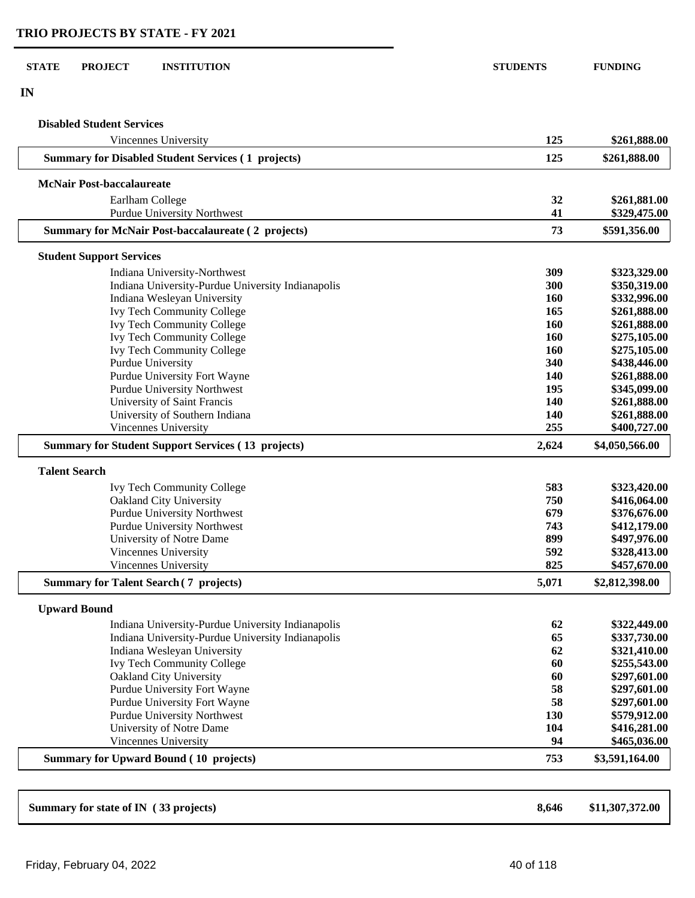### **STATE PROJECT INSTITUTION STUDENTS FUNDING**

**IN**

 $\sqrt{2}$ 

| <b>Disabled Student Services</b>                                  |                   |                              |
|-------------------------------------------------------------------|-------------------|------------------------------|
| Vincennes University                                              | 125               | \$261,888.00                 |
| <b>Summary for Disabled Student Services (1 projects)</b>         | 125               | \$261,888.00                 |
| <b>McNair Post-baccalaureate</b>                                  |                   |                              |
| Earlham College                                                   | 32                | \$261,881.00                 |
| <b>Purdue University Northwest</b>                                | 41                | \$329,475.00                 |
| <b>Summary for McNair Post-baccalaureate (2 projects)</b>         | 73                | \$591,356.00                 |
| <b>Student Support Services</b>                                   |                   |                              |
| Indiana University-Northwest                                      | 309               | \$323,329.00                 |
| Indiana University-Purdue University Indianapolis                 | 300               | \$350,319.00                 |
| Indiana Wesleyan University                                       | 160               | \$332,996.00                 |
| <b>Ivy Tech Community College</b>                                 | 165               | \$261,888.00                 |
| <b>Ivy Tech Community College</b>                                 | 160               | \$261,888.00                 |
| <b>Ivy Tech Community College</b>                                 | 160               | \$275,105.00                 |
| <b>Ivy Tech Community College</b>                                 | 160               | \$275,105.00                 |
| <b>Purdue University</b>                                          | 340               | \$438,446.00                 |
| Purdue University Fort Wayne                                      | 140               | \$261,888.00                 |
| <b>Purdue University Northwest</b><br>University of Saint Francis | 195<br><b>140</b> | \$345,099.00<br>\$261,888.00 |
| University of Southern Indiana                                    | 140               | \$261,888.00                 |
| <b>Vincennes University</b>                                       | 255               | \$400,727.00                 |
|                                                                   |                   |                              |
| <b>Summary for Student Support Services (13 projects)</b>         | 2,624             | \$4,050,566.00               |
| <b>Talent Search</b>                                              |                   |                              |
| <b>Ivy Tech Community College</b>                                 | 583               | \$323,420.00                 |
| Oakland City University                                           | 750               | \$416,064.00                 |
| Purdue University Northwest                                       | 679               | \$376,676.00                 |
| <b>Purdue University Northwest</b>                                | 743               | \$412,179.00                 |
| University of Notre Dame                                          | 899               | \$497,976.00                 |
| Vincennes University                                              | 592               | \$328,413.00                 |
| <b>Vincennes University</b>                                       | 825               | \$457,670.00                 |
| <b>Summary for Talent Search (7 projects)</b>                     | 5,071             | \$2,812,398.00               |
| <b>Upward Bound</b>                                               |                   |                              |
| Indiana University-Purdue University Indianapolis                 | 62                | \$322,449.00                 |
| Indiana University-Purdue University Indianapolis                 | 65                | \$337,730.00                 |
| Indiana Wesleyan University                                       | 62                | \$321,410.00                 |
| <b>Ivy Tech Community College</b>                                 | 60                | \$255,543.00                 |
| Oakland City University                                           | 60                | \$297,601.00                 |
| Purdue University Fort Wayne                                      | 58                | \$297,601.00                 |
| Purdue University Fort Wayne                                      | 58                | \$297,601.00                 |
| <b>Purdue University Northwest</b>                                | <b>130</b>        | \$579,912.00                 |
| University of Notre Dame                                          | 104               | \$416,281.00                 |
| <b>Vincennes University</b>                                       | 94                | \$465,036.00                 |
| <b>Summary for Upward Bound (10 projects)</b>                     | 753               | \$3,591,164.00               |
|                                                                   |                   |                              |

| Summary for state of IN (33 projects) | 8,646 | \$11,307,372.00 |
|---------------------------------------|-------|-----------------|
|---------------------------------------|-------|-----------------|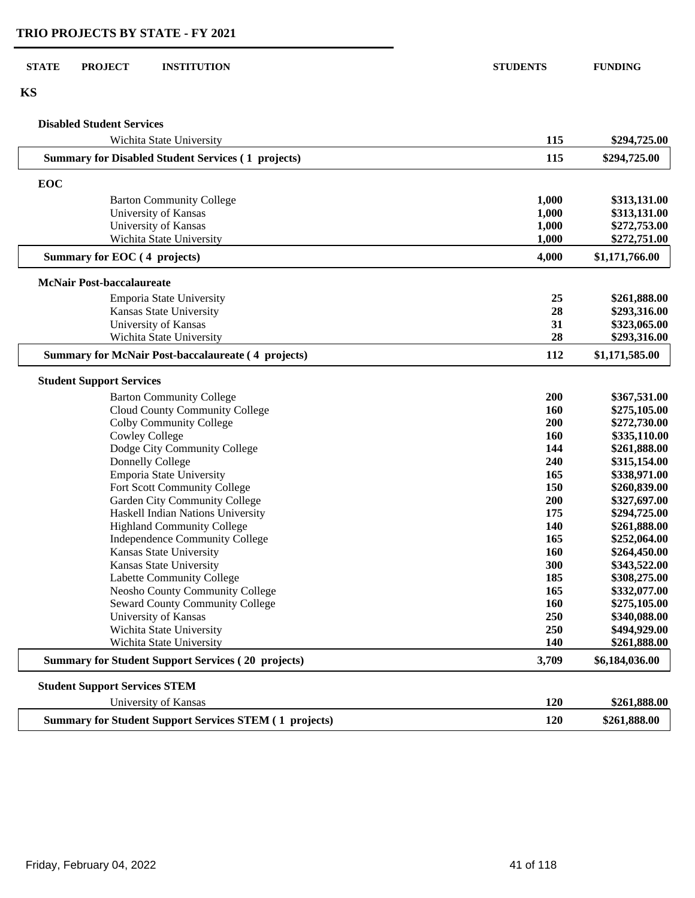#### **STATE PROJECT INSTITUTION STUDENTS FUNDING**

#### **KS**

| <b>Disabled Student Services</b>                                                                                                                                                                                                                                                                                                                                                                                                                                                                                                                                                                                                                                                                                                                                                                                                                                                                                                                                                                                                                                                                                                                                                                                                      |            |                |
|---------------------------------------------------------------------------------------------------------------------------------------------------------------------------------------------------------------------------------------------------------------------------------------------------------------------------------------------------------------------------------------------------------------------------------------------------------------------------------------------------------------------------------------------------------------------------------------------------------------------------------------------------------------------------------------------------------------------------------------------------------------------------------------------------------------------------------------------------------------------------------------------------------------------------------------------------------------------------------------------------------------------------------------------------------------------------------------------------------------------------------------------------------------------------------------------------------------------------------------|------------|----------------|
| Wichita State University                                                                                                                                                                                                                                                                                                                                                                                                                                                                                                                                                                                                                                                                                                                                                                                                                                                                                                                                                                                                                                                                                                                                                                                                              | 115        | \$294,725.00   |
| <b>Summary for Disabled Student Services (1 projects)</b>                                                                                                                                                                                                                                                                                                                                                                                                                                                                                                                                                                                                                                                                                                                                                                                                                                                                                                                                                                                                                                                                                                                                                                             | 115        | \$294,725.00   |
| EOC<br><b>Barton Community College</b><br>University of Kansas<br>University of Kansas<br>Wichita State University<br>Summary for EOC (4 projects)<br><b>McNair Post-baccalaureate</b><br>Emporia State University<br>Kansas State University<br>University of Kansas<br>Wichita State University<br><b>Summary for McNair Post-baccalaureate (4 projects)</b><br><b>Student Support Services</b><br><b>Barton Community College</b><br>Cloud County Community College<br>Colby Community College<br><b>Cowley College</b><br>Dodge City Community College<br>Donnelly College<br>Emporia State University<br>Fort Scott Community College<br>Garden City Community College<br>Haskell Indian Nations University<br><b>Highland Community College</b><br>Independence Community College<br>Kansas State University<br>Kansas State University<br>Labette Community College<br>Neosho County Community College<br><b>Seward County Community College</b><br>University of Kansas<br>Wichita State University<br>Wichita State University<br><b>Summary for Student Support Services (20 projects)</b><br><b>Student Support Services STEM</b><br>University of Kansas<br><b>Summary for Student Support Services STEM (1 projects)</b> |            |                |
|                                                                                                                                                                                                                                                                                                                                                                                                                                                                                                                                                                                                                                                                                                                                                                                                                                                                                                                                                                                                                                                                                                                                                                                                                                       | 1,000      | \$313,131.00   |
|                                                                                                                                                                                                                                                                                                                                                                                                                                                                                                                                                                                                                                                                                                                                                                                                                                                                                                                                                                                                                                                                                                                                                                                                                                       | 1,000      | \$313,131.00   |
|                                                                                                                                                                                                                                                                                                                                                                                                                                                                                                                                                                                                                                                                                                                                                                                                                                                                                                                                                                                                                                                                                                                                                                                                                                       | 1,000      | \$272,753.00   |
|                                                                                                                                                                                                                                                                                                                                                                                                                                                                                                                                                                                                                                                                                                                                                                                                                                                                                                                                                                                                                                                                                                                                                                                                                                       | 1,000      | \$272,751.00   |
|                                                                                                                                                                                                                                                                                                                                                                                                                                                                                                                                                                                                                                                                                                                                                                                                                                                                                                                                                                                                                                                                                                                                                                                                                                       | 4,000      | \$1,171,766.00 |
|                                                                                                                                                                                                                                                                                                                                                                                                                                                                                                                                                                                                                                                                                                                                                                                                                                                                                                                                                                                                                                                                                                                                                                                                                                       |            |                |
|                                                                                                                                                                                                                                                                                                                                                                                                                                                                                                                                                                                                                                                                                                                                                                                                                                                                                                                                                                                                                                                                                                                                                                                                                                       | 25         | \$261,888.00   |
|                                                                                                                                                                                                                                                                                                                                                                                                                                                                                                                                                                                                                                                                                                                                                                                                                                                                                                                                                                                                                                                                                                                                                                                                                                       | 28         | \$293,316.00   |
|                                                                                                                                                                                                                                                                                                                                                                                                                                                                                                                                                                                                                                                                                                                                                                                                                                                                                                                                                                                                                                                                                                                                                                                                                                       | 31         | \$323,065.00   |
|                                                                                                                                                                                                                                                                                                                                                                                                                                                                                                                                                                                                                                                                                                                                                                                                                                                                                                                                                                                                                                                                                                                                                                                                                                       | 28         | \$293,316.00   |
|                                                                                                                                                                                                                                                                                                                                                                                                                                                                                                                                                                                                                                                                                                                                                                                                                                                                                                                                                                                                                                                                                                                                                                                                                                       | 112        | \$1,171,585.00 |
|                                                                                                                                                                                                                                                                                                                                                                                                                                                                                                                                                                                                                                                                                                                                                                                                                                                                                                                                                                                                                                                                                                                                                                                                                                       |            |                |
|                                                                                                                                                                                                                                                                                                                                                                                                                                                                                                                                                                                                                                                                                                                                                                                                                                                                                                                                                                                                                                                                                                                                                                                                                                       | 200        | \$367,531.00   |
|                                                                                                                                                                                                                                                                                                                                                                                                                                                                                                                                                                                                                                                                                                                                                                                                                                                                                                                                                                                                                                                                                                                                                                                                                                       | 160        | \$275,105.00   |
|                                                                                                                                                                                                                                                                                                                                                                                                                                                                                                                                                                                                                                                                                                                                                                                                                                                                                                                                                                                                                                                                                                                                                                                                                                       | 200        | \$272,730.00   |
|                                                                                                                                                                                                                                                                                                                                                                                                                                                                                                                                                                                                                                                                                                                                                                                                                                                                                                                                                                                                                                                                                                                                                                                                                                       | <b>160</b> | \$335,110.00   |
|                                                                                                                                                                                                                                                                                                                                                                                                                                                                                                                                                                                                                                                                                                                                                                                                                                                                                                                                                                                                                                                                                                                                                                                                                                       | 144        | \$261,888.00   |
|                                                                                                                                                                                                                                                                                                                                                                                                                                                                                                                                                                                                                                                                                                                                                                                                                                                                                                                                                                                                                                                                                                                                                                                                                                       | 240        | \$315,154.00   |
|                                                                                                                                                                                                                                                                                                                                                                                                                                                                                                                                                                                                                                                                                                                                                                                                                                                                                                                                                                                                                                                                                                                                                                                                                                       | 165        | \$338,971.00   |
|                                                                                                                                                                                                                                                                                                                                                                                                                                                                                                                                                                                                                                                                                                                                                                                                                                                                                                                                                                                                                                                                                                                                                                                                                                       | 150        | \$260,839.00   |
|                                                                                                                                                                                                                                                                                                                                                                                                                                                                                                                                                                                                                                                                                                                                                                                                                                                                                                                                                                                                                                                                                                                                                                                                                                       | 200        | \$327,697.00   |
|                                                                                                                                                                                                                                                                                                                                                                                                                                                                                                                                                                                                                                                                                                                                                                                                                                                                                                                                                                                                                                                                                                                                                                                                                                       | 175        | \$294,725.00   |
|                                                                                                                                                                                                                                                                                                                                                                                                                                                                                                                                                                                                                                                                                                                                                                                                                                                                                                                                                                                                                                                                                                                                                                                                                                       | 140        | \$261,888.00   |
|                                                                                                                                                                                                                                                                                                                                                                                                                                                                                                                                                                                                                                                                                                                                                                                                                                                                                                                                                                                                                                                                                                                                                                                                                                       | 165        | \$252,064.00   |
|                                                                                                                                                                                                                                                                                                                                                                                                                                                                                                                                                                                                                                                                                                                                                                                                                                                                                                                                                                                                                                                                                                                                                                                                                                       | 160        | \$264,450.00   |
|                                                                                                                                                                                                                                                                                                                                                                                                                                                                                                                                                                                                                                                                                                                                                                                                                                                                                                                                                                                                                                                                                                                                                                                                                                       | 300        | \$343,522.00   |
|                                                                                                                                                                                                                                                                                                                                                                                                                                                                                                                                                                                                                                                                                                                                                                                                                                                                                                                                                                                                                                                                                                                                                                                                                                       | 185        | \$308,275.00   |
|                                                                                                                                                                                                                                                                                                                                                                                                                                                                                                                                                                                                                                                                                                                                                                                                                                                                                                                                                                                                                                                                                                                                                                                                                                       | 165        | \$332,077.00   |
|                                                                                                                                                                                                                                                                                                                                                                                                                                                                                                                                                                                                                                                                                                                                                                                                                                                                                                                                                                                                                                                                                                                                                                                                                                       | 160        | \$275,105.00   |
|                                                                                                                                                                                                                                                                                                                                                                                                                                                                                                                                                                                                                                                                                                                                                                                                                                                                                                                                                                                                                                                                                                                                                                                                                                       | 250        | \$340,088.00   |
|                                                                                                                                                                                                                                                                                                                                                                                                                                                                                                                                                                                                                                                                                                                                                                                                                                                                                                                                                                                                                                                                                                                                                                                                                                       | 250        | \$494,929.00   |
|                                                                                                                                                                                                                                                                                                                                                                                                                                                                                                                                                                                                                                                                                                                                                                                                                                                                                                                                                                                                                                                                                                                                                                                                                                       | 140        | \$261,888.00   |
|                                                                                                                                                                                                                                                                                                                                                                                                                                                                                                                                                                                                                                                                                                                                                                                                                                                                                                                                                                                                                                                                                                                                                                                                                                       | 3,709      | \$6,184,036.00 |
|                                                                                                                                                                                                                                                                                                                                                                                                                                                                                                                                                                                                                                                                                                                                                                                                                                                                                                                                                                                                                                                                                                                                                                                                                                       |            |                |
|                                                                                                                                                                                                                                                                                                                                                                                                                                                                                                                                                                                                                                                                                                                                                                                                                                                                                                                                                                                                                                                                                                                                                                                                                                       | 120        | \$261,888.00   |
|                                                                                                                                                                                                                                                                                                                                                                                                                                                                                                                                                                                                                                                                                                                                                                                                                                                                                                                                                                                                                                                                                                                                                                                                                                       | 120        | \$261,888.00   |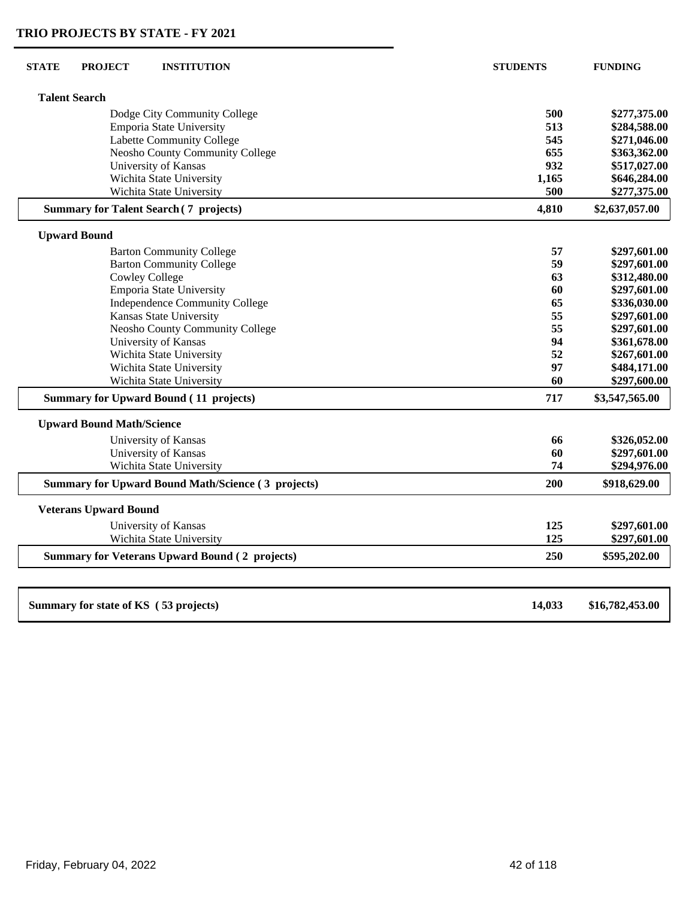| <b>Talent Search</b>                                      |        |                 |
|-----------------------------------------------------------|--------|-----------------|
| Dodge City Community College                              | 500    | \$277,375.00    |
| Emporia State University                                  | 513    | \$284,588.00    |
| Labette Community College                                 | 545    | \$271,046.00    |
| Neosho County Community College                           | 655    | \$363,362.00    |
| University of Kansas                                      | 932    | \$517,027.00    |
| Wichita State University                                  | 1,165  | \$646,284.00    |
| Wichita State University                                  | 500    | \$277,375.00    |
| <b>Summary for Talent Search (7 projects)</b>             | 4,810  | \$2,637,057.00  |
| <b>Upward Bound</b>                                       |        |                 |
| <b>Barton Community College</b>                           | 57     | \$297,601.00    |
| <b>Barton Community College</b>                           | 59     | \$297,601.00    |
| <b>Cowley College</b>                                     | 63     | \$312,480.00    |
| Emporia State University                                  | 60     | \$297,601.00    |
| <b>Independence Community College</b>                     | 65     | \$336,030.00    |
| Kansas State University                                   | 55     | \$297,601.00    |
| Neosho County Community College                           | 55     | \$297,601.00    |
| University of Kansas                                      | 94     | \$361,678.00    |
| Wichita State University                                  | 52     | \$267,601.00    |
| Wichita State University                                  | 97     | \$484,171.00    |
| Wichita State University                                  | 60     | \$297,600.00    |
| <b>Summary for Upward Bound (11 projects)</b>             | 717    | \$3,547,565.00  |
| <b>Upward Bound Math/Science</b>                          |        |                 |
| University of Kansas                                      | 66     | \$326,052.00    |
| University of Kansas                                      | 60     | \$297,601.00    |
| Wichita State University                                  | 74     | \$294,976.00    |
| <b>Summary for Upward Bound Math/Science (3 projects)</b> | 200    | \$918,629.00    |
| <b>Veterans Upward Bound</b>                              |        |                 |
| University of Kansas                                      | 125    | \$297,601.00    |
| Wichita State University                                  | 125    | \$297,601.00    |
| <b>Summary for Veterans Upward Bound (2 projects)</b>     | 250    | \$595,202.00    |
| Summary for state of KS (53 projects)                     | 14,033 | \$16,782,453.00 |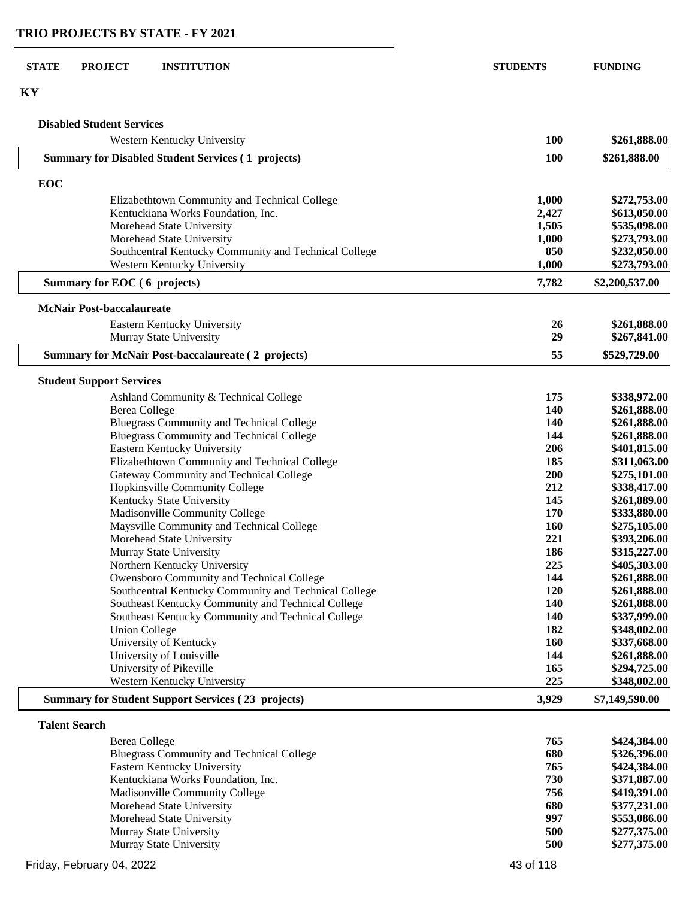#### **STATE PROJECT INSTITUTION STUDENTS FUNDING**

**KY**

#### **Disabled Student Services**

| Western Kentucky University                                              | 100        | \$261,888.00                 |
|--------------------------------------------------------------------------|------------|------------------------------|
| <b>Summary for Disabled Student Services (1 projects)</b>                | 100        | \$261,888.00                 |
| EOC                                                                      |            |                              |
| Elizabethtown Community and Technical College                            | 1,000      | \$272,753.00                 |
| Kentuckiana Works Foundation, Inc.                                       | 2,427      | \$613,050.00                 |
| Morehead State University                                                | 1,505      | \$535,098.00                 |
| Morehead State University                                                | 1,000      | \$273,793.00                 |
| Southcentral Kentucky Community and Technical College                    | 850        | \$232,050.00                 |
| Western Kentucky University                                              | 1,000      | \$273,793.00                 |
| Summary for EOC (6 projects)                                             | 7,782      | \$2,200,537.00               |
| <b>McNair Post-baccalaureate</b>                                         |            |                              |
| Eastern Kentucky University                                              | 26         | \$261,888.00                 |
| Murray State University                                                  | 29         | \$267,841.00                 |
| <b>Summary for McNair Post-baccalaureate (2 projects)</b>                | 55         | \$529,729.00                 |
|                                                                          |            |                              |
| <b>Student Support Services</b>                                          |            |                              |
| Ashland Community & Technical College                                    | 175        | \$338,972.00                 |
| <b>Berea College</b>                                                     | 140        | \$261,888.00                 |
| <b>Bluegrass Community and Technical College</b>                         | 140        | \$261,888.00                 |
| <b>Bluegrass Community and Technical College</b>                         | 144        | \$261,888.00                 |
| Eastern Kentucky University                                              | 206        | \$401,815.00                 |
| Elizabethtown Community and Technical College                            | 185        | \$311,063.00                 |
| Gateway Community and Technical College                                  | 200        | \$275,101.00                 |
| Hopkinsville Community College                                           | 212        | \$338,417.00                 |
| Kentucky State University                                                | 145<br>170 | \$261,889.00                 |
| Madisonville Community College                                           |            | \$333,880.00                 |
| Maysville Community and Technical College                                | 160<br>221 | \$275,105.00                 |
| Morehead State University<br>Murray State University                     | 186        | \$393,206.00                 |
| Northern Kentucky University                                             | 225        | \$315,227.00<br>\$405,303.00 |
| Owensboro Community and Technical College                                | 144        | \$261,888.00                 |
| Southcentral Kentucky Community and Technical College                    | 120        | \$261,888.00                 |
| Southeast Kentucky Community and Technical College                       | <b>140</b> | \$261,888.00                 |
| Southeast Kentucky Community and Technical College                       | <b>140</b> | \$337,999.00                 |
| <b>Union College</b>                                                     | 182        | \$348,002.00                 |
| University of Kentucky                                                   | <b>160</b> | \$337,668.00                 |
| University of Louisville                                                 | 144        | \$261,888.00                 |
| University of Pikeville                                                  | 165        | \$294,725.00                 |
| Western Kentucky University                                              | 225        | \$348,002.00                 |
| <b>Summary for Student Support Services (23 projects)</b>                | 3,929      | \$7,149,590.00               |
|                                                                          |            |                              |
| <b>Talent Search</b>                                                     | 765        | \$424,384.00                 |
| <b>Berea College</b><br><b>Bluegrass Community and Technical College</b> | 680        | \$326,396.00                 |
| Eastern Kentucky University                                              | 765        | \$424,384.00                 |
| Kentuckiana Works Foundation, Inc.                                       | 730        | \$371,887.00                 |
|                                                                          |            |                              |

Madisonville Community College **756 \$419,391.00**<br>Morehead State University **680 \$377,231.00** Morehead State University<br>
Morehead State University<br> **680 \$377,231.00**<br> **997 \$553,086.00** Morehead State University **997 \$553,086.00**<br>
Murray State University **500 \$277,375.00** Murray State University<br>
Murray State University<br> **500 \$277,375.00**<br> **500 \$277,375.00** 

**Murray State University 500**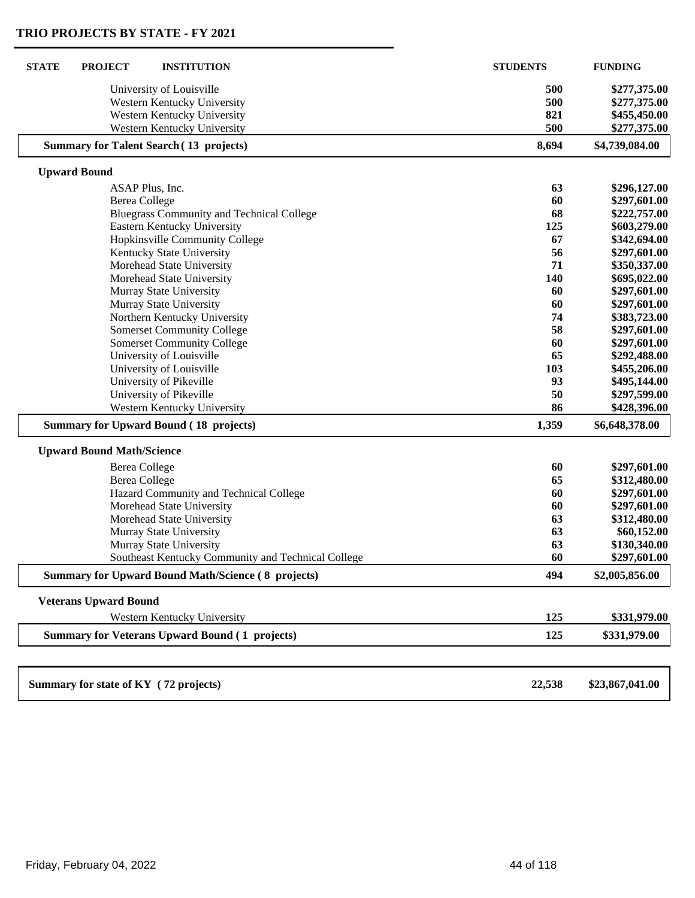| <b>STATE</b><br><b>PROJECT</b><br><b>INSTITUTION</b>      | <b>STUDENTS</b> | <b>FUNDING</b>  |
|-----------------------------------------------------------|-----------------|-----------------|
| University of Louisville                                  | 500             | \$277,375.00    |
| Western Kentucky University                               | 500             | \$277,375.00    |
| Western Kentucky University                               | 821             | \$455,450.00    |
| Western Kentucky University                               | 500             | \$277,375.00    |
| <b>Summary for Talent Search (13 projects)</b>            | 8,694           | \$4,739,084.00  |
| <b>Upward Bound</b>                                       |                 |                 |
| ASAP Plus, Inc.                                           | 63              | \$296,127.00    |
| <b>Berea College</b>                                      | 60              | \$297,601.00    |
| <b>Bluegrass Community and Technical College</b>          | 68              | \$222,757.00    |
| Eastern Kentucky University                               | 125             | \$603,279.00    |
| Hopkinsville Community College                            | 67              | \$342,694.00    |
| Kentucky State University                                 | 56              | \$297,601.00    |
| Morehead State University                                 | 71              | \$350,337.00    |
| Morehead State University                                 | 140             | \$695,022.00    |
| Murray State University                                   | 60              | \$297,601.00    |
| Murray State University                                   | 60              | \$297,601.00    |
| Northern Kentucky University                              | 74              | \$383,723.00    |
| <b>Somerset Community College</b>                         | 58              | \$297,601.00    |
| <b>Somerset Community College</b>                         | 60              | \$297,601.00    |
| University of Louisville                                  | 65              | \$292,488.00    |
| University of Louisville                                  | 103             | \$455,206.00    |
| University of Pikeville                                   | 93              | \$495,144.00    |
| University of Pikeville                                   | 50              | \$297,599.00    |
| Western Kentucky University                               | 86              | \$428,396.00    |
| <b>Summary for Upward Bound (18 projects)</b>             | 1,359           | \$6,648,378.00  |
| <b>Upward Bound Math/Science</b>                          |                 |                 |
| <b>Berea College</b>                                      | 60              | \$297,601.00    |
| <b>Berea College</b>                                      | 65              | \$312,480.00    |
| Hazard Community and Technical College                    | 60              | \$297,601.00    |
| Morehead State University                                 | 60              | \$297,601.00    |
| Morehead State University                                 | 63              | \$312,480.00    |
| Murray State University                                   | 63              | \$60,152.00     |
| Murray State University                                   | 63              | \$130,340.00    |
| Southeast Kentucky Community and Technical College        | 60              | \$297,601.00    |
| <b>Summary for Upward Bound Math/Science (8 projects)</b> | 494             | \$2,005,856.00  |
| <b>Veterans Upward Bound</b>                              |                 |                 |
| Western Kentucky University                               | 125             | \$331,979.00    |
| <b>Summary for Veterans Upward Bound (1 projects)</b>     | 125             | \$331,979.00    |
|                                                           |                 |                 |
| Summary for state of KY (72 projects)                     | 22,538          | \$23,867,041.00 |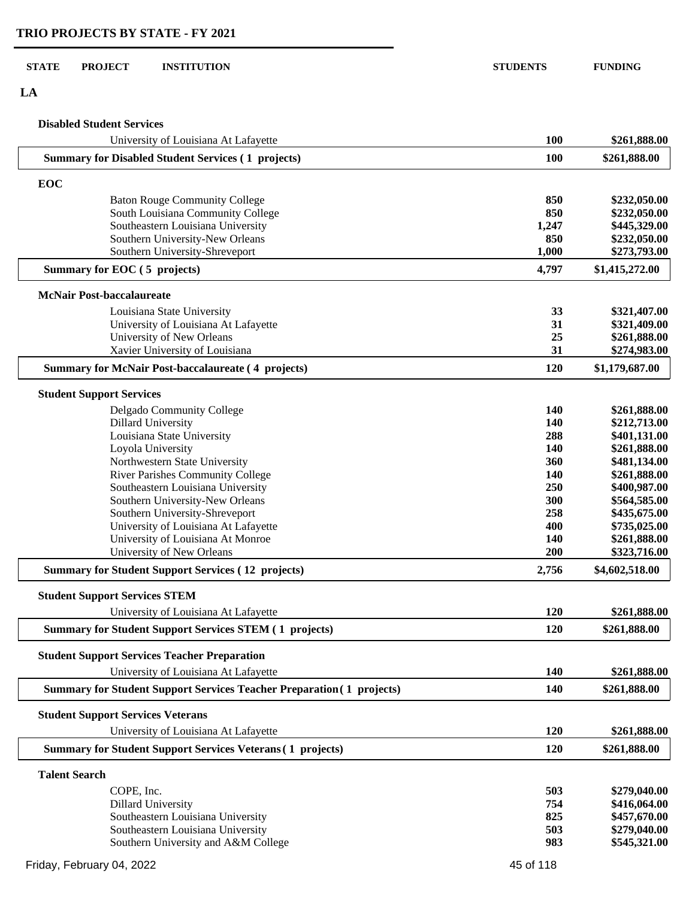#### **STATE PROJECT INSTITUTION STUDENTS FUNDING**

**LA**

#### **Disabled Student Services**

| University of Louisiana At Lafayette                                         | <b>100</b> | \$261,888.00   |
|------------------------------------------------------------------------------|------------|----------------|
| <b>Summary for Disabled Student Services (1 projects)</b>                    | 100        | \$261,888.00   |
| EOC                                                                          |            |                |
| <b>Baton Rouge Community College</b>                                         | 850        | \$232,050.00   |
| South Louisiana Community College                                            | 850        | \$232,050.00   |
| Southeastern Louisiana University                                            | 1,247      | \$445,329.00   |
| Southern University-New Orleans                                              | 850        | \$232,050.00   |
| Southern University-Shreveport                                               | 1,000      | \$273,793.00   |
| Summary for EOC (5 projects)                                                 | 4,797      | \$1,415,272.00 |
|                                                                              |            |                |
| <b>McNair Post-baccalaureate</b>                                             |            |                |
| Louisiana State University                                                   | 33         | \$321,407.00   |
| University of Louisiana At Lafayette                                         | 31         | \$321,409.00   |
| University of New Orleans                                                    | 25         | \$261,888.00   |
| Xavier University of Louisiana                                               | 31         | \$274,983.00   |
| <b>Summary for McNair Post-baccalaureate (4 projects)</b>                    | 120        | \$1,179,687.00 |
| <b>Student Support Services</b>                                              |            |                |
| Delgado Community College                                                    | 140        | \$261,888.00   |
| <b>Dillard University</b>                                                    | 140        | \$212,713.00   |
| Louisiana State University                                                   | 288        | \$401,131.00   |
| Loyola University                                                            | 140        | \$261,888.00   |
| Northwestern State University                                                | 360        | \$481,134.00   |
| River Parishes Community College                                             | 140        | \$261,888.00   |
| Southeastern Louisiana University                                            | 250        | \$400,987.00   |
| Southern University-New Orleans                                              | 300        | \$564,585.00   |
| Southern University-Shreveport                                               | 258        | \$435,675.00   |
| University of Louisiana At Lafayette                                         | 400        | \$735,025.00   |
| University of Louisiana At Monroe                                            | 140        | \$261,888.00   |
| University of New Orleans                                                    | 200        | \$323,716.00   |
| <b>Summary for Student Support Services (12 projects)</b>                    | 2,756      | \$4,602,518.00 |
| <b>Student Support Services STEM</b>                                         |            |                |
| University of Louisiana At Lafayette                                         | 120        | \$261,888.00   |
| <b>Summary for Student Support Services STEM (1 projects)</b>                | 120        | \$261,888.00   |
| <b>Student Support Services Teacher Preparation</b>                          |            |                |
| University of Louisiana At Lafayette                                         | 140        | \$261,888.00   |
| <b>Summary for Student Support Services Teacher Preparation (1 projects)</b> | 140        | \$261,888.00   |
| <b>Student Support Services Veterans</b>                                     |            |                |
| University of Louisiana At Lafayette                                         | 120        | \$261,888.00   |
| <b>Summary for Student Support Services Veterans (1 projects)</b>            | 120        | \$261,888.00   |
| <b>Talent Search</b>                                                         |            |                |
| COPE, Inc.                                                                   | 503        | \$279,040.00   |
| <b>Dillard University</b>                                                    | 754        | \$416,064.00   |
| Southeastern Louisiana University                                            | 825        | \$457,670.00   |
| Southeastern Louisiana University                                            | 503        | \$279,040.00   |
| Southern University and A&M College                                          | 983        | \$545,321.00   |
|                                                                              |            |                |
| Friday, February 04, 2022                                                    | 45 of 118  |                |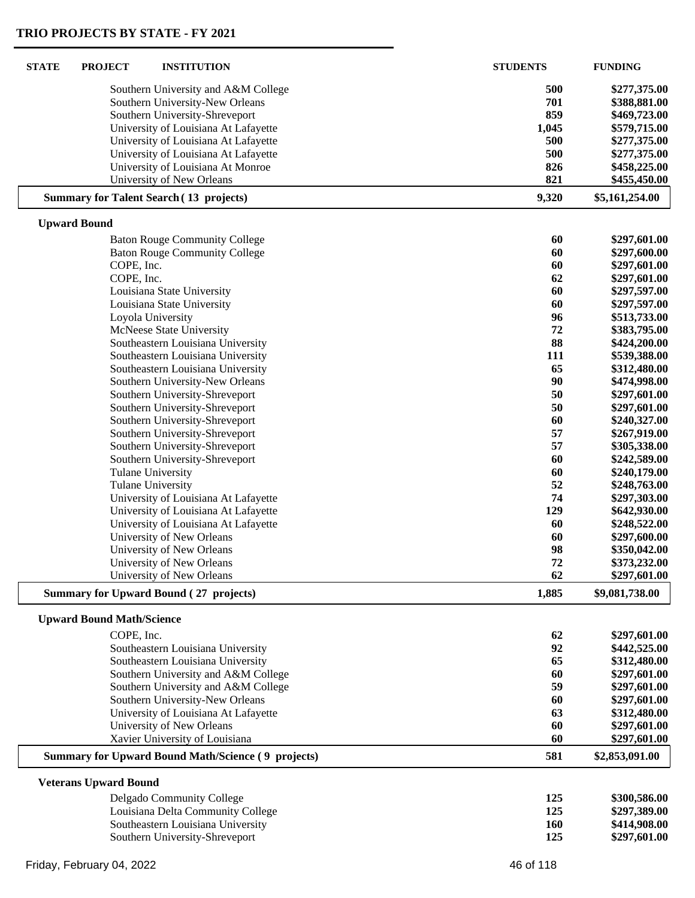| <b>STATE</b> | <b>PROJECT</b>                   | <b>INSTITUTION</b>                                        | <b>STUDENTS</b> | <b>FUNDING</b> |
|--------------|----------------------------------|-----------------------------------------------------------|-----------------|----------------|
|              |                                  | Southern University and A&M College                       | 500             | \$277,375.00   |
|              |                                  | Southern University-New Orleans                           | 701             | \$388,881.00   |
|              |                                  | Southern University-Shreveport                            | 859             | \$469,723.00   |
|              |                                  | University of Louisiana At Lafayette                      | 1,045           | \$579,715.00   |
|              |                                  | University of Louisiana At Lafayette                      | 500             | \$277,375.00   |
|              |                                  | University of Louisiana At Lafayette                      | 500             | \$277,375.00   |
|              |                                  | University of Louisiana At Monroe                         | 826             | \$458,225.00   |
|              |                                  | University of New Orleans                                 | 821             | \$455,450.00   |
|              |                                  | <b>Summary for Talent Search (13 projects)</b>            | 9,320           | \$5,161,254.00 |
|              | <b>Upward Bound</b>              |                                                           |                 |                |
|              |                                  | <b>Baton Rouge Community College</b>                      | 60              | \$297,601.00   |
|              |                                  | <b>Baton Rouge Community College</b>                      | 60              | \$297,600.00   |
|              | COPE, Inc.                       |                                                           | 60              | \$297,601.00   |
|              | COPE, Inc.                       |                                                           | 62              | \$297,601.00   |
|              |                                  | Louisiana State University                                | 60              | \$297,597.00   |
|              |                                  | Louisiana State University                                | 60              | \$297,597.00   |
|              |                                  | Loyola University                                         | 96              | \$513,733.00   |
|              |                                  | McNeese State University                                  | 72              | \$383,795.00   |
|              |                                  | Southeastern Louisiana University                         | 88              | \$424,200.00   |
|              |                                  | Southeastern Louisiana University                         | 111             | \$539,388.00   |
|              |                                  | Southeastern Louisiana University                         | 65              | \$312,480.00   |
|              |                                  | Southern University-New Orleans                           | 90              | \$474,998.00   |
|              |                                  | Southern University-Shreveport                            | 50              | \$297,601.00   |
|              |                                  | Southern University-Shreveport                            | 50              | \$297,601.00   |
|              |                                  | Southern University-Shreveport                            | 60              | \$240,327.00   |
|              |                                  | Southern University-Shreveport                            | 57              | \$267,919.00   |
|              |                                  | Southern University-Shreveport                            | 57              | \$305,338.00   |
|              |                                  | Southern University-Shreveport                            | 60              | \$242,589.00   |
|              |                                  | <b>Tulane University</b>                                  | 60              | \$240,179.00   |
|              |                                  | <b>Tulane University</b>                                  | 52              | \$248,763.00   |
|              |                                  | University of Louisiana At Lafayette                      | 74              | \$297,303.00   |
|              |                                  | University of Louisiana At Lafayette                      | 129             | \$642,930.00   |
|              |                                  | University of Louisiana At Lafayette                      | 60              | \$248,522.00   |
|              |                                  | University of New Orleans                                 | 60              | \$297,600.00   |
|              |                                  | University of New Orleans                                 | 98              | \$350,042.00   |
|              |                                  | University of New Orleans                                 | 72              | \$373,232.00   |
|              |                                  | University of New Orleans                                 | 62              | \$297,601.00   |
|              |                                  | <b>Summary for Upward Bound (27 projects)</b>             | 1,885           | \$9,081,738.00 |
|              | <b>Upward Bound Math/Science</b> |                                                           |                 |                |
|              | COPE, Inc.                       |                                                           | 62              | \$297,601.00   |
|              |                                  | Southeastern Louisiana University                         | 92              | \$442,525.00   |
|              |                                  | Southeastern Louisiana University                         | 65              | \$312,480.00   |
|              |                                  | Southern University and A&M College                       | 60              | \$297,601.00   |
|              |                                  | Southern University and A&M College                       | 59              | \$297,601.00   |
|              |                                  | Southern University-New Orleans                           | 60              | \$297,601.00   |
|              |                                  | University of Louisiana At Lafayette                      | 63              | \$312,480.00   |
|              |                                  | University of New Orleans                                 | 60              | \$297,601.00   |
|              |                                  | Xavier University of Louisiana                            | 60              | \$297,601.00   |
|              |                                  | <b>Summary for Upward Bound Math/Science (9 projects)</b> | 581             | \$2,853,091.00 |
|              | <b>Veterans Upward Bound</b>     |                                                           |                 |                |
|              |                                  | Delgado Community College                                 | 125             | \$300,586.00   |
|              |                                  | Louisiana Delta Community College                         | 125             | \$297,389.00   |
|              |                                  | Southeastern Louisiana University                         | 160             | \$414,908.00   |
|              |                                  | Southern University-Shreveport                            | 125             | \$297,601.00   |
|              |                                  |                                                           |                 |                |
|              | Friday, February 04, 2022        |                                                           | 46 of 118       |                |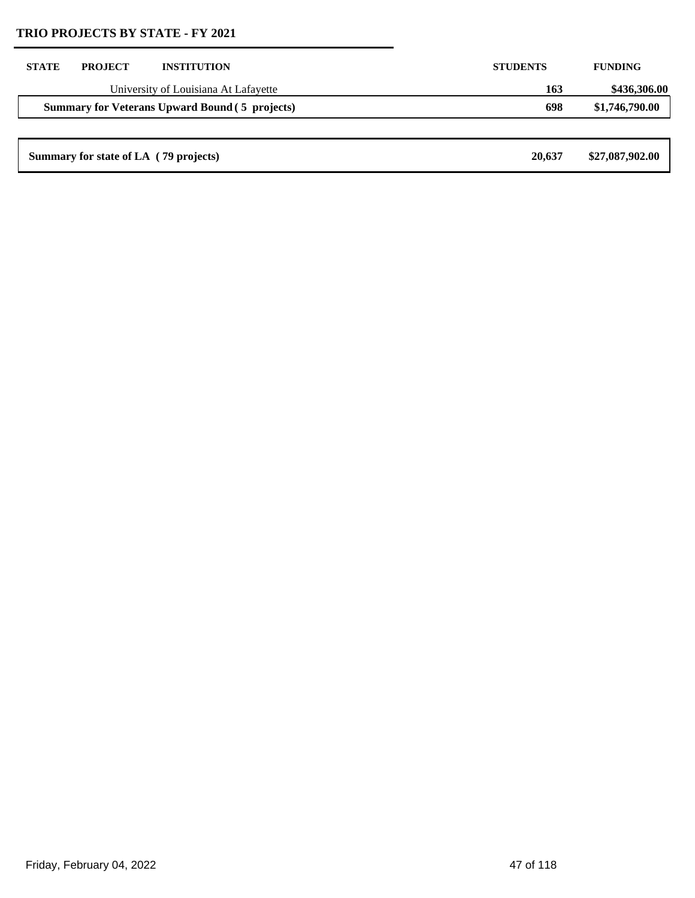| <b>STATE</b> | <b>PROJECT</b>                        | <b>INSTITUTION</b>                                    | <b>STUDENTS</b> | <b>FUNDING</b>  |
|--------------|---------------------------------------|-------------------------------------------------------|-----------------|-----------------|
|              |                                       | University of Louisiana At Lafayette                  | 163             | \$436,306.00    |
|              |                                       | <b>Summary for Veterans Upward Bound (5 projects)</b> | 698             | \$1,746,790.00  |
|              |                                       |                                                       |                 |                 |
|              | Summary for state of LA (79 projects) |                                                       | 20,637          | \$27,087,902.00 |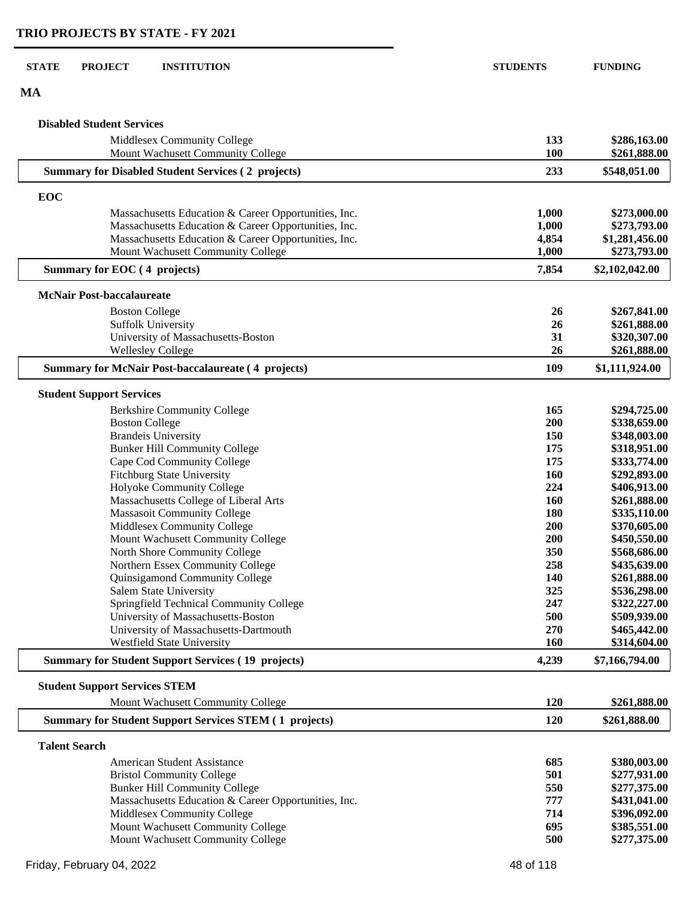| <b>STATE</b><br><b>PROJECT</b><br><b>INSTITUTION</b>               | <b>STUDENTS</b> | <b>FUNDING</b>               |
|--------------------------------------------------------------------|-----------------|------------------------------|
| <b>MA</b>                                                          |                 |                              |
| <b>Disabled Student Services</b>                                   |                 |                              |
| Middlesex Community College<br>Mount Wachusett Community College   | 133<br>100      | \$286,163.00<br>\$261,888.00 |
| <b>Summary for Disabled Student Services (2 projects)</b>          | 233             | \$548,051.00                 |
| EOC                                                                |                 |                              |
| Massachusetts Education & Career Opportunities, Inc.               | 1,000           | \$273,000.00                 |
| Massachusetts Education & Career Opportunities, Inc.               | 1,000           | \$273,793.00                 |
| Massachusetts Education & Career Opportunities, Inc.               | 4,854           | \$1,281,456.00               |
| Mount Wachusett Community College                                  | 1,000           | \$273,793.00                 |
| Summary for EOC (4 projects)                                       | 7,854           | \$2,102,042.00               |
| <b>McNair Post-baccalaureate</b>                                   |                 |                              |
| <b>Boston College</b>                                              | 26              | \$267,841.00                 |
| <b>Suffolk University</b>                                          | 26              | \$261,888.00                 |
| University of Massachusetts-Boston                                 | 31              | \$320,307.00                 |
| <b>Wellesley College</b>                                           | 26              | \$261,888.00                 |
| <b>Summary for McNair Post-baccalaureate (4 projects)</b>          | 109             | \$1,111,924.00               |
| <b>Student Support Services</b>                                    |                 |                              |
| <b>Berkshire Community College</b>                                 | 165             | \$294,725.00                 |
| <b>Boston College</b>                                              | 200             | \$338,659.00                 |
| <b>Brandeis University</b>                                         | 150             | \$348,003.00                 |
| <b>Bunker Hill Community College</b>                               | 175             | \$318,951.00                 |
| Cape Cod Community College                                         | 175             | \$333,774.00                 |
| Fitchburg State University                                         | 160             | \$292,893.00                 |
| Holyoke Community College                                          | 224             | \$406,913.00                 |
| Massachusetts College of Liberal Arts                              | 160             | \$261,888.00                 |
| <b>Massasoit Community College</b>                                 | 180             | \$335,110.00                 |
| Middlesex Community College                                        | 200             | \$370,605.00                 |
| Mount Wachusett Community College                                  | 200             | \$450,550.00                 |
| North Shore Community College                                      | 350             | \$568,686.00                 |
| Northern Essex Community College<br>Quinsigamond Community College | 258<br>140      | \$435,639.00<br>\$261,888.00 |
| Salem State University                                             | 325             | \$536,298.00                 |
| Springfield Technical Community College                            | 247             | \$322,227.00                 |
| University of Massachusetts-Boston                                 | 500             | \$509,939.00                 |
| University of Massachusetts-Dartmouth                              | 270             | \$465,442.00                 |
| Westfield State University                                         | 160             | \$314,604.00                 |
| <b>Summary for Student Support Services (19 projects)</b>          | 4,239           | \$7,166,794.00               |
| <b>Student Support Services STEM</b>                               |                 |                              |
| Mount Wachusett Community College                                  | 120             | \$261,888.00                 |
| <b>Summary for Student Support Services STEM (1 projects)</b>      | 120             | \$261,888.00                 |
| <b>Talent Search</b>                                               |                 |                              |
| <b>American Student Assistance</b>                                 | 685             | \$380,003.00                 |
| <b>Bristol Community College</b>                                   | 501             | \$277,931.00                 |
| <b>Bunker Hill Community College</b>                               | 550             | \$277,375.00                 |
| Massachusetts Education & Career Opportunities, Inc.               | 777             | \$431,041.00                 |
| Middlesex Community College                                        | 714             | \$396,092.00                 |
| Mount Wachusett Community College                                  | 695             | \$385,551.00                 |
| Mount Wachusett Community College                                  | 500             | \$277,375.00                 |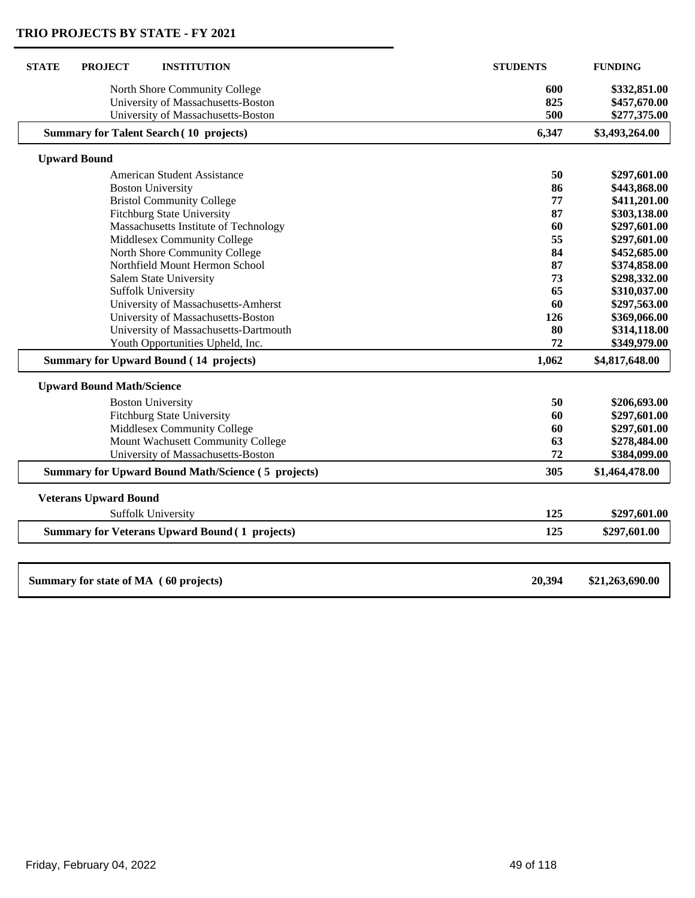| <b>STATE</b><br><b>PROJECT</b><br><b>INSTITUTION</b>      | <b>STUDENTS</b> | <b>FUNDING</b>  |
|-----------------------------------------------------------|-----------------|-----------------|
| North Shore Community College                             | 600             | \$332,851.00    |
| University of Massachusetts-Boston                        | 825             | \$457,670.00    |
| University of Massachusetts-Boston                        | 500             | \$277,375.00    |
| <b>Summary for Talent Search (10 projects)</b>            | 6,347           | \$3,493,264.00  |
| <b>Upward Bound</b>                                       |                 |                 |
| <b>American Student Assistance</b>                        | 50              | \$297,601.00    |
| <b>Boston University</b>                                  | 86              | \$443,868.00    |
| <b>Bristol Community College</b>                          | 77              | \$411,201.00    |
| <b>Fitchburg State University</b>                         | 87              | \$303,138.00    |
| Massachusetts Institute of Technology                     | 60              | \$297,601.00    |
| Middlesex Community College                               | 55              | \$297,601.00    |
| North Shore Community College                             | 84              | \$452,685.00    |
| Northfield Mount Hermon School                            | 87              | \$374,858.00    |
| Salem State University                                    | 73              | \$298,332.00    |
| <b>Suffolk University</b>                                 | 65              | \$310,037.00    |
| University of Massachusetts-Amherst                       | 60              | \$297,563.00    |
| University of Massachusetts-Boston                        | 126             | \$369,066.00    |
| University of Massachusetts-Dartmouth                     | 80              | \$314,118.00    |
| Youth Opportunities Upheld, Inc.                          | 72              | \$349,979.00    |
| <b>Summary for Upward Bound (14 projects)</b>             | 1,062           | \$4,817,648.00  |
| <b>Upward Bound Math/Science</b>                          |                 |                 |
| <b>Boston University</b>                                  | 50              | \$206,693.00    |
| <b>Fitchburg State University</b>                         | 60              | \$297,601.00    |
| Middlesex Community College                               | 60              | \$297,601.00    |
| Mount Wachusett Community College                         | 63              | \$278,484.00    |
| University of Massachusetts-Boston                        | 72              | \$384,099.00    |
| <b>Summary for Upward Bound Math/Science (5 projects)</b> | 305             | \$1,464,478.00  |
| <b>Veterans Upward Bound</b>                              |                 |                 |
| <b>Suffolk University</b>                                 | 125             | \$297,601.00    |
| <b>Summary for Veterans Upward Bound (1 projects)</b>     | 125             | \$297,601.00    |
| Summary for state of MA (60 projects)                     | 20,394          | \$21,263,690.00 |
|                                                           |                 |                 |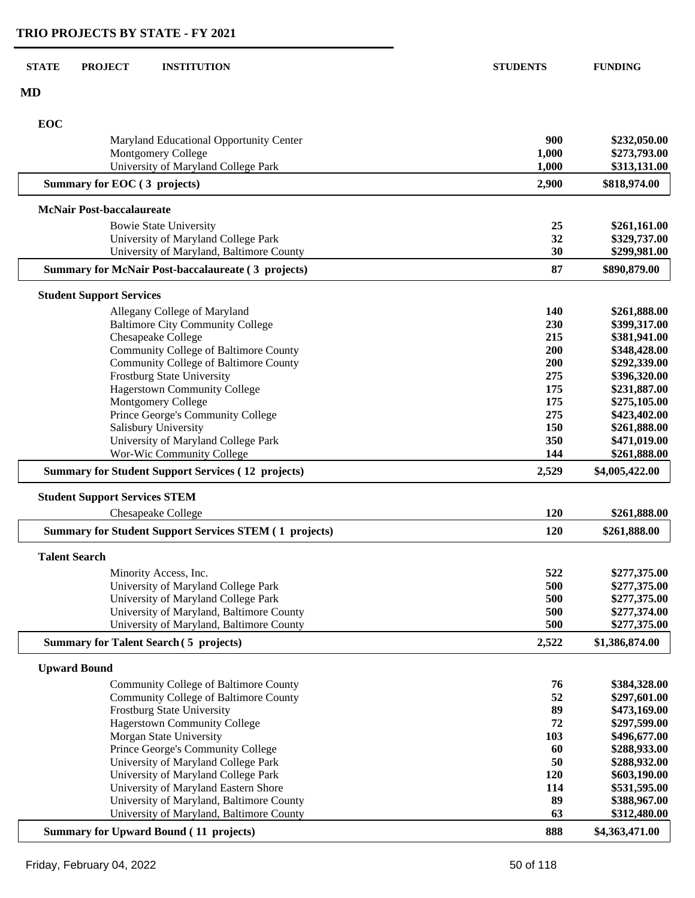| <b>MD</b><br>EOC<br>900<br>\$232,050.00<br>Maryland Educational Opportunity Center<br>\$273,793.00<br><b>Montgomery College</b><br>1,000<br>University of Maryland College Park<br>\$313,131.00<br>1,000<br>Summary for EOC (3 projects)<br>2,900<br>\$818,974.00<br><b>McNair Post-baccalaureate</b><br>25<br><b>Bowie State University</b><br>\$261,161.00<br>University of Maryland College Park<br>32<br>\$329,737.00<br>University of Maryland, Baltimore County<br>30<br>\$299,981.00<br>87<br>\$890,879.00<br><b>Summary for McNair Post-baccalaureate (3 projects)</b><br><b>Student Support Services</b><br>140<br>\$261,888.00<br>Allegany College of Maryland<br><b>Baltimore City Community College</b><br>230<br>\$399,317.00<br>215<br>Chesapeake College<br>\$381,941.00<br>Community College of Baltimore County<br>\$348,428.00<br>200<br>Community College of Baltimore County<br>\$292,339.00<br>200<br>275<br><b>Frostburg State University</b><br>\$396,320.00<br><b>Hagerstown Community College</b><br>175<br>\$231,887.00<br>Montgomery College<br>175<br>\$275,105.00<br>Prince George's Community College<br>275<br>\$423,402.00<br>Salisbury University<br>150<br>\$261,888.00<br>350<br>University of Maryland College Park<br>\$471,019.00 |
|-------------------------------------------------------------------------------------------------------------------------------------------------------------------------------------------------------------------------------------------------------------------------------------------------------------------------------------------------------------------------------------------------------------------------------------------------------------------------------------------------------------------------------------------------------------------------------------------------------------------------------------------------------------------------------------------------------------------------------------------------------------------------------------------------------------------------------------------------------------------------------------------------------------------------------------------------------------------------------------------------------------------------------------------------------------------------------------------------------------------------------------------------------------------------------------------------------------------------------------------------------------------------|
|                                                                                                                                                                                                                                                                                                                                                                                                                                                                                                                                                                                                                                                                                                                                                                                                                                                                                                                                                                                                                                                                                                                                                                                                                                                                         |
|                                                                                                                                                                                                                                                                                                                                                                                                                                                                                                                                                                                                                                                                                                                                                                                                                                                                                                                                                                                                                                                                                                                                                                                                                                                                         |
|                                                                                                                                                                                                                                                                                                                                                                                                                                                                                                                                                                                                                                                                                                                                                                                                                                                                                                                                                                                                                                                                                                                                                                                                                                                                         |
|                                                                                                                                                                                                                                                                                                                                                                                                                                                                                                                                                                                                                                                                                                                                                                                                                                                                                                                                                                                                                                                                                                                                                                                                                                                                         |
|                                                                                                                                                                                                                                                                                                                                                                                                                                                                                                                                                                                                                                                                                                                                                                                                                                                                                                                                                                                                                                                                                                                                                                                                                                                                         |
|                                                                                                                                                                                                                                                                                                                                                                                                                                                                                                                                                                                                                                                                                                                                                                                                                                                                                                                                                                                                                                                                                                                                                                                                                                                                         |
|                                                                                                                                                                                                                                                                                                                                                                                                                                                                                                                                                                                                                                                                                                                                                                                                                                                                                                                                                                                                                                                                                                                                                                                                                                                                         |
|                                                                                                                                                                                                                                                                                                                                                                                                                                                                                                                                                                                                                                                                                                                                                                                                                                                                                                                                                                                                                                                                                                                                                                                                                                                                         |
|                                                                                                                                                                                                                                                                                                                                                                                                                                                                                                                                                                                                                                                                                                                                                                                                                                                                                                                                                                                                                                                                                                                                                                                                                                                                         |
|                                                                                                                                                                                                                                                                                                                                                                                                                                                                                                                                                                                                                                                                                                                                                                                                                                                                                                                                                                                                                                                                                                                                                                                                                                                                         |
|                                                                                                                                                                                                                                                                                                                                                                                                                                                                                                                                                                                                                                                                                                                                                                                                                                                                                                                                                                                                                                                                                                                                                                                                                                                                         |
|                                                                                                                                                                                                                                                                                                                                                                                                                                                                                                                                                                                                                                                                                                                                                                                                                                                                                                                                                                                                                                                                                                                                                                                                                                                                         |
|                                                                                                                                                                                                                                                                                                                                                                                                                                                                                                                                                                                                                                                                                                                                                                                                                                                                                                                                                                                                                                                                                                                                                                                                                                                                         |
|                                                                                                                                                                                                                                                                                                                                                                                                                                                                                                                                                                                                                                                                                                                                                                                                                                                                                                                                                                                                                                                                                                                                                                                                                                                                         |
|                                                                                                                                                                                                                                                                                                                                                                                                                                                                                                                                                                                                                                                                                                                                                                                                                                                                                                                                                                                                                                                                                                                                                                                                                                                                         |
|                                                                                                                                                                                                                                                                                                                                                                                                                                                                                                                                                                                                                                                                                                                                                                                                                                                                                                                                                                                                                                                                                                                                                                                                                                                                         |
|                                                                                                                                                                                                                                                                                                                                                                                                                                                                                                                                                                                                                                                                                                                                                                                                                                                                                                                                                                                                                                                                                                                                                                                                                                                                         |
|                                                                                                                                                                                                                                                                                                                                                                                                                                                                                                                                                                                                                                                                                                                                                                                                                                                                                                                                                                                                                                                                                                                                                                                                                                                                         |
|                                                                                                                                                                                                                                                                                                                                                                                                                                                                                                                                                                                                                                                                                                                                                                                                                                                                                                                                                                                                                                                                                                                                                                                                                                                                         |
|                                                                                                                                                                                                                                                                                                                                                                                                                                                                                                                                                                                                                                                                                                                                                                                                                                                                                                                                                                                                                                                                                                                                                                                                                                                                         |
|                                                                                                                                                                                                                                                                                                                                                                                                                                                                                                                                                                                                                                                                                                                                                                                                                                                                                                                                                                                                                                                                                                                                                                                                                                                                         |
| Wor-Wic Community College<br>144<br>\$261,888.00                                                                                                                                                                                                                                                                                                                                                                                                                                                                                                                                                                                                                                                                                                                                                                                                                                                                                                                                                                                                                                                                                                                                                                                                                        |
| <b>Summary for Student Support Services (12 projects)</b><br>2,529<br>\$4,005,422.00                                                                                                                                                                                                                                                                                                                                                                                                                                                                                                                                                                                                                                                                                                                                                                                                                                                                                                                                                                                                                                                                                                                                                                                    |
| <b>Student Support Services STEM</b>                                                                                                                                                                                                                                                                                                                                                                                                                                                                                                                                                                                                                                                                                                                                                                                                                                                                                                                                                                                                                                                                                                                                                                                                                                    |
| 120<br>\$261,888.00<br>Chesapeake College                                                                                                                                                                                                                                                                                                                                                                                                                                                                                                                                                                                                                                                                                                                                                                                                                                                                                                                                                                                                                                                                                                                                                                                                                               |
| <b>Summary for Student Support Services STEM (1 projects)</b><br>120<br>\$261,888.00                                                                                                                                                                                                                                                                                                                                                                                                                                                                                                                                                                                                                                                                                                                                                                                                                                                                                                                                                                                                                                                                                                                                                                                    |
| <b>Talent Search</b>                                                                                                                                                                                                                                                                                                                                                                                                                                                                                                                                                                                                                                                                                                                                                                                                                                                                                                                                                                                                                                                                                                                                                                                                                                                    |
| 522<br>\$277,375.00<br>Minority Access, Inc.                                                                                                                                                                                                                                                                                                                                                                                                                                                                                                                                                                                                                                                                                                                                                                                                                                                                                                                                                                                                                                                                                                                                                                                                                            |
| University of Maryland College Park<br>500<br>\$277,375.00                                                                                                                                                                                                                                                                                                                                                                                                                                                                                                                                                                                                                                                                                                                                                                                                                                                                                                                                                                                                                                                                                                                                                                                                              |
| University of Maryland College Park<br>500<br>\$277,375.00                                                                                                                                                                                                                                                                                                                                                                                                                                                                                                                                                                                                                                                                                                                                                                                                                                                                                                                                                                                                                                                                                                                                                                                                              |
| University of Maryland, Baltimore County<br>500<br>\$277,374.00                                                                                                                                                                                                                                                                                                                                                                                                                                                                                                                                                                                                                                                                                                                                                                                                                                                                                                                                                                                                                                                                                                                                                                                                         |
| 500<br>University of Maryland, Baltimore County<br>\$277,375.00                                                                                                                                                                                                                                                                                                                                                                                                                                                                                                                                                                                                                                                                                                                                                                                                                                                                                                                                                                                                                                                                                                                                                                                                         |
| \$1,386,874.00<br><b>Summary for Talent Search (5 projects)</b><br>2,522                                                                                                                                                                                                                                                                                                                                                                                                                                                                                                                                                                                                                                                                                                                                                                                                                                                                                                                                                                                                                                                                                                                                                                                                |
| <b>Upward Bound</b>                                                                                                                                                                                                                                                                                                                                                                                                                                                                                                                                                                                                                                                                                                                                                                                                                                                                                                                                                                                                                                                                                                                                                                                                                                                     |
| 76<br>Community College of Baltimore County<br>\$384,328.00                                                                                                                                                                                                                                                                                                                                                                                                                                                                                                                                                                                                                                                                                                                                                                                                                                                                                                                                                                                                                                                                                                                                                                                                             |
| 52<br>Community College of Baltimore County<br>\$297,601.00                                                                                                                                                                                                                                                                                                                                                                                                                                                                                                                                                                                                                                                                                                                                                                                                                                                                                                                                                                                                                                                                                                                                                                                                             |
| 89<br><b>Frostburg State University</b><br>\$473,169.00                                                                                                                                                                                                                                                                                                                                                                                                                                                                                                                                                                                                                                                                                                                                                                                                                                                                                                                                                                                                                                                                                                                                                                                                                 |
| \$297,599.00<br><b>Hagerstown Community College</b><br>72                                                                                                                                                                                                                                                                                                                                                                                                                                                                                                                                                                                                                                                                                                                                                                                                                                                                                                                                                                                                                                                                                                                                                                                                               |
| Morgan State University<br>103<br>\$496,677.00                                                                                                                                                                                                                                                                                                                                                                                                                                                                                                                                                                                                                                                                                                                                                                                                                                                                                                                                                                                                                                                                                                                                                                                                                          |
| Prince George's Community College<br>60<br>\$288,933.00<br>50                                                                                                                                                                                                                                                                                                                                                                                                                                                                                                                                                                                                                                                                                                                                                                                                                                                                                                                                                                                                                                                                                                                                                                                                           |
| University of Maryland College Park<br>\$288,932.00<br>University of Maryland College Park<br>120<br>\$603,190.00                                                                                                                                                                                                                                                                                                                                                                                                                                                                                                                                                                                                                                                                                                                                                                                                                                                                                                                                                                                                                                                                                                                                                       |
| University of Maryland Eastern Shore<br>114<br>\$531,595.00                                                                                                                                                                                                                                                                                                                                                                                                                                                                                                                                                                                                                                                                                                                                                                                                                                                                                                                                                                                                                                                                                                                                                                                                             |
| University of Maryland, Baltimore County<br>89<br>\$388,967.00                                                                                                                                                                                                                                                                                                                                                                                                                                                                                                                                                                                                                                                                                                                                                                                                                                                                                                                                                                                                                                                                                                                                                                                                          |
| University of Maryland, Baltimore County<br>63<br>\$312,480.00                                                                                                                                                                                                                                                                                                                                                                                                                                                                                                                                                                                                                                                                                                                                                                                                                                                                                                                                                                                                                                                                                                                                                                                                          |
| <b>Summary for Upward Bound (11 projects)</b><br>888<br>\$4,363,471.00                                                                                                                                                                                                                                                                                                                                                                                                                                                                                                                                                                                                                                                                                                                                                                                                                                                                                                                                                                                                                                                                                                                                                                                                  |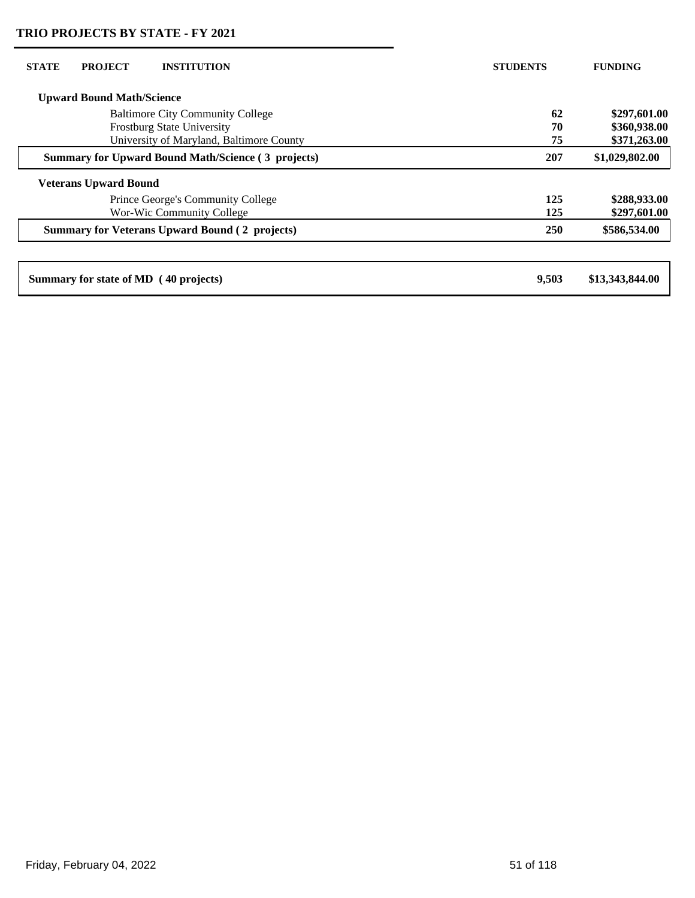| <b>STATE</b> | <b>PROJECT</b>                   | <b>INSTITUTION</b>                                        | <b>STUDENTS</b> | <b>FUNDING</b>  |
|--------------|----------------------------------|-----------------------------------------------------------|-----------------|-----------------|
|              | <b>Upward Bound Math/Science</b> |                                                           |                 |                 |
|              |                                  | <b>Baltimore City Community College</b>                   | 62              | \$297,601.00    |
|              |                                  | Frostburg State University                                | 70              | \$360,938.00    |
|              |                                  | University of Maryland, Baltimore County                  | 75              | \$371,263.00    |
|              |                                  | <b>Summary for Upward Bound Math/Science (3 projects)</b> | 207             | \$1,029,802.00  |
|              | <b>Veterans Upward Bound</b>     |                                                           |                 |                 |
|              |                                  | Prince George's Community College                         | 125             | \$288,933.00    |
|              |                                  | Wor-Wic Community College                                 | 125             | \$297,601.00    |
|              |                                  | <b>Summary for Veterans Upward Bound (2 projects)</b>     | 250             | \$586,534.00    |
|              |                                  |                                                           |                 |                 |
|              |                                  | Summary for state of MD (40 projects)                     | 9,503           | \$13,343,844.00 |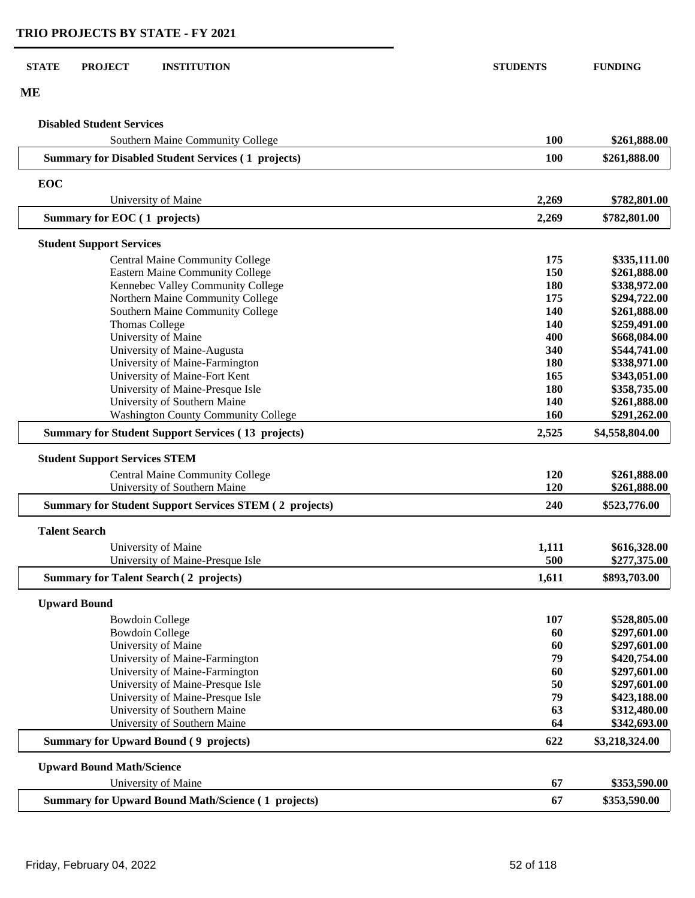| <b>STATE</b> | <b>PROJECT</b>                       | <b>INSTITUTION</b>                                                           | <b>STUDENTS</b> | <b>FUNDING</b>                 |
|--------------|--------------------------------------|------------------------------------------------------------------------------|-----------------|--------------------------------|
| ME           |                                      |                                                                              |                 |                                |
|              | <b>Disabled Student Services</b>     |                                                                              |                 |                                |
|              |                                      | Southern Maine Community College                                             | 100             | \$261,888.00                   |
|              |                                      | <b>Summary for Disabled Student Services (1 projects)</b>                    | 100             | \$261,888.00                   |
| EOC          |                                      |                                                                              |                 |                                |
|              |                                      | University of Maine                                                          | 2,269           | \$782,801.00                   |
|              | Summary for EOC (1 projects)         |                                                                              | 2,269           | \$782,801.00                   |
|              | <b>Student Support Services</b>      |                                                                              |                 |                                |
|              |                                      | <b>Central Maine Community College</b>                                       | 175             | \$335,111.00                   |
|              |                                      | <b>Eastern Maine Community College</b>                                       | 150             | \$261,888.00                   |
|              |                                      | Kennebec Valley Community College                                            | 180             | \$338,972.00                   |
|              |                                      | Northern Maine Community College                                             | 175             | \$294,722.00                   |
|              |                                      | Southern Maine Community College<br><b>Thomas College</b>                    | 140<br>140      | \$261,888.00<br>\$259,491.00   |
|              |                                      | University of Maine                                                          | 400             | \$668,084.00                   |
|              |                                      | University of Maine-Augusta                                                  | 340             | \$544,741.00                   |
|              |                                      | University of Maine-Farmington                                               | 180             | \$338,971.00                   |
|              |                                      | University of Maine-Fort Kent                                                | 165             | \$343,051.00                   |
|              |                                      | University of Maine-Presque Isle                                             | 180             | \$358,735.00                   |
|              |                                      | University of Southern Maine                                                 | 140             | \$261,888.00                   |
|              |                                      | <b>Washington County Community College</b>                                   | 160             | \$291,262.00                   |
|              |                                      | <b>Summary for Student Support Services (13 projects)</b>                    | 2,525           | \$4,558,804.00                 |
|              | <b>Student Support Services STEM</b> |                                                                              |                 |                                |
|              |                                      | <b>Central Maine Community College</b>                                       | 120             | \$261,888.00                   |
|              |                                      | University of Southern Maine                                                 | 120             | \$261,888.00                   |
|              |                                      | <b>Summary for Student Support Services STEM (2 projects)</b>                | 240             | \$523,776.00                   |
|              | <b>Talent Search</b>                 |                                                                              |                 |                                |
|              |                                      | University of Maine                                                          | 1,111           | \$616,328.00                   |
|              |                                      | University of Maine-Presque Isle                                             | 500             | \$277,375.00                   |
|              |                                      | <b>Summary for Talent Search (2 projects)</b>                                | 1,611           | \$893,703.00                   |
|              | <b>Upward Bound</b>                  |                                                                              |                 |                                |
|              |                                      | <b>Bowdoin College</b>                                                       | 107             | \$528,805.00                   |
|              |                                      | <b>Bowdoin College</b>                                                       | 60              | \$297,601.00                   |
|              |                                      | University of Maine                                                          | 60              | \$297,601.00                   |
|              |                                      | University of Maine-Farmington                                               | 79              | \$420,754.00                   |
|              |                                      | University of Maine-Farmington                                               | 60              | \$297,601.00                   |
|              |                                      | University of Maine-Presque Isle                                             | 50              | \$297,601.00                   |
|              |                                      | University of Maine-Presque Isle                                             | 79              | \$423,188.00                   |
|              |                                      | University of Southern Maine                                                 | 63              | \$312,480.00                   |
|              |                                      | University of Southern Maine<br><b>Summary for Upward Bound (9 projects)</b> | 64<br>622       | \$342,693.00<br>\$3,218,324.00 |
|              |                                      |                                                                              |                 |                                |
|              | <b>Upward Bound Math/Science</b>     |                                                                              | 67              |                                |
|              |                                      | University of Maine                                                          |                 | \$353,590.00                   |
|              |                                      | <b>Summary for Upward Bound Math/Science (1 projects)</b>                    | 67              | \$353,590.00                   |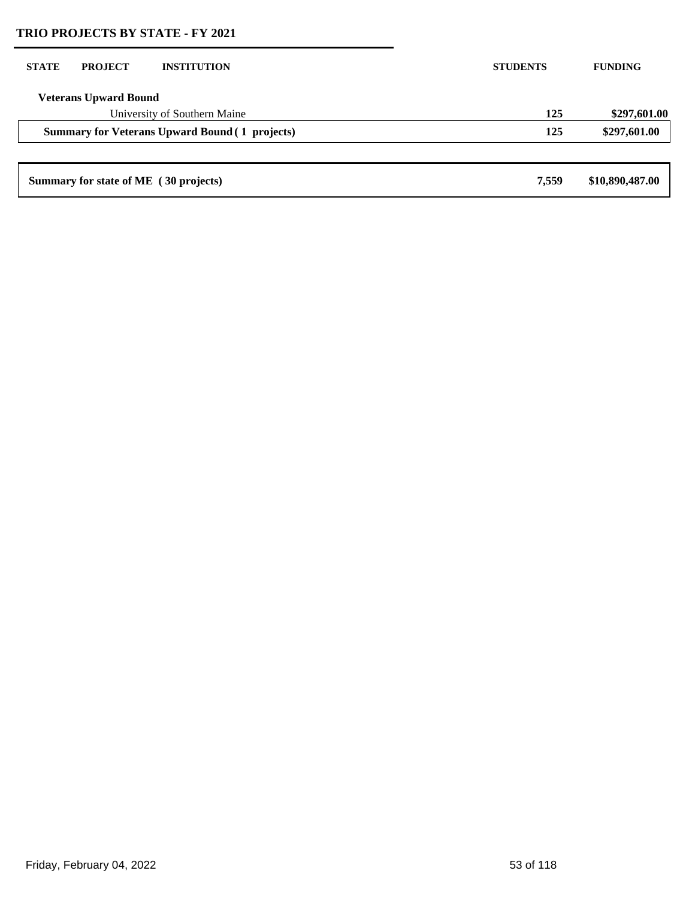| <b>STATE</b>                                          | <b>PROJECT</b>                        | <b>INSTITUTION</b>           | <b>STUDENTS</b> | <b>FUNDING</b>  |
|-------------------------------------------------------|---------------------------------------|------------------------------|-----------------|-----------------|
|                                                       | <b>Veterans Upward Bound</b>          |                              |                 |                 |
|                                                       |                                       | University of Southern Maine | 125             | \$297,601.00    |
| <b>Summary for Veterans Upward Bound (1 projects)</b> |                                       | 125                          | \$297,601.00    |                 |
|                                                       |                                       |                              |                 |                 |
|                                                       | Summary for state of ME (30 projects) |                              | 7.559           | \$10,890,487.00 |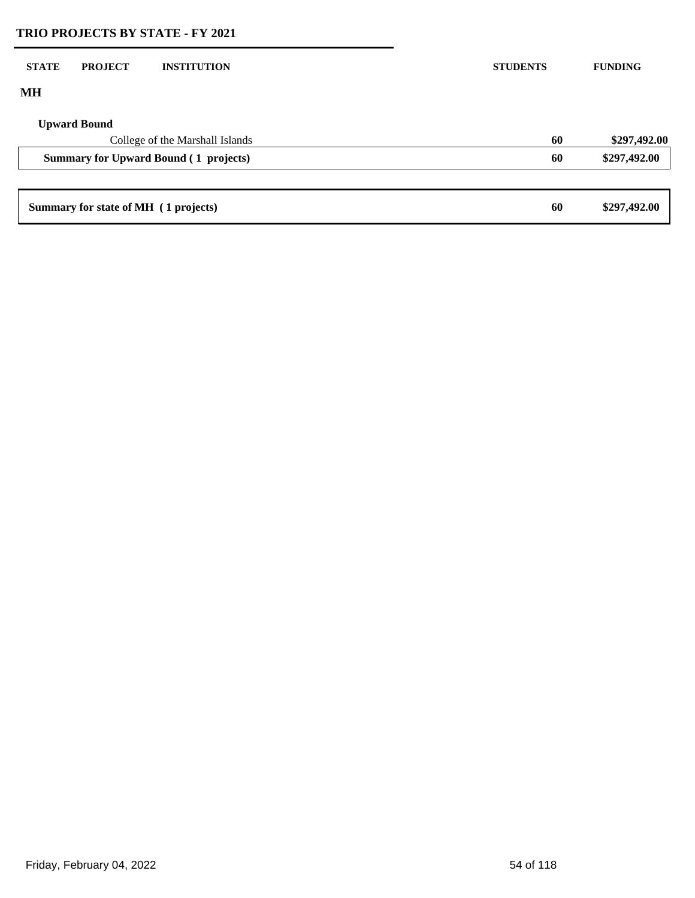| <b>STATE</b> | <b>PROJECT</b>                       | <b>INSTITUTION</b>                           | <b>STUDENTS</b> |    | <b>FUNDING</b> |
|--------------|--------------------------------------|----------------------------------------------|-----------------|----|----------------|
| MH           |                                      |                                              |                 |    |                |
|              | <b>Upward Bound</b>                  |                                              |                 |    |                |
|              |                                      | College of the Marshall Islands              |                 | 60 | \$297,492.00   |
|              |                                      | <b>Summary for Upward Bound (1 projects)</b> |                 | 60 | \$297,492.00   |
|              |                                      |                                              |                 |    |                |
|              | Summary for state of MH (1 projects) |                                              |                 | 60 | \$297,492.00   |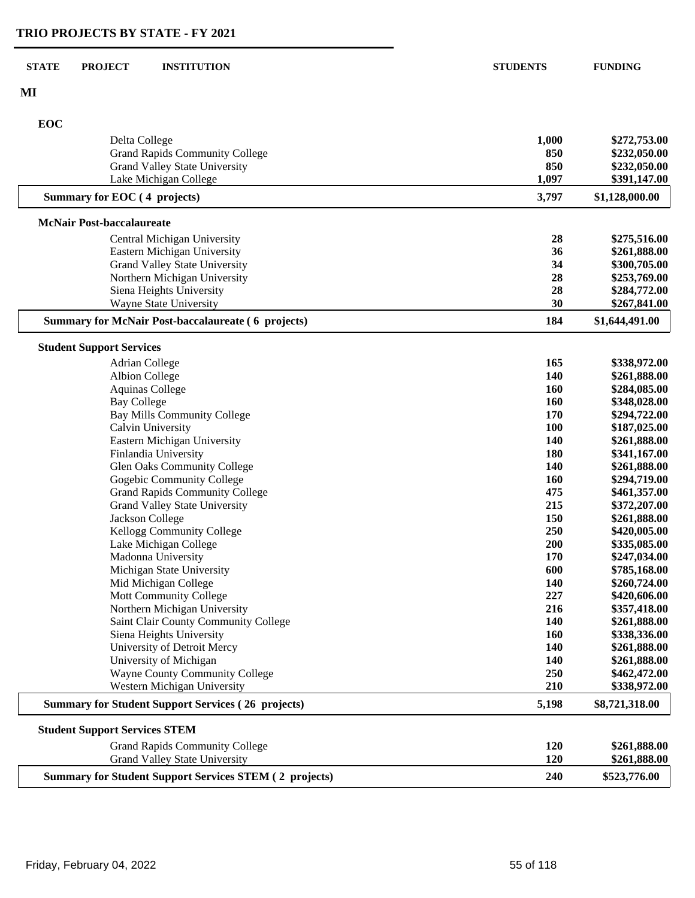| <b>STATE</b><br><b>PROJECT</b><br><b>INSTITUTION</b>          | <b>STUDENTS</b> | <b>FUNDING</b>               |
|---------------------------------------------------------------|-----------------|------------------------------|
| MI                                                            |                 |                              |
| EOC                                                           |                 |                              |
| Delta College                                                 | 1,000           | \$272,753.00                 |
| <b>Grand Rapids Community College</b>                         | 850             | \$232,050.00                 |
| Grand Valley State University                                 | 850             | \$232,050.00                 |
| Lake Michigan College                                         | 1,097           | \$391,147.00                 |
| Summary for EOC (4 projects)                                  | 3,797           | \$1,128,000.00               |
| <b>McNair Post-baccalaureate</b>                              |                 |                              |
| Central Michigan University                                   | 28              | \$275,516.00                 |
| Eastern Michigan University                                   | 36              | \$261,888.00                 |
| Grand Valley State University                                 | 34              | \$300,705.00                 |
| Northern Michigan University                                  | 28              | \$253,769.00                 |
| Siena Heights University                                      | 28              | \$284,772.00                 |
| <b>Wayne State University</b>                                 | 30              | \$267,841.00                 |
| <b>Summary for McNair Post-baccalaureate (6 projects)</b>     | 184             | \$1,644,491.00               |
| <b>Student Support Services</b>                               |                 |                              |
| Adrian College                                                | 165             | \$338,972.00                 |
| <b>Albion College</b>                                         | 140             | \$261,888.00                 |
| <b>Aquinas College</b>                                        | 160             | \$284,085.00                 |
| <b>Bay College</b>                                            | 160             | \$348,028.00                 |
| <b>Bay Mills Community College</b>                            | 170             | \$294,722.00                 |
| Calvin University                                             | 100             | \$187,025.00                 |
| Eastern Michigan University                                   | 140             | \$261,888.00                 |
| Finlandia University                                          | 180             | \$341,167.00                 |
| Glen Oaks Community College                                   | 140             | \$261,888.00                 |
| Gogebic Community College                                     | <b>160</b>      | \$294,719.00                 |
| <b>Grand Rapids Community College</b>                         | 475             | \$461,357.00                 |
| <b>Grand Valley State University</b>                          | 215             | \$372,207.00                 |
| Jackson College                                               | 150             | \$261,888.00                 |
| Kellogg Community College                                     | 250             | \$420,005.00                 |
| Lake Michigan College                                         | 200             | \$335,085.00                 |
| Madonna University<br>Michigan State University               | 170<br>600      | \$247,034.00<br>\$785,168.00 |
| Mid Michigan College                                          | 140             | \$260,724.00                 |
| Mott Community College                                        | 227             | \$420,606.00                 |
| Northern Michigan University                                  | 216             | \$357,418.00                 |
| Saint Clair County Community College                          | 140             | \$261,888.00                 |
| Siena Heights University                                      | 160             | \$338,336.00                 |
| University of Detroit Mercy                                   | 140             | \$261,888.00                 |
| University of Michigan                                        | 140             | \$261,888.00                 |
| <b>Wayne County Community College</b>                         | 250             | \$462,472.00                 |
| Western Michigan University                                   | 210             | \$338,972.00                 |
| <b>Summary for Student Support Services (26 projects)</b>     | 5,198           | \$8,721,318.00               |
| <b>Student Support Services STEM</b>                          |                 |                              |
| <b>Grand Rapids Community College</b>                         | 120             | \$261,888.00                 |
| <b>Grand Valley State University</b>                          | 120             | \$261,888.00                 |
| <b>Summary for Student Support Services STEM (2 projects)</b> | 240             | \$523,776.00                 |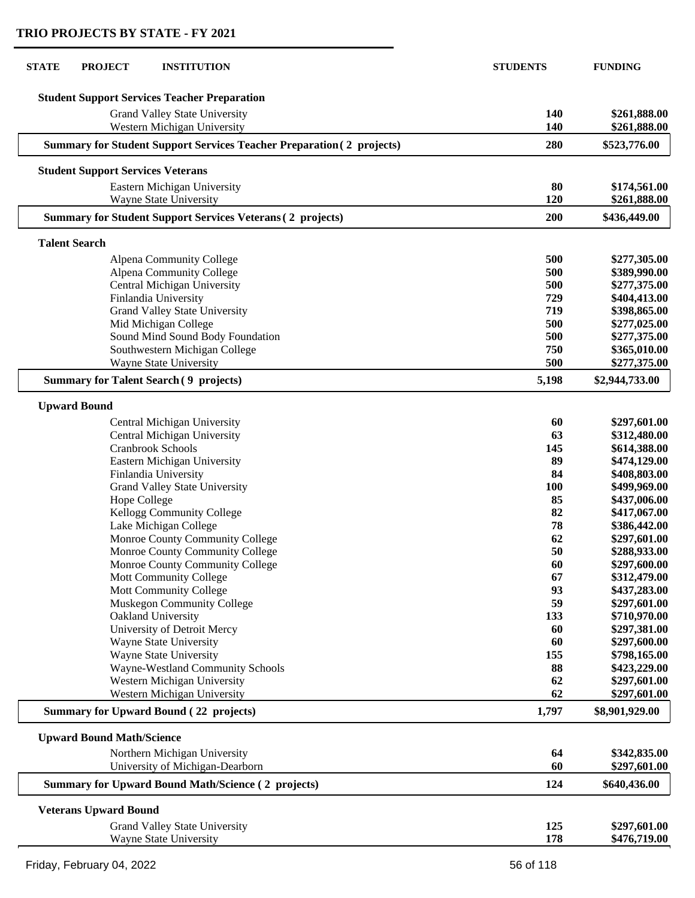| <b>STATE</b><br><b>PROJECT</b><br><b>INSTITUTION</b>                         | <b>STUDENTS</b>  | <b>FUNDING</b>               |
|------------------------------------------------------------------------------|------------------|------------------------------|
| <b>Student Support Services Teacher Preparation</b>                          |                  |                              |
|                                                                              |                  | \$261,888.00                 |
| Grand Valley State University<br>Western Michigan University                 | 140<br>140       | \$261,888.00                 |
| <b>Summary for Student Support Services Teacher Preparation (2 projects)</b> | 280              | \$523,776.00                 |
| <b>Student Support Services Veterans</b>                                     |                  |                              |
| Eastern Michigan University                                                  | 80               | \$174,561.00                 |
| <b>Wayne State University</b>                                                | 120              | \$261,888.00                 |
| <b>Summary for Student Support Services Veterans (2 projects)</b>            | 200              | \$436,449.00                 |
| <b>Talent Search</b>                                                         |                  |                              |
| Alpena Community College                                                     | 500              | \$277,305.00                 |
| Alpena Community College                                                     | 500              | \$389,990.00                 |
| Central Michigan University                                                  | 500              | \$277,375.00                 |
| Finlandia University                                                         | 729              | \$404,413.00                 |
| <b>Grand Valley State University</b>                                         | 719              | \$398,865.00                 |
| Mid Michigan College                                                         | 500              | \$277,025.00                 |
| Sound Mind Sound Body Foundation                                             | 500              | \$277,375.00                 |
| Southwestern Michigan College                                                | 750              | \$365,010.00                 |
| <b>Wayne State University</b>                                                | 500              | \$277,375.00                 |
| <b>Summary for Talent Search (9 projects)</b>                                | 5,198            | \$2,944,733.00               |
| <b>Upward Bound</b>                                                          |                  |                              |
| Central Michigan University                                                  | 60               | \$297,601.00                 |
| Central Michigan University                                                  | 63               | \$312,480.00                 |
| Cranbrook Schools                                                            | 145              | \$614,388.00                 |
| Eastern Michigan University                                                  | 89               | \$474,129.00                 |
| Finlandia University                                                         | 84               | \$408,803.00                 |
| Grand Valley State University                                                | <b>100</b><br>85 | \$499,969.00                 |
| Hope College<br>Kellogg Community College                                    | 82               | \$437,006.00<br>\$417,067.00 |
| Lake Michigan College                                                        | 78               | \$386,442.00                 |
| Monroe County Community College                                              | 62               | \$297,601.00                 |
| Monroe County Community College                                              | 50               | \$288,933.00                 |
| Monroe County Community College                                              | 60               | \$297,600.00                 |
| Mott Community College                                                       | 67               | \$312,479.00                 |
| Mott Community College                                                       | 93               | \$437,283.00                 |
| Muskegon Community College                                                   | 59               | \$297,601.00                 |
| Oakland University                                                           | 133              | \$710,970.00                 |
| University of Detroit Mercy                                                  | 60               | \$297,381.00                 |
| Wayne State University                                                       | 60               | \$297,600.00                 |
| Wayne State University                                                       | 155              | \$798,165.00                 |
| Wayne-Westland Community Schools                                             | 88               | \$423,229.00                 |
| Western Michigan University                                                  | 62               | \$297,601.00                 |
| Western Michigan University                                                  | 62               | \$297,601.00                 |
| <b>Summary for Upward Bound (22 projects)</b>                                | 1,797            | \$8,901,929.00               |
| <b>Upward Bound Math/Science</b>                                             |                  |                              |
| Northern Michigan University                                                 | 64               | \$342,835.00                 |
| University of Michigan-Dearborn                                              | 60               | \$297,601.00                 |
| <b>Summary for Upward Bound Math/Science (2 projects)</b>                    | 124              | \$640,436.00                 |
| <b>Veterans Upward Bound</b>                                                 |                  |                              |
| Grand Valley State University                                                | 125              | \$297,601.00                 |
| Wayne State University                                                       | 178              | \$476,719.00                 |
|                                                                              |                  |                              |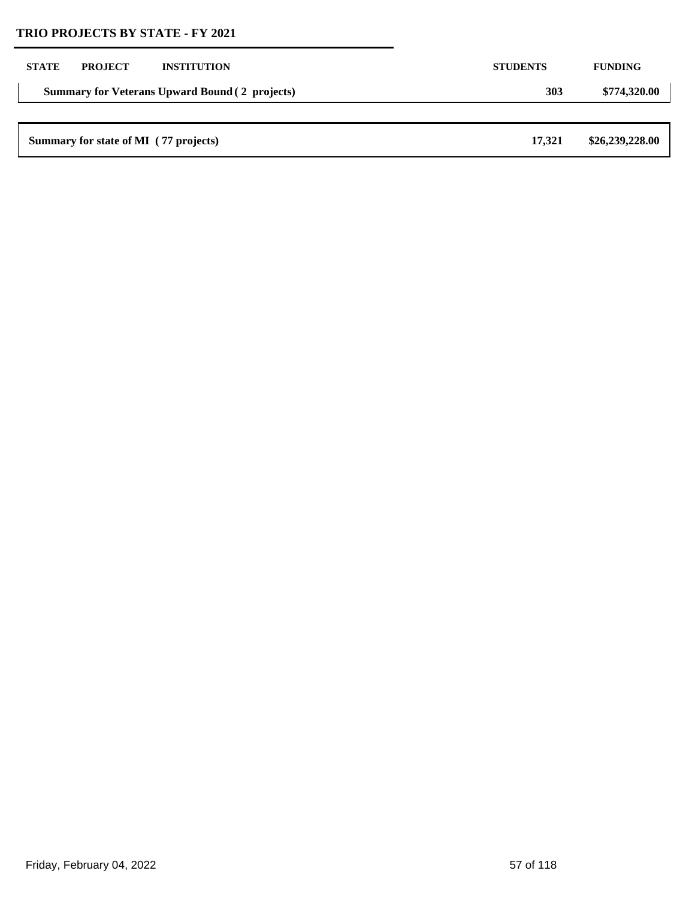| <b>STATE</b> | <b>PROJECT</b>                                        | <b>INSTITUTION</b> | <b>STUDENTS</b> | <b>FUNDING</b>  |
|--------------|-------------------------------------------------------|--------------------|-----------------|-----------------|
|              | <b>Summary for Veterans Upward Bound (2 projects)</b> |                    | <b>303</b>      | \$774,320.00    |
|              |                                                       |                    |                 |                 |
|              | Summary for state of MI (77 projects)                 |                    | 17.321          | \$26,239,228.00 |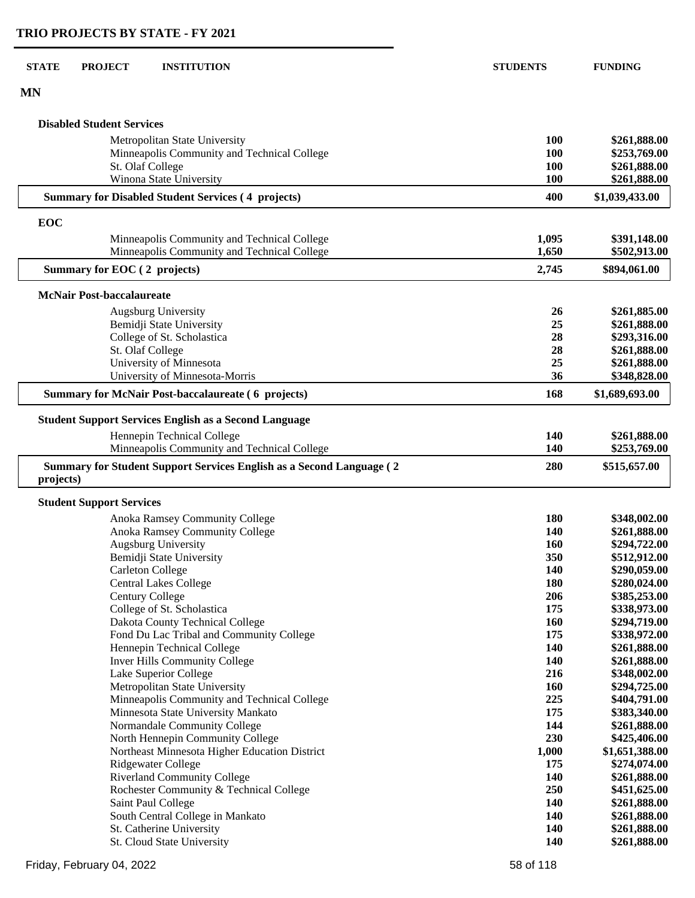| <b>STATE</b> | <b>PROJECT</b>                   | <b>INSTITUTION</b>                                                   | <b>STUDENTS</b> | <b>FUNDING</b>               |
|--------------|----------------------------------|----------------------------------------------------------------------|-----------------|------------------------------|
| <b>MN</b>    |                                  |                                                                      |                 |                              |
|              | <b>Disabled Student Services</b> |                                                                      |                 |                              |
|              |                                  | Metropolitan State University                                        | <b>100</b>      | \$261,888.00                 |
|              |                                  | Minneapolis Community and Technical College                          | <b>100</b>      | \$253,769.00                 |
|              | St. Olaf College                 |                                                                      | 100             | \$261,888.00                 |
|              |                                  | Winona State University                                              | 100             | \$261,888.00                 |
|              |                                  | <b>Summary for Disabled Student Services (4 projects)</b>            | 400             | \$1,039,433.00               |
| EOC          |                                  |                                                                      |                 |                              |
|              |                                  | Minneapolis Community and Technical College                          | 1,095           | \$391,148.00                 |
|              |                                  | Minneapolis Community and Technical College                          | 1,650           | \$502,913.00                 |
|              | Summary for EOC (2 projects)     |                                                                      | 2,745           | \$894,061.00                 |
|              | <b>McNair Post-baccalaureate</b> |                                                                      |                 |                              |
|              |                                  | <b>Augsburg University</b>                                           | 26              | \$261,885.00                 |
|              |                                  | Bemidji State University                                             | 25              | \$261,888.00                 |
|              |                                  | College of St. Scholastica                                           | 28              | \$293,316.00                 |
|              | St. Olaf College                 |                                                                      | 28              | \$261,888.00                 |
|              |                                  | University of Minnesota                                              | 25              | \$261,888.00                 |
|              |                                  | University of Minnesota-Morris                                       | 36              | \$348,828.00                 |
|              |                                  | <b>Summary for McNair Post-baccalaureate (6 projects)</b>            | 168             | \$1,689,693.00               |
|              |                                  | <b>Student Support Services English as a Second Language</b>         |                 |                              |
|              |                                  | Hennepin Technical College                                           | 140             | \$261,888.00                 |
|              |                                  | Minneapolis Community and Technical College                          | 140             | \$253,769.00                 |
| projects)    |                                  | Summary for Student Support Services English as a Second Language (2 | 280             | \$515,657.00                 |
|              | <b>Student Support Services</b>  |                                                                      |                 |                              |
|              |                                  | Anoka Ramsey Community College                                       | 180             | \$348,002.00                 |
|              |                                  | Anoka Ramsey Community College                                       | 140             | \$261,888.00                 |
|              |                                  | Augsburg University                                                  | <b>160</b>      | \$294,722.00                 |
|              |                                  | Bemidji State University                                             | 350             | \$512,912.00                 |
|              |                                  | <b>Carleton College</b>                                              | 140             | \$290,059.00                 |
|              |                                  | <b>Central Lakes College</b>                                         | <b>180</b>      | \$280,024.00                 |
|              | <b>Century College</b>           |                                                                      | 206             | \$385,253.00                 |
|              |                                  | College of St. Scholastica                                           | 175             | \$338,973.00                 |
|              |                                  | Dakota County Technical College                                      | 160             | \$294,719.00                 |
|              |                                  | Fond Du Lac Tribal and Community College                             | 175             | \$338,972.00                 |
|              |                                  | Hennepin Technical College<br><b>Inver Hills Community College</b>   | 140<br>140      | \$261,888.00<br>\$261,888.00 |
|              |                                  | Lake Superior College                                                | 216             | \$348,002.00                 |
|              |                                  | Metropolitan State University                                        | 160             | \$294,725.00                 |
|              |                                  | Minneapolis Community and Technical College                          | 225             | \$404,791.00                 |
|              |                                  | Minnesota State University Mankato                                   | 175             | \$383,340.00                 |
|              |                                  | Normandale Community College                                         | 144             | \$261,888.00                 |
|              |                                  | North Hennepin Community College                                     | 230             | \$425,406.00                 |
|              |                                  | Northeast Minnesota Higher Education District                        | 1,000           | \$1,651,388.00               |
|              |                                  | Ridgewater College                                                   | 175             | \$274,074.00                 |
|              |                                  | <b>Riverland Community College</b>                                   | 140             | \$261,888.00                 |
|              |                                  | Rochester Community & Technical College                              | 250             | \$451,625.00                 |
|              |                                  | Saint Paul College                                                   | 140             | \$261,888.00                 |

 South Central College in Mankato **140 \$261,888.00** St. Catherine University **140 \$261,888.00**

St. Catherine University<br>
St. Cloud State University<br>
St. Cloud State University<br> **140 \$261,888.00**<br> **140 \$261,888.00**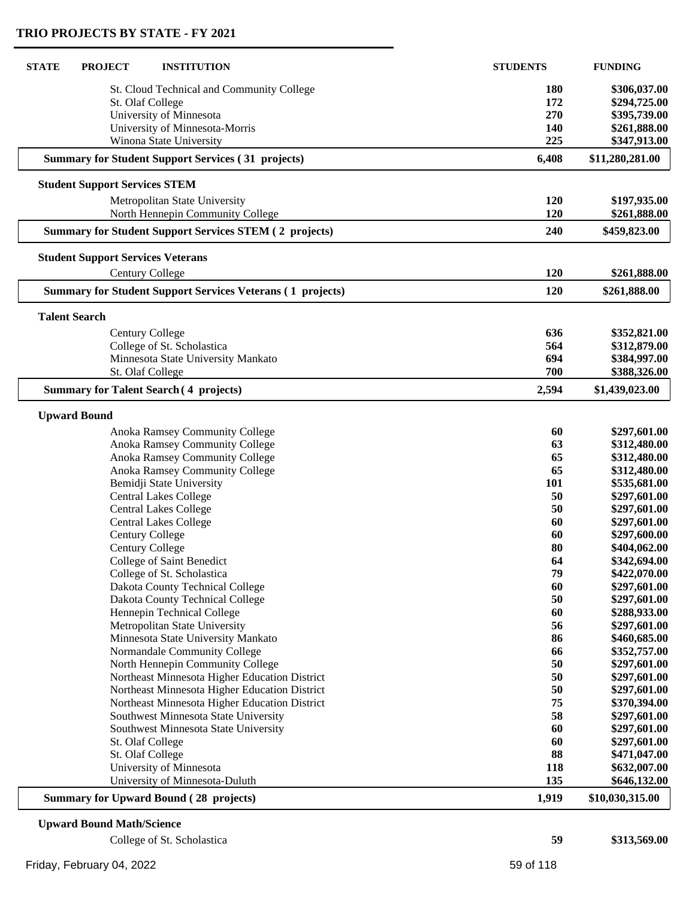| <b>STATE</b><br><b>PROJECT</b><br><b>INSTITUTION</b>              | <b>STUDENTS</b> | <b>FUNDING</b>  |
|-------------------------------------------------------------------|-----------------|-----------------|
| St. Cloud Technical and Community College                         | 180             | \$306,037.00    |
| St. Olaf College                                                  | 172             | \$294,725.00    |
| University of Minnesota                                           | 270             | \$395,739.00    |
| University of Minnesota-Morris                                    | 140             | \$261,888.00    |
| Winona State University                                           | 225             | \$347,913.00    |
| <b>Summary for Student Support Services (31 projects)</b>         | 6,408           | \$11,280,281.00 |
| <b>Student Support Services STEM</b>                              |                 |                 |
| Metropolitan State University                                     | 120             | \$197,935.00    |
| North Hennepin Community College                                  | 120             | \$261,888.00    |
| <b>Summary for Student Support Services STEM (2 projects)</b>     | 240             | \$459,823.00    |
| <b>Student Support Services Veterans</b>                          |                 |                 |
| <b>Century College</b>                                            | 120             | \$261,888.00    |
| <b>Summary for Student Support Services Veterans (1 projects)</b> | 120             | \$261,888.00    |
| <b>Talent Search</b>                                              |                 |                 |
| <b>Century College</b>                                            | 636             | \$352,821.00    |
| College of St. Scholastica                                        | 564             | \$312,879.00    |
| Minnesota State University Mankato                                | 694             | \$384,997.00    |
| St. Olaf College                                                  | 700             | \$388,326.00    |
| <b>Summary for Talent Search (4 projects)</b>                     | 2,594           | \$1,439,023.00  |
| <b>Upward Bound</b>                                               |                 |                 |
| Anoka Ramsey Community College                                    | 60              | \$297,601.00    |
| Anoka Ramsey Community College                                    | 63              | \$312,480.00    |
| Anoka Ramsey Community College                                    | 65              | \$312,480.00    |
| Anoka Ramsey Community College                                    | 65              | \$312,480.00    |
| Bemidji State University                                          | 101             | \$535,681.00    |
| <b>Central Lakes College</b>                                      | 50              | \$297,601.00    |
| <b>Central Lakes College</b>                                      | 50              | \$297,601.00    |
| <b>Central Lakes College</b>                                      | 60              | \$297,601.00    |
| <b>Century College</b>                                            | 60              | \$297,600.00    |
| <b>Century College</b>                                            | 80              | \$404,062.00    |
| College of Saint Benedict                                         | 64              | \$342,694.00    |
| College of St. Scholastica                                        | 79              | \$422,070.00    |
| Dakota County Technical College                                   | 60              | \$297,601.00    |
| Dakota County Technical College                                   | 50              | \$297,601.00    |
| Hennepin Technical College                                        | 60              | \$288,933.00    |
| Metropolitan State University                                     | 56              | \$297,601.00    |
| Minnesota State University Mankato                                | 86              | \$460,685.00    |
| Normandale Community College                                      | 66              | \$352,757.00    |
| North Hennepin Community College                                  | 50              | \$297,601.00    |
| Northeast Minnesota Higher Education District                     | 50              | \$297,601.00    |
| Northeast Minnesota Higher Education District                     | 50              | \$297,601.00    |
| Northeast Minnesota Higher Education District                     | 75              | \$370,394.00    |
| Southwest Minnesota State University                              | 58              | \$297,601.00    |
| Southwest Minnesota State University                              | 60              | \$297,601.00    |
| St. Olaf College                                                  | 60              | \$297,601.00    |
| St. Olaf College                                                  | 88              | \$471,047.00    |
| University of Minnesota                                           | 118             | \$632,007.00    |
| University of Minnesota-Duluth                                    | 135             | \$646,132.00    |
| <b>Summary for Upward Bound (28 projects)</b>                     | 1,919           | \$10,030,315.00 |
| <b>Upward Bound Math/Science</b>                                  |                 |                 |

| College of St. Scholastica | 59        | \$313,569.00 |
|----------------------------|-----------|--------------|
| Friday, February 04, 2022  | 59 of 118 |              |

 $\overline{\phantom{a}}$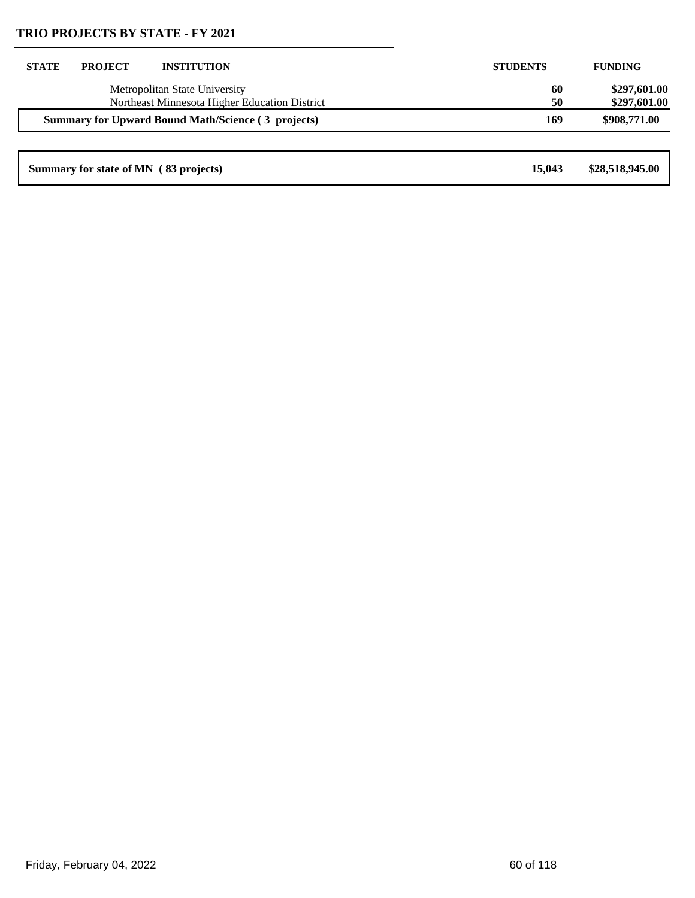| <b>STATE</b> | <b>PROJECT</b> | <b>INSTITUTION</b>                                                             | <b>STUDENTS</b> | <b>FUNDING</b>               |
|--------------|----------------|--------------------------------------------------------------------------------|-----------------|------------------------------|
|              |                | Metropolitan State University<br>Northeast Minnesota Higher Education District | 60<br>50        | \$297,601.00<br>\$297,601.00 |
|              |                | <b>Summary for Upward Bound Math/Science (3 projects)</b>                      | 169             | \$908,771.00                 |
|              |                |                                                                                |                 |                              |
|              |                | Summary for state of MN (83 projects)                                          | 15,043          | \$28,518,945.00              |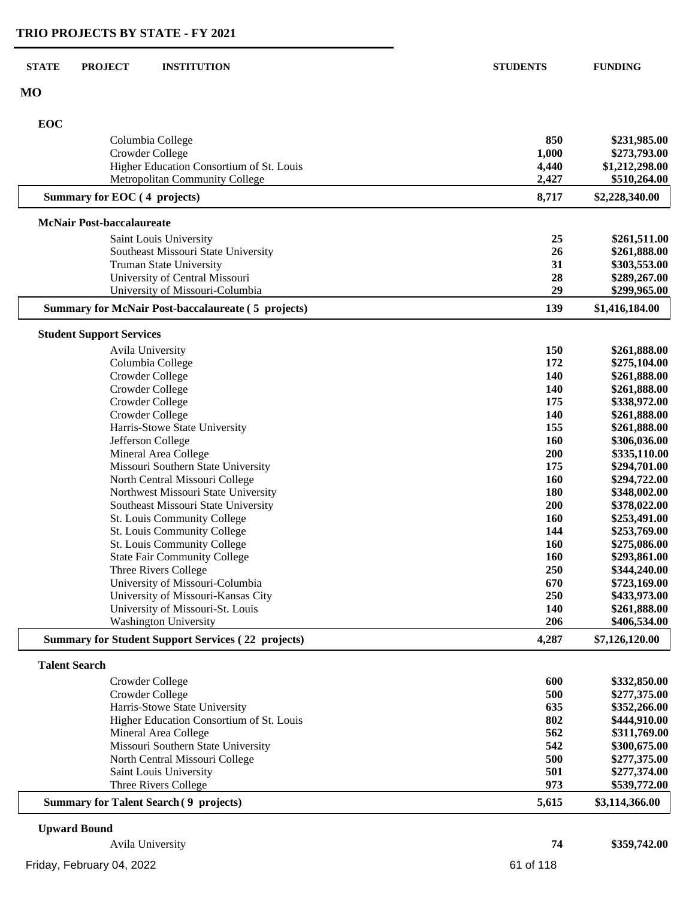| <b>STATE</b>         | <b>PROJECT</b><br><b>INSTITUTION</b>                                                      | <b>STUDENTS</b> | <b>FUNDING</b>                 |
|----------------------|-------------------------------------------------------------------------------------------|-----------------|--------------------------------|
| MO                   |                                                                                           |                 |                                |
| EOC                  |                                                                                           |                 |                                |
|                      | Columbia College                                                                          | 850             | \$231,985.00                   |
|                      | Crowder College                                                                           | 1,000           | \$273,793.00                   |
|                      | Higher Education Consortium of St. Louis                                                  | 4,440           | \$1,212,298.00                 |
|                      | Metropolitan Community College                                                            | 2,427           | \$510,264.00                   |
|                      | Summary for EOC (4 projects)                                                              | 8,717           | \$2,228,340.00                 |
|                      | <b>McNair Post-baccalaureate</b>                                                          |                 |                                |
|                      | Saint Louis University                                                                    | 25              | \$261,511.00                   |
|                      | Southeast Missouri State University                                                       | 26              | \$261,888.00                   |
|                      | <b>Truman State University</b>                                                            | 31              | \$303,553.00                   |
|                      | University of Central Missouri                                                            | 28              | \$289,267.00                   |
|                      | University of Missouri-Columbia                                                           | 29              | \$299,965.00                   |
|                      | <b>Summary for McNair Post-baccalaureate (5 projects)</b>                                 | 139             | \$1,416,184.00                 |
|                      | <b>Student Support Services</b>                                                           |                 |                                |
|                      | Avila University                                                                          | 150             | \$261,888.00                   |
|                      | Columbia College                                                                          | 172             | \$275,104.00                   |
|                      | Crowder College                                                                           | 140             | \$261,888.00                   |
|                      | Crowder College                                                                           | 140             | \$261,888.00                   |
|                      | Crowder College                                                                           | 175             | \$338,972.00                   |
|                      | Crowder College                                                                           | 140             | \$261,888.00                   |
|                      | Harris-Stowe State University                                                             | 155             | \$261,888.00                   |
|                      | Jefferson College                                                                         | 160             | \$306,036.00                   |
|                      | Mineral Area College                                                                      | 200             | \$335,110.00                   |
|                      | Missouri Southern State University                                                        | 175             | \$294,701.00                   |
|                      | North Central Missouri College                                                            | 160             | \$294,722.00                   |
|                      | Northwest Missouri State University                                                       | 180             | \$348,002.00                   |
|                      | Southeast Missouri State University                                                       | 200             | \$378,022.00                   |
|                      | St. Louis Community College                                                               | <b>160</b>      | \$253,491.00                   |
|                      | St. Louis Community College                                                               | 144             | \$253,769.00                   |
|                      | St. Louis Community College                                                               | 160             | \$275,086.00                   |
|                      | <b>State Fair Community College</b>                                                       | 160             | \$293,861.00                   |
|                      | Three Rivers College                                                                      | 250             | \$344,240.00                   |
|                      | University of Missouri-Columbia                                                           | 670             | \$723,169.00                   |
|                      | University of Missouri-Kansas City                                                        | 250             | \$433,973.00                   |
|                      | University of Missouri-St. Louis                                                          | 140             | \$261,888.00                   |
|                      | <b>Washington University</b><br><b>Summary for Student Support Services (22 projects)</b> | 206<br>4,287    | \$406,534.00<br>\$7,126,120.00 |
|                      |                                                                                           |                 |                                |
| <b>Talent Search</b> |                                                                                           | 600             |                                |
|                      | Crowder College                                                                           | 500             | \$332,850.00<br>\$277,375.00   |
|                      | Crowder College<br>Harris-Stowe State University                                          | 635             | \$352,266.00                   |
|                      | Higher Education Consortium of St. Louis                                                  | 802             | \$444,910.00                   |
|                      | Mineral Area College                                                                      | 562             | \$311,769.00                   |
|                      | Missouri Southern State University                                                        | 542             | \$300,675.00                   |
|                      | North Central Missouri College                                                            | 500             | \$277,375.00                   |
|                      | Saint Louis University                                                                    | 501             | \$277,374.00                   |
|                      |                                                                                           |                 |                                |

**Summary for Talent Search (9 projects)** 

**Three Rivers College** 

### **Upward Bound**

| Avila University          | 74        | \$359,742.00 |
|---------------------------|-----------|--------------|
| Friday, February 04, 2022 | 61 of 118 |              |

Saint Louis University **501 \$277,374.00**<br>Three Rivers College **973 \$539,772.00** 

**9 projects) 5,615 \$3,114,366.00**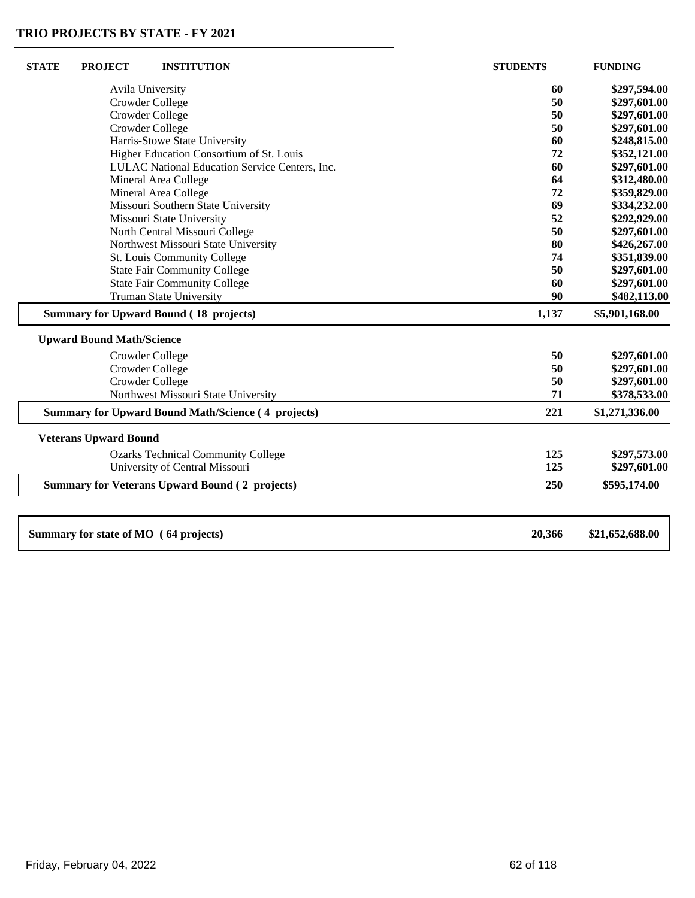| <b>STATE</b>    | <b>PROJECT</b>                   | <b>INSTITUTION</b>                                        | <b>STUDENTS</b> | <b>FUNDING</b>  |
|-----------------|----------------------------------|-----------------------------------------------------------|-----------------|-----------------|
|                 |                                  | Avila University                                          | 60              | \$297,594.00    |
| Crowder College |                                  |                                                           | 50              | \$297,601.00    |
|                 |                                  | Crowder College                                           | 50              | \$297,601.00    |
|                 |                                  | Crowder College                                           | 50              | \$297,601.00    |
|                 |                                  | Harris-Stowe State University                             | 60              | \$248,815.00    |
|                 |                                  | Higher Education Consortium of St. Louis                  | 72              | \$352,121.00    |
|                 |                                  | LULAC National Education Service Centers, Inc.            | 60              | \$297,601.00    |
|                 |                                  | Mineral Area College                                      | 64              | \$312,480.00    |
|                 |                                  | Mineral Area College                                      | 72              | \$359,829.00    |
|                 |                                  | Missouri Southern State University                        | 69              | \$334,232.00    |
|                 |                                  | Missouri State University                                 | 52              | \$292,929.00    |
|                 |                                  | North Central Missouri College                            | 50              | \$297,601.00    |
|                 |                                  | Northwest Missouri State University                       | 80              | \$426,267.00    |
|                 |                                  | St. Louis Community College                               | 74              | \$351,839.00    |
|                 |                                  | <b>State Fair Community College</b>                       | 50              | \$297,601.00    |
|                 |                                  | <b>State Fair Community College</b>                       | 60              | \$297,601.00    |
|                 |                                  | <b>Truman State University</b>                            | 90              | \$482,113.00    |
|                 |                                  | <b>Summary for Upward Bound (18 projects)</b>             | 1,137           | \$5,901,168.00  |
|                 | <b>Upward Bound Math/Science</b> |                                                           |                 |                 |
|                 |                                  | Crowder College                                           | 50              | \$297,601.00    |
|                 |                                  | Crowder College                                           | 50              | \$297,601.00    |
|                 |                                  | Crowder College                                           | 50              | \$297,601.00    |
|                 |                                  | Northwest Missouri State University                       | 71              | \$378,533.00    |
|                 |                                  | <b>Summary for Upward Bound Math/Science (4 projects)</b> | 221             | \$1,271,336.00  |
|                 | <b>Veterans Upward Bound</b>     |                                                           |                 |                 |
|                 |                                  | <b>Ozarks Technical Community College</b>                 | 125             | \$297,573.00    |
|                 |                                  | University of Central Missouri                            | 125             | \$297,601.00    |
|                 |                                  | <b>Summary for Veterans Upward Bound (2 projects)</b>     | 250             | \$595,174.00    |
|                 |                                  |                                                           |                 |                 |
|                 |                                  | Summary for state of MO (64 projects)                     | 20,366          | \$21,652,688.00 |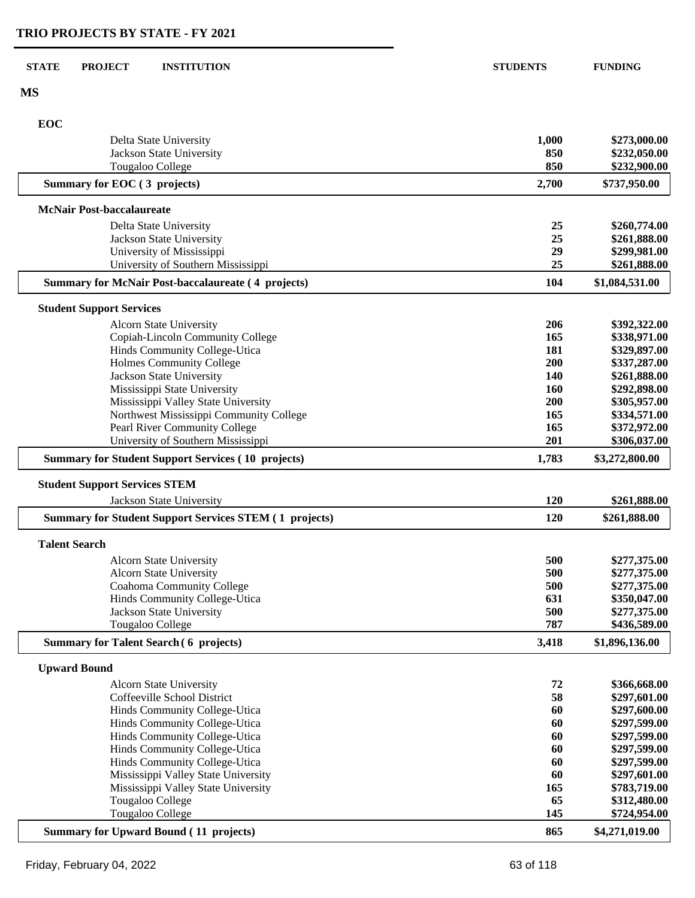| <b>STATE</b> | <b>PROJECT</b>                       | <b>INSTITUTION</b>                                            | <b>STUDENTS</b> | <b>FUNDING</b>               |
|--------------|--------------------------------------|---------------------------------------------------------------|-----------------|------------------------------|
| <b>MS</b>    |                                      |                                                               |                 |                              |
| EOC          |                                      |                                                               |                 |                              |
|              |                                      | Delta State University                                        | 1,000           | \$273,000.00                 |
|              |                                      | Jackson State University                                      | 850             | \$232,050.00                 |
|              |                                      | Tougaloo College                                              | 850             | \$232,900.00                 |
|              | Summary for EOC (3 projects)         |                                                               | 2,700           | \$737,950.00                 |
|              | <b>McNair Post-baccalaureate</b>     |                                                               |                 |                              |
|              |                                      | Delta State University                                        | 25              | \$260,774.00                 |
|              |                                      | Jackson State University                                      | 25              | \$261,888.00                 |
|              |                                      | University of Mississippi                                     | 29              | \$299,981.00                 |
|              |                                      | University of Southern Mississippi                            | 25              | \$261,888.00                 |
|              |                                      | <b>Summary for McNair Post-baccalaureate (4 projects)</b>     | 104             | \$1,084,531.00               |
|              | <b>Student Support Services</b>      |                                                               |                 |                              |
|              |                                      | Alcorn State University                                       | 206             | \$392,322.00                 |
|              |                                      | Copiah-Lincoln Community College                              | 165             | \$338,971.00                 |
|              |                                      | Hinds Community College-Utica                                 | 181             | \$329,897.00                 |
|              |                                      | <b>Holmes Community College</b><br>Jackson State University   | 200<br>140      | \$337,287.00<br>\$261,888.00 |
|              |                                      | Mississippi State University                                  | <b>160</b>      | \$292,898.00                 |
|              |                                      | Mississippi Valley State University                           | 200             | \$305,957.00                 |
|              |                                      | Northwest Mississippi Community College                       | 165             | \$334,571.00                 |
|              |                                      | Pearl River Community College                                 | 165             | \$372,972.00                 |
|              |                                      | University of Southern Mississippi                            | 201             | \$306,037.00                 |
|              |                                      | <b>Summary for Student Support Services (10 projects)</b>     | 1,783           | \$3,272,800.00               |
|              | <b>Student Support Services STEM</b> |                                                               |                 |                              |
|              |                                      | Jackson State University                                      | 120             | \$261,888.00                 |
|              |                                      | <b>Summary for Student Support Services STEM (1 projects)</b> | 120             | \$261,888.00                 |
|              | <b>Talent Search</b>                 |                                                               |                 |                              |
|              |                                      | <b>Alcorn State University</b>                                | 500             | \$277,375.00                 |
|              |                                      | <b>Alcorn State University</b>                                | 500             | \$277,375.00                 |
|              |                                      | <b>Coahoma Community College</b>                              | 500             | \$277,375.00                 |
|              |                                      | Hinds Community College-Utica                                 | 631             | \$350,047.00                 |
|              |                                      | Jackson State University                                      | 500             | \$277,375.00                 |
|              |                                      | Tougaloo College                                              | 787             | \$436,589.00                 |
|              |                                      | <b>Summary for Talent Search (6 projects)</b>                 | 3,418           | \$1,896,136.00               |
|              | <b>Upward Bound</b>                  | Alcorn State University                                       | 72              | \$366,668.00                 |
|              |                                      | Coffeeville School District                                   | 58              | \$297,601.00                 |
|              |                                      | Hinds Community College-Utica                                 | 60              | \$297,600.00                 |
|              |                                      | Hinds Community College-Utica                                 | 60              | \$297,599.00                 |
|              |                                      | Hinds Community College-Utica                                 | 60              | \$297,599.00                 |
|              |                                      | Hinds Community College-Utica                                 | 60              | \$297,599.00                 |
|              |                                      | Hinds Community College-Utica                                 | 60              | \$297,599.00                 |
|              |                                      | Mississippi Valley State University                           | 60              | \$297,601.00                 |
|              |                                      | Mississippi Valley State University                           | 165             | \$783,719.00                 |
|              |                                      | Tougaloo College                                              | 65              | \$312,480.00                 |
|              |                                      | Tougaloo College                                              | 145             | \$724,954.00                 |
|              |                                      | <b>Summary for Upward Bound (11 projects)</b>                 | 865             | \$4,271,019.00               |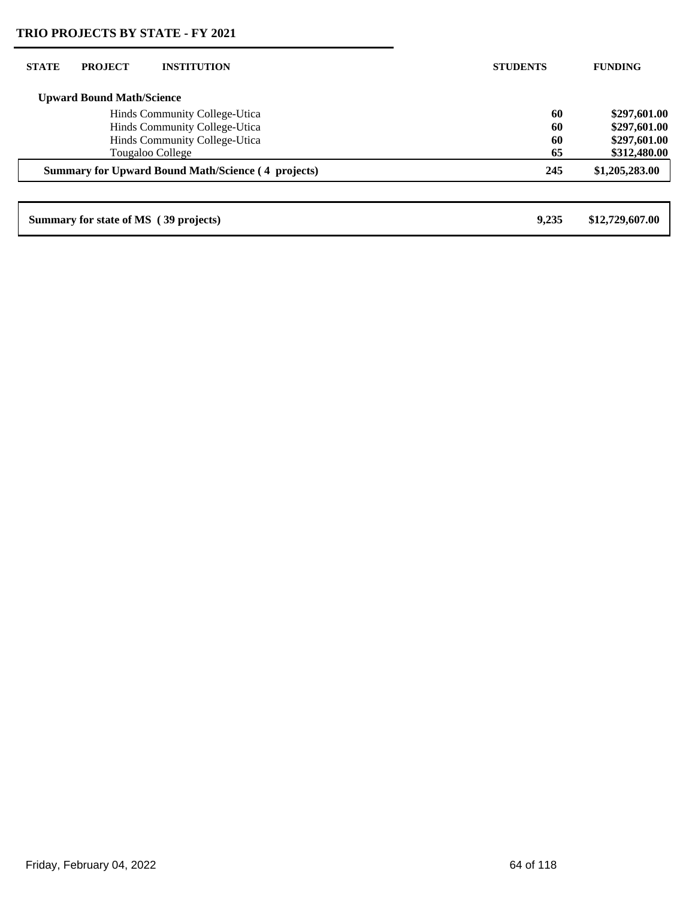| <b>STATE</b>                  | <b>PROJECT</b>                   | <b>INSTITUTION</b>                                        | <b>STUDENTS</b> | <b>FUNDING</b>  |
|-------------------------------|----------------------------------|-----------------------------------------------------------|-----------------|-----------------|
|                               | <b>Upward Bound Math/Science</b> |                                                           |                 |                 |
|                               |                                  | Hinds Community College-Utica                             | 60              | \$297,601.00    |
|                               |                                  | Hinds Community College-Utica                             | 60              | \$297,601.00    |
| Hinds Community College-Utica |                                  | 60                                                        | \$297,601.00    |                 |
|                               |                                  | Tougaloo College                                          | 65              | \$312,480.00    |
|                               |                                  | <b>Summary for Upward Bound Math/Science (4 projects)</b> | 245             | \$1,205,283.00  |
|                               |                                  |                                                           |                 |                 |
|                               |                                  | Summary for state of MS (39 projects)                     | 9.235           | \$12,729,607.00 |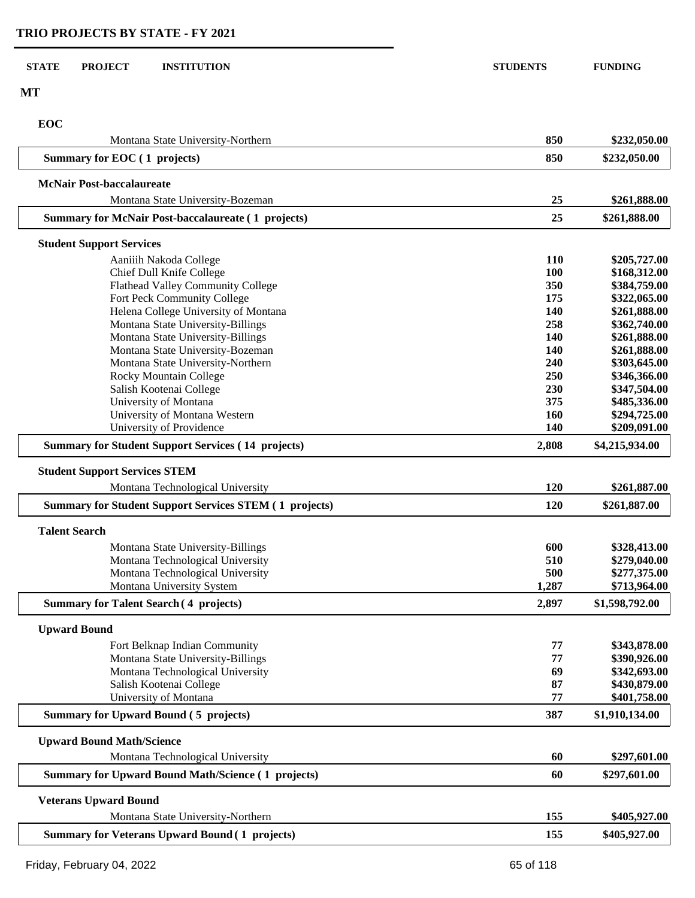| <b>STATE</b> | <b>PROJECT</b><br><b>INSTITUTION</b>                                      | <b>STUDENTS</b> | <b>FUNDING</b>               |
|--------------|---------------------------------------------------------------------------|-----------------|------------------------------|
| <b>MT</b>    |                                                                           |                 |                              |
| <b>EOC</b>   |                                                                           |                 |                              |
|              | Montana State University-Northern                                         | 850             | \$232,050.00                 |
|              | Summary for EOC (1 projects)                                              | 850             | \$232,050.00                 |
|              |                                                                           |                 |                              |
|              | <b>McNair Post-baccalaureate</b><br>Montana State University-Bozeman      | 25              | \$261,888.00                 |
|              | <b>Summary for McNair Post-baccalaureate (1 projects)</b>                 | 25              | \$261,888.00                 |
|              |                                                                           |                 |                              |
|              | <b>Student Support Services</b>                                           |                 |                              |
|              | Aaniiih Nakoda College                                                    | 110             | \$205,727.00                 |
|              | Chief Dull Knife College                                                  | 100             | \$168,312.00                 |
|              | Flathead Valley Community College                                         | 350             | \$384,759.00                 |
|              | Fort Peck Community College                                               | 175<br>140      | \$322,065.00                 |
|              | Helena College University of Montana<br>Montana State University-Billings | 258             | \$261,888.00<br>\$362,740.00 |
|              | Montana State University-Billings                                         | 140             | \$261,888.00                 |
|              | Montana State University-Bozeman                                          | 140             | \$261,888.00                 |
|              | Montana State University-Northern                                         | 240             | \$303,645.00                 |
|              | Rocky Mountain College                                                    | 250             | \$346,366.00                 |
|              | Salish Kootenai College                                                   | 230             | \$347,504.00                 |
|              | University of Montana                                                     | 375             | \$485,336.00                 |
|              | University of Montana Western                                             | 160             | \$294,725.00                 |
|              | University of Providence                                                  | 140             | \$209,091.00                 |
|              | <b>Summary for Student Support Services (14 projects)</b>                 | 2,808           | \$4,215,934.00               |
|              | <b>Student Support Services STEM</b>                                      |                 |                              |
|              | Montana Technological University                                          | 120             | \$261,887.00                 |
|              | <b>Summary for Student Support Services STEM (1 projects)</b>             | 120             | \$261,887.00                 |
|              | <b>Talent Search</b>                                                      |                 |                              |
|              | Montana State University-Billings                                         | 600             | \$328,413.00                 |
|              | Montana Technological University                                          | 510             | \$279,040.00                 |
|              | Montana Technological University                                          | 500             | \$277,375.00                 |
|              | Montana University System                                                 | 1,287           | \$713,964.00                 |
|              | <b>Summary for Talent Search (4 projects)</b>                             | 2,897           | \$1,598,792.00               |
|              | <b>Upward Bound</b>                                                       |                 |                              |
|              | Fort Belknap Indian Community                                             | 77              | \$343,878.00                 |
|              | Montana State University-Billings                                         | 77              | \$390,926.00                 |
|              | Montana Technological University                                          | 69              | \$342,693.00                 |
|              | Salish Kootenai College                                                   | 87              | \$430,879.00                 |
|              | University of Montana                                                     | 77              | \$401,758.00                 |
|              | <b>Summary for Upward Bound (5 projects)</b>                              | 387             | \$1,910,134.00               |
|              | <b>Upward Bound Math/Science</b>                                          |                 |                              |
|              | Montana Technological University                                          | 60              | \$297,601.00                 |
|              | <b>Summary for Upward Bound Math/Science (1 projects)</b>                 | 60              | \$297,601.00                 |
|              | <b>Veterans Upward Bound</b>                                              |                 |                              |
|              | Montana State University-Northern                                         | 155             | \$405,927.00                 |
|              | <b>Summary for Veterans Upward Bound (1 projects)</b>                     | 155             | \$405,927.00                 |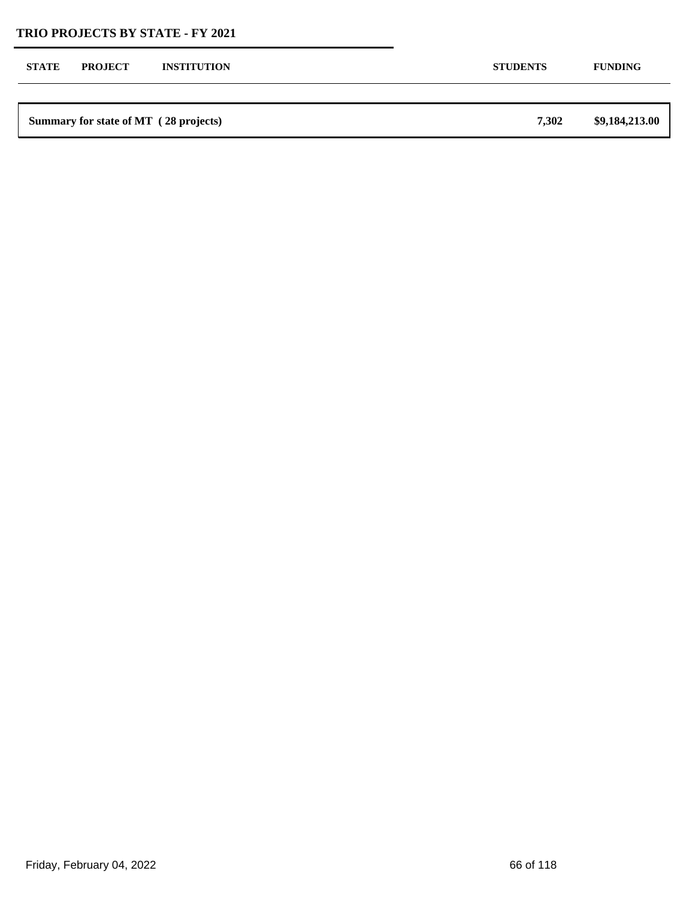| <b>STATE</b> | <b>PROJECT</b> | <b>INSTITUTION</b>                    | <b>STUDENTS</b> | <b>FUNDING</b> |
|--------------|----------------|---------------------------------------|-----------------|----------------|
|              |                |                                       |                 |                |
|              |                | Summary for state of MT (28 projects) | 7,302           | \$9,184,213.00 |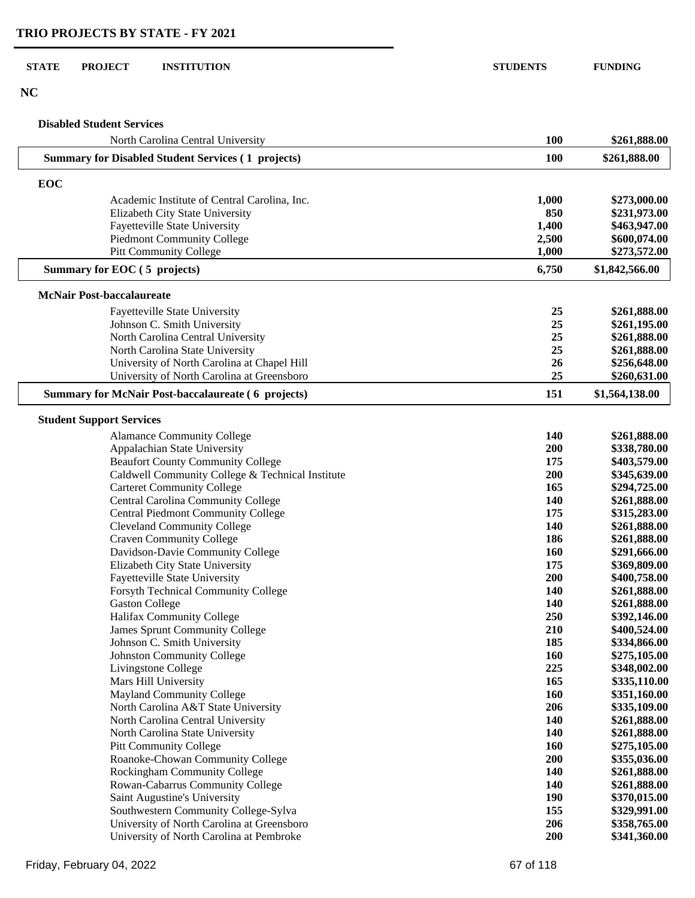#### **STATE PROJECT INSTITUTION STUDENTS FUNDING**

**NC**

## **Disabled Student Services**

| North Carolina Central University                         | 100        | \$261,888.00   |
|-----------------------------------------------------------|------------|----------------|
| <b>Summary for Disabled Student Services (1 projects)</b> | 100        | \$261,888.00   |
| <b>EOC</b>                                                |            |                |
| Academic Institute of Central Carolina, Inc.              | 1,000      | \$273,000.00   |
| Elizabeth City State University                           | 850        | \$231,973.00   |
| Fayetteville State University                             | 1,400      | \$463,947.00   |
| <b>Piedmont Community College</b>                         | 2,500      | \$600,074.00   |
| <b>Pitt Community College</b>                             | 1,000      | \$273,572.00   |
| Summary for EOC (5 projects)                              | 6,750      | \$1,842,566.00 |
| <b>McNair Post-baccalaureate</b>                          |            |                |
| Fayetteville State University                             | 25         | \$261,888.00   |
| Johnson C. Smith University                               | 25         | \$261,195.00   |
| North Carolina Central University                         | 25         | \$261,888.00   |
| North Carolina State University                           | 25         | \$261,888.00   |
| University of North Carolina at Chapel Hill               | 26         | \$256,648.00   |
| University of North Carolina at Greensboro                | 25         | \$260,631.00   |
| <b>Summary for McNair Post-baccalaureate (6 projects)</b> | 151        | \$1,564,138.00 |
| <b>Student Support Services</b>                           |            |                |
| <b>Alamance Community College</b>                         | 140        | \$261,888.00   |
| Appalachian State University                              | 200        | \$338,780.00   |
| <b>Beaufort County Community College</b>                  | 175        | \$403,579.00   |
| Caldwell Community College & Technical Institute          | 200        | \$345,639.00   |
| <b>Carteret Community College</b>                         | 165        | \$294,725.00   |
| Central Carolina Community College                        | 140        | \$261,888.00   |
| <b>Central Piedmont Community College</b>                 | 175        | \$315,283.00   |
| <b>Cleveland Community College</b>                        | 140        | \$261,888.00   |
| <b>Craven Community College</b>                           | 186        | \$261,888.00   |
| Davidson-Davie Community College                          | 160        | \$291,666.00   |
| Elizabeth City State University                           | 175        | \$369,809.00   |
| Fayetteville State University                             | 200        | \$400,758.00   |
| Forsyth Technical Community College                       | 140        | \$261,888.00   |
| <b>Gaston College</b>                                     | 140        | \$261,888.00   |
| Halifax Community College                                 | 250        | \$392,146.00   |
| <b>James Sprunt Community College</b>                     | 210        | \$400,524.00   |
| Johnson C. Smith University                               | 185        | \$334,866.00   |
| <b>Johnston Community College</b>                         | 160        | \$275,105.00   |
| Livingstone College                                       | 225        | \$348,002.00   |
| Mars Hill University                                      | 165        | \$335,110.00   |
| <b>Mayland Community College</b>                          | 160        | \$351,160.00   |
| North Carolina A&T State University                       | 206        | \$335,109.00   |
| North Carolina Central University                         | 140        | \$261,888.00   |
| North Carolina State University                           | 140        | \$261,888.00   |
| <b>Pitt Community College</b>                             | 160        | \$275,105.00   |
| Roanoke-Chowan Community College                          | 200        | \$355,036.00   |
| Rockingham Community College                              | 140        | \$261,888.00   |
| Rowan-Cabarrus Community College                          | 140        | \$261,888.00   |
| Saint Augustine's University                              | <b>190</b> | \$370,015.00   |
| Southwestern Community College-Sylva                      | 155        | \$329,991.00   |
| University of North Carolina at Greensboro                | 206        | \$358,765.00   |
| University of North Carolina at Pembroke                  | 200        | \$341,360.00   |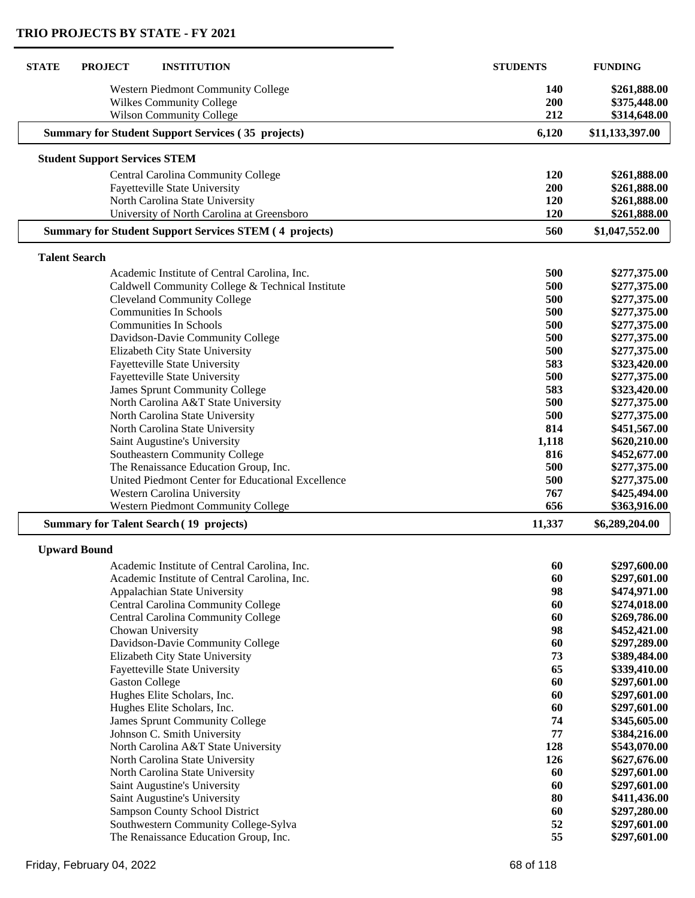| <b>STATE</b><br><b>PROJECT</b><br><b>INSTITUTION</b>                                       | <b>STUDENTS</b> | <b>FUNDING</b>               |
|--------------------------------------------------------------------------------------------|-----------------|------------------------------|
| <b>Western Piedmont Community College</b>                                                  | <b>140</b>      | \$261,888.00                 |
| <b>Wilkes Community College</b>                                                            | 200             | \$375,448.00                 |
| <b>Wilson Community College</b>                                                            | 212             | \$314,648.00                 |
| <b>Summary for Student Support Services (35 projects)</b>                                  | 6,120           | \$11,133,397.00              |
| <b>Student Support Services STEM</b>                                                       |                 |                              |
| Central Carolina Community College                                                         | 120             | \$261,888.00                 |
| Fayetteville State University                                                              | 200             | \$261,888.00                 |
| North Carolina State University                                                            | 120             | \$261,888.00                 |
| University of North Carolina at Greensboro                                                 | 120             | \$261,888.00                 |
| <b>Summary for Student Support Services STEM (4 projects)</b>                              | 560             | \$1,047,552.00               |
| <b>Talent Search</b>                                                                       |                 |                              |
| Academic Institute of Central Carolina, Inc.                                               | 500             | \$277,375.00                 |
| Caldwell Community College & Technical Institute                                           | 500             | \$277,375.00                 |
| <b>Cleveland Community College</b>                                                         | 500             | \$277,375.00                 |
| <b>Communities In Schools</b>                                                              | 500             | \$277,375.00                 |
| <b>Communities In Schools</b>                                                              | 500             | \$277,375.00                 |
| Davidson-Davie Community College                                                           | 500             | \$277,375.00                 |
| Elizabeth City State University                                                            | 500             | \$277,375.00                 |
| <b>Fayetteville State University</b>                                                       | 583             | \$323,420.00                 |
| Fayetteville State University                                                              | 500             | \$277,375.00                 |
| <b>James Sprunt Community College</b>                                                      | 583             | \$323,420.00                 |
| North Carolina A&T State University                                                        | 500             | \$277,375.00                 |
| North Carolina State University                                                            | 500             | \$277,375.00                 |
| North Carolina State University                                                            | 814             | \$451,567.00                 |
| Saint Augustine's University                                                               | 1,118           | \$620,210.00                 |
| Southeastern Community College                                                             | 816             | \$452,677.00                 |
| The Renaissance Education Group, Inc.<br>United Piedmont Center for Educational Excellence | 500             | \$277,375.00                 |
| Western Carolina University                                                                | 500<br>767      | \$277,375.00<br>\$425,494.00 |
| <b>Western Piedmont Community College</b>                                                  | 656             | \$363,916.00                 |
| <b>Summary for Talent Search (19 projects)</b>                                             | 11,337          | \$6,289,204.00               |
| <b>Upward Bound</b>                                                                        |                 |                              |
| Academic Institute of Central Carolina, Inc.                                               | 60              | \$297,600.00                 |
| Academic Institute of Central Carolina, Inc.                                               | 60              | \$297,601.00                 |
| Appalachian State University                                                               | 98              | \$474,971.00                 |
| Central Carolina Community College                                                         | 60              | \$274,018.00                 |
| Central Carolina Community College                                                         | 60              | \$269,786.00                 |
| Chowan University                                                                          | 98              | \$452,421.00                 |
| Davidson-Davie Community College                                                           | 60              | \$297,289.00                 |
| Elizabeth City State University                                                            | 73              | \$389,484.00                 |
| <b>Fayetteville State University</b>                                                       | 65              | \$339,410.00                 |
| <b>Gaston College</b>                                                                      | 60              | \$297,601.00                 |
| Hughes Elite Scholars, Inc.                                                                | 60              | \$297,601.00                 |
| Hughes Elite Scholars, Inc.                                                                | 60              | \$297,601.00                 |
| <b>James Sprunt Community College</b>                                                      | 74              | \$345,605.00                 |
| Johnson C. Smith University                                                                | 77              | \$384,216.00                 |
| North Carolina A&T State University                                                        | 128             | \$543,070.00                 |
| North Carolina State University                                                            | 126             | \$627,676.00                 |
| North Carolina State University                                                            | 60              | \$297,601.00                 |
| Saint Augustine's University                                                               | 60              | \$297,601.00                 |
| Saint Augustine's University                                                               | 80              | \$411,436.00                 |
| Sampson County School District                                                             | 60              | \$297,280.00                 |
| Southwestern Community College-Sylva                                                       | 52              | \$297,601.00                 |
| The Renaissance Education Group, Inc.                                                      | 55              | \$297,601.00                 |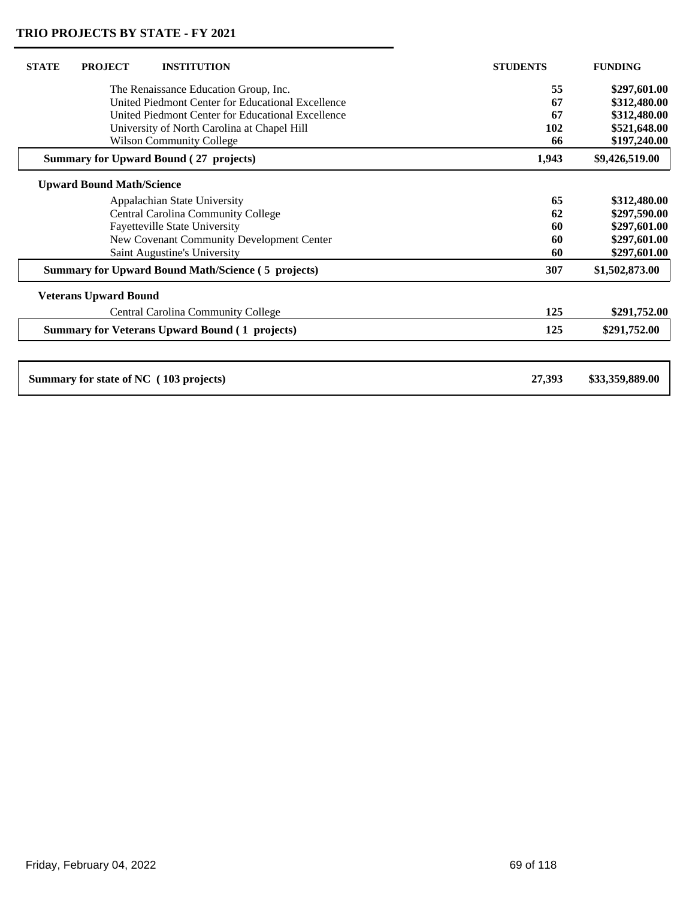| <b>STATE</b> | <b>PROJECT</b>                   | <b>INSTITUTION</b>                                        | <b>STUDENTS</b> | <b>FUNDING</b>  |
|--------------|----------------------------------|-----------------------------------------------------------|-----------------|-----------------|
|              |                                  | The Renaissance Education Group, Inc.                     | 55              | \$297,601.00    |
|              |                                  | United Piedmont Center for Educational Excellence         | 67              | \$312,480.00    |
|              |                                  | United Piedmont Center for Educational Excellence         | 67              | \$312,480.00    |
|              |                                  | University of North Carolina at Chapel Hill               | 102             | \$521,648.00    |
|              |                                  | <b>Wilson Community College</b>                           | 66              | \$197,240.00    |
|              |                                  | <b>Summary for Upward Bound (27 projects)</b>             | 1,943           | \$9,426,519.00  |
|              | <b>Upward Bound Math/Science</b> |                                                           |                 |                 |
|              |                                  | Appalachian State University                              | 65              | \$312,480.00    |
|              |                                  | <b>Central Carolina Community College</b>                 | 62              | \$297,590.00    |
|              |                                  | <b>Fayetteville State University</b>                      | 60              | \$297,601.00    |
|              |                                  | New Covenant Community Development Center                 | 60              | \$297,601.00    |
|              |                                  | Saint Augustine's University                              | 60              | \$297,601.00    |
|              |                                  | <b>Summary for Upward Bound Math/Science (5 projects)</b> | 307             | \$1,502,873.00  |
|              | <b>Veterans Upward Bound</b>     |                                                           |                 |                 |
|              |                                  | <b>Central Carolina Community College</b>                 | 125             | \$291,752.00    |
|              |                                  | <b>Summary for Veterans Upward Bound (1 projects)</b>     | 125             | \$291,752.00    |
|              |                                  |                                                           |                 |                 |
|              |                                  | Summary for state of NC (103 projects)                    | 27,393          | \$33,359,889.00 |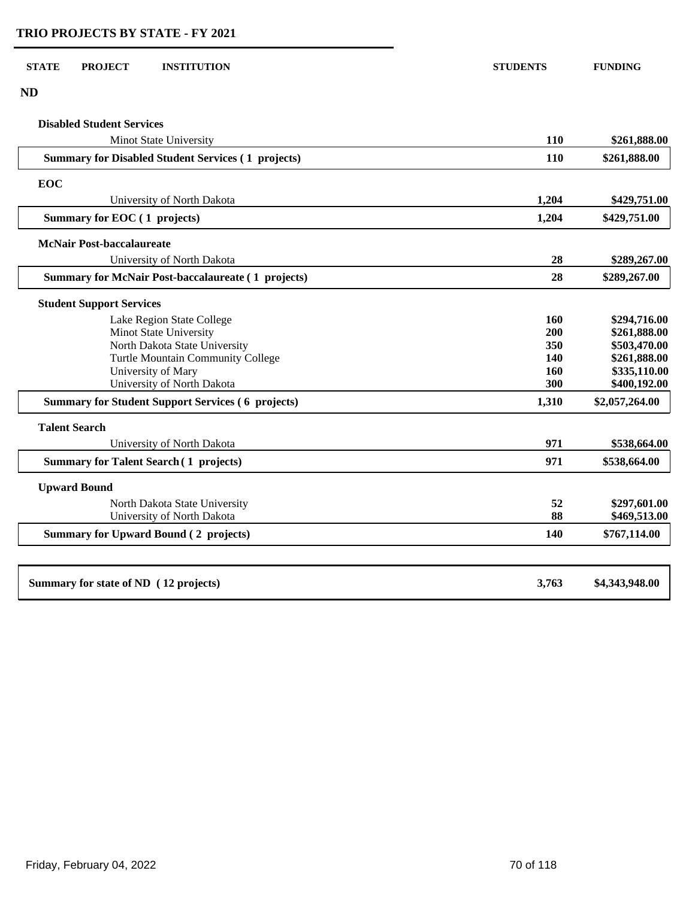| <b>STATE</b> | <b>PROJECT</b> | <b>INSTITUTION</b> | <b>STUDENTS</b> | <b>FUNDING</b> |
|--------------|----------------|--------------------|-----------------|----------------|

| I<br>٧ |
|--------|
|        |

 $\begin{bmatrix} 1 & 1 \\ 1 & 1 \end{bmatrix}$ 

 $\Box$ 

 $\sqrt{ }$ L

| $\mathbf{N}\mathbf{D}$                                                                 |            |                                |
|----------------------------------------------------------------------------------------|------------|--------------------------------|
| <b>Disabled Student Services</b>                                                       |            |                                |
| <b>Minot State University</b>                                                          | <b>110</b> | \$261,888.00                   |
| <b>Summary for Disabled Student Services (1 projects)</b>                              | 110        | \$261,888.00                   |
| <b>EOC</b>                                                                             |            |                                |
| University of North Dakota                                                             | 1,204      | \$429,751.00                   |
| Summary for EOC (1 projects)                                                           | 1,204      | \$429,751.00                   |
| <b>McNair Post-baccalaureate</b>                                                       |            |                                |
| University of North Dakota                                                             | 28         | \$289,267.00                   |
| <b>Summary for McNair Post-baccalaureate (1 projects)</b>                              | 28         | \$289,267.00                   |
| <b>Student Support Services</b>                                                        |            |                                |
| Lake Region State College                                                              | 160        | \$294,716.00                   |
| Minot State University                                                                 | 200        | \$261,888.00                   |
| North Dakota State University                                                          | 350        | \$503,470.00                   |
| Turtle Mountain Community College                                                      | 140        | \$261,888.00                   |
| University of Mary                                                                     | 160<br>300 | \$335,110.00                   |
| University of North Dakota<br><b>Summary for Student Support Services (6 projects)</b> | 1,310      | \$400,192.00<br>\$2,057,264.00 |
|                                                                                        |            |                                |
| <b>Talent Search</b><br>University of North Dakota                                     | 971        | \$538,664.00                   |
| <b>Summary for Talent Search (1 projects)</b>                                          | 971        | \$538,664.00                   |
| <b>Upward Bound</b>                                                                    |            |                                |
| North Dakota State University                                                          | 52         | \$297,601.00                   |
| University of North Dakota                                                             | 88         | \$469,513.00                   |
| <b>Summary for Upward Bound (2 projects)</b>                                           | 140        | \$767,114.00                   |
|                                                                                        |            |                                |
| Summary for state of ND (12 projects)                                                  | 3,763      | \$4,343,948.00                 |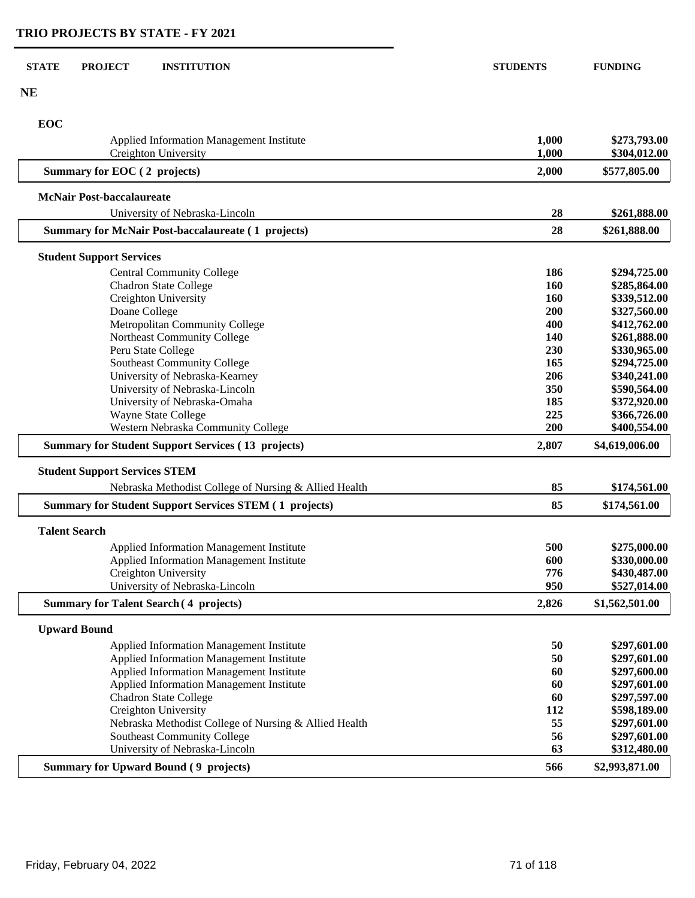| <b>STATE</b>         | <b>PROJECT</b>                       | <b>INSTITUTION</b>                                            | <b>STUDENTS</b> | <b>FUNDING</b> |
|----------------------|--------------------------------------|---------------------------------------------------------------|-----------------|----------------|
| <b>NE</b>            |                                      |                                                               |                 |                |
|                      |                                      |                                                               |                 |                |
| EOC                  |                                      |                                                               |                 |                |
|                      |                                      | <b>Applied Information Management Institute</b>               | 1,000           | \$273,793.00   |
|                      |                                      | Creighton University                                          | 1,000           | \$304,012.00   |
|                      | Summary for EOC (2 projects)         |                                                               | 2,000           | \$577,805.00   |
|                      | <b>McNair Post-baccalaureate</b>     |                                                               |                 |                |
|                      |                                      | University of Nebraska-Lincoln                                | 28              | \$261,888.00   |
|                      |                                      | <b>Summary for McNair Post-baccalaureate (1 projects)</b>     | 28              | \$261,888.00   |
|                      | <b>Student Support Services</b>      |                                                               |                 |                |
|                      |                                      | <b>Central Community College</b>                              | 186             | \$294,725.00   |
|                      |                                      | <b>Chadron State College</b>                                  | 160             | \$285,864.00   |
|                      |                                      | Creighton University                                          | <b>160</b>      | \$339,512.00   |
|                      | Doane College                        |                                                               | 200             | \$327,560.00   |
|                      |                                      | Metropolitan Community College                                | 400             | \$412,762.00   |
|                      |                                      | Northeast Community College                                   | 140             | \$261,888.00   |
|                      |                                      | Peru State College                                            | 230             | \$330,965.00   |
|                      |                                      | <b>Southeast Community College</b>                            | 165             | \$294,725.00   |
|                      |                                      | University of Nebraska-Kearney                                | 206             | \$340,241.00   |
|                      |                                      | University of Nebraska-Lincoln                                | 350             | \$590,564.00   |
|                      |                                      | University of Nebraska-Omaha                                  | 185             | \$372,920.00   |
|                      |                                      | <b>Wayne State College</b>                                    | 225             | \$366,726.00   |
|                      |                                      | Western Nebraska Community College                            | 200             | \$400,554.00   |
|                      |                                      | <b>Summary for Student Support Services (13 projects)</b>     | 2,807           | \$4,619,006.00 |
|                      | <b>Student Support Services STEM</b> |                                                               |                 |                |
|                      |                                      | Nebraska Methodist College of Nursing & Allied Health         | 85              | \$174,561.00   |
|                      |                                      | <b>Summary for Student Support Services STEM (1 projects)</b> | 85              | \$174,561.00   |
| <b>Talent Search</b> |                                      |                                                               |                 |                |
|                      |                                      | <b>Applied Information Management Institute</b>               | 500             | \$275,000.00   |
|                      |                                      | Applied Information Management Institute                      | 600             | \$330,000.00   |
|                      |                                      | Creighton University                                          | 776             | \$430,487.00   |
|                      |                                      | University of Nebraska-Lincoln                                | 950             | \$527,014.00   |
|                      |                                      | <b>Summary for Talent Search (4 projects)</b>                 | 2,826           | \$1,562,501.00 |
| <b>Upward Bound</b>  |                                      |                                                               |                 |                |
|                      |                                      | <b>Applied Information Management Institute</b>               | 50              | \$297,601.00   |
|                      |                                      | Applied Information Management Institute                      | 50              | \$297,601.00   |
|                      |                                      | Applied Information Management Institute                      | 60              | \$297,600.00   |
|                      |                                      | <b>Applied Information Management Institute</b>               | 60              | \$297,601.00   |
|                      |                                      | <b>Chadron State College</b>                                  | 60              | \$297,597.00   |
|                      |                                      | Creighton University                                          | 112             | \$598,189.00   |
|                      |                                      | Nebraska Methodist College of Nursing & Allied Health         | 55              | \$297,601.00   |
|                      |                                      | <b>Southeast Community College</b>                            | 56              | \$297,601.00   |
|                      |                                      | University of Nebraska-Lincoln                                | 63              | \$312,480.00   |
|                      |                                      | <b>Summary for Upward Bound (9 projects)</b>                  | 566             | \$2,993,871.00 |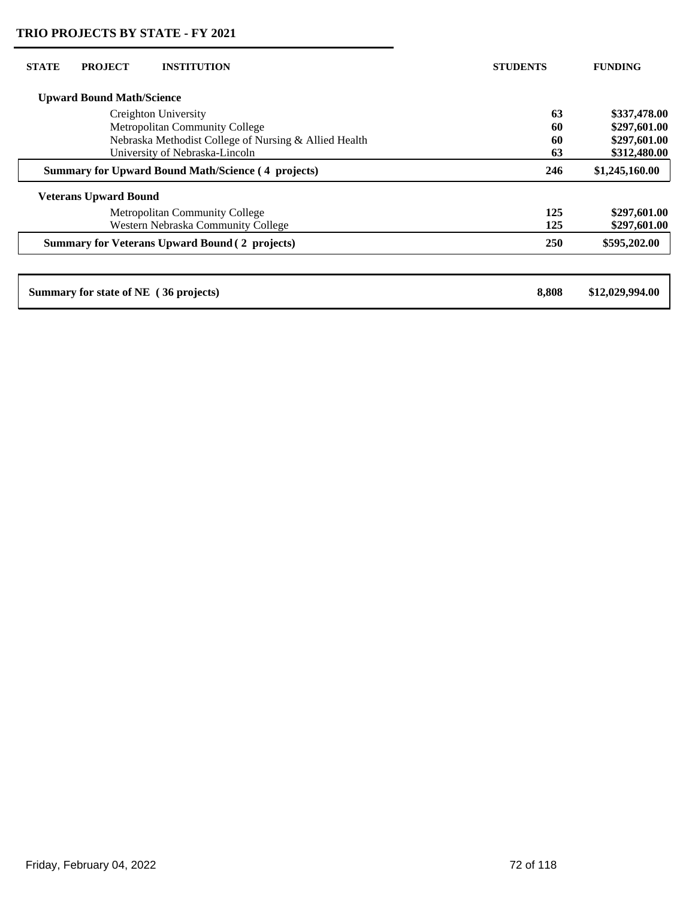| <b>STATE</b>                                              | <b>PROJECT</b>                   | <b>INSTITUTION</b>                                    | <b>STUDENTS</b> | <b>FUNDING</b>  |
|-----------------------------------------------------------|----------------------------------|-------------------------------------------------------|-----------------|-----------------|
|                                                           | <b>Upward Bound Math/Science</b> |                                                       |                 |                 |
| Creighton University                                      |                                  | 63                                                    | \$337,478.00    |                 |
| <b>Metropolitan Community College</b>                     |                                  | 60                                                    | \$297,601.00    |                 |
|                                                           |                                  | Nebraska Methodist College of Nursing & Allied Health | 60              | \$297,601.00    |
|                                                           |                                  | University of Nebraska-Lincoln                        | 63              | \$312,480.00    |
| <b>Summary for Upward Bound Math/Science (4 projects)</b> |                                  | 246                                                   | \$1,245,160.00  |                 |
|                                                           | <b>Veterans Upward Bound</b>     |                                                       |                 |                 |
|                                                           |                                  | <b>Metropolitan Community College</b>                 | 125             | \$297,601.00    |
|                                                           |                                  | Western Nebraska Community College                    | 125             | \$297,601.00    |
|                                                           |                                  | <b>Summary for Veterans Upward Bound (2 projects)</b> | <b>250</b>      | \$595,202.00    |
|                                                           |                                  |                                                       |                 |                 |
|                                                           |                                  | Summary for state of NE (36 projects)                 | 8,808           | \$12,029,994.00 |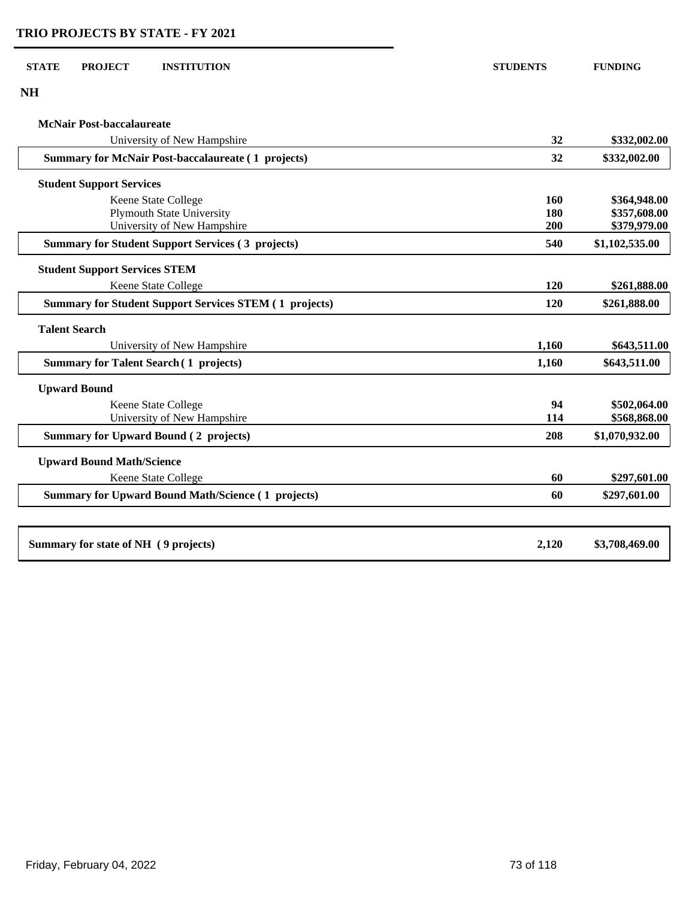| <b>NH</b>                                                     |       |                |
|---------------------------------------------------------------|-------|----------------|
| <b>McNair Post-baccalaureate</b>                              |       |                |
| University of New Hampshire                                   | 32    | \$332,002.00   |
| <b>Summary for McNair Post-baccalaureate (1 projects)</b>     | 32    | \$332,002.00   |
| <b>Student Support Services</b>                               |       |                |
| Keene State College                                           | 160   | \$364,948.00   |
| <b>Plymouth State University</b>                              | 180   | \$357,608.00   |
| University of New Hampshire                                   | 200   | \$379,979.00   |
| <b>Summary for Student Support Services (3 projects)</b>      | 540   | \$1,102,535.00 |
| <b>Student Support Services STEM</b>                          |       |                |
| Keene State College                                           | 120   | \$261,888.00   |
| <b>Summary for Student Support Services STEM (1 projects)</b> | 120   | \$261,888.00   |
| <b>Talent Search</b>                                          |       |                |
| University of New Hampshire                                   | 1,160 | \$643,511.00   |
| <b>Summary for Talent Search (1 projects)</b>                 | 1,160 | \$643,511.00   |
| <b>Upward Bound</b>                                           |       |                |
| Keene State College                                           | 94    | \$502,064.00   |
| University of New Hampshire                                   | 114   | \$568,868.00   |
| <b>Summary for Upward Bound (2 projects)</b>                  | 208   | \$1,070,932.00 |
| <b>Upward Bound Math/Science</b>                              |       |                |
| Keene State College                                           | 60    | \$297,601.00   |
| <b>Summary for Upward Bound Math/Science (1 projects)</b>     | 60    | \$297,601.00   |
|                                                               |       |                |
| Summary for state of NH (9 projects)                          | 2,120 | \$3,708,469.00 |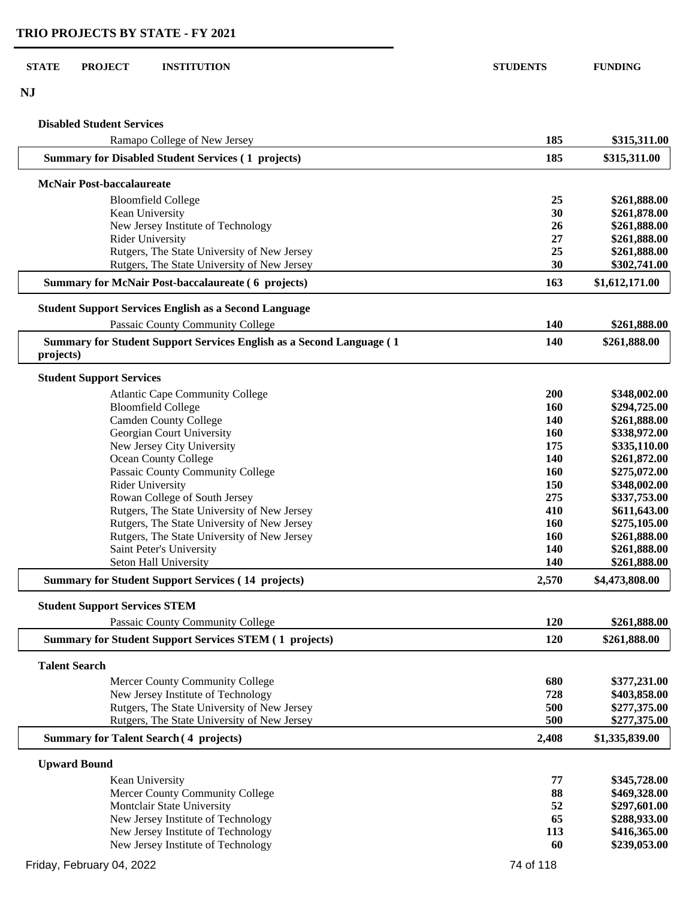**NJ**

## **Disabled Student Services**

| Ramapo College of New Jersey                                                              | 185        | \$315,311.00   |
|-------------------------------------------------------------------------------------------|------------|----------------|
| <b>Summary for Disabled Student Services (1 projects)</b>                                 | 185        | \$315,311.00   |
| <b>McNair Post-baccalaureate</b>                                                          |            |                |
| <b>Bloomfield College</b>                                                                 | 25         | \$261,888.00   |
| Kean University                                                                           | 30         | \$261,878.00   |
| New Jersey Institute of Technology                                                        | 26         | \$261,888.00   |
| <b>Rider University</b>                                                                   | 27         | \$261,888.00   |
| Rutgers, The State University of New Jersey                                               | 25         | \$261,888.00   |
| Rutgers, The State University of New Jersey                                               | 30         | \$302,741.00   |
| <b>Summary for McNair Post-baccalaureate (6 projects)</b>                                 | 163        | \$1,612,171.00 |
| <b>Student Support Services English as a Second Language</b>                              |            |                |
| Passaic County Community College                                                          | 140        | \$261,888.00   |
| <b>Summary for Student Support Services English as a Second Language (1)</b><br>projects) | 140        | \$261,888.00   |
| <b>Student Support Services</b>                                                           |            |                |
| <b>Atlantic Cape Community College</b>                                                    | 200        | \$348,002.00   |
| <b>Bloomfield College</b>                                                                 | 160        | \$294,725.00   |
| <b>Camden County College</b>                                                              | 140        | \$261,888.00   |
| Georgian Court University                                                                 | <b>160</b> | \$338,972.00   |
| New Jersey City University                                                                | 175        | \$335,110.00   |
| Ocean County College                                                                      | 140        | \$261,872.00   |
| Passaic County Community College                                                          | <b>160</b> | \$275,072.00   |
| <b>Rider University</b>                                                                   | 150        | \$348,002.00   |
| Rowan College of South Jersey                                                             | 275        | \$337,753.00   |
| Rutgers, The State University of New Jersey                                               | 410        | \$611,643.00   |
| Rutgers, The State University of New Jersey                                               | 160        | \$275,105.00   |
| Rutgers, The State University of New Jersey                                               | 160        | \$261,888.00   |
| Saint Peter's University                                                                  | 140        | \$261,888.00   |
| Seton Hall University                                                                     | 140        | \$261,888.00   |
| <b>Summary for Student Support Services (14 projects)</b>                                 | 2,570      | \$4,473,808.00 |
| <b>Student Support Services STEM</b>                                                      |            |                |
|                                                                                           |            |                |
| Passaic County Community College                                                          | <b>120</b> | \$261,888.00   |
| <b>Summary for Student Support Services STEM (1 projects)</b>                             | 120        | \$261,888.00   |
| <b>Talent Search</b>                                                                      |            |                |
| Mercer County Community College                                                           | 680        | \$377,231.00   |
| New Jersey Institute of Technology                                                        | 728        | \$403,858.00   |
| Rutgers, The State University of New Jersey                                               | 500        | \$277,375.00   |
| Rutgers, The State University of New Jersey                                               | 500        | \$277,375.00   |
| <b>Summary for Talent Search (4 projects)</b>                                             | 2,408      | \$1,335,839.00 |
| <b>Upward Bound</b>                                                                       |            |                |
| Kean University                                                                           | 77         | \$345,728.00   |
| Mercer County Community College                                                           | 88         | \$469,328.00   |
| Montclair State University                                                                | 52         | \$297,601.00   |
| New Jersey Institute of Technology                                                        | 65         | \$288,933.00   |
| New Jersey Institute of Technology                                                        | 113        | \$416,365.00   |
| New Jersey Institute of Technology                                                        | 60         | \$239,053.00   |
| Friday, February 04, 2022                                                                 | 74 of 118  |                |
|                                                                                           |            |                |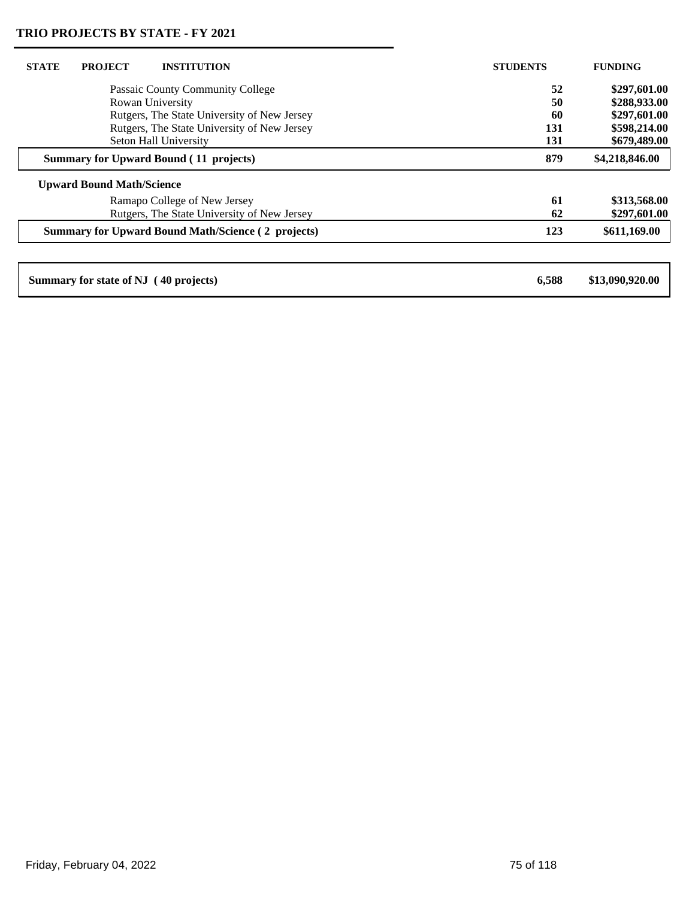| <b>STATE</b><br><b>PROJECT</b><br><b>INSTITUTION</b>      | <b>STUDENTS</b> | <b>FUNDING</b>  |
|-----------------------------------------------------------|-----------------|-----------------|
| Passaic County Community College                          | 52              | \$297,601.00    |
| Rowan University                                          | 50              | \$288,933.00    |
| Rutgers, The State University of New Jersey               | 60              | \$297,601.00    |
| Rutgers, The State University of New Jersey               | 131             | \$598,214.00    |
| Seton Hall University                                     | 131             | \$679,489.00    |
| <b>Summary for Upward Bound (11 projects)</b>             | 879             | \$4,218,846.00  |
| <b>Upward Bound Math/Science</b>                          |                 |                 |
| Ramapo College of New Jersey                              | 61              | \$313,568.00    |
| Rutgers, The State University of New Jersey               | 62              | \$297,601.00    |
| <b>Summary for Upward Bound Math/Science (2 projects)</b> | 123             | \$611,169.00    |
|                                                           |                 |                 |
| Summary for state of NJ (40 projects)                     | 6,588           | \$13,090,920.00 |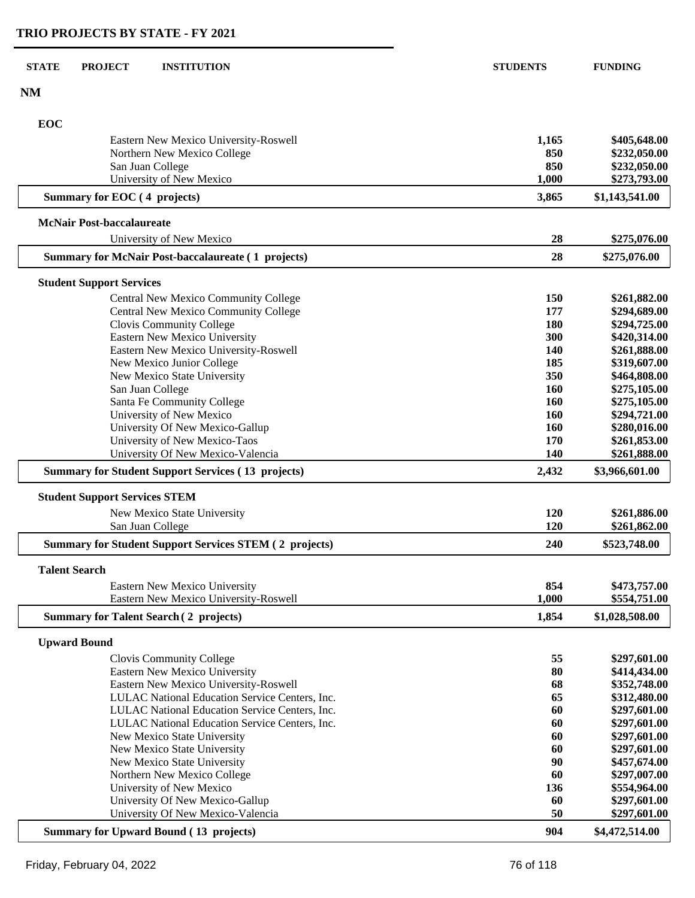| <b>STATE</b> | <b>PROJECT</b><br><b>INSTITUTION</b>                          | <b>STUDENTS</b> | <b>FUNDING</b>               |
|--------------|---------------------------------------------------------------|-----------------|------------------------------|
| <b>NM</b>    |                                                               |                 |                              |
| EOC          |                                                               |                 |                              |
|              | Eastern New Mexico University-Roswell                         | 1,165           | \$405,648.00                 |
|              | Northern New Mexico College                                   | 850             | \$232,050.00                 |
|              | San Juan College<br>University of New Mexico                  | 850<br>1,000    | \$232,050.00<br>\$273,793.00 |
|              | Summary for EOC (4 projects)                                  | 3,865           | \$1,143,541.00               |
|              | <b>McNair Post-baccalaureate</b>                              |                 |                              |
|              | University of New Mexico                                      | 28              | \$275,076.00                 |
|              | <b>Summary for McNair Post-baccalaureate (1 projects)</b>     | 28              | \$275,076.00                 |
|              | <b>Student Support Services</b>                               |                 |                              |
|              | <b>Central New Mexico Community College</b>                   | 150             | \$261,882.00                 |
|              | Central New Mexico Community College                          | 177             | \$294,689.00                 |
|              | Clovis Community College                                      | 180             | \$294,725.00                 |
|              | <b>Eastern New Mexico University</b>                          | 300             | \$420,314.00                 |
|              | Eastern New Mexico University-Roswell                         | 140             | \$261,888.00                 |
|              | New Mexico Junior College                                     | 185             | \$319,607.00                 |
|              | New Mexico State University                                   | 350             | \$464,808.00                 |
|              | San Juan College<br>Santa Fe Community College                | 160<br>160      | \$275,105.00<br>\$275,105.00 |
|              | University of New Mexico                                      | <b>160</b>      | \$294,721.00                 |
|              | University Of New Mexico-Gallup                               | 160             | \$280,016.00                 |
|              | University of New Mexico-Taos                                 | 170             | \$261,853.00                 |
|              | University Of New Mexico-Valencia                             | 140             | \$261,888.00                 |
|              | <b>Summary for Student Support Services (13 projects)</b>     | 2,432           | \$3,966,601.00               |
|              | <b>Student Support Services STEM</b>                          |                 |                              |
|              | New Mexico State University                                   | 120             | \$261,886.00                 |
|              | San Juan College                                              | 120             | \$261,862.00                 |
|              | <b>Summary for Student Support Services STEM (2 projects)</b> | 240             | \$523,748.00                 |
|              | <b>Talent Search</b>                                          |                 |                              |
|              | Eastern New Mexico University                                 | 854             | \$473,757.00                 |
|              | Eastern New Mexico University-Roswell                         | 1,000           | \$554,751.00                 |
|              | <b>Summary for Talent Search (2 projects)</b>                 | 1,854           | \$1,028,508.00               |
|              | <b>Upward Bound</b>                                           |                 |                              |
|              | Clovis Community College                                      | 55              | \$297,601.00                 |
|              | Eastern New Mexico University                                 | 80              | \$414,434.00                 |
|              | Eastern New Mexico University-Roswell                         | 68              | \$352,748.00                 |
|              | LULAC National Education Service Centers, Inc.                | 65              | \$312,480.00                 |
|              | LULAC National Education Service Centers, Inc.                | 60              | \$297,601.00                 |
|              | LULAC National Education Service Centers, Inc.                | 60              | \$297,601.00                 |
|              | New Mexico State University                                   | 60              | \$297,601.00                 |
|              | New Mexico State University                                   | 60              | \$297,601.00                 |
|              | New Mexico State University                                   | 90<br>60        | \$457,674.00                 |
|              | Northern New Mexico College<br>University of New Mexico       | 136             | \$297,007.00<br>\$554,964.00 |
|              | University Of New Mexico-Gallup                               | 60              | \$297,601.00                 |
|              | University Of New Mexico-Valencia                             | 50              | \$297,601.00                 |
|              |                                                               |                 |                              |
|              | <b>Summary for Upward Bound (13 projects)</b>                 | 904             | \$4,472,514.00               |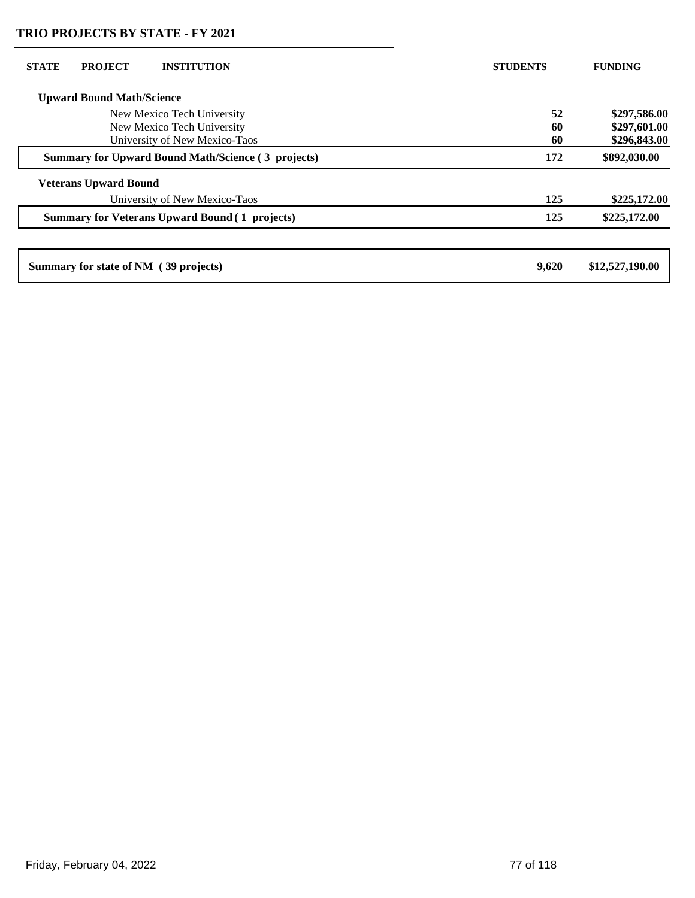| <b>STATE</b> | <b>PROJECT</b>                        | <b>INSTITUTION</b>                                        | <b>STUDENTS</b> | <b>FUNDING</b>  |
|--------------|---------------------------------------|-----------------------------------------------------------|-----------------|-----------------|
|              | <b>Upward Bound Math/Science</b>      |                                                           |                 |                 |
|              |                                       | New Mexico Tech University                                | 52              | \$297,586.00    |
|              |                                       | New Mexico Tech University                                | 60              | \$297,601.00    |
|              |                                       | University of New Mexico-Taos                             | 60              | \$296,843.00    |
|              |                                       | <b>Summary for Upward Bound Math/Science (3 projects)</b> | 172             | \$892,030.00    |
|              | <b>Veterans Upward Bound</b>          |                                                           |                 |                 |
|              |                                       | University of New Mexico-Taos                             | 125             | \$225,172.00    |
|              |                                       | <b>Summary for Veterans Upward Bound (1 projects)</b>     | 125             | \$225,172.00    |
|              |                                       |                                                           |                 |                 |
|              | Summary for state of NM (39 projects) |                                                           | 9,620           | \$12,527,190.00 |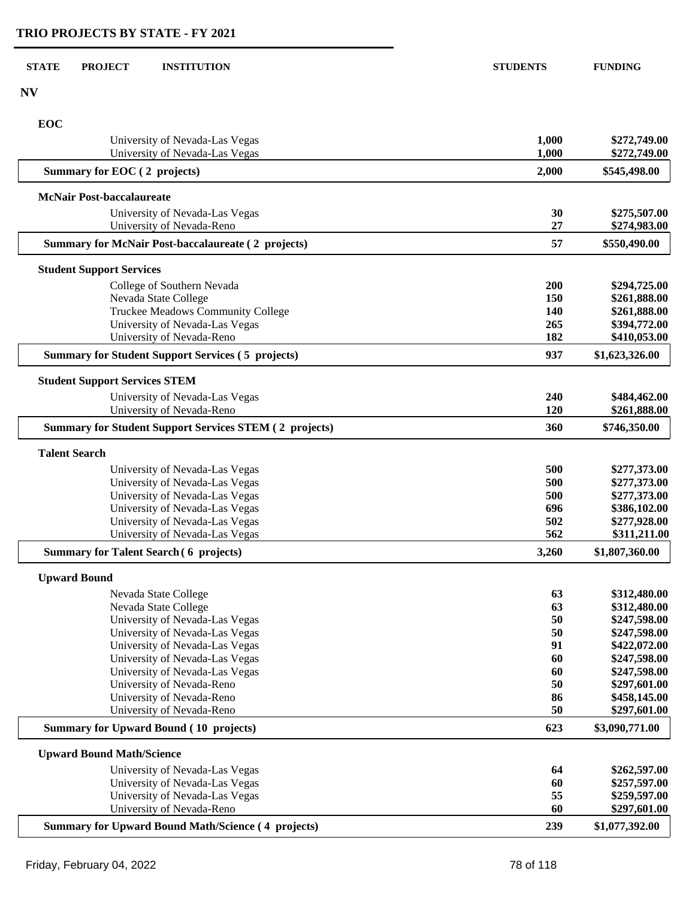| <b>STATE</b><br><b>PROJECT</b><br><b>INSTITUTION</b>                            | <b>STUDENTS</b> | <b>FUNDING</b>                 |
|---------------------------------------------------------------------------------|-----------------|--------------------------------|
| <b>NV</b>                                                                       |                 |                                |
| EOC                                                                             |                 |                                |
| University of Nevada-Las Vegas<br>University of Nevada-Las Vegas                | 1,000<br>1,000  | \$272,749.00<br>\$272,749.00   |
| Summary for EOC (2 projects)                                                    | 2,000           | \$545,498.00                   |
| <b>McNair Post-baccalaureate</b>                                                |                 |                                |
| University of Nevada-Las Vegas                                                  | 30              | \$275,507.00                   |
| University of Nevada-Reno                                                       | 27              | \$274,983.00                   |
| <b>Summary for McNair Post-baccalaureate (2 projects)</b>                       | 57              | \$550,490.00                   |
| <b>Student Support Services</b>                                                 |                 |                                |
| College of Southern Nevada                                                      | 200             | \$294,725.00                   |
| Nevada State College                                                            | 150             | \$261,888.00                   |
| Truckee Meadows Community College                                               | 140             | \$261,888.00                   |
| University of Nevada-Las Vegas<br>University of Nevada-Reno                     | 265<br>182      | \$394,772.00<br>\$410,053.00   |
| <b>Summary for Student Support Services (5 projects)</b>                        | 937             | \$1,623,326.00                 |
| <b>Student Support Services STEM</b>                                            |                 |                                |
| University of Nevada-Las Vegas                                                  | 240             | \$484,462.00                   |
| University of Nevada-Reno                                                       | 120             | \$261,888.00                   |
| <b>Summary for Student Support Services STEM (2 projects)</b>                   | 360             | \$746,350.00                   |
| <b>Talent Search</b>                                                            |                 |                                |
| University of Nevada-Las Vegas                                                  | 500             | \$277,373.00                   |
| University of Nevada-Las Vegas                                                  | 500             | \$277,373.00                   |
| University of Nevada-Las Vegas                                                  | 500             | \$277,373.00                   |
| University of Nevada-Las Vegas                                                  | 696             | \$386,102.00                   |
| University of Nevada-Las Vegas                                                  | 502             | \$277,928.00                   |
| University of Nevada-Las Vegas<br><b>Summary for Talent Search (6 projects)</b> | 562<br>3,260    | \$311,211.00<br>\$1,807,360.00 |
|                                                                                 |                 |                                |
| <b>Upward Bound</b>                                                             |                 |                                |
| Nevada State College<br>Nevada State College                                    | 63<br>63        | \$312,480.00                   |
| University of Nevada-Las Vegas                                                  | 50              | \$312,480.00<br>\$247,598.00   |
| University of Nevada-Las Vegas                                                  | 50              | \$247,598.00                   |
| University of Nevada-Las Vegas                                                  | 91              | \$422,072.00                   |
| University of Nevada-Las Vegas                                                  | 60              | \$247,598.00                   |
| University of Nevada-Las Vegas                                                  | 60              | \$247,598.00                   |
| University of Nevada-Reno                                                       | 50              | \$297,601.00                   |
| University of Nevada-Reno                                                       | 86              | \$458,145.00                   |
| University of Nevada-Reno<br><b>Summary for Upward Bound (10 projects)</b>      | 50<br>623       | \$297,601.00<br>\$3,090,771.00 |
|                                                                                 |                 |                                |
| <b>Upward Bound Math/Science</b>                                                |                 |                                |
| University of Nevada-Las Vegas                                                  | 64<br>60        | \$262,597.00                   |
| University of Nevada-Las Vegas<br>University of Nevada-Las Vegas                | 55              | \$257,597.00<br>\$259,597.00   |
| University of Nevada-Reno                                                       | 60              | \$297,601.00                   |
| <b>Summary for Upward Bound Math/Science (4 projects)</b>                       | 239             | \$1,077,392.00                 |
|                                                                                 |                 |                                |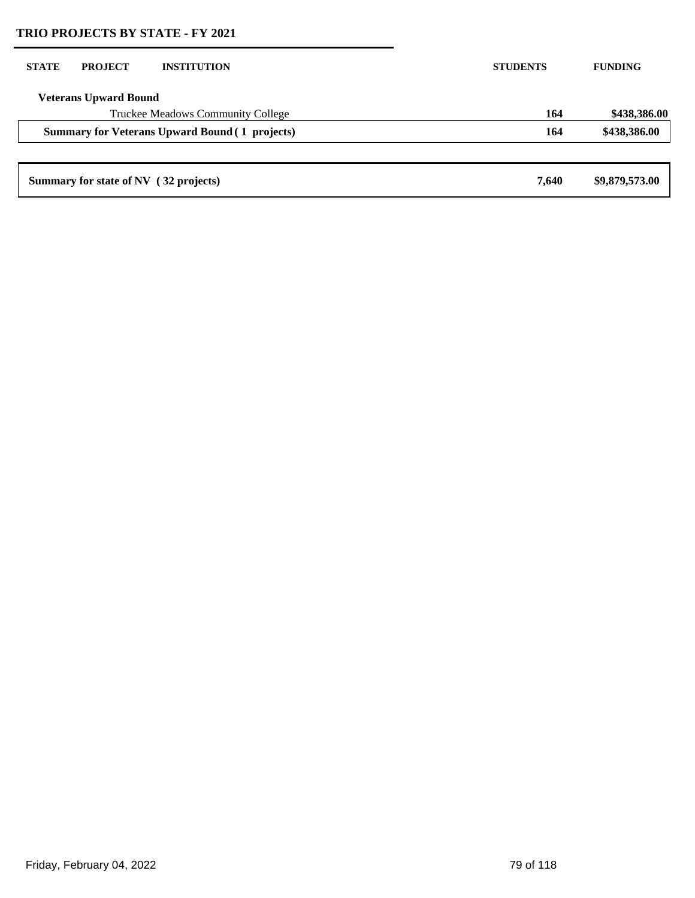| <b>STATE</b> | <b>PROJECT</b>                        | <b>INSTITUTION</b>                                    | <b>STUDENTS</b> | <b>FUNDING</b> |
|--------------|---------------------------------------|-------------------------------------------------------|-----------------|----------------|
|              | <b>Veterans Upward Bound</b>          |                                                       |                 |                |
|              |                                       | Truckee Meadows Community College                     | 164             | \$438,386.00   |
|              |                                       | <b>Summary for Veterans Upward Bound (1 projects)</b> | 164             | \$438,386.00   |
|              |                                       |                                                       |                 |                |
|              | Summary for state of NV (32 projects) |                                                       | 7,640           | \$9,879,573.00 |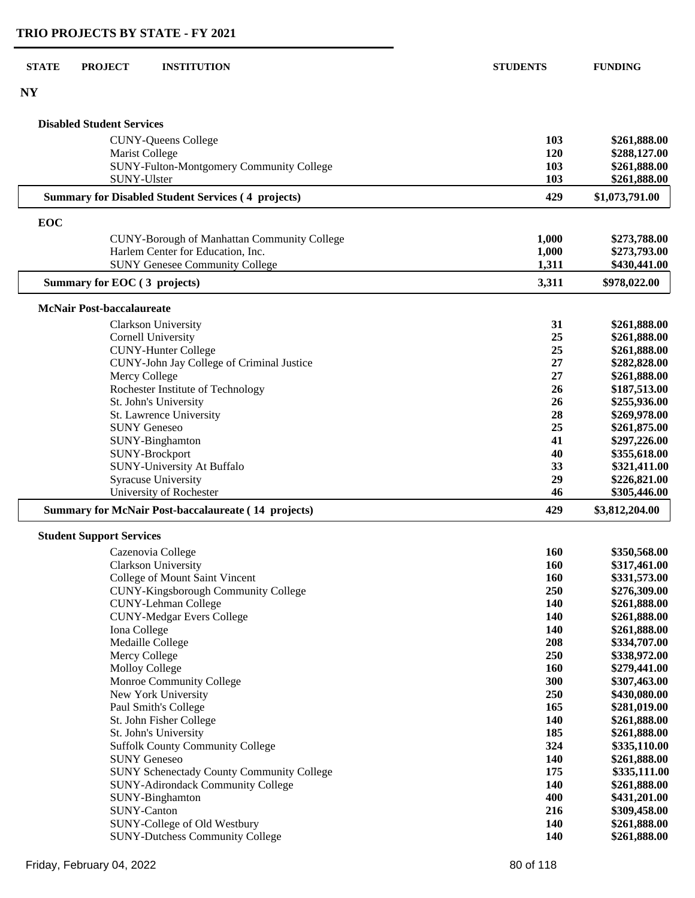| <b>STATE</b> | <b>PROJECT</b>                   | <b>INSTITUTION</b>                                         | <b>STUDENTS</b> | <b>FUNDING</b> |
|--------------|----------------------------------|------------------------------------------------------------|-----------------|----------------|
| <b>NY</b>    |                                  |                                                            |                 |                |
|              | <b>Disabled Student Services</b> |                                                            |                 |                |
|              |                                  | <b>CUNY-Queens College</b>                                 | 103             | \$261,888.00   |
|              | Marist College                   |                                                            | 120             | \$288,127.00   |
|              |                                  | SUNY-Fulton-Montgomery Community College                   | 103             | \$261,888.00   |
|              | SUNY-Ulster                      |                                                            | 103             | \$261,888.00   |
|              |                                  | <b>Summary for Disabled Student Services (4 projects)</b>  | 429             | \$1,073,791.00 |
| EOC          |                                  |                                                            |                 |                |
|              |                                  | <b>CUNY-Borough of Manhattan Community College</b>         | 1,000           | \$273,788.00   |
|              |                                  | Harlem Center for Education, Inc.                          | 1,000           | \$273,793.00   |
|              |                                  | <b>SUNY Genesee Community College</b>                      | 1,311           | \$430,441.00   |
|              | Summary for EOC (3 projects)     |                                                            | 3,311           | \$978,022.00   |
|              | <b>McNair Post-baccalaureate</b> |                                                            |                 |                |
|              |                                  | Clarkson University                                        | 31              | \$261,888.00   |
|              |                                  | <b>Cornell University</b>                                  | 25              | \$261,888.00   |
|              |                                  | <b>CUNY-Hunter College</b>                                 | 25              | \$261,888.00   |
|              |                                  | CUNY-John Jay College of Criminal Justice                  | 27              | \$282,828.00   |
|              | Mercy College                    |                                                            | 27              | \$261,888.00   |
|              |                                  | Rochester Institute of Technology                          | 26              | \$187,513.00   |
|              |                                  | St. John's University                                      | 26              | \$255,936.00   |
|              |                                  | St. Lawrence University                                    | 28              | \$269,978.00   |
|              | <b>SUNY Geneseo</b>              |                                                            | 25              | \$261,875.00   |
|              |                                  | SUNY-Binghamton                                            | 41              | \$297,226.00   |
|              |                                  | SUNY-Brockport                                             | 40              | \$355,618.00   |
|              |                                  | SUNY-University At Buffalo                                 | 33              | \$321,411.00   |
|              |                                  | Syracuse University                                        | 29              | \$226,821.00   |
|              |                                  | University of Rochester                                    | 46              | \$305,446.00   |
|              |                                  | <b>Summary for McNair Post-baccalaureate (14 projects)</b> | 429             | \$3,812,204.00 |
|              | <b>Student Support Services</b>  |                                                            |                 |                |
|              |                                  | Cazenovia College                                          | <b>160</b>      | \$350,568.00   |
|              |                                  | Clarkson University                                        | 160             | \$317,461.00   |
|              |                                  | College of Mount Saint Vincent                             | <b>160</b>      | \$331,573.00   |
|              |                                  | <b>CUNY-Kingsborough Community College</b>                 | 250             | \$276,309.00   |
|              |                                  | <b>CUNY-Lehman College</b>                                 | 140             | \$261,888.00   |
|              |                                  | <b>CUNY-Medgar Evers College</b>                           | 140             | \$261,888.00   |

| CUNY-Lehman College                              | 140        | \$261,888.00 |
|--------------------------------------------------|------------|--------------|
| <b>CUNY-Medgar Evers College</b>                 | 140        | \$261,888.00 |
| Iona College                                     | 140        | \$261,888.00 |
| Medaille College                                 | 208        | \$334,707.00 |
| Mercy College                                    | <b>250</b> | \$338,972.00 |
| Molloy College                                   | <b>160</b> | \$279,441.00 |
| Monroe Community College                         | 300        | \$307,463.00 |
| New York University                              | 250        | \$430,080.00 |
| Paul Smith's College                             | 165        | \$281,019.00 |
| St. John Fisher College                          | 140        | \$261,888.00 |
| St. John's University                            | 185        | \$261,888.00 |
| <b>Suffolk County Community College</b>          | 324        | \$335,110.00 |
| <b>SUNY Geneseo</b>                              | 140        | \$261,888.00 |
| <b>SUNY Schenectady County Community College</b> | 175        | \$335,111.00 |
| <b>SUNY-Adirondack Community College</b>         | <b>140</b> | \$261,888.00 |
| SUNY-Binghamton                                  | 400        | \$431,201.00 |
| <b>SUNY-Canton</b>                               | 216        | \$309,458.00 |
| SUNY-College of Old Westbury                     | <b>140</b> | \$261,888.00 |
| <b>SUNY-Dutchess Community College</b>           | 140        | \$261,888.00 |
|                                                  |            |              |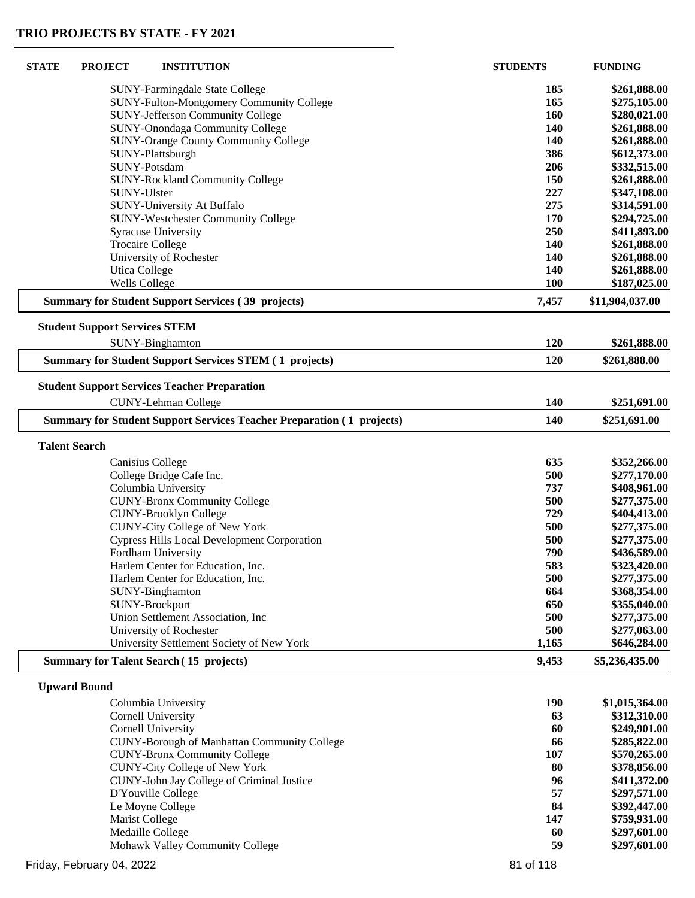| <b>STATE</b>         | <b>PROJECT</b><br><b>INSTITUTION</b>                                         | <b>STUDENTS</b> | <b>FUNDING</b>  |
|----------------------|------------------------------------------------------------------------------|-----------------|-----------------|
|                      | SUNY-Farmingdale State College                                               | 185             | \$261,888.00    |
|                      | SUNY-Fulton-Montgomery Community College                                     | 165             | \$275,105.00    |
|                      | <b>SUNY-Jefferson Community College</b>                                      | 160             | \$280,021.00    |
|                      | SUNY-Onondaga Community College                                              | 140             | \$261,888.00    |
|                      | <b>SUNY-Orange County Community College</b>                                  | 140             | \$261,888.00    |
|                      |                                                                              | 386             |                 |
|                      | SUNY-Plattsburgh                                                             |                 | \$612,373.00    |
|                      | SUNY-Potsdam                                                                 | 206             | \$332,515.00    |
|                      | <b>SUNY-Rockland Community College</b>                                       | 150             | \$261,888.00    |
|                      | SUNY-Ulster                                                                  | 227             | \$347,108.00    |
|                      | SUNY-University At Buffalo                                                   | 275             | \$314,591.00    |
|                      | <b>SUNY-Westchester Community College</b>                                    | 170             | \$294,725.00    |
|                      | <b>Syracuse University</b>                                                   | 250             | \$411,893.00    |
|                      | <b>Trocaire College</b>                                                      | <b>140</b>      | \$261,888.00    |
|                      | University of Rochester                                                      | 140             | \$261,888.00    |
|                      | <b>Utica College</b>                                                         | 140             | \$261,888.00    |
|                      | <b>Wells College</b>                                                         | <b>100</b>      | \$187,025.00    |
|                      | <b>Summary for Student Support Services (39 projects)</b>                    | 7,457           | \$11,904,037.00 |
|                      | <b>Student Support Services STEM</b>                                         |                 |                 |
|                      | SUNY-Binghamton                                                              | 120             | \$261,888.00    |
|                      | <b>Summary for Student Support Services STEM (1 projects)</b>                | 120             | \$261,888.00    |
|                      | <b>Student Support Services Teacher Preparation</b>                          |                 |                 |
|                      | <b>CUNY-Lehman College</b>                                                   | 140             | \$251,691.00    |
|                      |                                                                              |                 |                 |
|                      | <b>Summary for Student Support Services Teacher Preparation (1 projects)</b> | 140             | \$251,691.00    |
| <b>Talent Search</b> |                                                                              |                 |                 |
|                      | Canisius College                                                             | 635             | \$352,266.00    |
|                      | College Bridge Cafe Inc.                                                     | 500             | \$277,170.00    |
|                      | Columbia University                                                          | 737             | \$408,961.00    |
|                      | <b>CUNY-Bronx Community College</b>                                          | 500             | \$277,375.00    |
|                      | <b>CUNY-Brooklyn College</b>                                                 | 729             | \$404,413.00    |
|                      | <b>CUNY-City College of New York</b>                                         | 500             | \$277,375.00    |
|                      | <b>Cypress Hills Local Development Corporation</b>                           | 500             | \$277,375.00    |
|                      | Fordham University                                                           | 790             | \$436,589.00    |
|                      | Harlem Center for Education, Inc.                                            | 583             | \$323,420.00    |
|                      | Harlem Center for Education, Inc.                                            | 500             | \$277,375.00    |
|                      | SUNY-Binghamton                                                              | 664             | \$368,354.00    |
|                      |                                                                              |                 |                 |
|                      | SUNY-Brockport                                                               | 650             | \$355,040.00    |
|                      | Union Settlement Association, Inc.                                           | 500             | \$277,375.00    |
|                      | University of Rochester                                                      | 500             | \$277,063.00    |
|                      | University Settlement Society of New York                                    | 1,165           | \$646,284.00    |
|                      | <b>Summary for Talent Search (15 projects)</b>                               | 9,453           | \$5,236,435.00  |
|                      | <b>Upward Bound</b>                                                          |                 |                 |
|                      | Columbia University                                                          | <b>190</b>      | \$1,015,364.00  |
|                      | Cornell University                                                           | 63              | \$312,310.00    |
|                      | Cornell University                                                           | 60              | \$249,901.00    |
|                      | <b>CUNY-Borough of Manhattan Community College</b>                           | 66              | \$285,822.00    |
|                      | <b>CUNY-Bronx Community College</b>                                          | 107             | \$570,265.00    |
|                      | <b>CUNY-City College of New York</b>                                         | 80              | \$378,856.00    |
|                      | CUNY-John Jay College of Criminal Justice                                    | 96              | \$411,372.00    |
|                      | D'Youville College                                                           | 57              | \$297,571.00    |
|                      | Le Moyne College                                                             | 84              | \$392,447.00    |
|                      |                                                                              |                 |                 |
|                      | Marist College                                                               | 147             | \$759,931.00    |
|                      | Medaille College                                                             | 60              | \$297,601.00    |
|                      | Mohawk Valley Community College                                              | 59              | \$297,601.00    |
|                      | Friday, February 04, 2022                                                    | 81 of 118       |                 |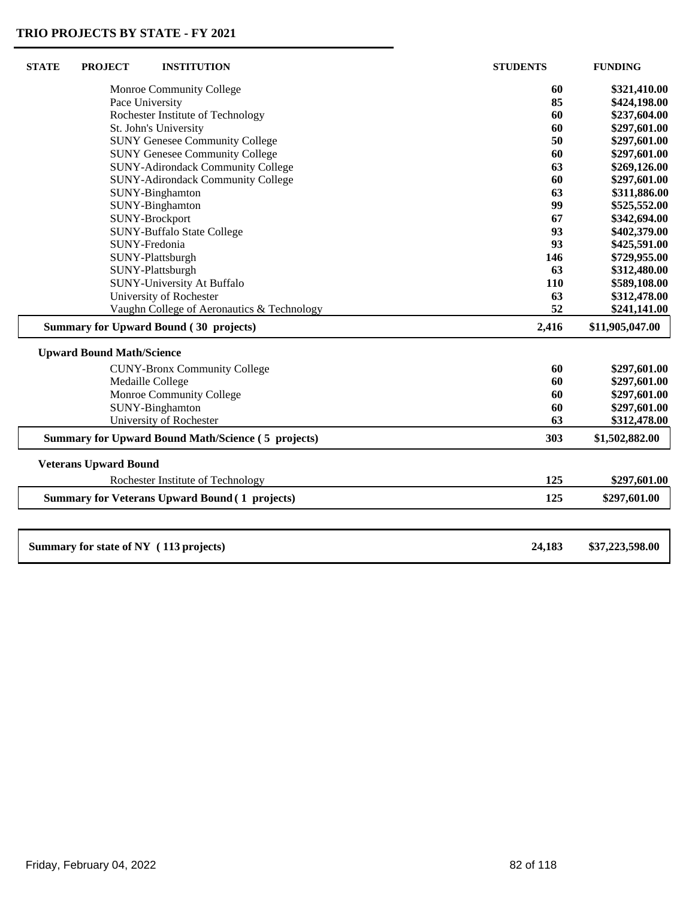| <b>STATE</b><br><b>PROJECT</b>         | <b>INSTITUTION</b>                                        | <b>STUDENTS</b> | <b>FUNDING</b>  |
|----------------------------------------|-----------------------------------------------------------|-----------------|-----------------|
|                                        | Monroe Community College                                  | 60              | \$321,410.00    |
|                                        | Pace University                                           | 85              | \$424,198.00    |
|                                        | Rochester Institute of Technology                         | 60              | \$237,604.00    |
|                                        | St. John's University                                     | 60              | \$297,601.00    |
|                                        | <b>SUNY Genesee Community College</b>                     | 50              | \$297,601.00    |
|                                        | <b>SUNY Genesee Community College</b>                     | 60              | \$297,601.00    |
|                                        | <b>SUNY-Adirondack Community College</b>                  | 63              | \$269,126.00    |
|                                        | <b>SUNY-Adirondack Community College</b>                  | 60              | \$297,601.00    |
|                                        | SUNY-Binghamton                                           | 63              | \$311,886.00    |
|                                        | SUNY-Binghamton                                           | 99              | \$525,552.00    |
|                                        | SUNY-Brockport                                            | 67              | \$342,694.00    |
|                                        | <b>SUNY-Buffalo State College</b>                         | 93              | \$402,379.00    |
|                                        | SUNY-Fredonia                                             | 93              | \$425,591.00    |
|                                        | SUNY-Plattsburgh                                          | 146             | \$729,955.00    |
|                                        | SUNY-Plattsburgh                                          | 63              | \$312,480.00    |
|                                        | SUNY-University At Buffalo                                | 110             | \$589,108.00    |
|                                        | University of Rochester                                   | 63              | \$312,478.00    |
|                                        | Vaughn College of Aeronautics & Technology                | 52              | \$241,141.00    |
|                                        | <b>Summary for Upward Bound (30 projects)</b>             | 2,416           | \$11,905,047.00 |
| <b>Upward Bound Math/Science</b>       |                                                           |                 |                 |
|                                        | <b>CUNY-Bronx Community College</b>                       | 60              | \$297,601.00    |
|                                        | Medaille College                                          | 60              | \$297,601.00    |
|                                        | Monroe Community College                                  | 60              | \$297,601.00    |
|                                        | SUNY-Binghamton                                           | 60              | \$297,601.00    |
|                                        | University of Rochester                                   | 63              | \$312,478.00    |
|                                        | <b>Summary for Upward Bound Math/Science (5 projects)</b> | 303             | \$1,502,882.00  |
| <b>Veterans Upward Bound</b>           |                                                           |                 |                 |
|                                        | Rochester Institute of Technology                         | 125             | \$297,601.00    |
|                                        | <b>Summary for Veterans Upward Bound (1 projects)</b>     | 125             | \$297,601.00    |
|                                        |                                                           |                 |                 |
| Summary for state of NY (113 projects) |                                                           | 24,183          | \$37,223,598.00 |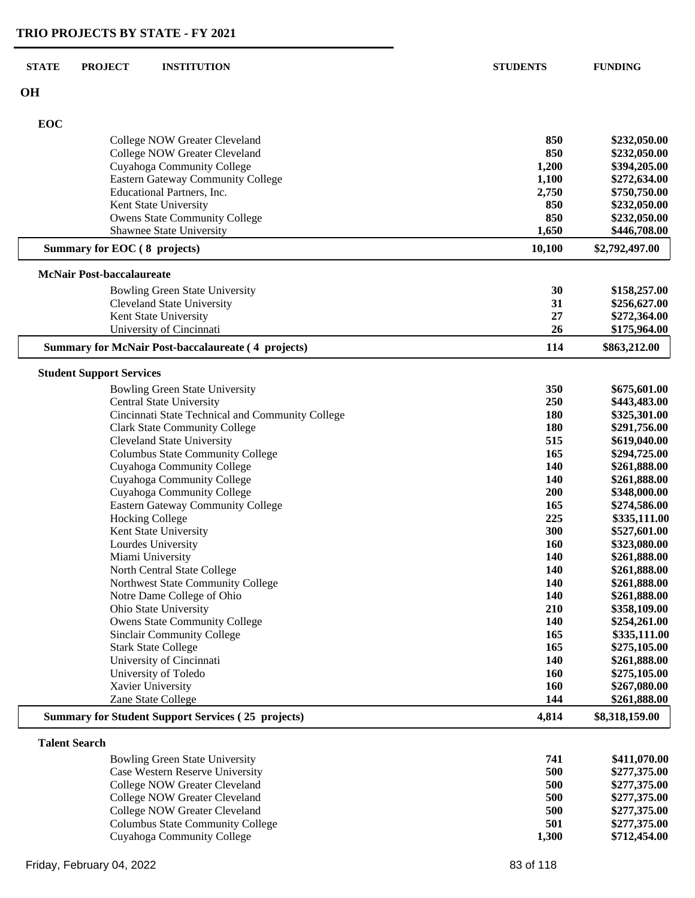| <b>STATE</b><br><b>PROJECT</b><br><b>INSTITUTION</b>      | <b>STUDENTS</b>   | <b>FUNDING</b>               |
|-----------------------------------------------------------|-------------------|------------------------------|
| <b>OH</b>                                                 |                   |                              |
| EOC                                                       |                   |                              |
| College NOW Greater Cleveland                             | 850               | \$232,050.00                 |
| College NOW Greater Cleveland                             | 850               | \$232,050.00                 |
| Cuyahoga Community College                                | 1,200             | \$394,205.00                 |
| Eastern Gateway Community College                         | 1,100             | \$272,634.00                 |
| Educational Partners, Inc.                                | 2,750             | \$750,750.00                 |
| Kent State University                                     | 850               | \$232,050.00                 |
| Owens State Community College                             | 850               | \$232,050.00                 |
| Shawnee State University                                  | 1,650             | \$446,708.00                 |
| Summary for EOC (8 projects)                              | 10,100            | \$2,792,497.00               |
| <b>McNair Post-baccalaureate</b>                          |                   |                              |
| <b>Bowling Green State University</b>                     | 30                | \$158,257.00                 |
| <b>Cleveland State University</b>                         | 31                | \$256,627.00                 |
| Kent State University                                     | 27                | \$272,364.00                 |
| University of Cincinnati                                  | 26                | \$175,964.00                 |
| <b>Summary for McNair Post-baccalaureate (4 projects)</b> | 114               | \$863,212.00                 |
| <b>Student Support Services</b>                           |                   |                              |
| <b>Bowling Green State University</b>                     | 350               | \$675,601.00                 |
| <b>Central State University</b>                           | 250               | \$443,483.00                 |
| Cincinnati State Technical and Community College          | 180               | \$325,301.00                 |
| <b>Clark State Community College</b>                      | 180               | \$291,756.00                 |
| <b>Cleveland State University</b>                         | 515               | \$619,040.00                 |
| <b>Columbus State Community College</b>                   | 165               | \$294,725.00                 |
| Cuyahoga Community College                                | 140               | \$261,888.00                 |
| Cuyahoga Community College                                | 140               | \$261,888.00                 |
| Cuyahoga Community College                                | 200               | \$348,000.00                 |
| <b>Eastern Gateway Community College</b>                  | 165               | \$274,586.00                 |
| <b>Hocking College</b>                                    | 225               | \$335,111.00                 |
| Kent State University                                     | 300               | \$527,601.00                 |
| Lourdes University                                        | <b>160</b>        | \$323,080.00                 |
| Miami University<br>North Central State College           | 140<br><b>140</b> | \$261,888.00<br>\$261,888.00 |
| Northwest State Community College                         | <b>140</b>        | \$261,888.00                 |
| Notre Dame College of Ohio                                | 140               | \$261,888.00                 |
| Ohio State University                                     | 210               | \$358,109.00                 |
| <b>Owens State Community College</b>                      | 140               | \$254,261.00                 |
| Sinclair Community College                                | 165               | \$335,111.00                 |
| <b>Stark State College</b>                                | 165               | \$275,105.00                 |
| University of Cincinnati                                  | 140               | \$261,888.00                 |
| University of Toledo                                      | 160               | \$275,105.00                 |
| Xavier University                                         | 160               | \$267,080.00                 |
| Zane State College                                        | 144               | \$261,888.00                 |
| <b>Summary for Student Support Services (25 projects)</b> | 4,814             | \$8,318,159.00               |
| <b>Talent Search</b>                                      |                   |                              |
| <b>Bowling Green State University</b>                     | 741               | \$411,070.00                 |
| $W_{\text{cutoff}}$ December $W_{\text{cutoff}}$          | $E\Omega$         | <u>ልጎማማ ጎማድ ስስ</u>           |

| Bowling Green State University          | 741.  | \$411,070.00 |
|-----------------------------------------|-------|--------------|
| Case Western Reserve University         | 500   | \$277,375.00 |
| College NOW Greater Cleveland           | 500   | \$277,375.00 |
| College NOW Greater Cleveland           | 500   | \$277,375.00 |
| College NOW Greater Cleveland           | 500   | \$277,375,00 |
| <b>Columbus State Community College</b> | 501   | \$277,375.00 |
| Cuyahoga Community College              | 1.300 | \$712,454.00 |
|                                         |       |              |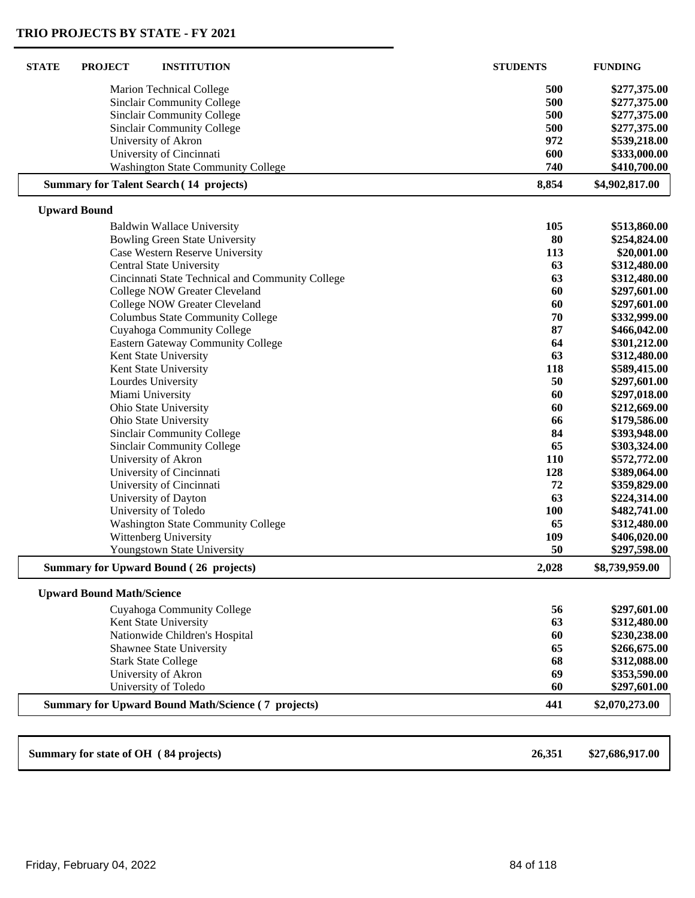| <b>STATE</b><br><b>PROJECT</b><br><b>INSTITUTION</b>       | <b>STUDENTS</b> | <b>FUNDING</b>               |
|------------------------------------------------------------|-----------------|------------------------------|
| <b>Marion Technical College</b>                            | 500             | \$277,375.00                 |
| <b>Sinclair Community College</b>                          | 500             | \$277,375.00                 |
| <b>Sinclair Community College</b>                          | 500             | \$277,375.00                 |
| Sinclair Community College                                 | 500             | \$277,375.00<br>\$539,218.00 |
| University of Akron                                        | 972             |                              |
| University of Cincinnati                                   | 600             | \$333,000.00                 |
| <b>Washington State Community College</b>                  | 740             | \$410,700.00                 |
| <b>Summary for Talent Search (14 projects)</b>             | 8,854           | \$4,902,817.00               |
| <b>Upward Bound</b>                                        |                 |                              |
| <b>Baldwin Wallace University</b>                          | 105             | \$513,860.00                 |
| <b>Bowling Green State University</b>                      | 80              | \$254,824.00                 |
| Case Western Reserve University                            | 113             | \$20,001.00                  |
| Central State University                                   | 63              | \$312,480.00                 |
| Cincinnati State Technical and Community College           | 63              | \$312,480.00                 |
| College NOW Greater Cleveland                              | 60              | \$297,601.00                 |
| College NOW Greater Cleveland                              | 60              | \$297,601.00                 |
| <b>Columbus State Community College</b>                    | 70              | \$332,999.00                 |
| Cuyahoga Community College                                 | 87              | \$466,042.00                 |
| <b>Eastern Gateway Community College</b>                   | 64              | \$301,212.00                 |
| Kent State University                                      | 63              | \$312,480.00                 |
| Kent State University                                      | 118             | \$589,415.00                 |
| Lourdes University                                         | 50              | \$297,601.00                 |
| Miami University                                           | 60              | \$297,018.00                 |
| Ohio State University                                      | 60<br>66        | \$212,669.00                 |
| Ohio State University<br><b>Sinclair Community College</b> | 84              | \$179,586.00<br>\$393,948.00 |
| <b>Sinclair Community College</b>                          | 65              | \$303,324.00                 |
| University of Akron                                        | 110             | \$572,772.00                 |
| University of Cincinnati                                   | 128             | \$389,064.00                 |
| University of Cincinnati                                   | 72              | \$359,829.00                 |
| University of Dayton                                       | 63              | \$224,314.00                 |
| University of Toledo                                       | 100             | \$482,741.00                 |
| <b>Washington State Community College</b>                  | 65              | \$312,480.00                 |
| Wittenberg University                                      | 109             | \$406,020.00                 |
| Youngstown State University                                | 50              | \$297,598.00                 |
| <b>Summary for Upward Bound (26 projects)</b>              | 2,028           | \$8,739,959.00               |
| <b>Upward Bound Math/Science</b>                           |                 |                              |
| Cuyahoga Community College                                 | 56              | \$297,601.00                 |
| Kent State University                                      | 63              | \$312,480.00                 |
| Nationwide Children's Hospital                             | 60              | \$230,238.00                 |
| Shawnee State University                                   | 65              | \$266,675.00                 |
| <b>Stark State College</b>                                 | 68              | \$312,088.00                 |
| University of Akron                                        | 69              | \$353,590.00                 |
| University of Toledo                                       | 60              | \$297,601.00                 |
| <b>Summary for Upward Bound Math/Science (7 projects)</b>  | 441             | \$2,070,273.00               |
|                                                            |                 |                              |
| Summary for state of OH (84 projects)                      | 26,351          | \$27,686,917.00              |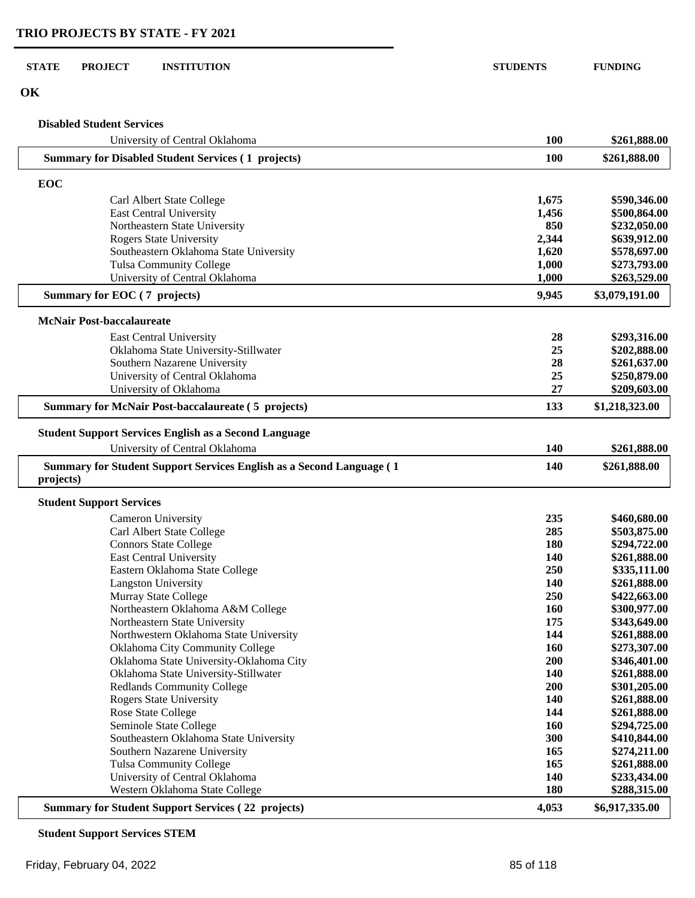**OK**

### **Disabled Student Services**

| University of Central Oklahoma                                                    | 100        | \$261,888.00   |
|-----------------------------------------------------------------------------------|------------|----------------|
| <b>Summary for Disabled Student Services (1 projects)</b>                         | <b>100</b> | \$261,888.00   |
| EOC                                                                               |            |                |
| Carl Albert State College                                                         | 1,675      | \$590,346.00   |
| <b>East Central University</b>                                                    | 1,456      | \$500,864.00   |
| Northeastern State University                                                     | 850        | \$232,050.00   |
| <b>Rogers State University</b>                                                    | 2,344      | \$639,912.00   |
| Southeastern Oklahoma State University                                            | 1,620      | \$578,697.00   |
| <b>Tulsa Community College</b>                                                    | 1,000      | \$273,793.00   |
| University of Central Oklahoma                                                    | 1,000      | \$263,529.00   |
| Summary for EOC (7 projects)                                                      | 9,945      | \$3,079,191.00 |
| <b>McNair Post-baccalaureate</b>                                                  |            |                |
| East Central University                                                           | 28         | \$293,316.00   |
| Oklahoma State University-Stillwater                                              | 25         | \$202,888.00   |
| Southern Nazarene University                                                      | 28         | \$261,637.00   |
| University of Central Oklahoma                                                    | 25         | \$250,879.00   |
| University of Oklahoma                                                            | 27         | \$209,603.00   |
| <b>Summary for McNair Post-baccalaureate (5 projects)</b>                         | 133        | \$1,218,323.00 |
| <b>Student Support Services English as a Second Language</b>                      |            |                |
|                                                                                   |            |                |
| University of Central Oklahoma                                                    | 140        | \$261,888.00   |
| Summary for Student Support Services English as a Second Language (1<br>projects) | 140        | \$261,888.00   |
| <b>Student Support Services</b>                                                   |            |                |
| <b>Cameron University</b>                                                         | 235        | \$460,680.00   |
| Carl Albert State College                                                         | 285        | \$503,875.00   |
| <b>Connors State College</b>                                                      | 180        | \$294,722.00   |
| East Central University                                                           | 140        | \$261,888.00   |
| Eastern Oklahoma State College                                                    | 250        | \$335,111.00   |
| <b>Langston University</b>                                                        | 140        | \$261,888.00   |
| Murray State College                                                              | 250        | \$422,663.00   |
| Northeastern Oklahoma A&M College                                                 | 160        | \$300,977.00   |
| Northeastern State University                                                     | 175        | \$343,649.00   |
| Northwestern Oklahoma State University                                            | 144        | \$261,888.00   |
| Oklahoma City Community College                                                   | 160        | \$273,307.00   |
| Oklahoma State University-Oklahoma City                                           | 200        | \$346,401.00   |
| Oklahoma State University-Stillwater                                              | 140        | \$261,888.00   |
| <b>Redlands Community College</b>                                                 | 200        | \$301,205.00   |
| <b>Rogers State University</b>                                                    | 140        | \$261,888.00   |
| Rose State College                                                                | 144        | \$261,888.00   |
| Seminole State College                                                            | 160        | \$294,725.00   |
| Southeastern Oklahoma State University                                            | 300        | \$410,844.00   |
| Southern Nazarene University                                                      | 165        | \$274,211.00   |
| <b>Tulsa Community College</b>                                                    | 165        | \$261,888.00   |
| University of Central Oklahoma                                                    | 140        | \$233,434.00   |
| Western Oklahoma State College                                                    | <b>180</b> | \$288,315.00   |
| <b>Summary for Student Support Services (22 projects)</b>                         | 4,053      | \$6,917,335.00 |

## **Student Support Services STEM**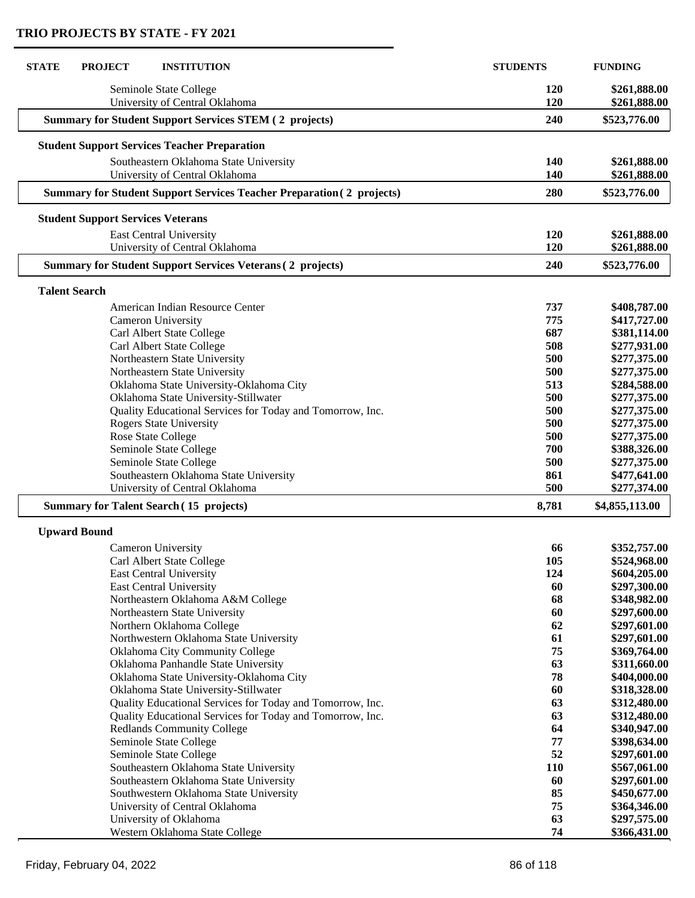| 120<br>Seminole State College<br>\$261,888.00<br>University of Central Oklahoma<br>120<br>\$261,888.00<br><b>Summary for Student Support Services STEM (2 projects)</b><br>240<br>\$523,776.00<br><b>Student Support Services Teacher Preparation</b><br>Southeastern Oklahoma State University<br>140<br>\$261,888.00<br>University of Central Oklahoma<br>140<br>\$261,888.00<br><b>Summary for Student Support Services Teacher Preparation (2 projects)</b><br>280<br>\$523,776.00<br><b>Student Support Services Veterans</b><br>120<br>\$261,888.00<br>East Central University<br>University of Central Oklahoma<br>120<br>\$261,888.00<br><b>Summary for Student Support Services Veterans (2 projects)</b><br>240<br>\$523,776.00<br><b>Talent Search</b><br>737<br>American Indian Resource Center<br>775<br>Cameron University<br>Carl Albert State College<br>687<br>Carl Albert State College<br>508<br>\$277,931.00<br>Northeastern State University<br>500<br>\$277,375.00<br>Northeastern State University<br>500<br>\$277,375.00<br>513<br>Oklahoma State University-Oklahoma City<br>\$284,588.00<br>Oklahoma State University-Stillwater<br>500<br>\$277,375.00<br>Quality Educational Services for Today and Tomorrow, Inc.<br>500<br>\$277,375.00<br><b>Rogers State University</b><br>500<br>\$277,375.00<br>\$277,375.00<br>Rose State College<br>500<br>Seminole State College<br>700<br>\$388,326.00<br>Seminole State College<br>500<br>\$277,375.00<br>Southeastern Oklahoma State University<br>\$477,641.00<br>861<br>University of Central Oklahoma<br>500<br>\$277,374.00<br>8,781<br>\$4,855,113.00<br><b>Summary for Talent Search (15 projects)</b><br><b>Upward Bound</b><br><b>Cameron University</b><br>66<br>\$352,757.00<br>Carl Albert State College<br>105<br>\$524,968.00<br>124<br>East Central University<br>\$604,205.00<br>East Central University<br>60<br>\$297,300.00<br>68<br>Northeastern Oklahoma A&M College<br>\$348,982.00<br>60<br>Northeastern State University<br>\$297,600.00<br>62<br>Northern Oklahoma College<br>\$297,601.00<br>61<br>Northwestern Oklahoma State University<br>\$297,601.00<br>75<br>Oklahoma City Community College<br>\$369,764.00<br>63<br>Oklahoma Panhandle State University<br>\$311,660.00<br>78<br>Oklahoma State University-Oklahoma City<br>\$404,000.00<br>60<br>Oklahoma State University-Stillwater<br>\$318,328.00<br>Quality Educational Services for Today and Tomorrow, Inc.<br>63<br>\$312,480.00<br>63<br>Quality Educational Services for Today and Tomorrow, Inc.<br>\$312,480.00<br>64<br><b>Redlands Community College</b><br>\$340,947.00<br>Seminole State College<br>77<br>\$398,634.00<br>52<br>Seminole State College<br>\$297,601.00<br>Southeastern Oklahoma State University<br><b>110</b><br>\$567,061.00<br>60<br>Southeastern Oklahoma State University<br>\$297,601.00<br>85<br>Southwestern Oklahoma State University<br>\$450,677.00<br>75<br>University of Central Oklahoma<br>\$364,346.00<br>63<br>University of Oklahoma<br>\$297,575.00<br>Western Oklahoma State College<br>74<br>\$366,431.00 | <b>STATE</b><br><b>PROJECT</b><br><b>INSTITUTION</b> | <b>STUDENTS</b> | <b>FUNDING</b> |
|--------------------------------------------------------------------------------------------------------------------------------------------------------------------------------------------------------------------------------------------------------------------------------------------------------------------------------------------------------------------------------------------------------------------------------------------------------------------------------------------------------------------------------------------------------------------------------------------------------------------------------------------------------------------------------------------------------------------------------------------------------------------------------------------------------------------------------------------------------------------------------------------------------------------------------------------------------------------------------------------------------------------------------------------------------------------------------------------------------------------------------------------------------------------------------------------------------------------------------------------------------------------------------------------------------------------------------------------------------------------------------------------------------------------------------------------------------------------------------------------------------------------------------------------------------------------------------------------------------------------------------------------------------------------------------------------------------------------------------------------------------------------------------------------------------------------------------------------------------------------------------------------------------------------------------------------------------------------------------------------------------------------------------------------------------------------------------------------------------------------------------------------------------------------------------------------------------------------------------------------------------------------------------------------------------------------------------------------------------------------------------------------------------------------------------------------------------------------------------------------------------------------------------------------------------------------------------------------------------------------------------------------------------------------------------------------------------------------------------------------------------------------------------------------------------------------------------------------------------------------------------------------------------------------------------------------------------------------------------------------------------------------------------------------------------------------------------------------------------------------------|------------------------------------------------------|-----------------|----------------|
|                                                                                                                                                                                                                                                                                                                                                                                                                                                                                                                                                                                                                                                                                                                                                                                                                                                                                                                                                                                                                                                                                                                                                                                                                                                                                                                                                                                                                                                                                                                                                                                                                                                                                                                                                                                                                                                                                                                                                                                                                                                                                                                                                                                                                                                                                                                                                                                                                                                                                                                                                                                                                                                                                                                                                                                                                                                                                                                                                                                                                                                                                                                          |                                                      |                 |                |
|                                                                                                                                                                                                                                                                                                                                                                                                                                                                                                                                                                                                                                                                                                                                                                                                                                                                                                                                                                                                                                                                                                                                                                                                                                                                                                                                                                                                                                                                                                                                                                                                                                                                                                                                                                                                                                                                                                                                                                                                                                                                                                                                                                                                                                                                                                                                                                                                                                                                                                                                                                                                                                                                                                                                                                                                                                                                                                                                                                                                                                                                                                                          |                                                      |                 |                |
|                                                                                                                                                                                                                                                                                                                                                                                                                                                                                                                                                                                                                                                                                                                                                                                                                                                                                                                                                                                                                                                                                                                                                                                                                                                                                                                                                                                                                                                                                                                                                                                                                                                                                                                                                                                                                                                                                                                                                                                                                                                                                                                                                                                                                                                                                                                                                                                                                                                                                                                                                                                                                                                                                                                                                                                                                                                                                                                                                                                                                                                                                                                          |                                                      |                 |                |
|                                                                                                                                                                                                                                                                                                                                                                                                                                                                                                                                                                                                                                                                                                                                                                                                                                                                                                                                                                                                                                                                                                                                                                                                                                                                                                                                                                                                                                                                                                                                                                                                                                                                                                                                                                                                                                                                                                                                                                                                                                                                                                                                                                                                                                                                                                                                                                                                                                                                                                                                                                                                                                                                                                                                                                                                                                                                                                                                                                                                                                                                                                                          |                                                      |                 |                |
|                                                                                                                                                                                                                                                                                                                                                                                                                                                                                                                                                                                                                                                                                                                                                                                                                                                                                                                                                                                                                                                                                                                                                                                                                                                                                                                                                                                                                                                                                                                                                                                                                                                                                                                                                                                                                                                                                                                                                                                                                                                                                                                                                                                                                                                                                                                                                                                                                                                                                                                                                                                                                                                                                                                                                                                                                                                                                                                                                                                                                                                                                                                          |                                                      |                 |                |
|                                                                                                                                                                                                                                                                                                                                                                                                                                                                                                                                                                                                                                                                                                                                                                                                                                                                                                                                                                                                                                                                                                                                                                                                                                                                                                                                                                                                                                                                                                                                                                                                                                                                                                                                                                                                                                                                                                                                                                                                                                                                                                                                                                                                                                                                                                                                                                                                                                                                                                                                                                                                                                                                                                                                                                                                                                                                                                                                                                                                                                                                                                                          |                                                      |                 |                |
|                                                                                                                                                                                                                                                                                                                                                                                                                                                                                                                                                                                                                                                                                                                                                                                                                                                                                                                                                                                                                                                                                                                                                                                                                                                                                                                                                                                                                                                                                                                                                                                                                                                                                                                                                                                                                                                                                                                                                                                                                                                                                                                                                                                                                                                                                                                                                                                                                                                                                                                                                                                                                                                                                                                                                                                                                                                                                                                                                                                                                                                                                                                          |                                                      |                 |                |
|                                                                                                                                                                                                                                                                                                                                                                                                                                                                                                                                                                                                                                                                                                                                                                                                                                                                                                                                                                                                                                                                                                                                                                                                                                                                                                                                                                                                                                                                                                                                                                                                                                                                                                                                                                                                                                                                                                                                                                                                                                                                                                                                                                                                                                                                                                                                                                                                                                                                                                                                                                                                                                                                                                                                                                                                                                                                                                                                                                                                                                                                                                                          |                                                      |                 |                |
|                                                                                                                                                                                                                                                                                                                                                                                                                                                                                                                                                                                                                                                                                                                                                                                                                                                                                                                                                                                                                                                                                                                                                                                                                                                                                                                                                                                                                                                                                                                                                                                                                                                                                                                                                                                                                                                                                                                                                                                                                                                                                                                                                                                                                                                                                                                                                                                                                                                                                                                                                                                                                                                                                                                                                                                                                                                                                                                                                                                                                                                                                                                          |                                                      |                 |                |
|                                                                                                                                                                                                                                                                                                                                                                                                                                                                                                                                                                                                                                                                                                                                                                                                                                                                                                                                                                                                                                                                                                                                                                                                                                                                                                                                                                                                                                                                                                                                                                                                                                                                                                                                                                                                                                                                                                                                                                                                                                                                                                                                                                                                                                                                                                                                                                                                                                                                                                                                                                                                                                                                                                                                                                                                                                                                                                                                                                                                                                                                                                                          |                                                      |                 |                |
|                                                                                                                                                                                                                                                                                                                                                                                                                                                                                                                                                                                                                                                                                                                                                                                                                                                                                                                                                                                                                                                                                                                                                                                                                                                                                                                                                                                                                                                                                                                                                                                                                                                                                                                                                                                                                                                                                                                                                                                                                                                                                                                                                                                                                                                                                                                                                                                                                                                                                                                                                                                                                                                                                                                                                                                                                                                                                                                                                                                                                                                                                                                          |                                                      |                 |                |
|                                                                                                                                                                                                                                                                                                                                                                                                                                                                                                                                                                                                                                                                                                                                                                                                                                                                                                                                                                                                                                                                                                                                                                                                                                                                                                                                                                                                                                                                                                                                                                                                                                                                                                                                                                                                                                                                                                                                                                                                                                                                                                                                                                                                                                                                                                                                                                                                                                                                                                                                                                                                                                                                                                                                                                                                                                                                                                                                                                                                                                                                                                                          |                                                      |                 |                |
|                                                                                                                                                                                                                                                                                                                                                                                                                                                                                                                                                                                                                                                                                                                                                                                                                                                                                                                                                                                                                                                                                                                                                                                                                                                                                                                                                                                                                                                                                                                                                                                                                                                                                                                                                                                                                                                                                                                                                                                                                                                                                                                                                                                                                                                                                                                                                                                                                                                                                                                                                                                                                                                                                                                                                                                                                                                                                                                                                                                                                                                                                                                          |                                                      |                 | \$408,787.00   |
|                                                                                                                                                                                                                                                                                                                                                                                                                                                                                                                                                                                                                                                                                                                                                                                                                                                                                                                                                                                                                                                                                                                                                                                                                                                                                                                                                                                                                                                                                                                                                                                                                                                                                                                                                                                                                                                                                                                                                                                                                                                                                                                                                                                                                                                                                                                                                                                                                                                                                                                                                                                                                                                                                                                                                                                                                                                                                                                                                                                                                                                                                                                          |                                                      |                 | \$417,727.00   |
|                                                                                                                                                                                                                                                                                                                                                                                                                                                                                                                                                                                                                                                                                                                                                                                                                                                                                                                                                                                                                                                                                                                                                                                                                                                                                                                                                                                                                                                                                                                                                                                                                                                                                                                                                                                                                                                                                                                                                                                                                                                                                                                                                                                                                                                                                                                                                                                                                                                                                                                                                                                                                                                                                                                                                                                                                                                                                                                                                                                                                                                                                                                          |                                                      |                 | \$381,114.00   |
|                                                                                                                                                                                                                                                                                                                                                                                                                                                                                                                                                                                                                                                                                                                                                                                                                                                                                                                                                                                                                                                                                                                                                                                                                                                                                                                                                                                                                                                                                                                                                                                                                                                                                                                                                                                                                                                                                                                                                                                                                                                                                                                                                                                                                                                                                                                                                                                                                                                                                                                                                                                                                                                                                                                                                                                                                                                                                                                                                                                                                                                                                                                          |                                                      |                 |                |
|                                                                                                                                                                                                                                                                                                                                                                                                                                                                                                                                                                                                                                                                                                                                                                                                                                                                                                                                                                                                                                                                                                                                                                                                                                                                                                                                                                                                                                                                                                                                                                                                                                                                                                                                                                                                                                                                                                                                                                                                                                                                                                                                                                                                                                                                                                                                                                                                                                                                                                                                                                                                                                                                                                                                                                                                                                                                                                                                                                                                                                                                                                                          |                                                      |                 |                |
|                                                                                                                                                                                                                                                                                                                                                                                                                                                                                                                                                                                                                                                                                                                                                                                                                                                                                                                                                                                                                                                                                                                                                                                                                                                                                                                                                                                                                                                                                                                                                                                                                                                                                                                                                                                                                                                                                                                                                                                                                                                                                                                                                                                                                                                                                                                                                                                                                                                                                                                                                                                                                                                                                                                                                                                                                                                                                                                                                                                                                                                                                                                          |                                                      |                 |                |
|                                                                                                                                                                                                                                                                                                                                                                                                                                                                                                                                                                                                                                                                                                                                                                                                                                                                                                                                                                                                                                                                                                                                                                                                                                                                                                                                                                                                                                                                                                                                                                                                                                                                                                                                                                                                                                                                                                                                                                                                                                                                                                                                                                                                                                                                                                                                                                                                                                                                                                                                                                                                                                                                                                                                                                                                                                                                                                                                                                                                                                                                                                                          |                                                      |                 |                |
|                                                                                                                                                                                                                                                                                                                                                                                                                                                                                                                                                                                                                                                                                                                                                                                                                                                                                                                                                                                                                                                                                                                                                                                                                                                                                                                                                                                                                                                                                                                                                                                                                                                                                                                                                                                                                                                                                                                                                                                                                                                                                                                                                                                                                                                                                                                                                                                                                                                                                                                                                                                                                                                                                                                                                                                                                                                                                                                                                                                                                                                                                                                          |                                                      |                 |                |
|                                                                                                                                                                                                                                                                                                                                                                                                                                                                                                                                                                                                                                                                                                                                                                                                                                                                                                                                                                                                                                                                                                                                                                                                                                                                                                                                                                                                                                                                                                                                                                                                                                                                                                                                                                                                                                                                                                                                                                                                                                                                                                                                                                                                                                                                                                                                                                                                                                                                                                                                                                                                                                                                                                                                                                                                                                                                                                                                                                                                                                                                                                                          |                                                      |                 |                |
|                                                                                                                                                                                                                                                                                                                                                                                                                                                                                                                                                                                                                                                                                                                                                                                                                                                                                                                                                                                                                                                                                                                                                                                                                                                                                                                                                                                                                                                                                                                                                                                                                                                                                                                                                                                                                                                                                                                                                                                                                                                                                                                                                                                                                                                                                                                                                                                                                                                                                                                                                                                                                                                                                                                                                                                                                                                                                                                                                                                                                                                                                                                          |                                                      |                 |                |
|                                                                                                                                                                                                                                                                                                                                                                                                                                                                                                                                                                                                                                                                                                                                                                                                                                                                                                                                                                                                                                                                                                                                                                                                                                                                                                                                                                                                                                                                                                                                                                                                                                                                                                                                                                                                                                                                                                                                                                                                                                                                                                                                                                                                                                                                                                                                                                                                                                                                                                                                                                                                                                                                                                                                                                                                                                                                                                                                                                                                                                                                                                                          |                                                      |                 |                |
|                                                                                                                                                                                                                                                                                                                                                                                                                                                                                                                                                                                                                                                                                                                                                                                                                                                                                                                                                                                                                                                                                                                                                                                                                                                                                                                                                                                                                                                                                                                                                                                                                                                                                                                                                                                                                                                                                                                                                                                                                                                                                                                                                                                                                                                                                                                                                                                                                                                                                                                                                                                                                                                                                                                                                                                                                                                                                                                                                                                                                                                                                                                          |                                                      |                 |                |
|                                                                                                                                                                                                                                                                                                                                                                                                                                                                                                                                                                                                                                                                                                                                                                                                                                                                                                                                                                                                                                                                                                                                                                                                                                                                                                                                                                                                                                                                                                                                                                                                                                                                                                                                                                                                                                                                                                                                                                                                                                                                                                                                                                                                                                                                                                                                                                                                                                                                                                                                                                                                                                                                                                                                                                                                                                                                                                                                                                                                                                                                                                                          |                                                      |                 |                |
|                                                                                                                                                                                                                                                                                                                                                                                                                                                                                                                                                                                                                                                                                                                                                                                                                                                                                                                                                                                                                                                                                                                                                                                                                                                                                                                                                                                                                                                                                                                                                                                                                                                                                                                                                                                                                                                                                                                                                                                                                                                                                                                                                                                                                                                                                                                                                                                                                                                                                                                                                                                                                                                                                                                                                                                                                                                                                                                                                                                                                                                                                                                          |                                                      |                 |                |
|                                                                                                                                                                                                                                                                                                                                                                                                                                                                                                                                                                                                                                                                                                                                                                                                                                                                                                                                                                                                                                                                                                                                                                                                                                                                                                                                                                                                                                                                                                                                                                                                                                                                                                                                                                                                                                                                                                                                                                                                                                                                                                                                                                                                                                                                                                                                                                                                                                                                                                                                                                                                                                                                                                                                                                                                                                                                                                                                                                                                                                                                                                                          |                                                      |                 |                |
|                                                                                                                                                                                                                                                                                                                                                                                                                                                                                                                                                                                                                                                                                                                                                                                                                                                                                                                                                                                                                                                                                                                                                                                                                                                                                                                                                                                                                                                                                                                                                                                                                                                                                                                                                                                                                                                                                                                                                                                                                                                                                                                                                                                                                                                                                                                                                                                                                                                                                                                                                                                                                                                                                                                                                                                                                                                                                                                                                                                                                                                                                                                          |                                                      |                 |                |
|                                                                                                                                                                                                                                                                                                                                                                                                                                                                                                                                                                                                                                                                                                                                                                                                                                                                                                                                                                                                                                                                                                                                                                                                                                                                                                                                                                                                                                                                                                                                                                                                                                                                                                                                                                                                                                                                                                                                                                                                                                                                                                                                                                                                                                                                                                                                                                                                                                                                                                                                                                                                                                                                                                                                                                                                                                                                                                                                                                                                                                                                                                                          |                                                      |                 |                |
|                                                                                                                                                                                                                                                                                                                                                                                                                                                                                                                                                                                                                                                                                                                                                                                                                                                                                                                                                                                                                                                                                                                                                                                                                                                                                                                                                                                                                                                                                                                                                                                                                                                                                                                                                                                                                                                                                                                                                                                                                                                                                                                                                                                                                                                                                                                                                                                                                                                                                                                                                                                                                                                                                                                                                                                                                                                                                                                                                                                                                                                                                                                          |                                                      |                 |                |
|                                                                                                                                                                                                                                                                                                                                                                                                                                                                                                                                                                                                                                                                                                                                                                                                                                                                                                                                                                                                                                                                                                                                                                                                                                                                                                                                                                                                                                                                                                                                                                                                                                                                                                                                                                                                                                                                                                                                                                                                                                                                                                                                                                                                                                                                                                                                                                                                                                                                                                                                                                                                                                                                                                                                                                                                                                                                                                                                                                                                                                                                                                                          |                                                      |                 |                |
|                                                                                                                                                                                                                                                                                                                                                                                                                                                                                                                                                                                                                                                                                                                                                                                                                                                                                                                                                                                                                                                                                                                                                                                                                                                                                                                                                                                                                                                                                                                                                                                                                                                                                                                                                                                                                                                                                                                                                                                                                                                                                                                                                                                                                                                                                                                                                                                                                                                                                                                                                                                                                                                                                                                                                                                                                                                                                                                                                                                                                                                                                                                          |                                                      |                 |                |
|                                                                                                                                                                                                                                                                                                                                                                                                                                                                                                                                                                                                                                                                                                                                                                                                                                                                                                                                                                                                                                                                                                                                                                                                                                                                                                                                                                                                                                                                                                                                                                                                                                                                                                                                                                                                                                                                                                                                                                                                                                                                                                                                                                                                                                                                                                                                                                                                                                                                                                                                                                                                                                                                                                                                                                                                                                                                                                                                                                                                                                                                                                                          |                                                      |                 |                |
|                                                                                                                                                                                                                                                                                                                                                                                                                                                                                                                                                                                                                                                                                                                                                                                                                                                                                                                                                                                                                                                                                                                                                                                                                                                                                                                                                                                                                                                                                                                                                                                                                                                                                                                                                                                                                                                                                                                                                                                                                                                                                                                                                                                                                                                                                                                                                                                                                                                                                                                                                                                                                                                                                                                                                                                                                                                                                                                                                                                                                                                                                                                          |                                                      |                 |                |
|                                                                                                                                                                                                                                                                                                                                                                                                                                                                                                                                                                                                                                                                                                                                                                                                                                                                                                                                                                                                                                                                                                                                                                                                                                                                                                                                                                                                                                                                                                                                                                                                                                                                                                                                                                                                                                                                                                                                                                                                                                                                                                                                                                                                                                                                                                                                                                                                                                                                                                                                                                                                                                                                                                                                                                                                                                                                                                                                                                                                                                                                                                                          |                                                      |                 |                |
|                                                                                                                                                                                                                                                                                                                                                                                                                                                                                                                                                                                                                                                                                                                                                                                                                                                                                                                                                                                                                                                                                                                                                                                                                                                                                                                                                                                                                                                                                                                                                                                                                                                                                                                                                                                                                                                                                                                                                                                                                                                                                                                                                                                                                                                                                                                                                                                                                                                                                                                                                                                                                                                                                                                                                                                                                                                                                                                                                                                                                                                                                                                          |                                                      |                 |                |
|                                                                                                                                                                                                                                                                                                                                                                                                                                                                                                                                                                                                                                                                                                                                                                                                                                                                                                                                                                                                                                                                                                                                                                                                                                                                                                                                                                                                                                                                                                                                                                                                                                                                                                                                                                                                                                                                                                                                                                                                                                                                                                                                                                                                                                                                                                                                                                                                                                                                                                                                                                                                                                                                                                                                                                                                                                                                                                                                                                                                                                                                                                                          |                                                      |                 |                |
|                                                                                                                                                                                                                                                                                                                                                                                                                                                                                                                                                                                                                                                                                                                                                                                                                                                                                                                                                                                                                                                                                                                                                                                                                                                                                                                                                                                                                                                                                                                                                                                                                                                                                                                                                                                                                                                                                                                                                                                                                                                                                                                                                                                                                                                                                                                                                                                                                                                                                                                                                                                                                                                                                                                                                                                                                                                                                                                                                                                                                                                                                                                          |                                                      |                 |                |
|                                                                                                                                                                                                                                                                                                                                                                                                                                                                                                                                                                                                                                                                                                                                                                                                                                                                                                                                                                                                                                                                                                                                                                                                                                                                                                                                                                                                                                                                                                                                                                                                                                                                                                                                                                                                                                                                                                                                                                                                                                                                                                                                                                                                                                                                                                                                                                                                                                                                                                                                                                                                                                                                                                                                                                                                                                                                                                                                                                                                                                                                                                                          |                                                      |                 |                |
|                                                                                                                                                                                                                                                                                                                                                                                                                                                                                                                                                                                                                                                                                                                                                                                                                                                                                                                                                                                                                                                                                                                                                                                                                                                                                                                                                                                                                                                                                                                                                                                                                                                                                                                                                                                                                                                                                                                                                                                                                                                                                                                                                                                                                                                                                                                                                                                                                                                                                                                                                                                                                                                                                                                                                                                                                                                                                                                                                                                                                                                                                                                          |                                                      |                 |                |
|                                                                                                                                                                                                                                                                                                                                                                                                                                                                                                                                                                                                                                                                                                                                                                                                                                                                                                                                                                                                                                                                                                                                                                                                                                                                                                                                                                                                                                                                                                                                                                                                                                                                                                                                                                                                                                                                                                                                                                                                                                                                                                                                                                                                                                                                                                                                                                                                                                                                                                                                                                                                                                                                                                                                                                                                                                                                                                                                                                                                                                                                                                                          |                                                      |                 |                |
|                                                                                                                                                                                                                                                                                                                                                                                                                                                                                                                                                                                                                                                                                                                                                                                                                                                                                                                                                                                                                                                                                                                                                                                                                                                                                                                                                                                                                                                                                                                                                                                                                                                                                                                                                                                                                                                                                                                                                                                                                                                                                                                                                                                                                                                                                                                                                                                                                                                                                                                                                                                                                                                                                                                                                                                                                                                                                                                                                                                                                                                                                                                          |                                                      |                 |                |
|                                                                                                                                                                                                                                                                                                                                                                                                                                                                                                                                                                                                                                                                                                                                                                                                                                                                                                                                                                                                                                                                                                                                                                                                                                                                                                                                                                                                                                                                                                                                                                                                                                                                                                                                                                                                                                                                                                                                                                                                                                                                                                                                                                                                                                                                                                                                                                                                                                                                                                                                                                                                                                                                                                                                                                                                                                                                                                                                                                                                                                                                                                                          |                                                      |                 |                |
|                                                                                                                                                                                                                                                                                                                                                                                                                                                                                                                                                                                                                                                                                                                                                                                                                                                                                                                                                                                                                                                                                                                                                                                                                                                                                                                                                                                                                                                                                                                                                                                                                                                                                                                                                                                                                                                                                                                                                                                                                                                                                                                                                                                                                                                                                                                                                                                                                                                                                                                                                                                                                                                                                                                                                                                                                                                                                                                                                                                                                                                                                                                          |                                                      |                 |                |
|                                                                                                                                                                                                                                                                                                                                                                                                                                                                                                                                                                                                                                                                                                                                                                                                                                                                                                                                                                                                                                                                                                                                                                                                                                                                                                                                                                                                                                                                                                                                                                                                                                                                                                                                                                                                                                                                                                                                                                                                                                                                                                                                                                                                                                                                                                                                                                                                                                                                                                                                                                                                                                                                                                                                                                                                                                                                                                                                                                                                                                                                                                                          |                                                      |                 |                |
|                                                                                                                                                                                                                                                                                                                                                                                                                                                                                                                                                                                                                                                                                                                                                                                                                                                                                                                                                                                                                                                                                                                                                                                                                                                                                                                                                                                                                                                                                                                                                                                                                                                                                                                                                                                                                                                                                                                                                                                                                                                                                                                                                                                                                                                                                                                                                                                                                                                                                                                                                                                                                                                                                                                                                                                                                                                                                                                                                                                                                                                                                                                          |                                                      |                 |                |
|                                                                                                                                                                                                                                                                                                                                                                                                                                                                                                                                                                                                                                                                                                                                                                                                                                                                                                                                                                                                                                                                                                                                                                                                                                                                                                                                                                                                                                                                                                                                                                                                                                                                                                                                                                                                                                                                                                                                                                                                                                                                                                                                                                                                                                                                                                                                                                                                                                                                                                                                                                                                                                                                                                                                                                                                                                                                                                                                                                                                                                                                                                                          |                                                      |                 |                |
|                                                                                                                                                                                                                                                                                                                                                                                                                                                                                                                                                                                                                                                                                                                                                                                                                                                                                                                                                                                                                                                                                                                                                                                                                                                                                                                                                                                                                                                                                                                                                                                                                                                                                                                                                                                                                                                                                                                                                                                                                                                                                                                                                                                                                                                                                                                                                                                                                                                                                                                                                                                                                                                                                                                                                                                                                                                                                                                                                                                                                                                                                                                          |                                                      |                 |                |
|                                                                                                                                                                                                                                                                                                                                                                                                                                                                                                                                                                                                                                                                                                                                                                                                                                                                                                                                                                                                                                                                                                                                                                                                                                                                                                                                                                                                                                                                                                                                                                                                                                                                                                                                                                                                                                                                                                                                                                                                                                                                                                                                                                                                                                                                                                                                                                                                                                                                                                                                                                                                                                                                                                                                                                                                                                                                                                                                                                                                                                                                                                                          |                                                      |                 |                |
|                                                                                                                                                                                                                                                                                                                                                                                                                                                                                                                                                                                                                                                                                                                                                                                                                                                                                                                                                                                                                                                                                                                                                                                                                                                                                                                                                                                                                                                                                                                                                                                                                                                                                                                                                                                                                                                                                                                                                                                                                                                                                                                                                                                                                                                                                                                                                                                                                                                                                                                                                                                                                                                                                                                                                                                                                                                                                                                                                                                                                                                                                                                          |                                                      |                 |                |
|                                                                                                                                                                                                                                                                                                                                                                                                                                                                                                                                                                                                                                                                                                                                                                                                                                                                                                                                                                                                                                                                                                                                                                                                                                                                                                                                                                                                                                                                                                                                                                                                                                                                                                                                                                                                                                                                                                                                                                                                                                                                                                                                                                                                                                                                                                                                                                                                                                                                                                                                                                                                                                                                                                                                                                                                                                                                                                                                                                                                                                                                                                                          |                                                      |                 |                |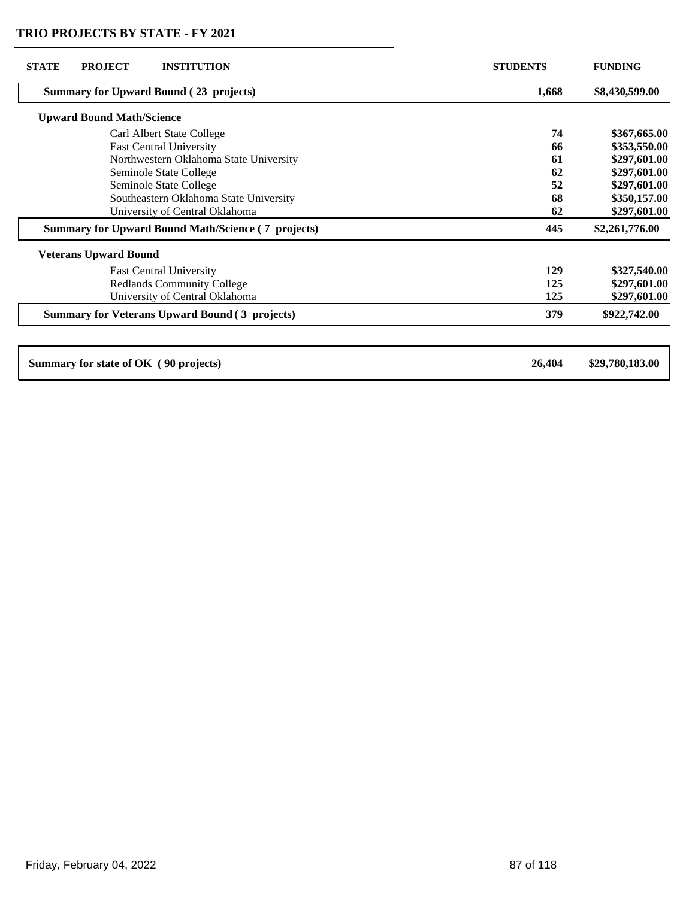| <b>STATE</b><br><b>PROJECT</b><br><b>INSTITUTION</b>      | <b>STUDENTS</b> | <b>FUNDING</b>  |
|-----------------------------------------------------------|-----------------|-----------------|
| <b>Summary for Upward Bound (23 projects)</b>             | 1,668           | \$8,430,599.00  |
| <b>Upward Bound Math/Science</b>                          |                 |                 |
| Carl Albert State College                                 | 74              | \$367,665.00    |
| <b>East Central University</b>                            | 66              | \$353,550.00    |
| Northwestern Oklahoma State University                    | 61              | \$297,601.00    |
| Seminole State College                                    | 62              | \$297,601.00    |
| Seminole State College                                    | 52              | \$297,601.00    |
| Southeastern Oklahoma State University                    | 68              | \$350,157.00    |
| University of Central Oklahoma                            | 62              | \$297,601.00    |
| <b>Summary for Upward Bound Math/Science (7 projects)</b> | 445             | \$2,261,776.00  |
| <b>Veterans Upward Bound</b>                              |                 |                 |
| <b>East Central University</b>                            | 129             | \$327,540.00    |
| <b>Redlands Community College</b>                         | 125             | \$297,601.00    |
| University of Central Oklahoma                            | 125             | \$297,601.00    |
| <b>Summary for Veterans Upward Bound (3 projects)</b>     | 379             | \$922,742.00    |
|                                                           |                 |                 |
| Summary for state of OK (90 projects)                     | 26,404          | \$29,780,183.00 |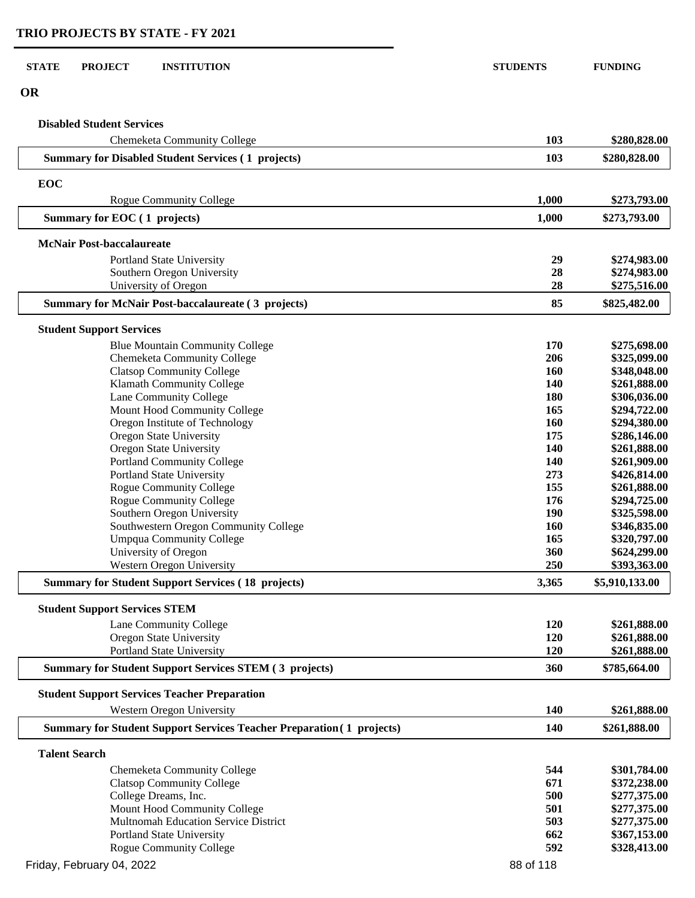| <b>STATE</b><br><b>PROJECT</b><br><b>INSTITUTION</b>                             | <b>STUDENTS</b>   | <b>FUNDING</b>               |
|----------------------------------------------------------------------------------|-------------------|------------------------------|
| <b>OR</b>                                                                        |                   |                              |
| <b>Disabled Student Services</b>                                                 |                   |                              |
| Chemeketa Community College                                                      | 103               | \$280,828.00                 |
| <b>Summary for Disabled Student Services (1 projects)</b>                        | 103               | \$280,828.00                 |
| EOC                                                                              |                   |                              |
| <b>Rogue Community College</b>                                                   | 1,000             | \$273,793.00                 |
| Summary for EOC (1 projects)                                                     | 1,000             | \$273,793.00                 |
| <b>McNair Post-baccalaureate</b>                                                 |                   |                              |
| Portland State University                                                        | 29                | \$274,983.00                 |
| Southern Oregon University                                                       | 28                | \$274,983.00                 |
| University of Oregon                                                             | 28                | \$275,516.00                 |
| <b>Summary for McNair Post-baccalaureate (3 projects)</b>                        | 85                | \$825,482.00                 |
| <b>Student Support Services</b>                                                  |                   |                              |
| <b>Blue Mountain Community College</b>                                           | 170               | \$275,698.00                 |
| Chemeketa Community College                                                      | 206               | \$325,099.00                 |
| <b>Clatsop Community College</b>                                                 | <b>160</b>        | \$348,048.00                 |
| Klamath Community College                                                        | 140               | \$261,888.00                 |
| Lane Community College                                                           | 180               | \$306,036.00                 |
| Mount Hood Community College                                                     | 165               | \$294,722.00                 |
| Oregon Institute of Technology                                                   | 160               | \$294,380.00                 |
| Oregon State University                                                          | 175               | \$286,146.00                 |
| Oregon State University                                                          | 140               | \$261,888.00                 |
| <b>Portland Community College</b>                                                | 140               | \$261,909.00                 |
| Portland State University                                                        | 273               | \$426,814.00                 |
| Rogue Community College                                                          | 155               | \$261,888.00                 |
| Rogue Community College                                                          | 176               | \$294,725.00                 |
| Southern Oregon University                                                       | 190               | \$325,598.00                 |
| Southwestern Oregon Community College<br><b>Umpqua Community College</b>         | <b>160</b><br>165 | \$346,835.00<br>\$320,797.00 |
| University of Oregon                                                             | 360               | \$624,299.00                 |
| <b>Western Oregon University</b>                                                 | 250               | \$393,363.00                 |
| <b>Summary for Student Support Services (18 projects)</b>                        | 3,365             | \$5,910,133.00               |
|                                                                                  |                   |                              |
| <b>Student Support Services STEM</b>                                             |                   |                              |
| Lane Community College                                                           | 120               | \$261,888.00                 |
| <b>Oregon State University</b><br><b>Portland State University</b>               | 120<br>120        | \$261,888.00<br>\$261,888.00 |
| <b>Summary for Student Support Services STEM (3 projects)</b>                    | 360               | \$785,664.00                 |
|                                                                                  |                   |                              |
| <b>Student Support Services Teacher Preparation</b><br>Western Oregon University | <b>140</b>        | \$261,888.00                 |
| <b>Summary for Student Support Services Teacher Preparation (1 projects)</b>     | 140               | \$261,888.00                 |
|                                                                                  |                   |                              |
| <b>Talent Search</b>                                                             |                   |                              |
| Chemeketa Community College                                                      | 544<br>671        | \$301,784.00                 |
| <b>Clatsop Community College</b><br>College Dreams, Inc.                         | 500               | \$372,238.00<br>\$277,375.00 |
| Mount Hood Community College                                                     | 501               | \$277,375.00                 |
| Multnomah Education Service District                                             | 503               | \$277,375.00                 |
| Portland State University                                                        | 662               | \$367,153.00                 |
| Rogue Community College                                                          | 592               | \$328,413.00                 |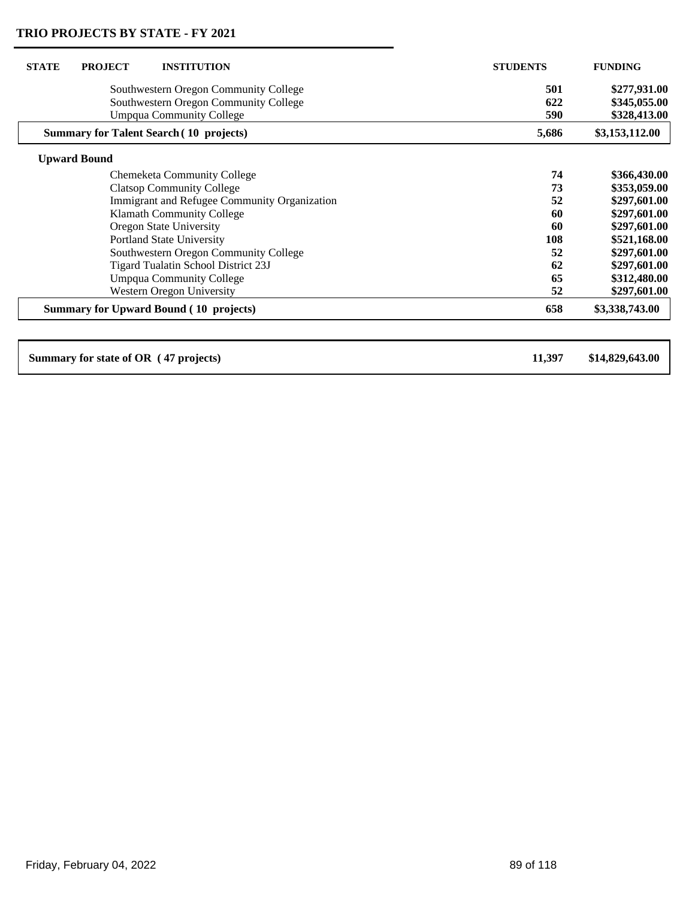| <b>STATE</b><br><b>PROJECT</b><br><b>INSTITUTION</b> | <b>STUDENTS</b> | <b>FUNDING</b>  |
|------------------------------------------------------|-----------------|-----------------|
| Southwestern Oregon Community College                | 501             | \$277,931.00    |
| Southwestern Oregon Community College                | 622             | \$345,055.00    |
| <b>Umpqua Community College</b>                      | 590             | \$328,413.00    |
| <b>Summary for Talent Search (10 projects)</b>       | 5,686           | \$3,153,112.00  |
| <b>Upward Bound</b>                                  |                 |                 |
| Chemeketa Community College                          | 74              | \$366,430.00    |
| <b>Clatsop Community College</b>                     | 73              | \$353,059.00    |
| Immigrant and Refugee Community Organization         | 52              | \$297,601.00    |
| Klamath Community College                            | 60              | \$297,601.00    |
| Oregon State University                              | 60              | \$297,601.00    |
| <b>Portland State University</b>                     | 108             | \$521,168.00    |
| Southwestern Oregon Community College                | 52              | \$297,601.00    |
| Tigard Tualatin School District 23J                  | 62              | \$297,601.00    |
| <b>Umpqua Community College</b>                      | 65              | \$312,480.00    |
| <b>Western Oregon University</b>                     | 52              | \$297,601.00    |
| <b>Summary for Upward Bound (10 projects)</b>        | 658             | \$3,338,743.00  |
|                                                      |                 |                 |
| Summary for state of OR (47 projects)                | 11,397          | \$14,829,643.00 |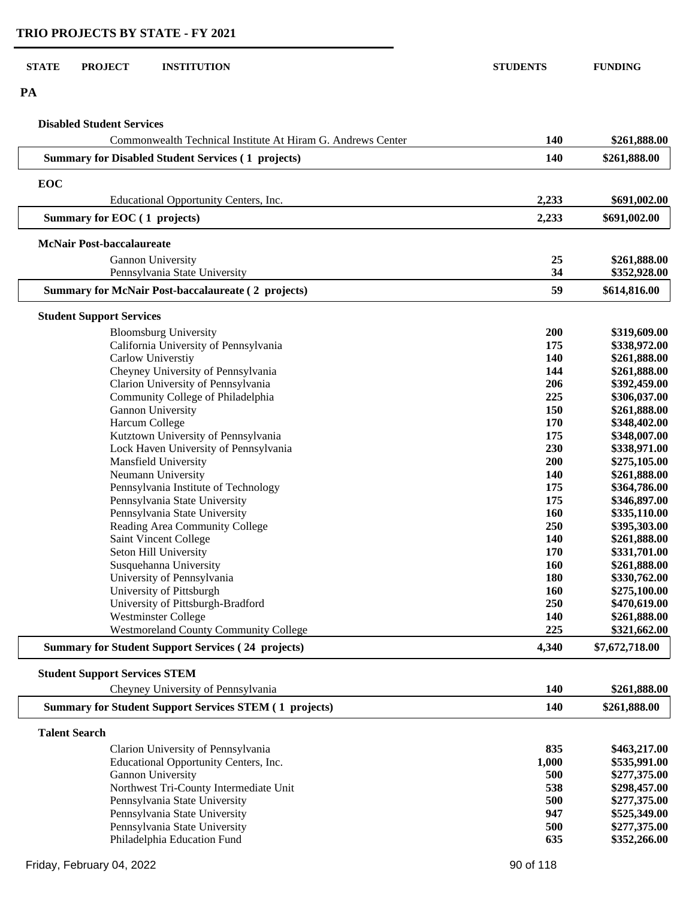$\overline{\phantom{0}}$ 

| <b>STATE</b><br><b>PROJECT</b><br><b>INSTITUTION</b>          | <b>STUDENTS</b> | <b>FUNDING</b> |
|---------------------------------------------------------------|-----------------|----------------|
| PA                                                            |                 |                |
| <b>Disabled Student Services</b>                              |                 |                |
| Commonwealth Technical Institute At Hiram G. Andrews Center   | 140             | \$261,888.00   |
| <b>Summary for Disabled Student Services (1 projects)</b>     | 140             | \$261,888.00   |
|                                                               |                 |                |
| EOC<br>Educational Opportunity Centers, Inc.                  | 2,233           | \$691,002.00   |
| Summary for EOC (1 projects)                                  | 2,233           | \$691,002.00   |
| <b>McNair Post-baccalaureate</b>                              |                 |                |
| Gannon University                                             | 25              | \$261,888.00   |
| Pennsylvania State University                                 | 34              | \$352,928.00   |
| <b>Summary for McNair Post-baccalaureate (2 projects)</b>     | 59              | \$614,816.00   |
| <b>Student Support Services</b>                               |                 |                |
| <b>Bloomsburg University</b>                                  | 200             | \$319,609.00   |
| California University of Pennsylvania                         | 175             | \$338,972.00   |
| Carlow Universtiy                                             | 140             | \$261,888.00   |
| Cheyney University of Pennsylvania                            | 144             | \$261,888.00   |
| Clarion University of Pennsylvania                            | 206             | \$392,459.00   |
| Community College of Philadelphia                             | 225             | \$306,037.00   |
| Gannon University                                             | 150             | \$261,888.00   |
| Harcum College                                                | 170             | \$348,402.00   |
| Kutztown University of Pennsylvania                           | 175             | \$348,007.00   |
| Lock Haven University of Pennsylvania                         | 230             | \$338,971.00   |
| Mansfield University                                          | 200             | \$275,105.00   |
| Neumann University                                            | 140             | \$261,888.00   |
| Pennsylvania Institute of Technology                          | 175             | \$364,786.00   |
| Pennsylvania State University                                 | 175             | \$346,897.00   |
| Pennsylvania State University                                 | 160             | \$335,110.00   |
| Reading Area Community College                                | 250             | \$395,303.00   |
| Saint Vincent College                                         | 140             | \$261,888.00   |
| Seton Hill University                                         | 170             | \$331,701.00   |
| Susquehanna University                                        | 160             | \$261,888.00   |
| University of Pennsylvania                                    | 180             | \$330,762.00   |
| University of Pittsburgh                                      | 160             | \$275,100.00   |
| University of Pittsburgh-Bradford                             | 250             | \$470,619.00   |
| <b>Westminster College</b>                                    | 140             | \$261,888.00   |
| <b>Westmoreland County Community College</b>                  | 225             | \$321,662.00   |
| <b>Summary for Student Support Services (24 projects)</b>     | 4,340           | \$7,672,718.00 |
| <b>Student Support Services STEM</b>                          |                 |                |
| Cheyney University of Pennsylvania                            | 140             | \$261,888.00   |
| <b>Summary for Student Support Services STEM (1 projects)</b> | 140             | \$261,888.00   |
| <b>Talent Search</b>                                          |                 |                |
| Clarion University of Pennsylvania                            | 835             | \$463,217.00   |
| Educational Opportunity Centers, Inc.                         | 1,000           | \$535,991.00   |
| Gannon University                                             | 500             | \$277,375.00   |
| Northwest Tri-County Intermediate Unit                        | 538             | \$298,457.00   |
| Pennsylvania State University                                 | 500             | \$277,375.00   |
| Pennsylvania State University                                 | 947             | \$525,349.00   |

Pennsylvania State University<br>
Pennsylvania State University<br> **947 \$525,349.00**<br> **9277,375.00** Pennsylvania State University **500 \$277,375.00**<br>Philadelphia Education Fund **635 \$352,266.00** 

Philadelphia Education Fund **635**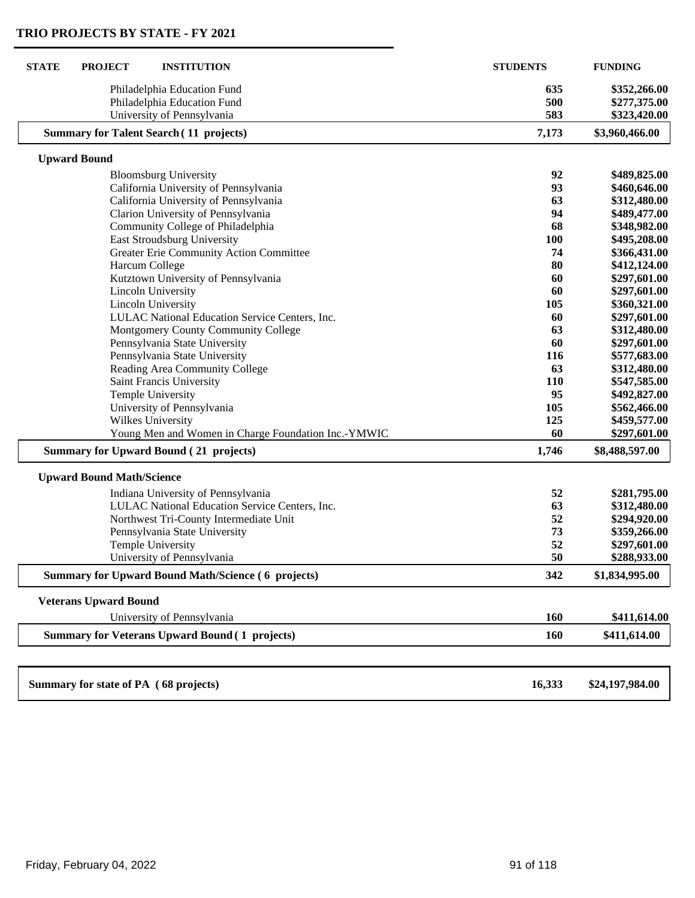| <b>STATE</b><br><b>PROJECT</b><br><b>INSTITUTION</b>      | <b>STUDENTS</b> | <b>FUNDING</b>  |
|-----------------------------------------------------------|-----------------|-----------------|
| Philadelphia Education Fund                               | 635             | \$352,266.00    |
| Philadelphia Education Fund                               | 500             | \$277,375.00    |
| University of Pennsylvania                                | 583             | \$323,420.00    |
| <b>Summary for Talent Search (11 projects)</b>            | 7,173           | \$3,960,466.00  |
| <b>Upward Bound</b>                                       |                 |                 |
| <b>Bloomsburg University</b>                              | 92              | \$489,825.00    |
| California University of Pennsylvania                     | 93              | \$460,646.00    |
| California University of Pennsylvania                     | 63              | \$312,480.00    |
| Clarion University of Pennsylvania                        | 94              | \$489,477.00    |
| Community College of Philadelphia                         | 68              | \$348,982.00    |
| East Stroudsburg University                               | <b>100</b>      | \$495,208.00    |
| Greater Erie Community Action Committee                   | 74              | \$366,431.00    |
| Harcum College                                            | 80              | \$412,124.00    |
| Kutztown University of Pennsylvania                       | 60              | \$297,601.00    |
| <b>Lincoln University</b>                                 | 60              | \$297,601.00    |
| Lincoln University                                        | 105             | \$360,321.00    |
| LULAC National Education Service Centers, Inc.            | 60              | \$297,601.00    |
| Montgomery County Community College                       | 63              | \$312,480.00    |
| Pennsylvania State University                             | 60              | \$297,601.00    |
| Pennsylvania State University                             | 116             | \$577,683.00    |
| Reading Area Community College                            | 63              | \$312,480.00    |
| <b>Saint Francis University</b>                           | 110             | \$547,585.00    |
| <b>Temple University</b>                                  | 95              | \$492,827.00    |
| University of Pennsylvania                                | 105             | \$562,466.00    |
| Wilkes University                                         | 125             | \$459,577.00    |
| Young Men and Women in Charge Foundation Inc.-YMWIC       | 60              | \$297,601.00    |
| <b>Summary for Upward Bound (21 projects)</b>             | 1,746           | \$8,488,597.00  |
| <b>Upward Bound Math/Science</b>                          |                 |                 |
| Indiana University of Pennsylvania                        | 52              | \$281,795.00    |
| LULAC National Education Service Centers, Inc.            | 63              | \$312,480.00    |
| Northwest Tri-County Intermediate Unit                    | 52              | \$294,920.00    |
| Pennsylvania State University                             | 73              | \$359,266.00    |
| <b>Temple University</b>                                  | 52              | \$297,601.00    |
| University of Pennsylvania                                | 50              | \$288,933.00    |
| <b>Summary for Upward Bound Math/Science (6 projects)</b> | 342             | \$1,834,995.00  |
| <b>Veterans Upward Bound</b>                              |                 |                 |
| University of Pennsylvania                                | 160             | \$411,614.00    |
| <b>Summary for Veterans Upward Bound (1 projects)</b>     | 160             | \$411,614.00    |
|                                                           |                 |                 |
| Summary for state of PA (68 projects)                     | 16,333          | \$24,197,984.00 |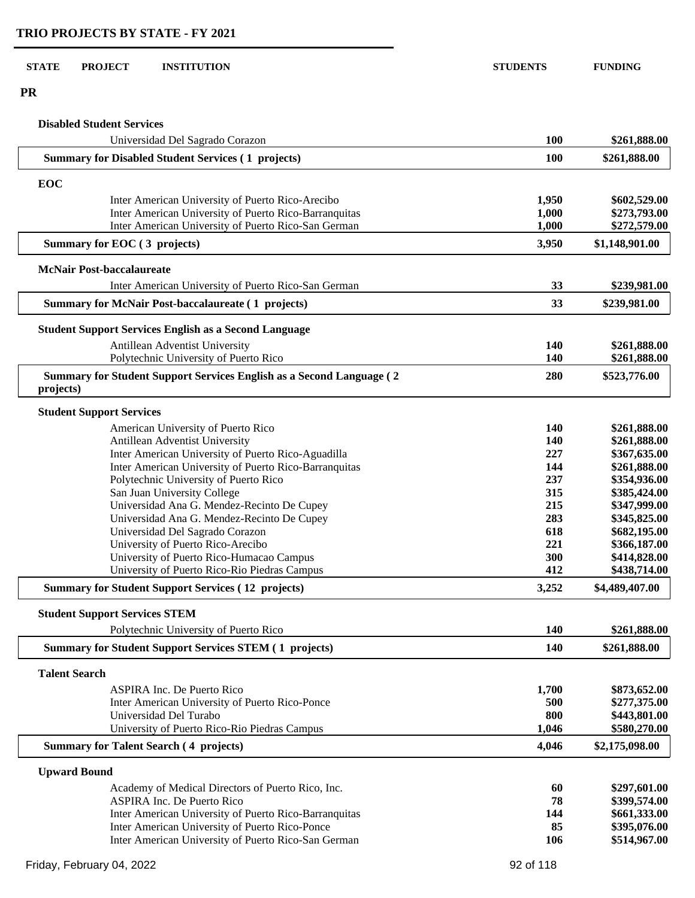**PR**

### **Disabled Student Services**

| Universidad Del Sagrado Corazon                                                    | 100        | \$261,888.00   |
|------------------------------------------------------------------------------------|------------|----------------|
| <b>Summary for Disabled Student Services (1 projects)</b>                          | <b>100</b> | \$261,888.00   |
| EOC                                                                                |            |                |
| Inter American University of Puerto Rico-Arecibo                                   | 1,950      | \$602,529.00   |
| Inter American University of Puerto Rico-Barranquitas                              | 1,000      | \$273,793.00   |
| Inter American University of Puerto Rico-San German                                | 1,000      | \$272,579.00   |
| Summary for EOC (3 projects)                                                       | 3,950      | \$1,148,901.00 |
| <b>McNair Post-baccalaureate</b>                                                   |            |                |
| Inter American University of Puerto Rico-San German                                | 33         | \$239,981.00   |
| <b>Summary for McNair Post-baccalaureate (1 projects)</b>                          | 33         | \$239,981.00   |
| <b>Student Support Services English as a Second Language</b>                       |            |                |
| Antillean Adventist University                                                     | 140        | \$261,888.00   |
| Polytechnic University of Puerto Rico                                              | 140        | \$261,888.00   |
| Summary for Student Support Services English as a Second Language (2)<br>projects) | 280        | \$523,776.00   |
| <b>Student Support Services</b>                                                    |            |                |
| American University of Puerto Rico                                                 | 140        | \$261,888.00   |
| Antillean Adventist University                                                     | 140        | \$261,888.00   |
| Inter American University of Puerto Rico-Aguadilla                                 | 227        | \$367,635.00   |
| Inter American University of Puerto Rico-Barranquitas                              | 144        | \$261,888.00   |
| Polytechnic University of Puerto Rico                                              | 237        | \$354,936.00   |
| San Juan University College                                                        | 315        | \$385,424.00   |
| Universidad Ana G. Mendez-Recinto De Cupey                                         | 215        | \$347,999.00   |
| Universidad Ana G. Mendez-Recinto De Cupey                                         | 283        | \$345,825.00   |
| Universidad Del Sagrado Corazon                                                    | 618        | \$682,195.00   |
| University of Puerto Rico-Arecibo                                                  | 221        | \$366,187.00   |
| University of Puerto Rico-Humacao Campus                                           | 300        | \$414,828.00   |
| University of Puerto Rico-Rio Piedras Campus                                       | 412        | \$438,714.00   |
| <b>Summary for Student Support Services (12 projects)</b>                          | 3,252      | \$4,489,407.00 |
| <b>Student Support Services STEM</b>                                               |            |                |
| Polytechnic University of Puerto Rico                                              | 140        | \$261,888.00   |
| <b>Summary for Student Support Services STEM (1 projects)</b>                      | 140        | \$261,888.00   |
| <b>Talent Search</b>                                                               |            |                |
| <b>ASPIRA Inc. De Puerto Rico</b>                                                  | 1,700      | \$873,652.00   |
| Inter American University of Puerto Rico-Ponce                                     | 500        | \$277,375.00   |
| Universidad Del Turabo                                                             | 800        | \$443,801.00   |
| University of Puerto Rico-Rio Piedras Campus                                       | 1,046      | \$580,270.00   |
| <b>Summary for Talent Search (4 projects)</b>                                      | 4,046      | \$2,175,098.00 |
| <b>Upward Bound</b>                                                                |            |                |
| Academy of Medical Directors of Puerto Rico, Inc.                                  | 60         | \$297,601.00   |
| <b>ASPIRA Inc. De Puerto Rico</b>                                                  | 78         | \$399,574.00   |
| Inter American University of Puerto Rico-Barranquitas                              | 144        | \$661,333.00   |
| Inter American University of Puerto Rico-Ponce                                     | 85         | \$395,076.00   |
| Inter American University of Puerto Rico-San German                                | 106        | \$514,967.00   |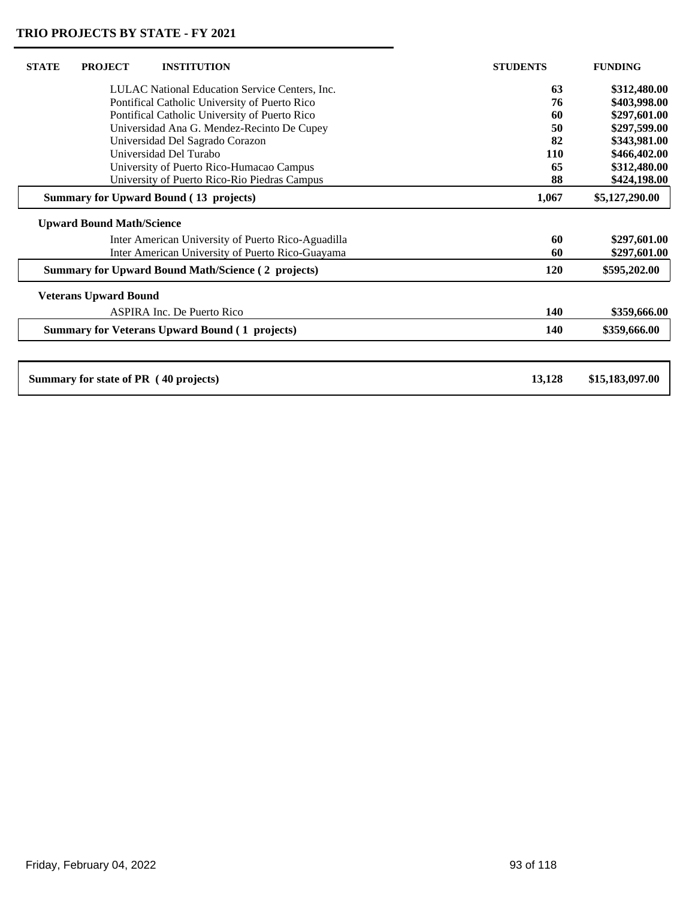$\mathsf{L}$ 

| <b>STATE</b> | <b>PROJECT</b>                   | <b>INSTITUTION</b>                                        | <b>STUDENTS</b> | <b>FUNDING</b>  |
|--------------|----------------------------------|-----------------------------------------------------------|-----------------|-----------------|
|              |                                  | LULAC National Education Service Centers, Inc.            | 63              | \$312,480.00    |
|              |                                  | Pontifical Catholic University of Puerto Rico             | 76              | \$403,998.00    |
|              |                                  | Pontifical Catholic University of Puerto Rico             | 60              | \$297,601.00    |
|              |                                  | Universidad Ana G. Mendez-Recinto De Cupey                | 50              | \$297,599.00    |
|              |                                  | Universidad Del Sagrado Corazon                           | 82              | \$343,981.00    |
|              |                                  | Universidad Del Turabo                                    | 110             | \$466,402.00    |
|              |                                  | University of Puerto Rico-Humacao Campus                  | 65              | \$312,480.00    |
|              |                                  | University of Puerto Rico-Rio Piedras Campus              | 88              | \$424,198.00    |
|              |                                  | <b>Summary for Upward Bound (13 projects)</b>             | 1,067           | \$5,127,290.00  |
|              | <b>Upward Bound Math/Science</b> |                                                           |                 |                 |
|              |                                  | Inter American University of Puerto Rico-Aguadilla        | 60              | \$297,601.00    |
|              |                                  | Inter American University of Puerto Rico-Guayama          | 60              | \$297,601.00    |
|              |                                  | <b>Summary for Upward Bound Math/Science (2 projects)</b> | <b>120</b>      | \$595,202.00    |
|              | <b>Veterans Upward Bound</b>     |                                                           |                 |                 |
|              |                                  | <b>ASPIRA Inc. De Puerto Rico</b>                         | 140             | \$359,666.00    |
|              |                                  | <b>Summary for Veterans Upward Bound (1 projects)</b>     | <b>140</b>      | \$359,666.00    |
|              |                                  |                                                           |                 |                 |
|              |                                  | Summary for state of PR (40 projects)                     | 13,128          | \$15,183,097.00 |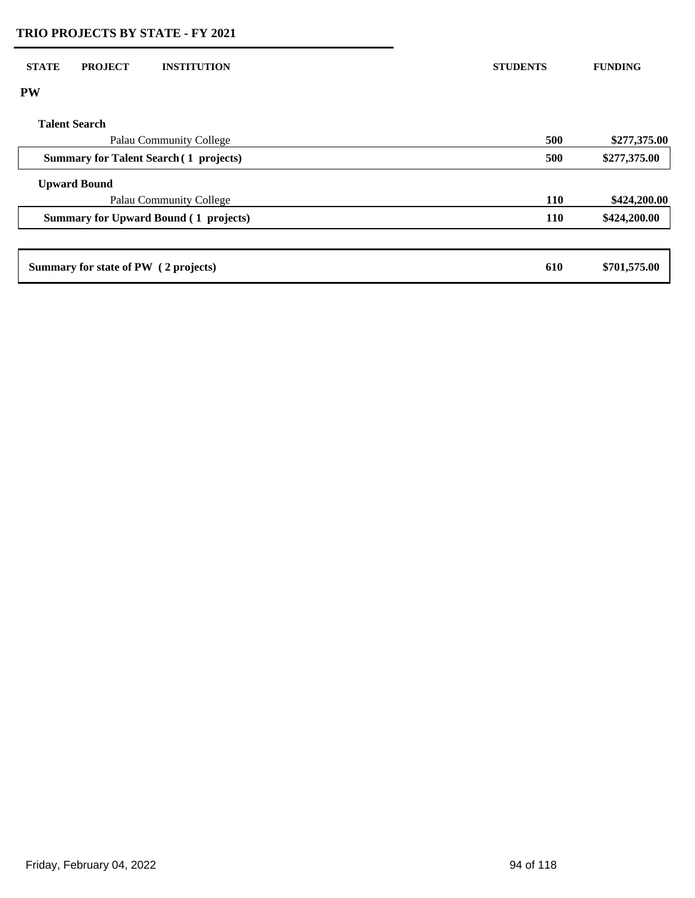| <b>STATE</b><br><b>PROJECT</b><br><b>INSTITUTION</b> | <b>STUDENTS</b> | <b>FUNDING</b> |
|------------------------------------------------------|-----------------|----------------|
| <b>PW</b>                                            |                 |                |
| <b>Talent Search</b>                                 |                 |                |
| Palau Community College                              | 500             | \$277,375.00   |
| <b>Summary for Talent Search (1 projects)</b>        | 500             | \$277,375.00   |
| <b>Upward Bound</b>                                  |                 |                |
| Palau Community College                              | 110             | \$424,200.00   |
| <b>Summary for Upward Bound (1 projects)</b>         | 110             | \$424,200.00   |
|                                                      |                 |                |
| Summary for state of PW (2 projects)                 | 610             | \$701,575.00   |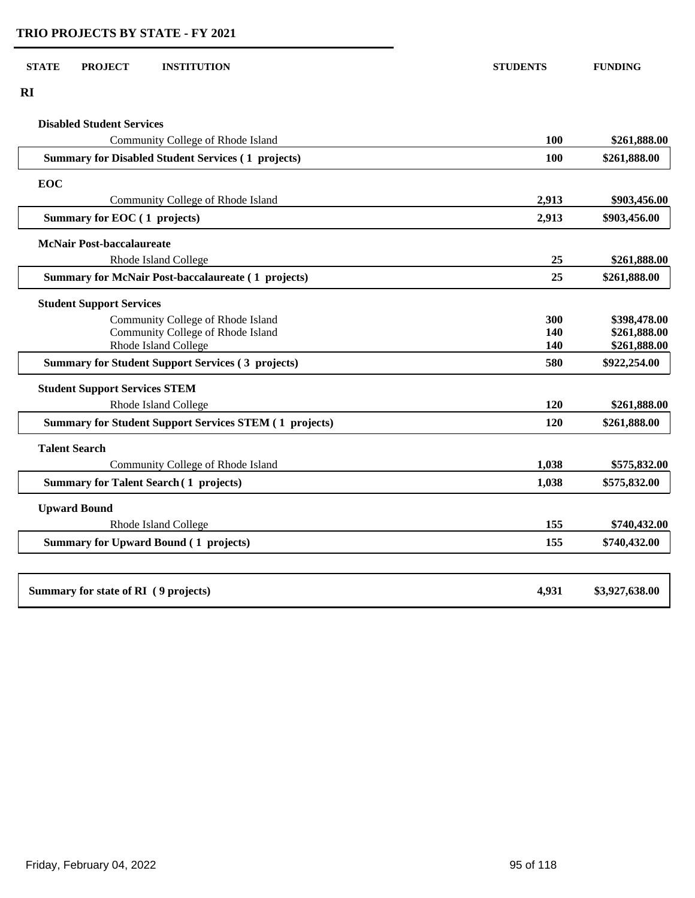| RI                                                            |       |                |
|---------------------------------------------------------------|-------|----------------|
| <b>Disabled Student Services</b>                              |       |                |
| Community College of Rhode Island                             | 100   | \$261,888.00   |
| <b>Summary for Disabled Student Services (1 projects)</b>     | 100   | \$261,888.00   |
| <b>EOC</b>                                                    |       |                |
| Community College of Rhode Island                             | 2,913 | \$903,456.00   |
| Summary for EOC (1 projects)                                  | 2,913 | \$903,456.00   |
| <b>McNair Post-baccalaureate</b>                              |       |                |
| Rhode Island College                                          | 25    | \$261,888.00   |
| <b>Summary for McNair Post-baccalaureate (1 projects)</b>     | 25    | \$261,888.00   |
| <b>Student Support Services</b>                               |       |                |
| Community College of Rhode Island                             | 300   | \$398,478.00   |
| Community College of Rhode Island                             | 140   | \$261,888.00   |
| Rhode Island College                                          | 140   | \$261,888.00   |
| <b>Summary for Student Support Services (3 projects)</b>      | 580   | \$922,254.00   |
| <b>Student Support Services STEM</b>                          |       |                |
| Rhode Island College                                          | 120   | \$261,888.00   |
| <b>Summary for Student Support Services STEM (1 projects)</b> | 120   | \$261,888.00   |
| <b>Talent Search</b>                                          |       |                |
| Community College of Rhode Island                             | 1,038 | \$575,832.00   |
| <b>Summary for Talent Search (1 projects)</b>                 | 1,038 | \$575,832.00   |
| <b>Upward Bound</b>                                           |       |                |
| Rhode Island College                                          | 155   | \$740,432.00   |
| <b>Summary for Upward Bound (1 projects)</b>                  | 155   | \$740,432.00   |
|                                                               |       |                |
| Summary for state of RI (9 projects)                          | 4,931 | \$3,927,638.00 |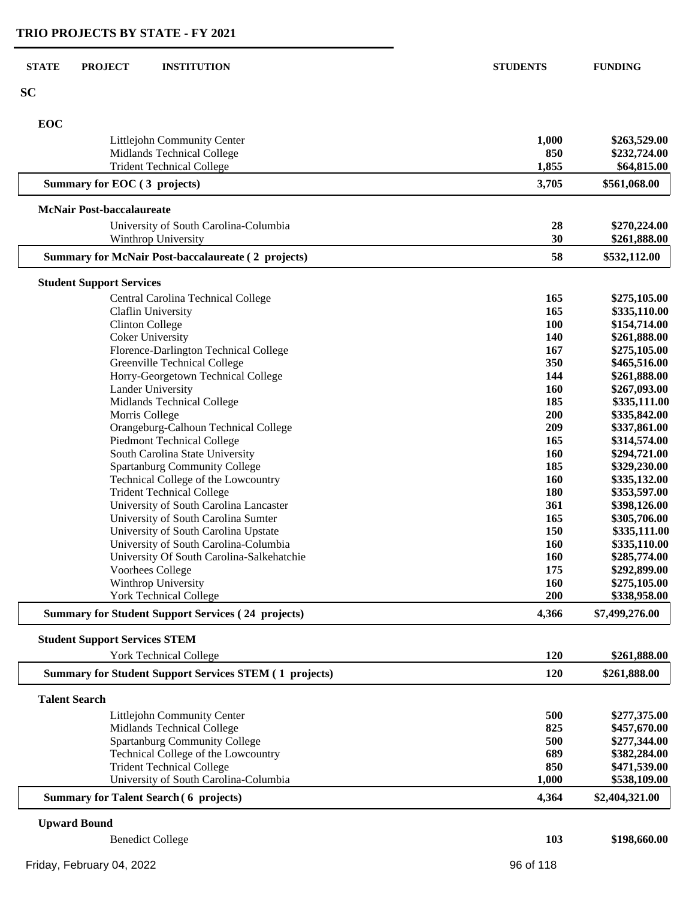| <b>STATE</b><br><b>PROJECT</b><br><b>INSTITUTION</b>                        | <b>STUDENTS</b> | <b>FUNDING</b>               |
|-----------------------------------------------------------------------------|-----------------|------------------------------|
| <b>SC</b>                                                                   |                 |                              |
| EOC                                                                         |                 |                              |
| Littlejohn Community Center                                                 | 1,000           | \$263,529.00                 |
| Midlands Technical College                                                  | 850             | \$232,724.00                 |
| <b>Trident Technical College</b>                                            | 1,855           | \$64,815.00                  |
| Summary for EOC (3 projects)                                                | 3,705           | \$561,068.00                 |
| <b>McNair Post-baccalaureate</b>                                            |                 |                              |
| University of South Carolina-Columbia                                       | 28              | \$270,224.00                 |
| Winthrop University                                                         | 30              | \$261,888.00                 |
| <b>Summary for McNair Post-baccalaureate (2 projects)</b>                   | 58              | \$532,112.00                 |
| <b>Student Support Services</b>                                             |                 |                              |
| Central Carolina Technical College                                          | 165             | \$275,105.00                 |
| Claflin University                                                          | 165             | \$335,110.00                 |
| <b>Clinton College</b>                                                      | 100             | \$154,714.00                 |
| <b>Coker University</b>                                                     | 140             | \$261,888.00                 |
| Florence-Darlington Technical College                                       | 167             | \$275,105.00                 |
| Greenville Technical College                                                | 350             | \$465,516.00                 |
| Horry-Georgetown Technical College                                          | 144             | \$261,888.00                 |
| <b>Lander University</b>                                                    | 160             | \$267,093.00                 |
| Midlands Technical College                                                  | 185             | \$335,111.00                 |
| Morris College                                                              | 200<br>209      | \$335,842.00<br>\$337,861.00 |
| Orangeburg-Calhoun Technical College<br><b>Piedmont Technical College</b>   | 165             | \$314,574.00                 |
| South Carolina State University                                             | 160             | \$294,721.00                 |
| <b>Spartanburg Community College</b>                                        | 185             | \$329,230.00                 |
| Technical College of the Lowcountry                                         | 160             | \$335,132.00                 |
| <b>Trident Technical College</b>                                            | 180             | \$353,597.00                 |
| University of South Carolina Lancaster                                      | 361             | \$398,126.00                 |
| University of South Carolina Sumter                                         | 165             | \$305,706.00                 |
| University of South Carolina Upstate                                        | 150             | \$335,111.00                 |
| University of South Carolina-Columbia                                       | 160             | \$335,110.00                 |
| University Of South Carolina-Salkehatchie                                   | <b>160</b>      | \$285,774.00                 |
| Voorhees College                                                            | 175             | \$292,899.00                 |
| Winthrop University                                                         | <b>160</b>      | \$275,105.00                 |
| <b>York Technical College</b>                                               | 200             | \$338,958.00                 |
| <b>Summary for Student Support Services (24 projects)</b>                   | 4,366           | \$7,499,276.00               |
| <b>Student Support Services STEM</b>                                        |                 |                              |
| <b>York Technical College</b>                                               | 120             | \$261,888.00                 |
| <b>Summary for Student Support Services STEM (1 projects)</b>               | 120             | \$261,888.00                 |
| <b>Talent Search</b>                                                        |                 |                              |
| Littlejohn Community Center                                                 | 500             | \$277,375.00                 |
| Midlands Technical College                                                  | 825             | \$457,670.00                 |
| <b>Spartanburg Community College</b><br>Technical College of the Lowcountry | 500<br>689      | \$277,344.00<br>\$382,284.00 |
| <b>Trident Technical College</b>                                            | 850             | \$471,539.00                 |
| University of South Carolina-Columbia                                       | 1,000           | \$538,109.00                 |
| <b>Summary for Talent Search (6 projects)</b>                               | 4,364           | \$2,404,321.00               |
|                                                                             |                 |                              |
| <b>Upward Bound</b>                                                         |                 |                              |

| <b>Benedict College</b>   | 103       | \$198,660.00 |
|---------------------------|-----------|--------------|
| Friday, February 04, 2022 | 96 of 118 |              |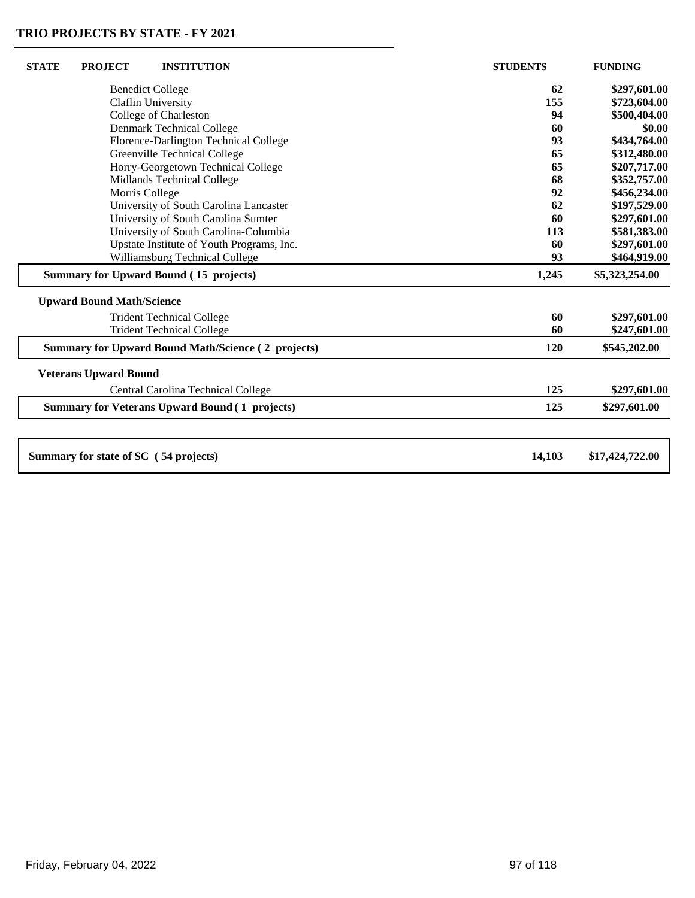$\perp$ 

| <b>STATE</b> | <b>PROJECT</b>                   | <b>INSTITUTION</b>                                        | <b>STUDENTS</b> | <b>FUNDING</b>  |
|--------------|----------------------------------|-----------------------------------------------------------|-----------------|-----------------|
|              |                                  | <b>Benedict College</b>                                   | 62              | \$297,601.00    |
|              |                                  | Claflin University                                        | 155             | \$723,604.00    |
|              |                                  | College of Charleston                                     | 94              | \$500,404.00    |
|              |                                  | <b>Denmark Technical College</b>                          | 60              | \$0.00          |
|              |                                  | Florence-Darlington Technical College                     | 93              | \$434,764.00    |
|              |                                  | Greenville Technical College                              | 65              | \$312,480.00    |
|              |                                  | Horry-Georgetown Technical College                        | 65              | \$207,717.00    |
|              |                                  | Midlands Technical College                                | 68              | \$352,757.00    |
|              | Morris College                   |                                                           | 92              | \$456,234.00    |
|              |                                  | University of South Carolina Lancaster                    | 62              | \$197,529.00    |
|              |                                  | University of South Carolina Sumter                       | 60              | \$297,601.00    |
|              |                                  | University of South Carolina-Columbia                     | 113             | \$581,383.00    |
|              |                                  | Upstate Institute of Youth Programs, Inc.                 | 60              | \$297,601.00    |
|              |                                  | Williamsburg Technical College                            | 93              | \$464,919.00    |
|              |                                  | Summary for Upward Bound (15 projects)                    | 1,245           | \$5,323,254.00  |
|              | <b>Upward Bound Math/Science</b> |                                                           |                 |                 |
|              |                                  | <b>Trident Technical College</b>                          | 60              | \$297,601.00    |
|              |                                  | <b>Trident Technical College</b>                          | 60              | \$247,601.00    |
|              |                                  | <b>Summary for Upward Bound Math/Science (2 projects)</b> | <b>120</b>      | \$545,202.00    |
|              | <b>Veterans Upward Bound</b>     |                                                           |                 |                 |
|              |                                  | Central Carolina Technical College                        | 125             | \$297,601.00    |
|              |                                  | <b>Summary for Veterans Upward Bound (1 projects)</b>     | 125             | \$297,601.00    |
|              |                                  |                                                           |                 |                 |
|              |                                  | Summary for state of SC (54 projects)                     | 14,103          | \$17,424,722.00 |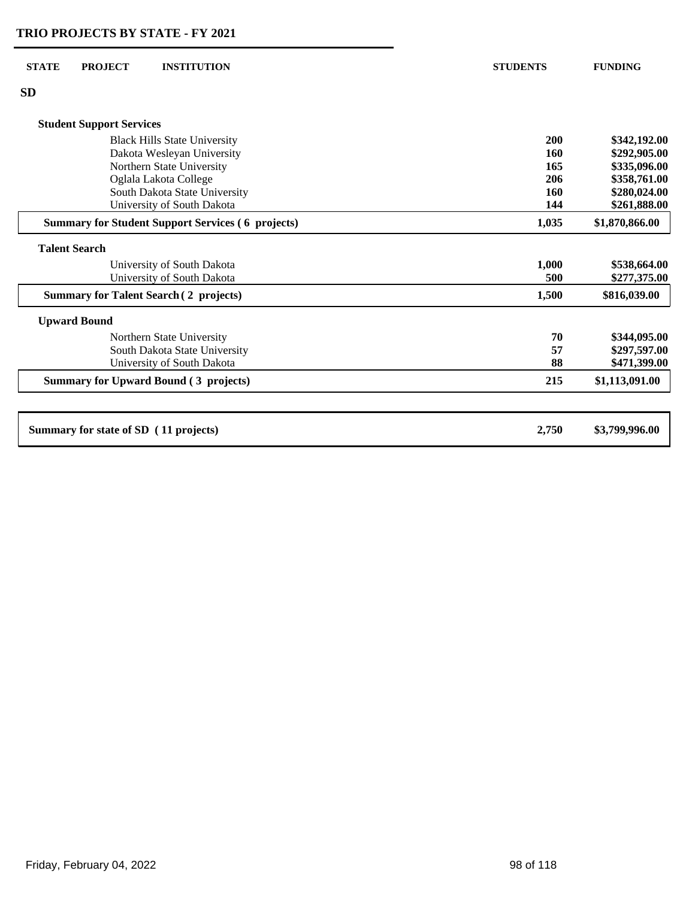| <b>STATE</b> | <b>PROJECT</b>                        | <b>INSTITUTION</b>                                       | <b>STUDENTS</b> | <b>FUNDING</b>               |
|--------------|---------------------------------------|----------------------------------------------------------|-----------------|------------------------------|
| <b>SD</b>    |                                       |                                                          |                 |                              |
|              | <b>Student Support Services</b>       |                                                          |                 |                              |
|              |                                       | <b>Black Hills State University</b>                      | 200             | \$342,192.00                 |
|              |                                       | Dakota Wesleyan University<br>Northern State University  | 160<br>165      | \$292,905.00<br>\$335,096.00 |
|              |                                       | Oglala Lakota College                                    | 206             | \$358,761.00                 |
|              |                                       | South Dakota State University                            | 160             | \$280,024.00                 |
|              |                                       | University of South Dakota                               | 144             | \$261,888.00                 |
|              |                                       | <b>Summary for Student Support Services (6 projects)</b> | 1,035           | \$1,870,866.00               |
|              | <b>Talent Search</b>                  |                                                          |                 |                              |
|              |                                       | University of South Dakota                               | 1,000           | \$538,664.00                 |
|              |                                       | University of South Dakota                               | 500             | \$277,375.00                 |
|              |                                       | <b>Summary for Talent Search (2 projects)</b>            | 1,500           | \$816,039.00                 |
|              | <b>Upward Bound</b>                   |                                                          |                 |                              |
|              |                                       | Northern State University                                | 70              | \$344,095.00                 |
|              |                                       | South Dakota State University                            | 57              | \$297,597.00                 |
|              |                                       | University of South Dakota                               | 88              | \$471,399.00                 |
|              |                                       | <b>Summary for Upward Bound (3 projects)</b>             | 215             | \$1,113,091.00               |
|              |                                       |                                                          |                 |                              |
|              | Summary for state of SD (11 projects) |                                                          | 2,750           | \$3,799,996.00               |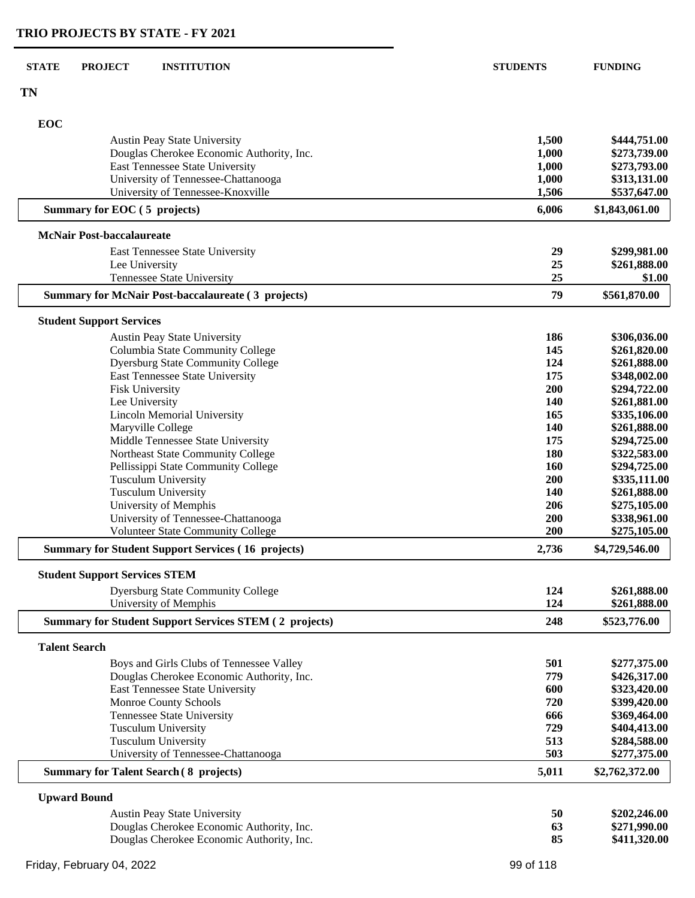| <b>STATE</b><br><b>PROJECT</b><br><b>INSTITUTION</b>                | <b>STUDENTS</b> | <b>FUNDING</b>                 |
|---------------------------------------------------------------------|-----------------|--------------------------------|
| <b>TN</b>                                                           |                 |                                |
| EOC                                                                 |                 |                                |
| <b>Austin Peay State University</b>                                 | 1,500           | \$444,751.00                   |
| Douglas Cherokee Economic Authority, Inc.                           | 1,000           | \$273,739.00                   |
| East Tennessee State University                                     | 1,000           | \$273,793.00                   |
| University of Tennessee-Chattanooga                                 | 1,000           | \$313,131.00                   |
| University of Tennessee-Knoxville<br>Summary for EOC (5 projects)   | 1,506<br>6,006  | \$537,647.00<br>\$1,843,061.00 |
|                                                                     |                 |                                |
| <b>McNair Post-baccalaureate</b><br>East Tennessee State University | 29              | \$299,981.00                   |
| Lee University                                                      | 25              | \$261,888.00                   |
| Tennessee State University                                          | 25              | \$1.00                         |
| <b>Summary for McNair Post-baccalaureate (3 projects)</b>           | 79              | \$561,870.00                   |
| <b>Student Support Services</b>                                     |                 |                                |
| Austin Peay State University                                        | 186             | \$306,036.00                   |
| Columbia State Community College                                    | 145             | \$261,820.00                   |
| <b>Dyersburg State Community College</b>                            | 124             | \$261,888.00                   |
| East Tennessee State University                                     | 175             | \$348,002.00                   |
| <b>Fisk University</b>                                              | 200             | \$294,722.00                   |
| Lee University                                                      | 140             | \$261,881.00                   |
| <b>Lincoln Memorial University</b>                                  | 165             | \$335,106.00                   |
| Maryville College                                                   | 140             | \$261,888.00                   |
| Middle Tennessee State University                                   | 175             | \$294,725.00                   |
| Northeast State Community College                                   | 180             | \$322,583.00                   |
| Pellissippi State Community College                                 | 160             | \$294,725.00                   |
| <b>Tusculum University</b>                                          | 200             | \$335,111.00                   |
| <b>Tusculum University</b>                                          | 140             | \$261,888.00                   |
| University of Memphis                                               | 206             | \$275,105.00                   |
| University of Tennessee-Chattanooga                                 | 200             | \$338,961.00                   |
| <b>Volunteer State Community College</b>                            | 200             | \$275,105.00                   |
| <b>Summary for Student Support Services (16 projects)</b>           | 2,736           | \$4,729,546.00                 |
| <b>Student Support Services STEM</b>                                |                 |                                |
| <b>Dyersburg State Community College</b>                            | 124             | \$261,888.00                   |
| University of Memphis                                               | 124             | \$261,888.00                   |
| <b>Summary for Student Support Services STEM (2 projects)</b>       | 248             | \$523,776.00                   |
| <b>Talent Search</b>                                                |                 |                                |
| Boys and Girls Clubs of Tennessee Valley                            | 501             | \$277,375.00                   |
| Douglas Cherokee Economic Authority, Inc.                           | 779             | \$426,317.00                   |
| East Tennessee State University                                     | 600             | \$323,420.00                   |
| Monroe County Schools                                               | 720             | \$399,420.00                   |
| Tennessee State University                                          | 666             | \$369,464.00                   |
| <b>Tusculum University</b>                                          | 729             | \$404,413.00                   |
| <b>Tusculum University</b>                                          | 513             | \$284,588.00                   |
| University of Tennessee-Chattanooga                                 | 503             | \$277,375.00                   |
| <b>Summary for Talent Search (8 projects)</b>                       | 5,011           | \$2,762,372.00                 |
| <b>Upward Bound</b>                                                 |                 |                                |
| <b>Austin Peay State University</b>                                 | 50              | \$202,246.00                   |
| Douglas Cherokee Economic Authority, Inc.                           | 63              | \$271,990.00                   |
| Douglas Cherokee Economic Authority, Inc.                           | 85              | \$411,320.00                   |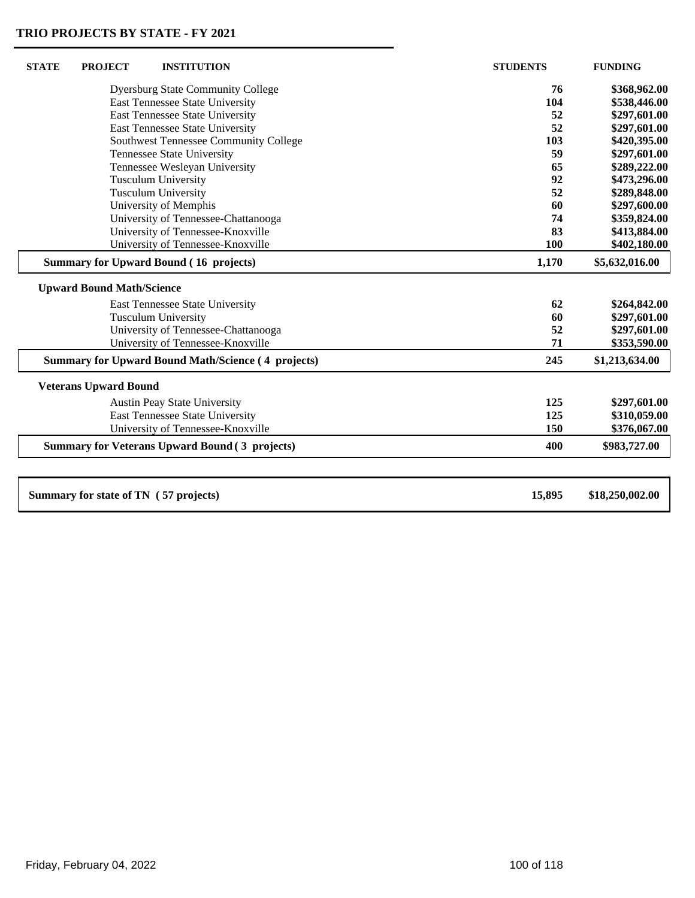| <b>STATE</b> | <b>PROJECT</b>                        | <b>INSTITUTION</b>                                        | <b>STUDENTS</b> | <b>FUNDING</b>  |
|--------------|---------------------------------------|-----------------------------------------------------------|-----------------|-----------------|
|              |                                       | <b>Dyersburg State Community College</b>                  | 76              | \$368,962.00    |
|              |                                       | East Tennessee State University                           | 104             | \$538,446.00    |
|              |                                       | <b>East Tennessee State University</b>                    | 52              | \$297,601.00    |
|              |                                       | East Tennessee State University                           | 52              | \$297,601.00    |
|              |                                       | Southwest Tennessee Community College                     | 103             | \$420,395.00    |
|              |                                       | Tennessee State University                                | 59              | \$297,601.00    |
|              |                                       | Tennessee Wesleyan University                             | 65              | \$289,222.00    |
|              |                                       | <b>Tusculum University</b>                                | 92              | \$473,296.00    |
|              |                                       | <b>Tusculum University</b>                                | 52              | \$289,848.00    |
|              |                                       | University of Memphis                                     | 60              | \$297,600.00    |
|              |                                       | University of Tennessee-Chattanooga                       | 74              | \$359,824.00    |
|              |                                       | University of Tennessee-Knoxville                         | 83              | \$413,884.00    |
|              |                                       | University of Tennessee-Knoxville                         | 100             | \$402,180.00    |
|              |                                       | <b>Summary for Upward Bound (16 projects)</b>             | 1,170           | \$5,632,016.00  |
|              | <b>Upward Bound Math/Science</b>      |                                                           |                 |                 |
|              |                                       | East Tennessee State University                           | 62              | \$264,842.00    |
|              |                                       | <b>Tusculum University</b>                                | 60              | \$297,601.00    |
|              |                                       | University of Tennessee-Chattanooga                       | 52              | \$297,601.00    |
|              |                                       | University of Tennessee-Knoxville                         | 71              | \$353,590.00    |
|              |                                       | <b>Summary for Upward Bound Math/Science (4 projects)</b> | 245             | \$1,213,634.00  |
|              | <b>Veterans Upward Bound</b>          |                                                           |                 |                 |
|              |                                       | <b>Austin Peay State University</b>                       | 125             | \$297,601.00    |
|              |                                       | East Tennessee State University                           | 125             | \$310,059.00    |
|              |                                       | University of Tennessee-Knoxville                         | 150             | \$376,067.00    |
|              |                                       | <b>Summary for Veterans Upward Bound (3 projects)</b>     | 400             | \$983,727.00    |
|              |                                       |                                                           |                 |                 |
|              | Summary for state of TN (57 projects) |                                                           | 15,895          | \$18,250,002.00 |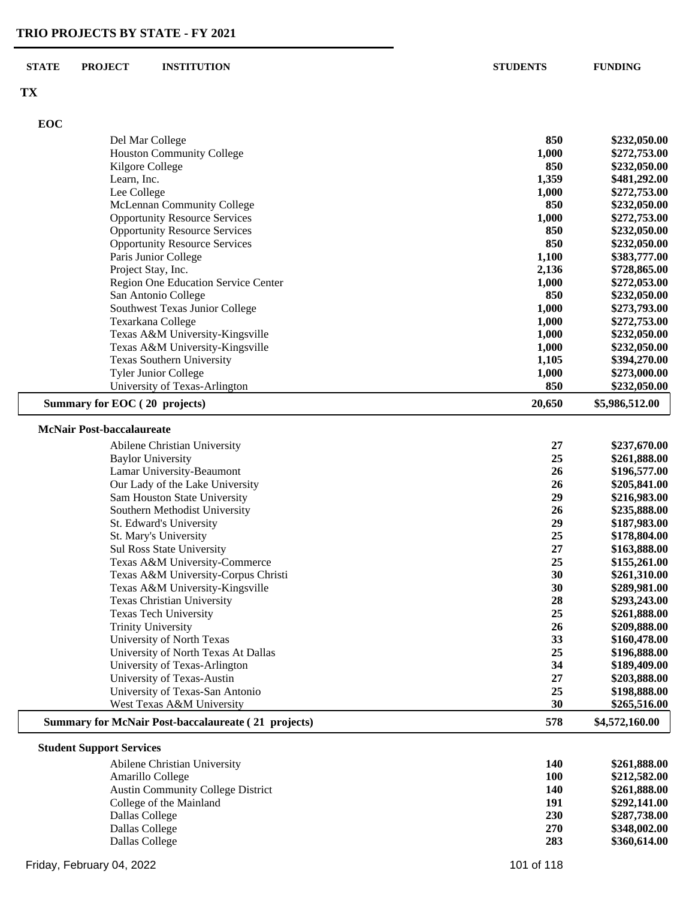#### **TX**

**EOC**

| <b>EOC</b> |                                      |       |              |
|------------|--------------------------------------|-------|--------------|
|            | Del Mar College                      | 850   | \$232,050.00 |
|            | <b>Houston Community College</b>     | 1,000 | \$272,753.00 |
|            | Kilgore College                      | 850   | \$232,050.00 |
|            | Learn, Inc.                          | 1,359 | \$481,292.00 |
|            | Lee College                          | 1.000 | \$272,753.00 |
|            | McLennan Community College           | 850   | \$232,050.00 |
|            | <b>Opportunity Resource Services</b> | 1.000 | \$272,753.00 |
|            | <b>Opportunity Resource Services</b> | 850   | \$232,050.00 |
|            | <b>Opportunity Resource Services</b> | 850   | \$232,050.00 |
|            | Paris Junior College                 | 1.100 | \$383,777.00 |
|            | Project Stay, Inc.                   | 2,136 | \$728,865.00 |
|            | Region One Education Service Center  | 1,000 | \$272,053.00 |
|            | San Antonio College                  | 850   | \$232,050.00 |
|            |                                      |       |              |

|                                            |       | \$454,050.00                         |
|--------------------------------------------|-------|--------------------------------------|
| <b>Opportunity Resource Services</b>       | 850   | \$232,050.00                         |
| Paris Junior College                       | 1,100 | \$383,777.00                         |
| Project Stay, Inc.                         | 2,136 | \$728,865.00                         |
| <b>Region One Education Service Center</b> | 1,000 | \$272,053.00                         |
| San Antonio College                        | 850   | \$232,050.00                         |
| Southwest Texas Junior College             | 1,000 | \$273,793.00                         |
| Texarkana College                          | 1,000 | \$272,753.00                         |
| Texas A&M University-Kingsville            | 1,000 | \$232,050.00                         |
| Texas A&M University-Kingsville            | 1,000 | \$232,050.00                         |
| Texas Southern University                  | 1.105 | \$394,270.00                         |
| <b>Tyler Junior College</b>                | 1.000 | \$273,000.00                         |
| University of Texas-Arlington              | 850   | \$232,050.00                         |
|                                            |       | Opportunity Resource Services<br>0JV |

## **Summary for EOC ( 20 projects) 20,650 \$5,986,512.00**

#### **McNair Post-baccalaureate**

| Abilene Christian University                               | 27  | \$237,670.00   |
|------------------------------------------------------------|-----|----------------|
| <b>Baylor University</b>                                   | 25  | \$261,888.00   |
| Lamar University-Beaumont                                  | 26  | \$196,577.00   |
| Our Lady of the Lake University                            | 26  | \$205,841.00   |
| <b>Sam Houston State University</b>                        | 29  | \$216,983.00   |
| Southern Methodist University                              | 26  | \$235,888.00   |
| St. Edward's University                                    | 29  | \$187,983.00   |
| St. Mary's University                                      | 25  | \$178,804.00   |
| <b>Sul Ross State University</b>                           | 27  | \$163,888.00   |
| Texas A&M University-Commerce                              | 25  | \$155,261.00   |
| Texas A&M University-Corpus Christi                        | 30  | \$261,310.00   |
| Texas A&M University-Kingsville                            | 30  | \$289,981.00   |
| <b>Texas Christian University</b>                          | 28  | \$293,243.00   |
| <b>Texas Tech University</b>                               | 25  | \$261,888.00   |
| <b>Trinity University</b>                                  | 26  | \$209,888.00   |
| University of North Texas                                  | 33  | \$160,478.00   |
| University of North Texas At Dallas                        | 25  | \$196,888.00   |
| University of Texas-Arlington                              | 34  | \$189,409.00   |
| University of Texas-Austin                                 | 27  | \$203,888.00   |
| University of Texas-San Antonio                            | 25  | \$198,888.00   |
| West Texas A&M University                                  | 30  | \$265,516.00   |
| <b>Summary for McNair Post-baccalaureate (21 projects)</b> | 578 | \$4,572,160.00 |

#### **Student Support Services**

| Abilene Christian University             | 140 | \$261,888.00 |
|------------------------------------------|-----|--------------|
| Amarillo College                         | 100 | \$212,582.00 |
| <b>Austin Community College District</b> | 140 | \$261,888.00 |
| College of the Mainland                  | 191 | \$292,141.00 |
| Dallas College                           | 230 | \$287,738.00 |
| Dallas College                           | 270 | \$348,002.00 |
| Dallas College                           | 283 | \$360,614.00 |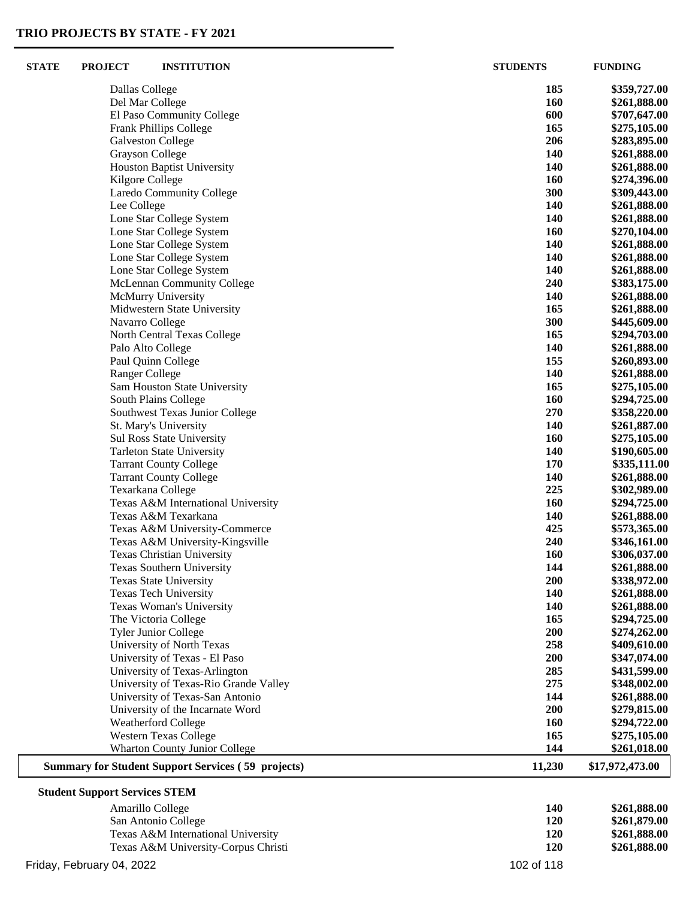| <b>STATE</b> | <b>PROJECT</b>                       | <b>INSTITUTION</b>                                        | <b>STUDENTS</b> | <b>FUNDING</b>  |
|--------------|--------------------------------------|-----------------------------------------------------------|-----------------|-----------------|
|              | Dallas College                       |                                                           | 185             | \$359,727.00    |
|              |                                      | Del Mar College                                           | 160             | \$261,888.00    |
|              |                                      | El Paso Community College                                 | 600             | \$707,647.00    |
|              |                                      | <b>Frank Phillips College</b>                             | 165             | \$275,105.00    |
|              |                                      | <b>Galveston College</b>                                  | 206             | \$283,895.00    |
|              |                                      | <b>Grayson College</b>                                    | 140             | \$261,888.00    |
|              |                                      | <b>Houston Baptist University</b>                         | 140             | \$261,888.00    |
|              | Kilgore College                      |                                                           | 160             | \$274,396.00    |
|              |                                      | Laredo Community College                                  | 300             | \$309,443.00    |
|              | Lee College                          |                                                           | 140             | \$261,888.00    |
|              |                                      | Lone Star College System                                  | <b>140</b>      | \$261,888.00    |
|              |                                      | Lone Star College System                                  | 160             | \$270,104.00    |
|              |                                      | Lone Star College System                                  | 140             | \$261,888.00    |
|              |                                      | Lone Star College System                                  | 140             | \$261,888.00    |
|              |                                      | Lone Star College System                                  | 140             | \$261,888.00    |
|              |                                      | McLennan Community College                                | 240             | \$383,175.00    |
|              |                                      | McMurry University                                        | 140             | \$261,888.00    |
|              |                                      | Midwestern State University                               | 165             | \$261,888.00    |
|              |                                      | Navarro College                                           | 300             | \$445,609.00    |
|              |                                      | North Central Texas College                               | 165             | \$294,703.00    |
|              |                                      | Palo Alto College                                         | <b>140</b>      | \$261,888.00    |
|              |                                      | Paul Quinn College                                        | 155             | \$260,893.00    |
|              |                                      | <b>Ranger College</b>                                     | 140             | \$261,888.00    |
|              |                                      | Sam Houston State University                              | 165             | \$275,105.00    |
|              |                                      | South Plains College                                      | 160             | \$294,725.00    |
|              |                                      | Southwest Texas Junior College                            | 270             | \$358,220.00    |
|              |                                      | St. Mary's University                                     | 140             | \$261,887.00    |
|              |                                      | Sul Ross State University                                 | 160             | \$275,105.00    |
|              |                                      | <b>Tarleton State University</b>                          | 140             | \$190,605.00    |
|              |                                      | <b>Tarrant County College</b>                             | 170             | \$335,111.00    |
|              |                                      | <b>Tarrant County College</b>                             | <b>140</b>      | \$261,888.00    |
|              |                                      | Texarkana College                                         | 225             | \$302,989.00    |
|              |                                      | Texas A&M International University                        | 160             | \$294,725.00    |
|              |                                      | Texas A&M Texarkana                                       | 140             | \$261,888.00    |
|              |                                      | Texas A&M University-Commerce                             | 425             | \$573,365.00    |
|              |                                      | Texas A&M University-Kingsville                           | 240             | \$346,161.00    |
|              |                                      | <b>Texas Christian University</b>                         | 160             | \$306,037.00    |
|              |                                      | <b>Texas Southern University</b>                          | 144             | \$261,888.00    |
|              |                                      | <b>Texas State University</b>                             | 200             | \$338,972.00    |
|              |                                      | <b>Texas Tech University</b>                              | 140             | \$261,888.00    |
|              | Texas Woman's University             |                                                           | <b>140</b>      | \$261,888.00    |
|              |                                      | The Victoria College                                      | 165             | \$294,725.00    |
|              |                                      | <b>Tyler Junior College</b>                               | 200             | \$274,262.00    |
|              |                                      | University of North Texas                                 | 258             | \$409,610.00    |
|              |                                      | University of Texas - El Paso                             | 200             | \$347,074.00    |
|              |                                      | University of Texas-Arlington                             | 285             | \$431,599.00    |
|              |                                      | University of Texas-Rio Grande Valley                     | 275             | \$348,002.00    |
|              |                                      | University of Texas-San Antonio                           | 144             | \$261,888.00    |
|              |                                      | University of the Incarnate Word                          | 200             | \$279,815.00    |
|              |                                      | <b>Weatherford College</b>                                | 160             | \$294,722.00    |
|              |                                      | <b>Western Texas College</b>                              | 165             | \$275,105.00    |
|              |                                      | <b>Wharton County Junior College</b>                      | 144             | \$261,018.00    |
|              |                                      | <b>Summary for Student Support Services (59 projects)</b> | 11,230          | \$17,972,473.00 |
|              | <b>Student Support Services STEM</b> |                                                           |                 |                 |

| Amarillo College                                          | 140        | \$261,888.00                 |
|-----------------------------------------------------------|------------|------------------------------|
| San Antonio College<br>Texas A&M International University | 120<br>120 | \$261,879.00<br>\$261,888.00 |
| Texas A&M University-Corpus Christi                       | 120        | \$261,888.00                 |
| Friday, February 04, 2022                                 | 102 of 118 |                              |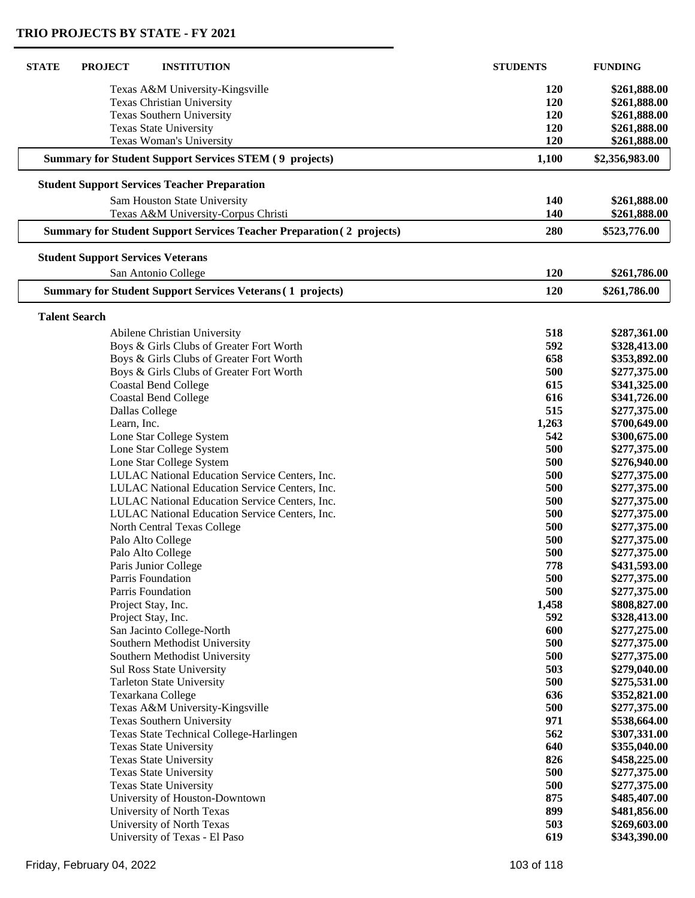$\mathsf{L}$ 

ſ

| <b>STATE</b> | <b>PROJECT</b>                           | <b>INSTITUTION</b>                                                           | <b>STUDENTS</b> | <b>FUNDING</b> |
|--------------|------------------------------------------|------------------------------------------------------------------------------|-----------------|----------------|
|              |                                          | Texas A&M University-Kingsville                                              | <b>120</b>      | \$261,888.00   |
|              |                                          | Texas Christian University                                                   | 120             | \$261,888.00   |
|              |                                          | Texas Southern University                                                    | 120             | \$261,888.00   |
|              |                                          | <b>Texas State University</b>                                                | 120             | \$261,888.00   |
|              |                                          | Texas Woman's University                                                     | 120             | \$261,888.00   |
|              |                                          | <b>Summary for Student Support Services STEM (9 projects)</b>                | 1,100           | \$2,356,983.00 |
|              |                                          | <b>Student Support Services Teacher Preparation</b>                          |                 |                |
|              |                                          | Sam Houston State University                                                 | 140             | \$261,888.00   |
|              |                                          | Texas A&M University-Corpus Christi                                          | 140             | \$261,888.00   |
|              |                                          | <b>Summary for Student Support Services Teacher Preparation (2 projects)</b> | 280             | \$523,776.00   |
|              | <b>Student Support Services Veterans</b> |                                                                              |                 |                |
|              |                                          | San Antonio College                                                          | 120             | \$261,786.00   |
|              |                                          | <b>Summary for Student Support Services Veterans (1 projects)</b>            | 120             | \$261,786.00   |
|              | <b>Talent Search</b>                     |                                                                              |                 |                |
|              |                                          | Abilene Christian University                                                 | 518             | \$287,361.00   |
|              |                                          | Boys & Girls Clubs of Greater Fort Worth                                     | 592             | \$328,413.00   |
|              |                                          | Boys & Girls Clubs of Greater Fort Worth                                     | 658             | \$353,892.00   |
|              |                                          | Boys & Girls Clubs of Greater Fort Worth                                     | 500             | \$277,375.00   |
|              |                                          | <b>Coastal Bend College</b>                                                  | 615             | \$341,325.00   |
|              |                                          | <b>Coastal Bend College</b>                                                  | 616             | \$341,726.00   |
|              |                                          | Dallas College                                                               | 515             | \$277,375.00   |
|              | Learn, Inc.                              |                                                                              | 1,263           | \$700,649.00   |
|              |                                          | Lone Star College System                                                     | 542             | \$300,675.00   |
|              |                                          | Lone Star College System                                                     | 500             | \$277,375.00   |
|              |                                          | Lone Star College System                                                     | 500             | \$276,940.00   |
|              |                                          | LULAC National Education Service Centers, Inc.                               | 500             | \$277,375.00   |
|              |                                          | LULAC National Education Service Centers, Inc.                               | 500             | \$277,375.00   |
|              |                                          | LULAC National Education Service Centers, Inc.                               | 500             | \$277,375.00   |
|              |                                          | LULAC National Education Service Centers, Inc.                               | 500             | \$277,375.00   |
|              |                                          | North Central Texas College                                                  | 500             | \$277,375.00   |
|              |                                          | Palo Alto College                                                            | 500             | \$277,375.00   |
|              |                                          | Palo Alto College                                                            | 500             | \$277,375.00   |
|              |                                          | Paris Junior College                                                         | 778             | \$431,593,00   |
|              |                                          | Parris Foundation                                                            | 500             | \$277,375.00   |
|              |                                          | Parris Foundation                                                            | 500             | \$277,375.00   |
|              |                                          | Project Stay, Inc.                                                           | 1,458           | \$808,827.00   |
|              |                                          | Project Stay, Inc.                                                           | 592             | \$328,413.00   |
|              |                                          | San Jacinto College-North                                                    | 600             | \$277,275.00   |
|              |                                          | Southern Methodist University                                                | 500             | \$277,375.00   |
|              |                                          | Southern Methodist University                                                | 500             | \$277,375.00   |
|              |                                          | Sul Ross State University                                                    | 503             | \$279,040.00   |
|              |                                          | <b>Tarleton State University</b>                                             | 500             | \$275,531.00   |
|              |                                          | Texarkana College                                                            | 636             | \$352,821.00   |
|              |                                          | Texas A&M University-Kingsville                                              | 500             | \$277,375.00   |
|              |                                          | Texas Southern University                                                    | 971             | \$538,664.00   |
|              |                                          | Texas State Technical College-Harlingen                                      | 562             | \$307,331.00   |
|              |                                          | <b>Texas State University</b>                                                | 640             | \$355,040.00   |
|              |                                          | Texas State University                                                       | 826             | \$458,225.00   |
|              |                                          | <b>Texas State University</b>                                                | 500             | \$277,375.00   |
|              |                                          | <b>Texas State University</b>                                                | 500             | \$277,375.00   |
|              |                                          | University of Houston-Downtown                                               | 875             | \$485,407.00   |
|              |                                          | University of North Texas                                                    | 899             | \$481,856.00   |
|              |                                          | University of North Texas                                                    | 503             | \$269,603.00   |
|              |                                          | University of Texas - El Paso                                                | 619             | \$343,390.00   |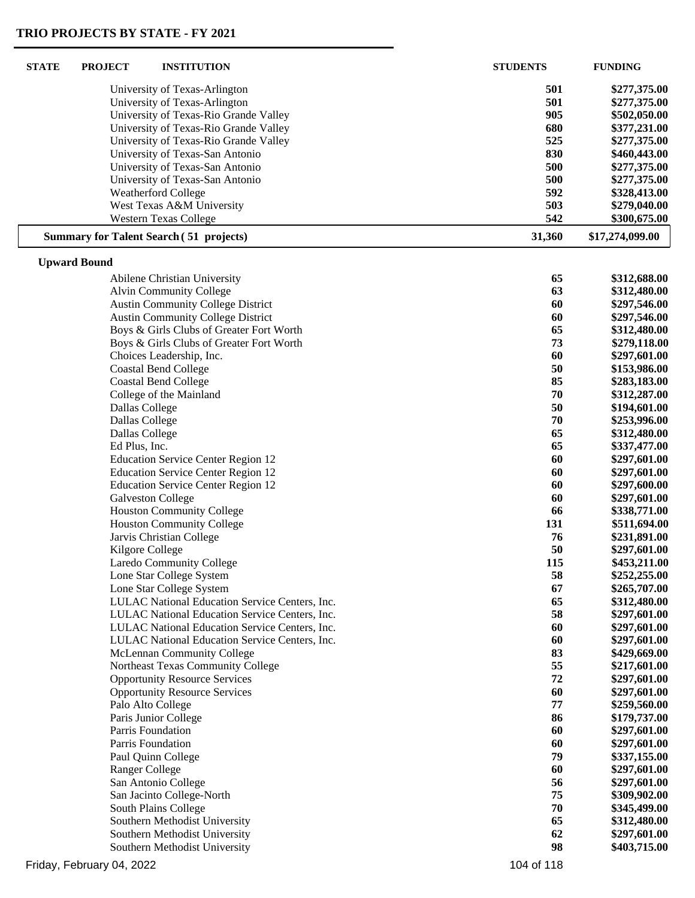$\sqrt{2}$ 

| <b>STATE</b> | <b>PROJECT</b>        | <b>INSTITUTION</b>                             | <b>STUDENTS</b> | <b>FUNDING</b>  |
|--------------|-----------------------|------------------------------------------------|-----------------|-----------------|
|              |                       | University of Texas-Arlington                  | 501             | \$277,375.00    |
|              |                       | University of Texas-Arlington                  | 501             | \$277,375.00    |
|              |                       | University of Texas-Rio Grande Valley          | 905             | \$502,050.00    |
|              |                       | University of Texas-Rio Grande Valley          | 680             | \$377,231.00    |
|              |                       | University of Texas-Rio Grande Valley          | 525             | \$277,375.00    |
|              |                       | University of Texas-San Antonio                | 830             | \$460,443.00    |
|              |                       | University of Texas-San Antonio                | 500             | \$277,375.00    |
|              |                       | University of Texas-San Antonio                | 500             | \$277,375.00    |
|              |                       | <b>Weatherford College</b>                     | 592             | \$328,413.00    |
|              |                       | West Texas A&M University                      | 503             | \$279,040.00    |
|              |                       | <b>Western Texas College</b>                   | 542             | \$300,675.00    |
|              |                       | <b>Summary for Talent Search (51 projects)</b> | 31,360          | \$17,274,099.00 |
|              | <b>Upward Bound</b>   |                                                |                 |                 |
|              |                       | Abilene Christian University                   | 65              | \$312,688.00    |
|              |                       | <b>Alvin Community College</b>                 | 63              | \$312,480.00    |
|              |                       | <b>Austin Community College District</b>       | 60              | \$297,546.00    |
|              |                       | <b>Austin Community College District</b>       | 60              | \$297,546.00    |
|              |                       | Boys & Girls Clubs of Greater Fort Worth       | 65              | \$312,480.00    |
|              |                       | Boys & Girls Clubs of Greater Fort Worth       | 73              | \$279,118.00    |
|              |                       | Choices Leadership, Inc.                       | 60              | \$297,601.00    |
|              |                       | <b>Coastal Bend College</b>                    | 50              | \$153,986.00    |
|              |                       | <b>Coastal Bend College</b>                    | 85              | \$283,183.00    |
|              |                       | College of the Mainland                        | 70              | \$312,287.00    |
|              | Dallas College        |                                                | 50              | \$194,601.00    |
|              | Dallas College        |                                                | 70              | \$253,996.00    |
|              | Dallas College        |                                                | 65              | \$312,480.00    |
|              | Ed Plus, Inc.         |                                                | 65              | \$337,477.00    |
|              |                       | <b>Education Service Center Region 12</b>      | 60              | \$297,601.00    |
|              |                       | <b>Education Service Center Region 12</b>      | 60              | \$297,601.00    |
|              |                       | <b>Education Service Center Region 12</b>      | 60              | \$297,600.00    |
|              |                       | <b>Galveston College</b>                       | 60              | \$297,601.00    |
|              |                       | <b>Houston Community College</b>               | 66              | \$338,771.00    |
|              |                       | <b>Houston Community College</b>               | 131             | \$511,694.00    |
|              |                       | Jarvis Christian College                       | 76              | \$231,891.00    |
|              | Kilgore College       |                                                | 50              | \$297,601.00    |
|              |                       | <b>Laredo Community College</b>                | 115             | \$453,211.00    |
|              |                       | Lone Star College System                       | 58              | \$252,255.00    |
|              |                       | Lone Star College System                       | 67              | \$265,707.00    |
|              |                       | LULAC National Education Service Centers, Inc. | 65              | \$312,480.00    |
|              |                       | LULAC National Education Service Centers, Inc. | 58              | \$297,601.00    |
|              |                       | LULAC National Education Service Centers, Inc. | 60              | \$297,601.00    |
|              |                       | LULAC National Education Service Centers, Inc. | 60              | \$297,601.00    |
|              |                       | McLennan Community College                     | 83              | \$429,669.00    |
|              |                       | Northeast Texas Community College              | 55              | \$217,601.00    |
|              |                       | <b>Opportunity Resource Services</b>           | 72              | \$297,601.00    |
|              |                       | <b>Opportunity Resource Services</b>           | 60              | \$297,601.00    |
|              | Palo Alto College     |                                                | 77              | \$259,560.00    |
|              |                       | Paris Junior College                           | 86              | \$179,737.00    |
|              | Parris Foundation     |                                                | 60              | \$297,601.00    |
|              | Parris Foundation     |                                                | 60              | \$297,601.00    |
|              |                       | Paul Quinn College                             | 79              | \$337,155.00    |
|              | <b>Ranger College</b> |                                                | 60              | \$297,601.00    |
|              |                       | San Antonio College                            | 56              | \$297,601.00    |
|              |                       | San Jacinto College-North                      | 75              | \$309,902.00    |
|              |                       | South Plains College                           | 70              | \$345,499.00    |
|              |                       | Southern Methodist University                  | 65              | \$312,480.00    |
|              |                       | Southern Methodist University                  | 62              | \$297,601.00    |
|              |                       | Southern Methodist University                  | 98              | \$403,715.00    |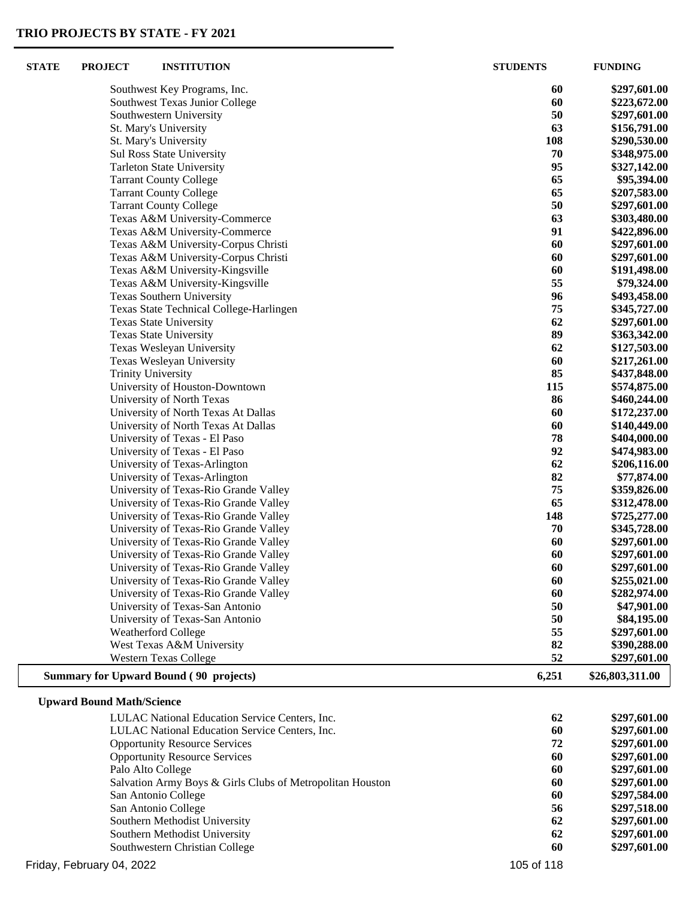| <b>STATE</b> | <b>PROJECT</b>                   | <b>INSTITUTION</b>                                                         | <b>STUDENTS</b> | <b>FUNDING</b>               |
|--------------|----------------------------------|----------------------------------------------------------------------------|-----------------|------------------------------|
|              |                                  | Southwest Key Programs, Inc.                                               | 60              | \$297,601.00                 |
|              |                                  | Southwest Texas Junior College                                             | 60              | \$223,672.00                 |
|              |                                  | Southwestern University                                                    | 50              | \$297,601.00                 |
|              |                                  | St. Mary's University                                                      | 63              | \$156,791.00                 |
|              |                                  | St. Mary's University                                                      | 108             | \$290,530.00                 |
|              |                                  | Sul Ross State University                                                  | 70              | \$348,975.00                 |
|              |                                  | <b>Tarleton State University</b>                                           | 95              | \$327,142.00                 |
|              |                                  | <b>Tarrant County College</b>                                              | 65              | \$95,394.00                  |
|              |                                  | <b>Tarrant County College</b>                                              | 65              | \$207,583.00                 |
|              |                                  | <b>Tarrant County College</b>                                              | 50              | \$297,601.00                 |
|              |                                  | Texas A&M University-Commerce                                              | 63              | \$303,480.00                 |
|              |                                  | Texas A&M University-Commerce                                              | 91              | \$422,896.00                 |
|              |                                  | Texas A&M University-Corpus Christi                                        | 60              | \$297,601.00                 |
|              |                                  | Texas A&M University-Corpus Christi                                        | 60              | \$297,601.00                 |
|              |                                  | Texas A&M University-Kingsville                                            | 60              | \$191,498.00                 |
|              |                                  | Texas A&M University-Kingsville                                            | 55              | \$79,324.00                  |
|              |                                  | Texas Southern University                                                  | 96              | \$493,458.00                 |
|              |                                  | Texas State Technical College-Harlingen                                    | 75              | \$345,727.00                 |
|              |                                  | Texas State University                                                     | 62              | \$297,601.00                 |
|              |                                  | <b>Texas State University</b>                                              | 89              | \$363,342.00                 |
|              |                                  | Texas Wesleyan University                                                  | 62              | \$127,503.00                 |
|              |                                  | Texas Wesleyan University                                                  | 60              | \$217,261.00                 |
|              |                                  | <b>Trinity University</b>                                                  | 85              | \$437,848.00                 |
|              |                                  | University of Houston-Downtown                                             | 115             | \$574,875.00                 |
|              |                                  | University of North Texas                                                  | 86<br>60        | \$460,244.00                 |
|              |                                  | University of North Texas At Dallas<br>University of North Texas At Dallas | 60              | \$172,237.00<br>\$140,449.00 |
|              |                                  | University of Texas - El Paso                                              | 78              | \$404,000.00                 |
|              |                                  | University of Texas - El Paso                                              | 92              | \$474,983.00                 |
|              |                                  | University of Texas-Arlington                                              | 62              | \$206,116.00                 |
|              |                                  | University of Texas-Arlington                                              | 82              | \$77,874.00                  |
|              |                                  | University of Texas-Rio Grande Valley                                      | 75              | \$359,826.00                 |
|              |                                  | University of Texas-Rio Grande Valley                                      | 65              | \$312,478.00                 |
|              |                                  | University of Texas-Rio Grande Valley                                      | 148             | \$725,277.00                 |
|              |                                  | University of Texas-Rio Grande Valley                                      | 70              | \$345,728.00                 |
|              |                                  | University of Texas-Rio Grande Valley                                      | 60              | \$297,601.00                 |
|              |                                  | University of Texas-Rio Grande Valley                                      | 60              | \$297,601.00                 |
|              |                                  | University of Texas-Rio Grande Valley                                      | 60              | \$297,601.00                 |
|              |                                  | University of Texas-Rio Grande Valley                                      | 60              | \$255,021.00                 |
|              |                                  | University of Texas-Rio Grande Valley                                      | 60              | \$282,974.00                 |
|              |                                  | University of Texas-San Antonio                                            | 50              | \$47,901.00                  |
|              |                                  | University of Texas-San Antonio                                            | 50              | \$84,195.00                  |
|              |                                  | <b>Weatherford College</b>                                                 | 55              | \$297,601.00                 |
|              |                                  | West Texas A&M University                                                  | 82              | \$390,288.00                 |
|              |                                  | <b>Western Texas College</b>                                               | 52              | \$297,601.00                 |
|              |                                  | <b>Summary for Upward Bound (90 projects)</b>                              | 6,251           | \$26,803,311.00              |
|              | <b>Upward Bound Math/Science</b> |                                                                            |                 |                              |
|              |                                  | LULAC National Education Service Centers, Inc.                             | 62              | \$297,601.00                 |
|              |                                  | LULAC National Education Service Centers, Inc.                             | 60              | \$297,601.00                 |
|              |                                  | <b>Opportunity Resource Services</b>                                       | 72              | \$297,601.00                 |
|              |                                  | <b>Opportunity Resource Services</b>                                       | 60              | \$297,601.00                 |
|              |                                  | Palo Alto College                                                          | 60              | \$297,601.00                 |
|              |                                  | Salvation Army Boys & Girls Clubs of Metropolitan Houston                  | 60              | \$297,601.00                 |
|              |                                  | San Antonio College                                                        | 60              | \$297,584.00                 |
|              |                                  | San Antonio College                                                        | 56              | \$297,518.00                 |
|              |                                  | Southern Methodist University                                              | 62              | \$297,601.00                 |
|              |                                  | Southern Methodist University                                              | 62              | \$297,601.00                 |
|              |                                  | Southwestern Christian College                                             | 60              | \$297,601.00                 |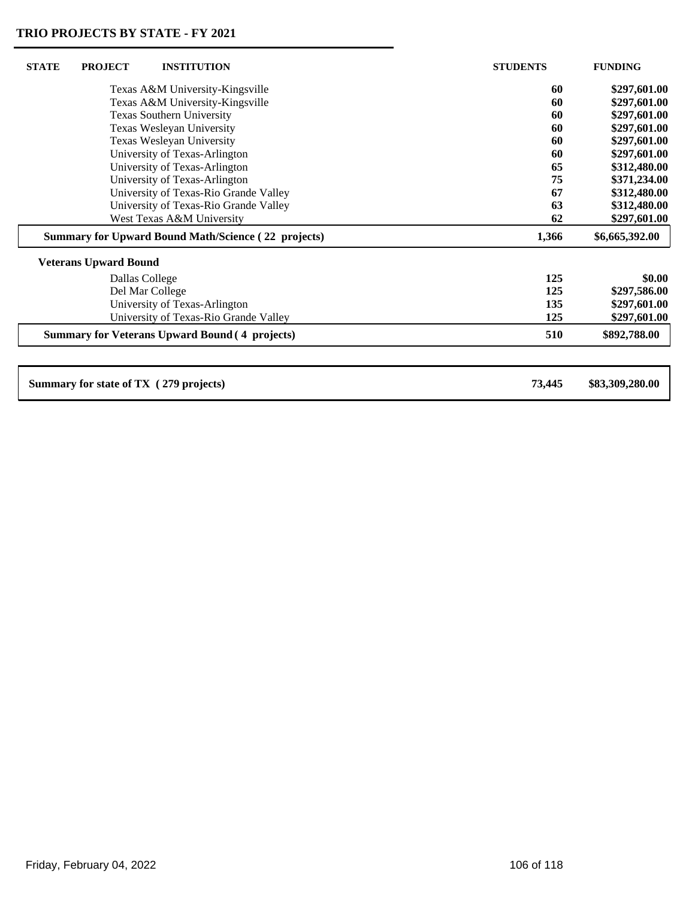| <b>STATE</b>                                               | <b>PROJECT</b>                   | <b>INSTITUTION</b>                                    | <b>STUDENTS</b> | <b>FUNDING</b> |
|------------------------------------------------------------|----------------------------------|-------------------------------------------------------|-----------------|----------------|
|                                                            | Texas A&M University-Kingsville  |                                                       | 60              | \$297,601.00   |
|                                                            | Texas A&M University-Kingsville  |                                                       | 60              | \$297,601.00   |
|                                                            | <b>Texas Southern University</b> |                                                       | 60              | \$297,601.00   |
|                                                            | Texas Wesleyan University        |                                                       | 60              | \$297,601.00   |
|                                                            | Texas Wesleyan University        |                                                       | 60              | \$297,601.00   |
|                                                            |                                  | University of Texas-Arlington                         | 60              | \$297,601.00   |
|                                                            |                                  | University of Texas-Arlington                         | 65              | \$312,480.00   |
|                                                            |                                  | University of Texas-Arlington                         | 75              | \$371,234.00   |
|                                                            |                                  | University of Texas-Rio Grande Valley                 | 67              | \$312,480.00   |
|                                                            |                                  | University of Texas-Rio Grande Valley                 | 63              | \$312,480.00   |
|                                                            |                                  | West Texas A&M University                             | 62              | \$297,601.00   |
| <b>Summary for Upward Bound Math/Science (22 projects)</b> |                                  |                                                       |                 |                |
|                                                            |                                  |                                                       | 1,366           | \$6,665,392.00 |
|                                                            | <b>Veterans Upward Bound</b>     |                                                       |                 |                |
|                                                            |                                  |                                                       | 125             | \$0.00         |
|                                                            |                                  | Dallas College<br>Del Mar College                     | 125             | \$297,586.00   |
|                                                            |                                  | University of Texas-Arlington                         | 135             | \$297,601.00   |
|                                                            |                                  | University of Texas-Rio Grande Valley                 | 125             | \$297,601.00   |
|                                                            |                                  | <b>Summary for Veterans Upward Bound (4 projects)</b> | 510             | \$892,788.00   |
|                                                            |                                  |                                                       |                 |                |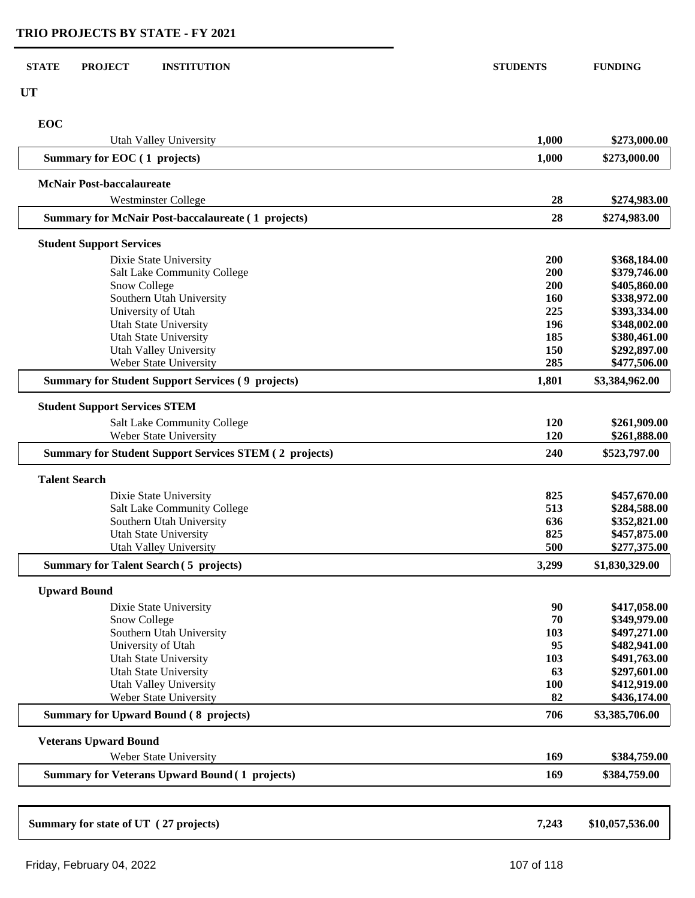| <b>STATE</b><br><b>PROJECT</b><br><b>INSTITUTION</b>           | <b>STUDENTS</b> | <b>FUNDING</b>               |
|----------------------------------------------------------------|-----------------|------------------------------|
| <b>UT</b>                                                      |                 |                              |
| EOC                                                            |                 |                              |
| Utah Valley University                                         | 1,000           | \$273,000.00                 |
| Summary for EOC (1 projects)                                   | 1,000           | \$273,000.00                 |
| <b>McNair Post-baccalaureate</b><br><b>Westminster College</b> | 28              | \$274,983.00                 |
| <b>Summary for McNair Post-baccalaureate (1 projects)</b>      | 28              | \$274,983.00                 |
|                                                                |                 |                              |
| <b>Student Support Services</b><br>Dixie State University      | 200             | \$368,184.00                 |
| Salt Lake Community College                                    | 200             | \$379,746.00                 |
| Snow College                                                   | 200             | \$405,860.00                 |
| Southern Utah University                                       | 160             | \$338,972.00                 |
| University of Utah                                             | 225             | \$393,334.00                 |
| <b>Utah State University</b>                                   | 196             | \$348,002.00                 |
| <b>Utah State University</b>                                   | 185             | \$380,461.00                 |
| Utah Valley University                                         | 150             | \$292,897.00                 |
| Weber State University                                         | 285             | \$477,506.00                 |
| <b>Summary for Student Support Services (9 projects)</b>       | 1,801           | \$3,384,962.00               |
| <b>Student Support Services STEM</b>                           |                 |                              |
| <b>Salt Lake Community College</b>                             | 120             | \$261,909.00                 |
| Weber State University                                         | 120             | \$261,888.00                 |
| <b>Summary for Student Support Services STEM (2 projects)</b>  | 240             | \$523,797.00                 |
| <b>Talent Search</b>                                           |                 |                              |
| Dixie State University                                         | 825             | \$457,670.00                 |
| Salt Lake Community College                                    | 513             | \$284,588.00                 |
| Southern Utah University                                       | 636             | \$352,821.00                 |
| <b>Utah State University</b>                                   | 825             | \$457,875.00                 |
| Utah Valley University                                         | 500             | \$277,375.00                 |
| <b>Summary for Talent Search (5 projects)</b>                  | 3,299           | \$1,830,329.00               |
| <b>Upward Bound</b>                                            |                 |                              |
| Dixie State University                                         | 90              | \$417,058.00                 |
| Snow College                                                   | 70              | \$349,979.00                 |
| Southern Utah University                                       | 103             | \$497,271.00                 |
| University of Utah<br><b>Utah State University</b>             | 95<br>103       | \$482,941.00<br>\$491,763.00 |
| <b>Utah State University</b>                                   | 63              | \$297,601.00                 |
| Utah Valley University                                         | <b>100</b>      | \$412,919.00                 |
| Weber State University                                         | 82              | \$436,174.00                 |
| <b>Summary for Upward Bound (8 projects)</b>                   | 706             | \$3,385,706.00               |
| <b>Veterans Upward Bound</b>                                   |                 |                              |
| Weber State University                                         | 169             | \$384,759.00                 |
| <b>Summary for Veterans Upward Bound (1 projects)</b>          | 169             | \$384,759.00                 |
|                                                                |                 |                              |
| Summary for state of UT (27 projects)                          | 7,243           | \$10,057,536.00              |
|                                                                |                 |                              |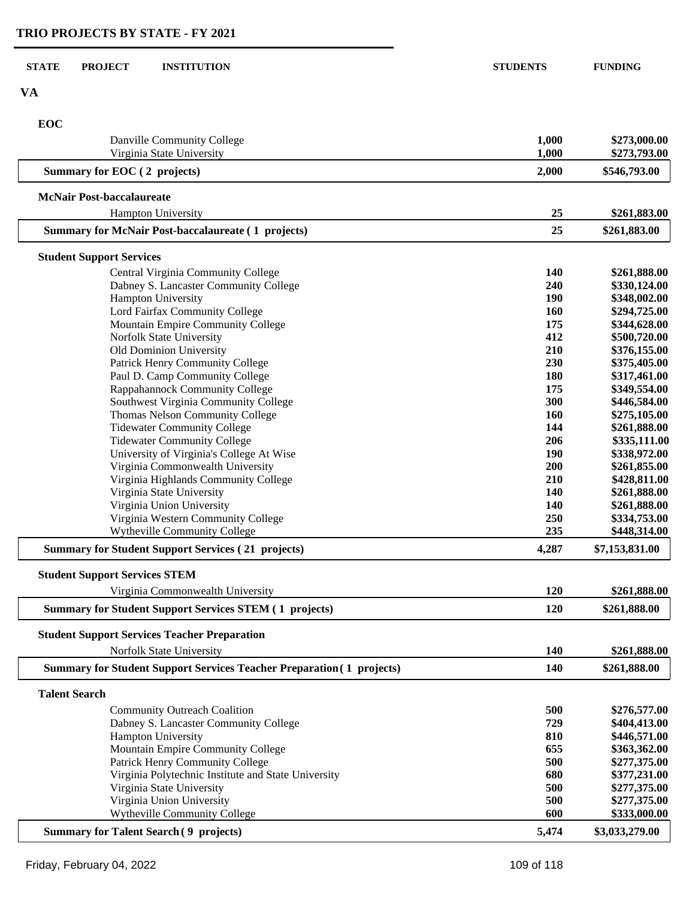| <b>STATE</b><br><b>PROJECT</b><br><b>INSTITUTION</b>                                              | <b>STUDENTS</b> | <b>FUNDING</b>               |
|---------------------------------------------------------------------------------------------------|-----------------|------------------------------|
| <b>VA</b>                                                                                         |                 |                              |
| EOC                                                                                               |                 |                              |
| Danville Community College<br>Virginia State University                                           | 1,000<br>1,000  | \$273,000.00<br>\$273,793.00 |
| Summary for EOC (2 projects)                                                                      | 2,000           | \$546,793.00                 |
| <b>McNair Post-baccalaureate</b>                                                                  |                 |                              |
| <b>Hampton University</b>                                                                         | 25              | \$261,883.00                 |
| <b>Summary for McNair Post-baccalaureate (1 projects)</b>                                         | 25              | \$261,883.00                 |
| <b>Student Support Services</b>                                                                   |                 |                              |
| Central Virginia Community College                                                                | 140             | \$261,888.00                 |
| Dabney S. Lancaster Community College                                                             | 240             | \$330,124.00                 |
| Hampton University                                                                                | <b>190</b>      | \$348,002.00                 |
| Lord Fairfax Community College<br>Mountain Empire Community College                               | 160<br>175      | \$294,725.00<br>\$344,628.00 |
| Norfolk State University                                                                          | 412             | \$500,720.00                 |
| Old Dominion University                                                                           | 210             | \$376,155.00                 |
| Patrick Henry Community College                                                                   | 230             | \$375,405.00                 |
| Paul D. Camp Community College                                                                    | 180             | \$317,461.00                 |
| Rappahannock Community College                                                                    | 175             | \$349,554.00                 |
| Southwest Virginia Community College                                                              | 300             | \$446,584.00                 |
| Thomas Nelson Community College                                                                   | 160             | \$275,105.00                 |
| <b>Tidewater Community College</b>                                                                | 144             | \$261,888.00                 |
| <b>Tidewater Community College</b>                                                                | 206             | \$335,111.00                 |
| University of Virginia's College At Wise                                                          | 190             | \$338,972.00                 |
| Virginia Commonwealth University                                                                  | 200             | \$261,855.00                 |
| Virginia Highlands Community College                                                              | 210             | \$428,811.00                 |
| Virginia State University                                                                         | 140             | \$261,888.00                 |
| Virginia Union University                                                                         | 140             | \$261,888.00                 |
| Virginia Western Community College                                                                | 250             | \$334,753.00                 |
| Wytheville Community College                                                                      | 235             | \$448,314.00                 |
| <b>Summary for Student Support Services (21 projects)</b>                                         | 4,287           | \$7,153,831.00               |
| <b>Student Support Services STEM</b>                                                              | 120             | \$261,888.00                 |
| Virginia Commonwealth University<br><b>Summary for Student Support Services STEM (1 projects)</b> | 120             | \$261,888.00                 |
|                                                                                                   |                 |                              |
| <b>Student Support Services Teacher Preparation</b><br>Norfolk State University                   | 140             | \$261,888.00                 |
| <b>Summary for Student Support Services Teacher Preparation (1 projects)</b>                      | 140             | \$261,888.00                 |
| <b>Talent Search</b>                                                                              |                 |                              |
| <b>Community Outreach Coalition</b>                                                               | 500             | \$276,577.00                 |
| Dabney S. Lancaster Community College                                                             | 729             | \$404,413.00                 |
| Hampton University                                                                                | 810             | \$446,571.00                 |
| Mountain Empire Community College                                                                 | 655             | \$363,362.00                 |
| Patrick Henry Community College                                                                   | 500             | \$277,375.00                 |
| Virginia Polytechnic Institute and State University                                               | 680             | \$377,231.00                 |
| Virginia State University                                                                         | 500             | \$277,375.00                 |
| Virginia Union University                                                                         | 500             | \$277,375.00                 |
| Wytheville Community College                                                                      | 600             | \$333,000.00                 |
| <b>Summary for Talent Search (9 projects)</b>                                                     | 5,474           | \$3,033,279.00               |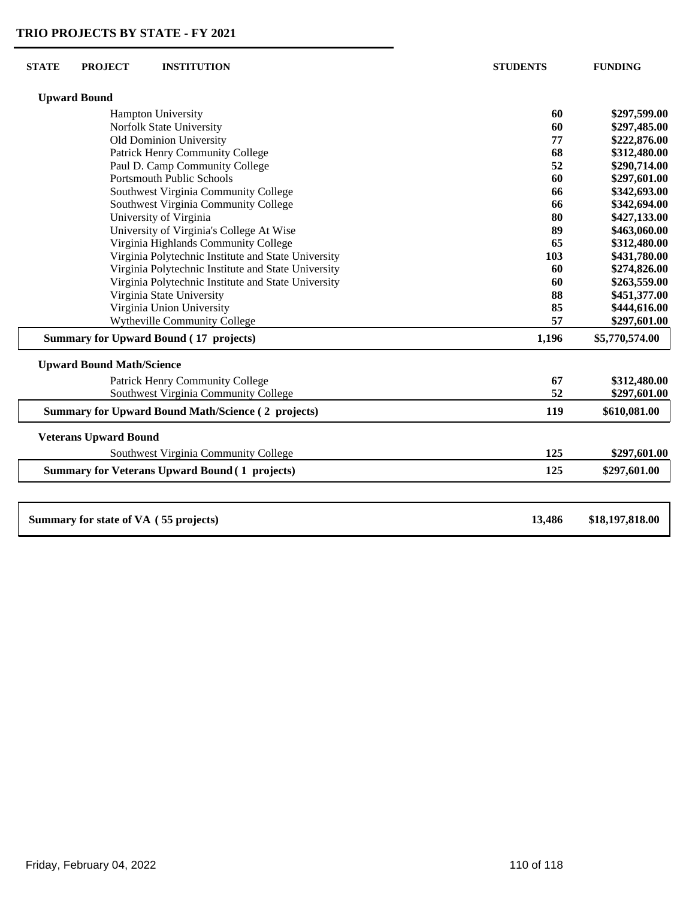| <b>STATE</b>                    | <b>PROJECT</b><br><b>INSTITUTION</b>                      | <b>STUDENTS</b> | <b>FUNDING</b>               |
|---------------------------------|-----------------------------------------------------------|-----------------|------------------------------|
|                                 | <b>Upward Bound</b>                                       |                 |                              |
|                                 | Hampton University                                        | 60              | \$297,599.00                 |
|                                 | Norfolk State University                                  | 60              | \$297,485.00                 |
|                                 | Old Dominion University                                   | 77              | \$222,876.00                 |
| Patrick Henry Community College |                                                           | 68              | \$312,480.00                 |
|                                 | Paul D. Camp Community College                            | 52              | \$290,714.00                 |
|                                 | <b>Portsmouth Public Schools</b>                          | 60              | \$297,601.00                 |
|                                 | Southwest Virginia Community College                      | 66              | \$342,693.00                 |
|                                 | Southwest Virginia Community College                      | 66              | \$342,694.00                 |
|                                 | University of Virginia                                    | 80              | \$427,133.00                 |
|                                 | University of Virginia's College At Wise                  | 89              | \$463,060.00                 |
|                                 | Virginia Highlands Community College                      | 65              | \$312,480.00                 |
|                                 | Virginia Polytechnic Institute and State University       | 103             | \$431,780.00                 |
|                                 | Virginia Polytechnic Institute and State University       | 60              | \$274,826.00                 |
|                                 | Virginia Polytechnic Institute and State University       | 60              | \$263,559.00                 |
|                                 | Virginia State University                                 | 88<br>85        | \$451,377.00                 |
|                                 | Virginia Union University<br>Wytheville Community College | 57              | \$444,616.00<br>\$297,601.00 |
|                                 |                                                           |                 |                              |
|                                 | <b>Summary for Upward Bound (17 projects)</b>             | 1,196           | \$5,770,574.00               |
|                                 | <b>Upward Bound Math/Science</b>                          |                 |                              |
|                                 | Patrick Henry Community College                           | 67              | \$312,480.00                 |
|                                 | Southwest Virginia Community College                      | 52              | \$297,601.00                 |
|                                 | <b>Summary for Upward Bound Math/Science (2 projects)</b> | 119             | \$610,081.00                 |
|                                 | <b>Veterans Upward Bound</b>                              |                 |                              |
|                                 | Southwest Virginia Community College                      | 125             | \$297,601.00                 |
|                                 | <b>Summary for Veterans Upward Bound (1 projects)</b>     | 125             | \$297,601.00                 |
|                                 |                                                           |                 |                              |
|                                 | Summary for state of VA (55 projects)                     | 13,486          | \$18,197,818.00              |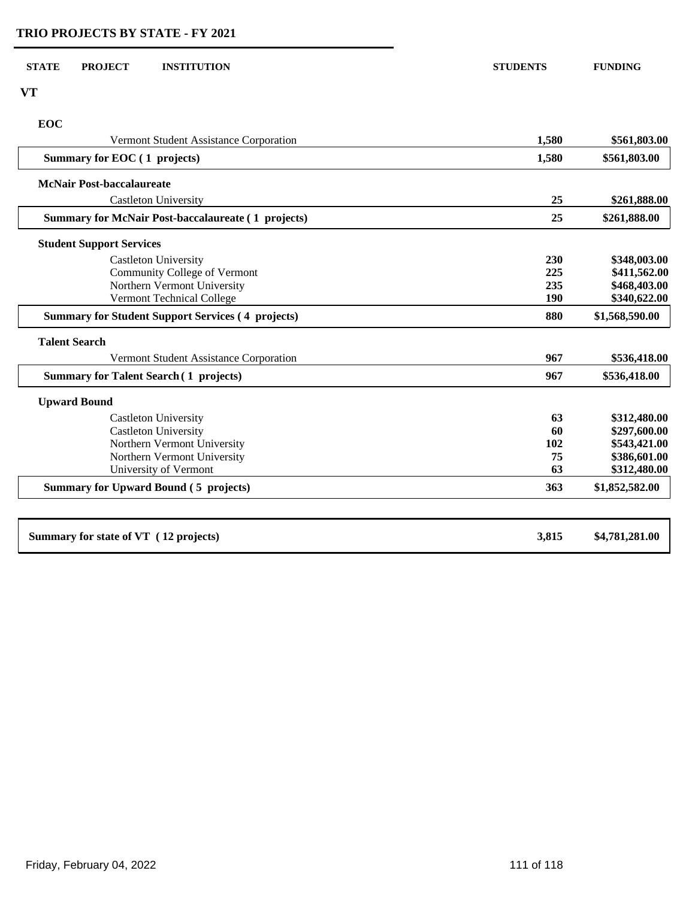| <b>STATE</b><br><b>PROJECT</b><br><b>INSTITUTION</b>      | <b>STUDENTS</b> | <b>FUNDING</b> |
|-----------------------------------------------------------|-----------------|----------------|
|                                                           |                 |                |
| <b>VT</b>                                                 |                 |                |
| <b>EOC</b>                                                |                 |                |
| Vermont Student Assistance Corporation                    | 1,580           | \$561,803.00   |
| Summary for EOC (1 projects)                              | 1,580           | \$561,803.00   |
| <b>McNair Post-baccalaureate</b>                          |                 |                |
| <b>Castleton University</b>                               | 25              | \$261,888.00   |
| <b>Summary for McNair Post-baccalaureate (1 projects)</b> | 25              | \$261,888.00   |
| <b>Student Support Services</b>                           |                 |                |
| Castleton University                                      | 230             | \$348,003.00   |
| Community College of Vermont                              | 225             | \$411,562.00   |
| Northern Vermont University                               | 235             | \$468,403.00   |
| Vermont Technical College                                 | 190             | \$340,622.00   |
| <b>Summary for Student Support Services (4 projects)</b>  | 880             | \$1,568,590.00 |
| <b>Talent Search</b>                                      |                 |                |
| Vermont Student Assistance Corporation                    | 967             | \$536,418.00   |
| <b>Summary for Talent Search (1 projects)</b>             | 967             | \$536,418.00   |
| <b>Upward Bound</b>                                       |                 |                |
| <b>Castleton University</b>                               | 63              | \$312,480.00   |
| <b>Castleton University</b>                               | 60              | \$297,600.00   |
| Northern Vermont University                               | 102             | \$543,421.00   |
| Northern Vermont University                               | 75              | \$386,601.00   |
| University of Vermont                                     | 63              | \$312,480.00   |
| <b>Summary for Upward Bound (5 projects)</b>              | 363             | \$1,852,582.00 |
|                                                           |                 |                |
| Summary for state of VT (12 projects)                     | 3,815           | \$4,781,281.00 |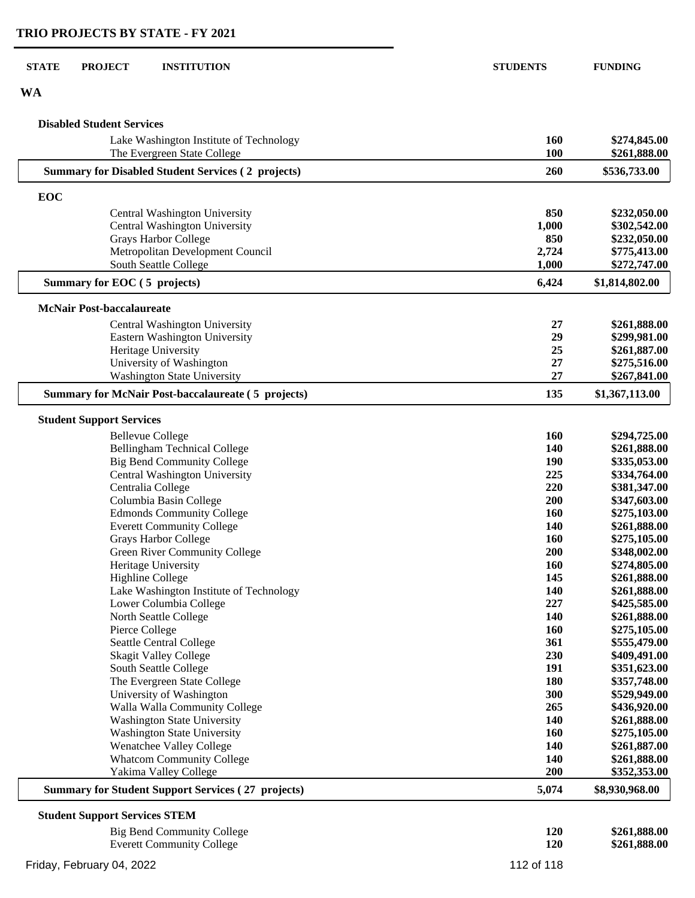| <b>STATE</b><br><b>PROJECT</b><br><b>INSTITUTION</b>                     | <b>STUDENTS</b> | <b>FUNDING</b>               |
|--------------------------------------------------------------------------|-----------------|------------------------------|
| <b>WA</b>                                                                |                 |                              |
| <b>Disabled Student Services</b>                                         |                 |                              |
| Lake Washington Institute of Technology<br>The Evergreen State College   | 160<br>100      | \$274,845.00<br>\$261,888.00 |
| <b>Summary for Disabled Student Services (2 projects)</b>                | 260             | \$536,733.00                 |
| EOC                                                                      |                 |                              |
| Central Washington University                                            | 850             | \$232,050.00                 |
| Central Washington University                                            | 1,000           | \$302,542.00                 |
| <b>Grays Harbor College</b>                                              | 850             | \$232,050.00                 |
| Metropolitan Development Council                                         | 2,724           | \$775,413.00                 |
| South Seattle College                                                    | 1,000           | \$272,747.00                 |
| Summary for EOC (5 projects)                                             | 6,424           | \$1,814,802.00               |
|                                                                          |                 |                              |
| <b>McNair Post-baccalaureate</b><br>Central Washington University        | 27              | \$261,888.00                 |
| Eastern Washington University                                            | 29              | \$299,981.00                 |
| Heritage University                                                      | 25              | \$261,887.00                 |
| University of Washington                                                 | 27              | \$275,516.00                 |
| <b>Washington State University</b>                                       | 27              | \$267,841.00                 |
| <b>Summary for McNair Post-baccalaureate (5 projects)</b>                | 135             | \$1,367,113.00               |
| <b>Student Support Services</b>                                          |                 |                              |
|                                                                          |                 |                              |
| <b>Bellevue College</b>                                                  | 160<br>140      | \$294,725.00<br>\$261,888.00 |
| <b>Bellingham Technical College</b><br><b>Big Bend Community College</b> | 190             | \$335,053.00                 |
| Central Washington University                                            | 225             | \$334,764.00                 |
| Centralia College                                                        | 220             | \$381,347.00                 |
| Columbia Basin College                                                   | 200             | \$347,603.00                 |
| <b>Edmonds Community College</b>                                         | 160             | \$275,103.00                 |
| <b>Everett Community College</b>                                         | <b>140</b>      | \$261,888.00                 |
| Grays Harbor College                                                     | <b>160</b>      | \$275,105.00                 |
| Green River Community College                                            | 200             | \$348,002.00                 |
| Heritage University                                                      | <b>160</b>      | \$274,805.00                 |
| <b>Highline College</b>                                                  | 145             | \$261,888.00                 |
| Lake Washington Institute of Technology                                  | 140             | \$261,888.00                 |
| Lower Columbia College                                                   | 227             | \$425,585.00                 |
| North Seattle College                                                    | 140             | \$261,888.00                 |
| Pierce College                                                           | 160             | \$275,105.00                 |
| Seattle Central College                                                  | 361             | \$555,479.00                 |
| <b>Skagit Valley College</b>                                             | 230             | \$409,491.00                 |
| South Seattle College                                                    | 191             | \$351,623.00                 |
| The Evergreen State College                                              | 180             | \$357,748.00                 |
| University of Washington                                                 | 300             | \$529,949.00                 |
| Walla Walla Community College                                            | 265             | \$436,920.00                 |
| <b>Washington State University</b>                                       | 140             | \$261,888.00                 |
| <b>Washington State University</b>                                       | 160             | \$275,105.00                 |
| Wenatchee Valley College                                                 | 140             | \$261,887.00                 |
| <b>Whatcom Community College</b>                                         | 140             | \$261,888.00                 |
| Yakima Valley College                                                    | 200             | \$352,353.00                 |
| <b>Summary for Student Support Services (27 projects)</b>                | 5,074           | \$8,930,968.00               |
| <b>Student Support Services STEM</b>                                     |                 |                              |
| <b>Big Bend Community College</b>                                        | 120             | \$261,888.00                 |
| <b>Everett Community College</b>                                         | 120             | \$261,888.00                 |
| Friday, February 04, 2022                                                | 112 of 118      |                              |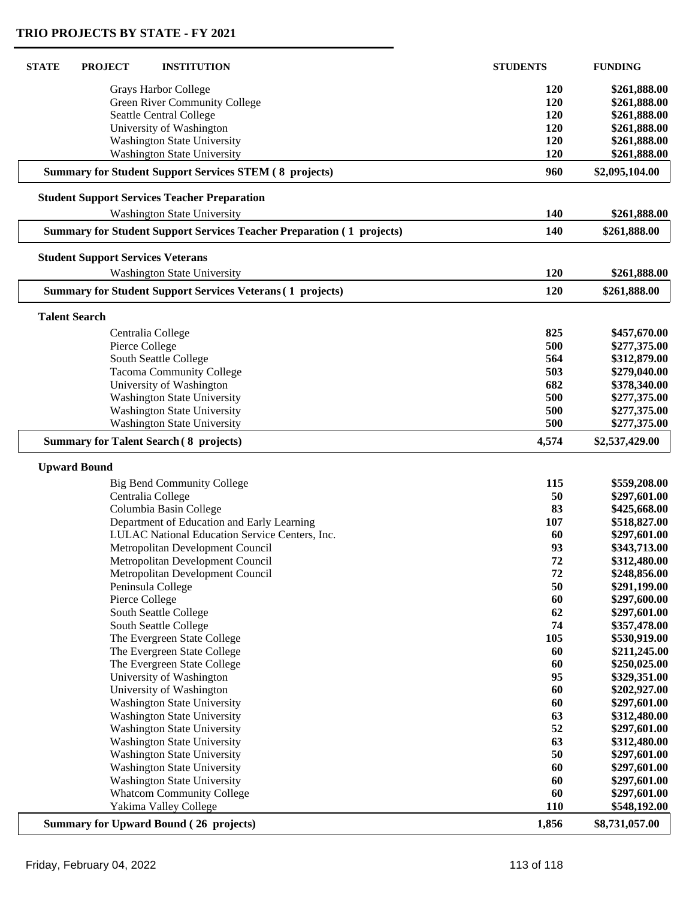| <b>STATE</b><br><b>PROJECT</b><br><b>INSTITUTION</b>                         | <b>STUDENTS</b> | <b>FUNDING</b>               |
|------------------------------------------------------------------------------|-----------------|------------------------------|
| Grays Harbor College                                                         | <b>120</b>      | \$261,888.00                 |
| Green River Community College                                                | 120             | \$261,888.00                 |
| Seattle Central College                                                      | 120             | \$261,888.00                 |
| University of Washington                                                     | 120             | \$261,888.00                 |
| <b>Washington State University</b>                                           | 120             | \$261,888.00                 |
| <b>Washington State University</b>                                           | 120             | \$261,888.00                 |
| <b>Summary for Student Support Services STEM (8 projects)</b>                | 960             | \$2,095,104.00               |
| <b>Student Support Services Teacher Preparation</b>                          |                 |                              |
| <b>Washington State University</b>                                           | 140             | \$261,888.00                 |
| <b>Summary for Student Support Services Teacher Preparation (1 projects)</b> | 140             | \$261,888.00                 |
| <b>Student Support Services Veterans</b>                                     |                 |                              |
| Washington State University                                                  | 120             | \$261,888.00                 |
| <b>Summary for Student Support Services Veterans (1 projects)</b>            | 120             | \$261,888.00                 |
|                                                                              |                 |                              |
| <b>Talent Search</b>                                                         |                 |                              |
| Centralia College                                                            | 825             | \$457,670.00                 |
| Pierce College                                                               | 500             | \$277,375.00                 |
| South Seattle College                                                        | 564             | \$312,879.00                 |
| <b>Tacoma Community College</b>                                              | 503             | \$279,040.00                 |
| University of Washington                                                     | 682             | \$378,340.00                 |
| <b>Washington State University</b>                                           | 500             | \$277,375.00                 |
| <b>Washington State University</b>                                           | 500             | \$277,375.00                 |
| <b>Washington State University</b>                                           | 500             | \$277,375.00                 |
| <b>Summary for Talent Search (8 projects)</b>                                | 4,574           | \$2,537,429.00               |
| <b>Upward Bound</b>                                                          |                 |                              |
| <b>Big Bend Community College</b>                                            | 115             | \$559,208.00                 |
| Centralia College                                                            | 50              | \$297,601.00                 |
| Columbia Basin College                                                       | 83              | \$425,668.00                 |
| Department of Education and Early Learning                                   | 107             | \$518,827.00                 |
| LULAC National Education Service Centers, Inc.                               | 60              | \$297,601.00                 |
| Metropolitan Development Council                                             | 93              | \$343,713.00                 |
| Metropolitan Development Council                                             | 72              | \$312,480.00                 |
| Metropolitan Development Council                                             | 72              | \$248,856.00                 |
| Peninsula College                                                            | 50              | \$291,199.00                 |
| Pierce College                                                               | 60              | \$297,600.00                 |
| South Seattle College                                                        | 62              | \$297,601.00                 |
| South Seattle College                                                        | 74              | \$357,478.00                 |
| The Evergreen State College                                                  | 105             | \$530,919.00                 |
| The Evergreen State College                                                  | 60              | \$211,245.00                 |
| The Evergreen State College                                                  | 60              | \$250,025.00                 |
| University of Washington                                                     | 95              | \$329,351.00                 |
| University of Washington                                                     | 60              | \$202,927.00                 |
| <b>Washington State University</b>                                           | 60              | \$297,601.00                 |
| <b>Washington State University</b>                                           | 63              |                              |
| Washington State University                                                  | 52              | \$312,480.00<br>\$297,601.00 |
| <b>Washington State University</b>                                           | 63              | \$312,480.00                 |
|                                                                              | 50              |                              |
| <b>Washington State University</b>                                           | 60              | \$297,601.00                 |
| <b>Washington State University</b>                                           |                 | \$297,601.00                 |
| <b>Washington State University</b>                                           | 60              | \$297,601.00                 |
| <b>Whatcom Community College</b>                                             | 60              | \$297,601.00                 |
| Yakima Valley College                                                        | <b>110</b>      | \$548,192.00                 |
| <b>Summary for Upward Bound (26 projects)</b>                                | 1,856           | \$8,731,057.00               |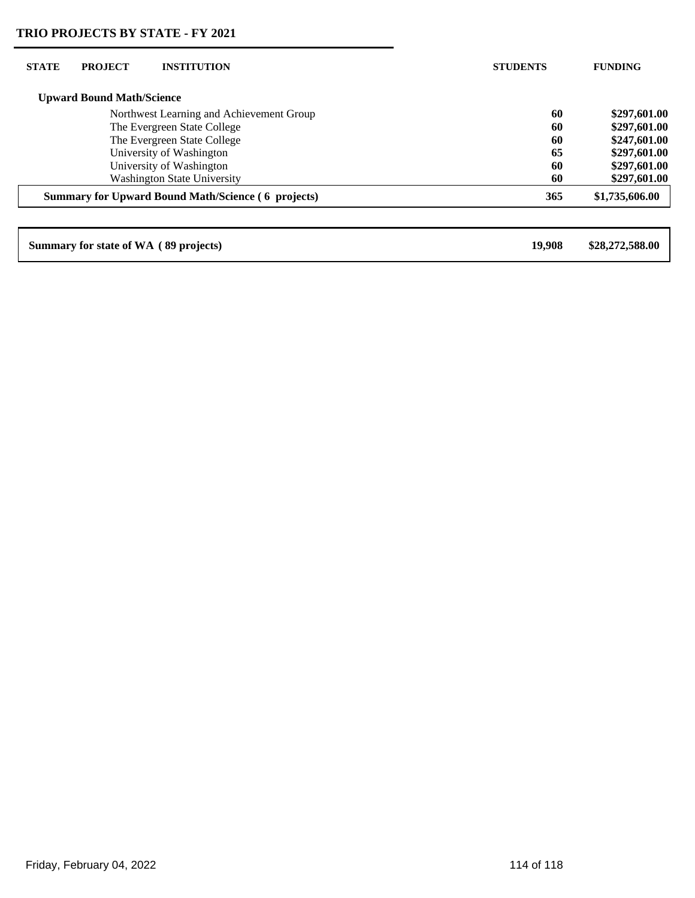| <b>STATE</b> | <b>PROJECT</b>                   | <b>INSTITUTION</b>                                        | <b>STUDENTS</b> | <b>FUNDING</b>  |
|--------------|----------------------------------|-----------------------------------------------------------|-----------------|-----------------|
|              | <b>Upward Bound Math/Science</b> |                                                           |                 |                 |
|              |                                  | Northwest Learning and Achievement Group                  | 60              | \$297,601.00    |
|              |                                  | The Evergreen State College                               | 60              | \$297,601.00    |
|              |                                  | The Evergreen State College                               | 60              | \$247,601.00    |
|              |                                  | University of Washington                                  | 65              | \$297,601.00    |
|              |                                  | University of Washington                                  | 60              | \$297,601.00    |
|              |                                  | <b>Washington State University</b>                        | 60              | \$297,601.00    |
|              |                                  | <b>Summary for Upward Bound Math/Science (6 projects)</b> | 365             | \$1,735,606.00  |
|              |                                  |                                                           |                 |                 |
|              |                                  | Summary for state of WA (89 projects)                     | 19.908          | \$28,272,588.00 |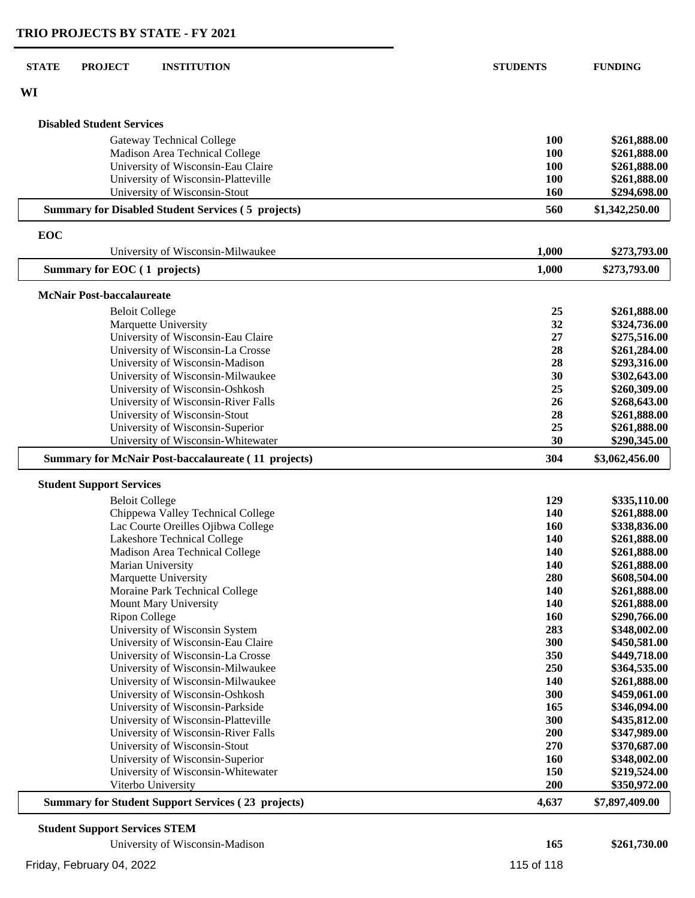| <b>STATE</b> | <b>PROJECT</b><br><b>INSTITUTION</b>                                   | <b>STUDENTS</b> | <b>FUNDING</b>               |
|--------------|------------------------------------------------------------------------|-----------------|------------------------------|
| WI           |                                                                        |                 |                              |
|              | <b>Disabled Student Services</b>                                       |                 |                              |
|              | <b>Gateway Technical College</b>                                       | 100             | \$261,888.00                 |
|              | Madison Area Technical College                                         | 100             | \$261,888.00                 |
|              | University of Wisconsin-Eau Claire                                     | 100             | \$261,888.00                 |
|              | University of Wisconsin-Platteville                                    | 100             | \$261,888.00                 |
|              | University of Wisconsin-Stout                                          | 160             | \$294,698.00                 |
|              | <b>Summary for Disabled Student Services (5 projects)</b>              | 560             | \$1,342,250.00               |
| EOC          |                                                                        |                 |                              |
|              | University of Wisconsin-Milwaukee                                      | 1,000           | \$273,793.00                 |
|              | Summary for EOC (1 projects)                                           | 1,000           | \$273,793.00                 |
|              | <b>McNair Post-baccalaureate</b>                                       |                 |                              |
|              | <b>Beloit College</b>                                                  | 25              | \$261,888.00                 |
|              | Marquette University                                                   | 32              | \$324,736.00                 |
|              | University of Wisconsin-Eau Claire                                     | 27              | \$275,516.00                 |
|              | University of Wisconsin-La Crosse                                      | 28              | \$261,284.00                 |
|              | University of Wisconsin-Madison                                        | 28              | \$293,316.00                 |
|              | University of Wisconsin-Milwaukee                                      | 30<br>25        | \$302,643.00                 |
|              | University of Wisconsin-Oshkosh<br>University of Wisconsin-River Falls | 26              | \$260,309.00<br>\$268,643.00 |
|              | University of Wisconsin-Stout                                          | 28              | \$261,888.00                 |
|              | University of Wisconsin-Superior                                       | 25              | \$261,888.00                 |
|              | University of Wisconsin-Whitewater                                     | 30              | \$290,345.00                 |
|              | <b>Summary for McNair Post-baccalaureate (11 projects)</b>             | 304             | \$3,062,456.00               |
|              | <b>Student Support Services</b>                                        |                 |                              |
|              | <b>Beloit College</b>                                                  | 129             | \$335,110.00                 |
|              | Chippewa Valley Technical College                                      | 140             | \$261,888.00                 |
|              | Lac Courte Oreilles Ojibwa College                                     | <b>160</b>      | \$338,836.00                 |
|              | Lakeshore Technical College                                            | 140             | \$261,888.00                 |
|              | Madison Area Technical College                                         | 140             | \$261,888.00                 |
|              | Marian University                                                      | <b>140</b>      | \$261,888.00                 |
|              | Marquette University                                                   | 280             | \$608,504.00                 |
|              | Moraine Park Technical College                                         | 140             | \$261,888.00                 |
|              | Mount Mary University                                                  | 140             | \$261,888.00                 |
|              | <b>Ripon College</b>                                                   | 160             | \$290,766.00                 |
|              | University of Wisconsin System                                         | 283             | \$348,002.00                 |
|              | University of Wisconsin-Eau Claire                                     | 300             | \$450,581.00                 |
|              | University of Wisconsin-La Crosse                                      | 350             | \$449,718.00                 |
|              | University of Wisconsin-Milwaukee                                      | 250             | \$364,535.00                 |
|              | University of Wisconsin-Milwaukee                                      | 140<br>300      | \$261,888.00                 |
|              | University of Wisconsin-Oshkosh<br>University of Wisconsin-Parkside    | 165             | \$459,061.00<br>\$346,094.00 |
|              | University of Wisconsin-Platteville                                    | 300             | \$435,812.00                 |
|              | University of Wisconsin-River Falls                                    | 200             | \$347,989.00                 |
|              | University of Wisconsin-Stout                                          | 270             | \$370,687.00                 |
|              | University of Wisconsin-Superior                                       | 160             | \$348,002.00                 |
|              | University of Wisconsin-Whitewater                                     | 150             | \$219,524.00                 |
|              | Viterbo University                                                     | 200             | \$350,972.00                 |
|              | <b>Summary for Student Support Services (23 projects)</b>              | 4,637           | \$7,897,409.00               |
|              | <b>Student Support Services STEM</b>                                   |                 |                              |

| University of Wisconsin-Madison | 165        | \$261,730.00 |
|---------------------------------|------------|--------------|
| Friday, February 04, 2022       | 115 of 118 |              |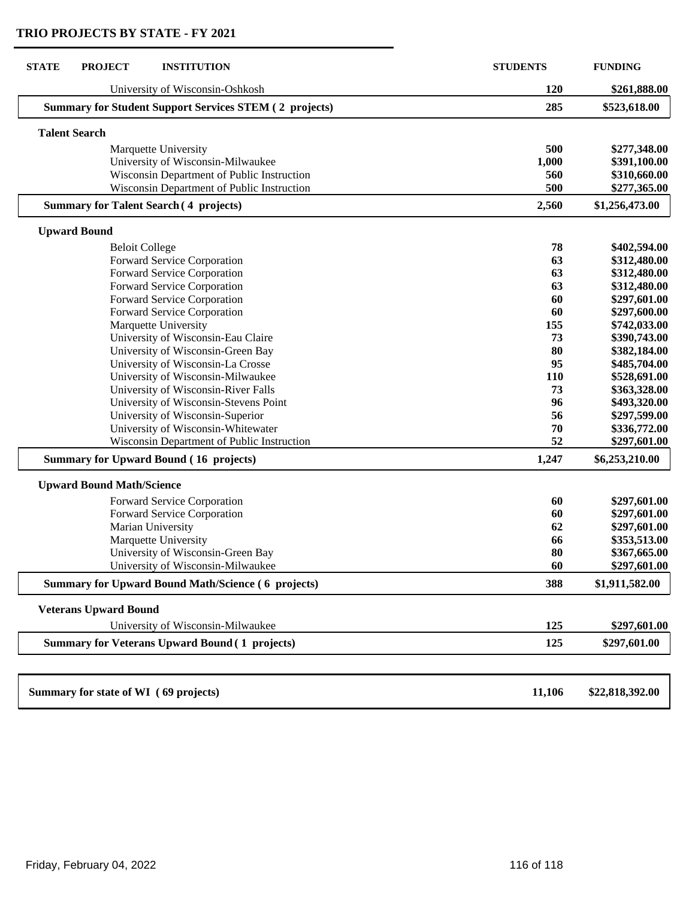| <b>STATE</b><br><b>PROJECT</b><br><b>INSTITUTION</b>          | <b>STUDENTS</b> | <b>FUNDING</b>  |
|---------------------------------------------------------------|-----------------|-----------------|
| University of Wisconsin-Oshkosh                               | 120             | \$261,888.00    |
| <b>Summary for Student Support Services STEM (2 projects)</b> | 285             | \$523,618.00    |
| <b>Talent Search</b>                                          |                 |                 |
| Marquette University                                          | 500             | \$277,348.00    |
| University of Wisconsin-Milwaukee                             | 1,000           | \$391,100.00    |
| Wisconsin Department of Public Instruction                    | 560             | \$310,660.00    |
| Wisconsin Department of Public Instruction                    | 500             | \$277,365.00    |
| <b>Summary for Talent Search (4 projects)</b>                 | 2,560           | \$1,256,473.00  |
| <b>Upward Bound</b>                                           |                 |                 |
| <b>Beloit College</b>                                         | 78              | \$402,594.00    |
| Forward Service Corporation                                   | 63              | \$312,480.00    |
| Forward Service Corporation                                   | 63              | \$312,480.00    |
| Forward Service Corporation                                   | 63              | \$312,480.00    |
| Forward Service Corporation                                   | 60              | \$297,601.00    |
| Forward Service Corporation                                   | 60              | \$297,600.00    |
| Marquette University                                          | 155             | \$742,033.00    |
| University of Wisconsin-Eau Claire                            | 73              | \$390,743.00    |
| University of Wisconsin-Green Bay                             | 80              | \$382,184.00    |
| University of Wisconsin-La Crosse                             | 95              | \$485,704.00    |
| University of Wisconsin-Milwaukee                             | 110             | \$528,691.00    |
| University of Wisconsin-River Falls                           | 73              | \$363,328.00    |
| University of Wisconsin-Stevens Point                         | 96              | \$493,320.00    |
| University of Wisconsin-Superior                              | 56              | \$297,599.00    |
| University of Wisconsin-Whitewater                            | 70              | \$336,772.00    |
| Wisconsin Department of Public Instruction                    | 52              | \$297,601.00    |
| <b>Summary for Upward Bound (16 projects)</b>                 | 1,247           | \$6,253,210.00  |
| <b>Upward Bound Math/Science</b>                              |                 |                 |
| Forward Service Corporation                                   | 60              | \$297,601.00    |
| Forward Service Corporation                                   | 60              | \$297,601.00    |
| Marian University                                             | 62              | \$297,601.00    |
| Marquette University                                          | 66              | \$353,513.00    |
| University of Wisconsin-Green Bay                             | 80              | \$367,665.00    |
| University of Wisconsin-Milwaukee                             | 60              | \$297,601.00    |
| <b>Summary for Upward Bound Math/Science (6 projects)</b>     | 388             | \$1,911,582.00  |
| <b>Veterans Upward Bound</b>                                  |                 |                 |
| University of Wisconsin-Milwaukee                             | 125             | \$297,601.00    |
| <b>Summary for Veterans Upward Bound (1 projects)</b>         | 125             | \$297,601.00    |
|                                                               |                 |                 |
| Summary for state of WI (69 projects)                         | 11,106          | \$22,818,392.00 |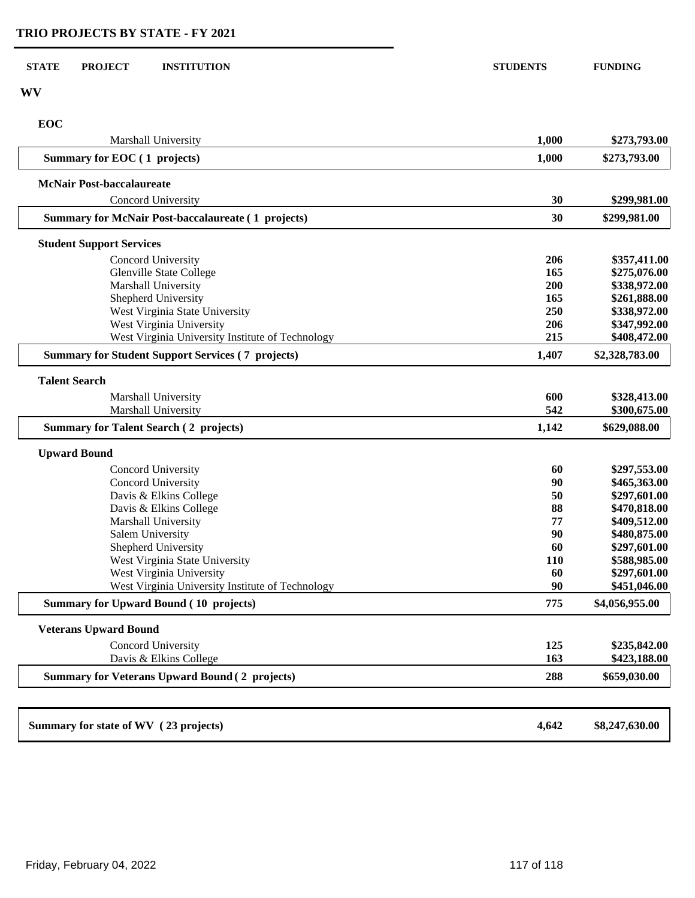| <b>STATE</b><br><b>PROJECT</b><br><b>INSTITUTION</b>                         | <b>STUDENTS</b> | <b>FUNDING</b>               |
|------------------------------------------------------------------------------|-----------------|------------------------------|
| WV                                                                           |                 |                              |
| EOC                                                                          |                 |                              |
| Marshall University                                                          | 1,000           | \$273,793.00                 |
| Summary for EOC (1 projects)                                                 | 1,000           | \$273,793.00                 |
| <b>McNair Post-baccalaureate</b>                                             |                 |                              |
| Concord University                                                           | 30              | \$299,981.00                 |
| <b>Summary for McNair Post-baccalaureate (1 projects)</b>                    | 30              | \$299,981.00                 |
| <b>Student Support Services</b>                                              |                 |                              |
| Concord University                                                           | 206             | \$357,411.00                 |
| Glenville State College                                                      | 165             | \$275,076.00                 |
| Marshall University                                                          | 200             | \$338,972.00                 |
| Shepherd University                                                          | 165             | \$261,888.00                 |
| West Virginia State University                                               | 250             | \$338,972.00                 |
| West Virginia University                                                     | 206             | \$347,992.00                 |
| West Virginia University Institute of Technology                             | 215             | \$408,472.00                 |
| <b>Summary for Student Support Services (7 projects)</b>                     | 1,407           | \$2,328,783.00               |
| <b>Talent Search</b>                                                         |                 |                              |
| Marshall University                                                          | 600             | \$328,413.00                 |
| Marshall University                                                          | 542             | \$300,675.00                 |
| <b>Summary for Talent Search (2 projects)</b>                                | 1,142           | \$629,088.00                 |
| <b>Upward Bound</b>                                                          |                 |                              |
| Concord University                                                           | 60              | \$297,553.00                 |
| Concord University                                                           | 90              | \$465,363.00                 |
| Davis & Elkins College                                                       | 50              | \$297,601.00                 |
| Davis & Elkins College                                                       | 88              | \$470,818.00                 |
| Marshall University                                                          | 77              | \$409,512.00                 |
| <b>Salem University</b>                                                      | 90              | \$480,875.00                 |
| Shepherd University                                                          | 60              | \$297,601.00                 |
| West Virginia State University                                               | <b>110</b>      | \$588,985.00                 |
| West Virginia University<br>West Virginia University Institute of Technology | 60<br>90        | \$297,601.00<br>\$451,046.00 |
| <b>Summary for Upward Bound (10 projects)</b>                                | 775             | \$4,056,955.00               |
|                                                                              |                 |                              |
| <b>Veterans Upward Bound</b>                                                 |                 |                              |
| Concord University                                                           | 125             | \$235,842.00                 |
| Davis & Elkins College                                                       | 163             | \$423,188.00                 |
| <b>Summary for Veterans Upward Bound (2 projects)</b>                        | 288             | \$659,030.00                 |
|                                                                              |                 |                              |
| Summary for state of WV (23 projects)                                        | 4,642           | \$8,247,630.00               |